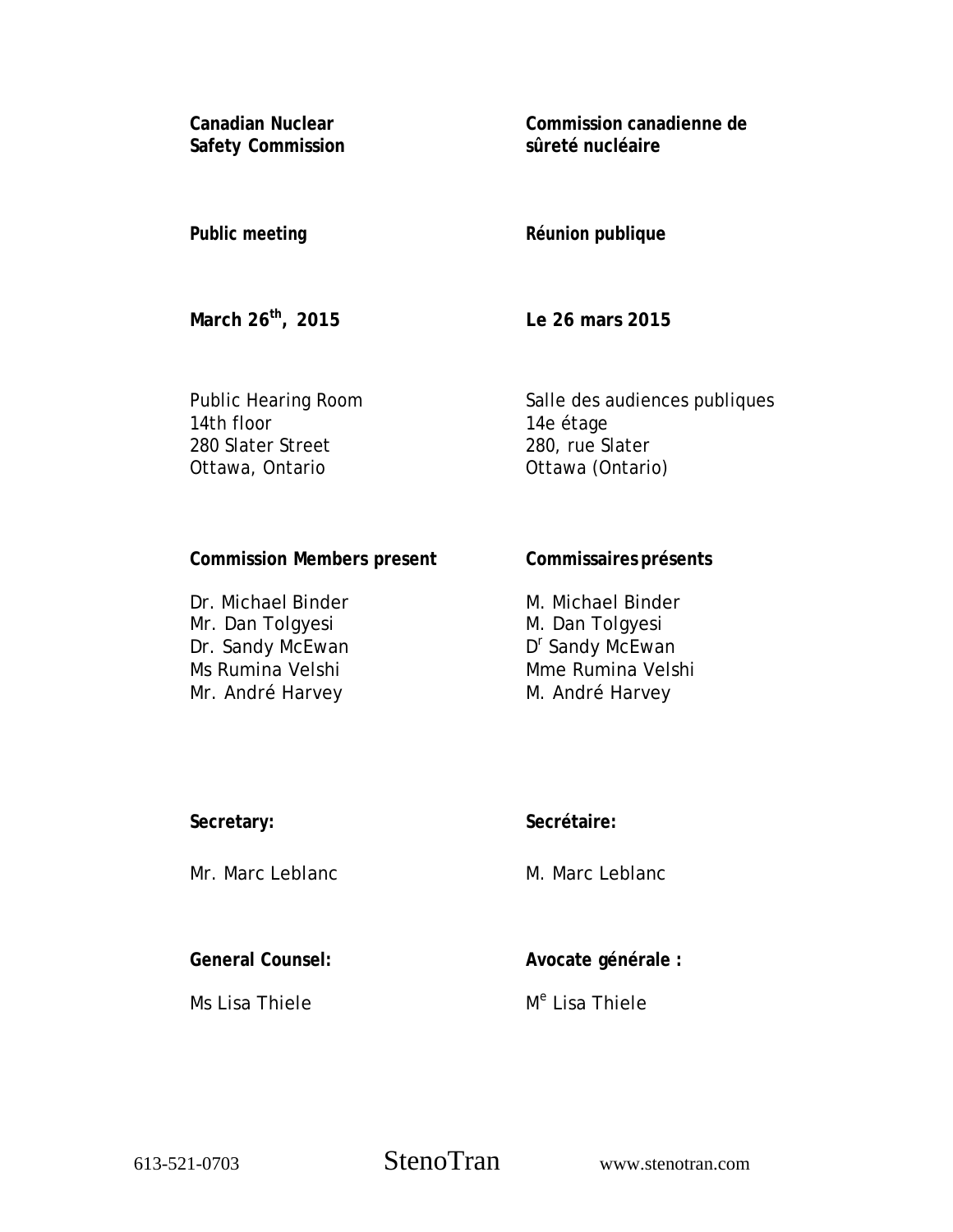**Canadian Nuclear Safety Commission**  **Commission canadienne de sûreté nucléaire** 

### **Public meeting**

# **Réunion publique**

**March 26th, 2015** 

**Le 26 mars 2015** 

Public Hearing Room 14th floor 280 Slater Street Ottawa, Ontario

Salle des audiences publiques 14e étage 280, rue Slater Ottawa (Ontario)

### **Commission Members present**

Dr. Michael Binder Mr. Dan Tolgyesi Dr. Sandy McEwan Ms Rumina Velshi Mr. André Harvey

# **Commissaires présents**

M. Michael Binder M. Dan Tolgyesi D<sup>r</sup> Sandy McEwan Mme Rumina Velshi M. André Harvey

| Secretary: |  |
|------------|--|
|            |  |

Mr. Marc Leblanc

**Secrétaire:**

M. Marc Leblanc

**General Counsel:** 

Ms Lisa Thiele

**Avocate générale :** 

M<sup>e</sup> Lisa Thiele

613-521-0703 StenoTran www.stenotran.com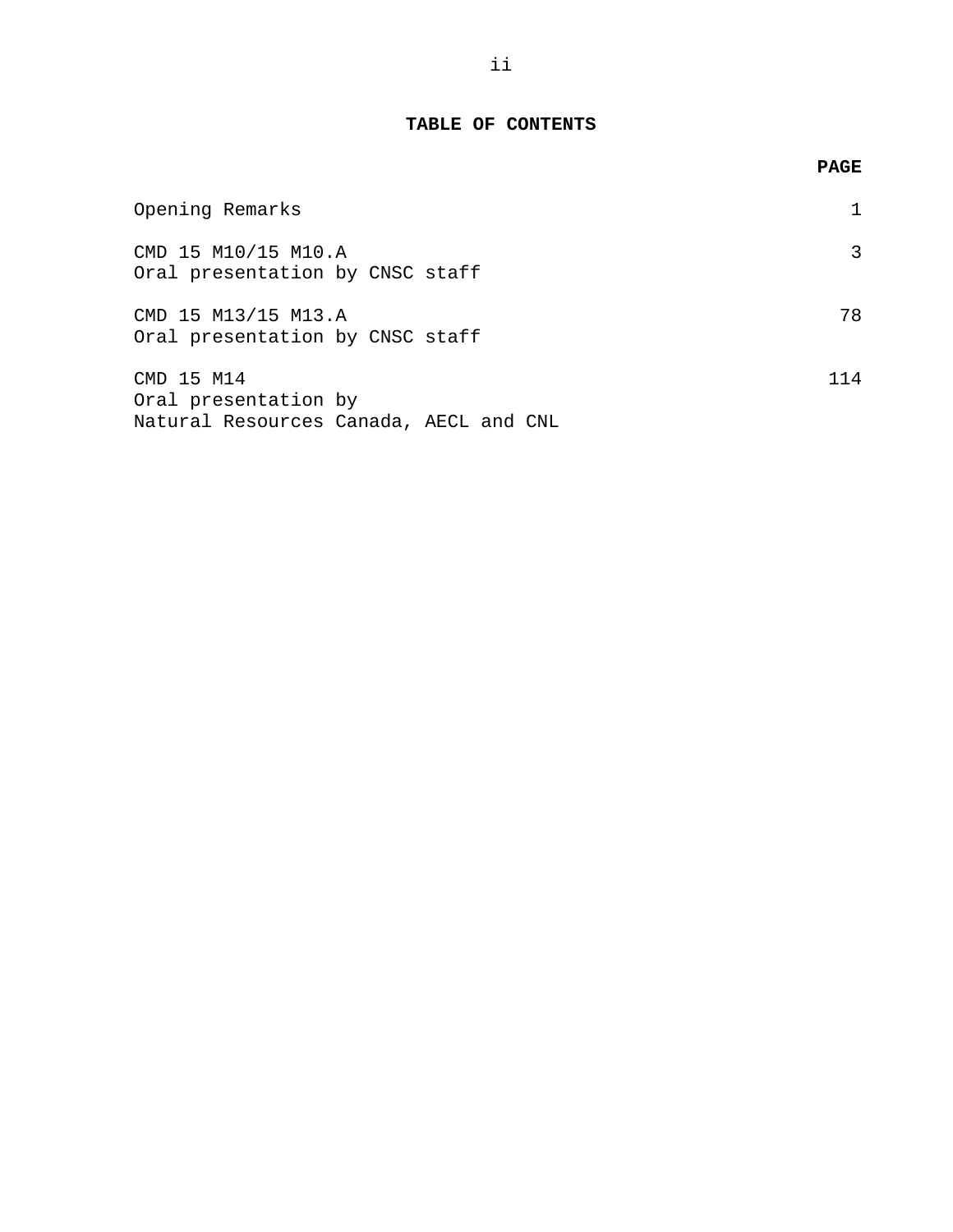# **TABLE OF CONTENTS**

|                                                                              | <b>PAGE</b> |
|------------------------------------------------------------------------------|-------------|
| Opening Remarks                                                              |             |
| CMD 15 M10/15 M10.A<br>Oral presentation by CNSC staff                       |             |
| CMD 15 M13/15 M13.A<br>Oral presentation by CNSC staff                       | 78          |
| CMD 15 M14<br>Oral presentation by<br>Natural Resources Canada, AECL and CNL | 114         |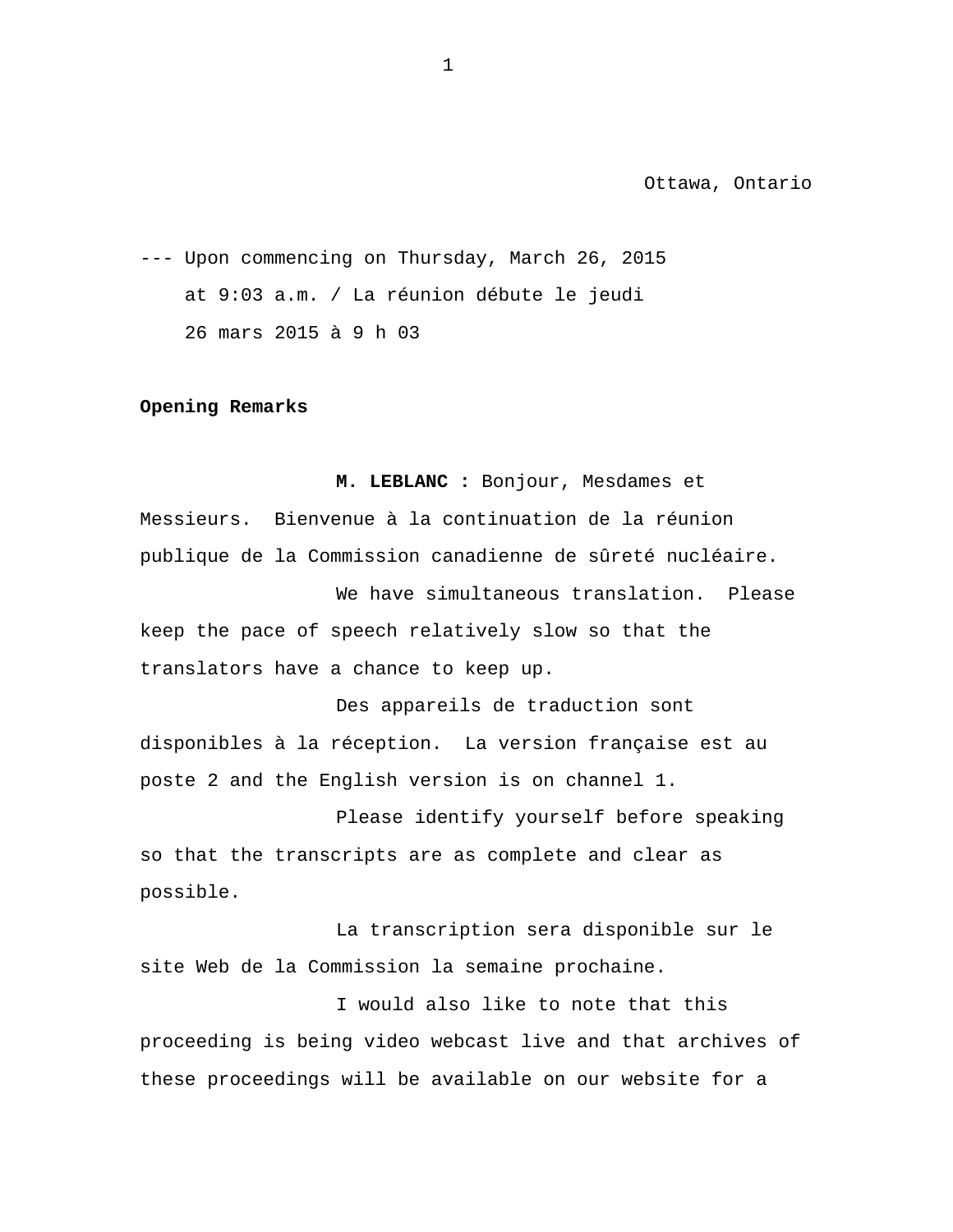<span id="page-2-0"></span>--- Upon commencing on Thursday, March 26, 2015 at 9:03 a.m. / La réunion débute le jeudi 26 mars 2015 à 9 h 03

#### **Opening Remarks**

**M. LEBLANC :** Bonjour, Mesdames et Messieurs. Bienvenue à la continuation de la réunion publique de la Commission canadienne de sûreté nucléaire.

We have simultaneous translation. Please keep the pace of speech relatively slow so that the translators have a chance to keep up.

Des appareils de traduction sont disponibles à la réception. La version française est au poste 2 and the English version is on channel 1.

Please identify yourself before speaking so that the transcripts are as complete and clear as possible.

La transcription sera disponible sur le site Web de la Commission la semaine prochaine.

I would also like to note that this proceeding is being video webcast live and that archives of these proceedings will be available on our website for a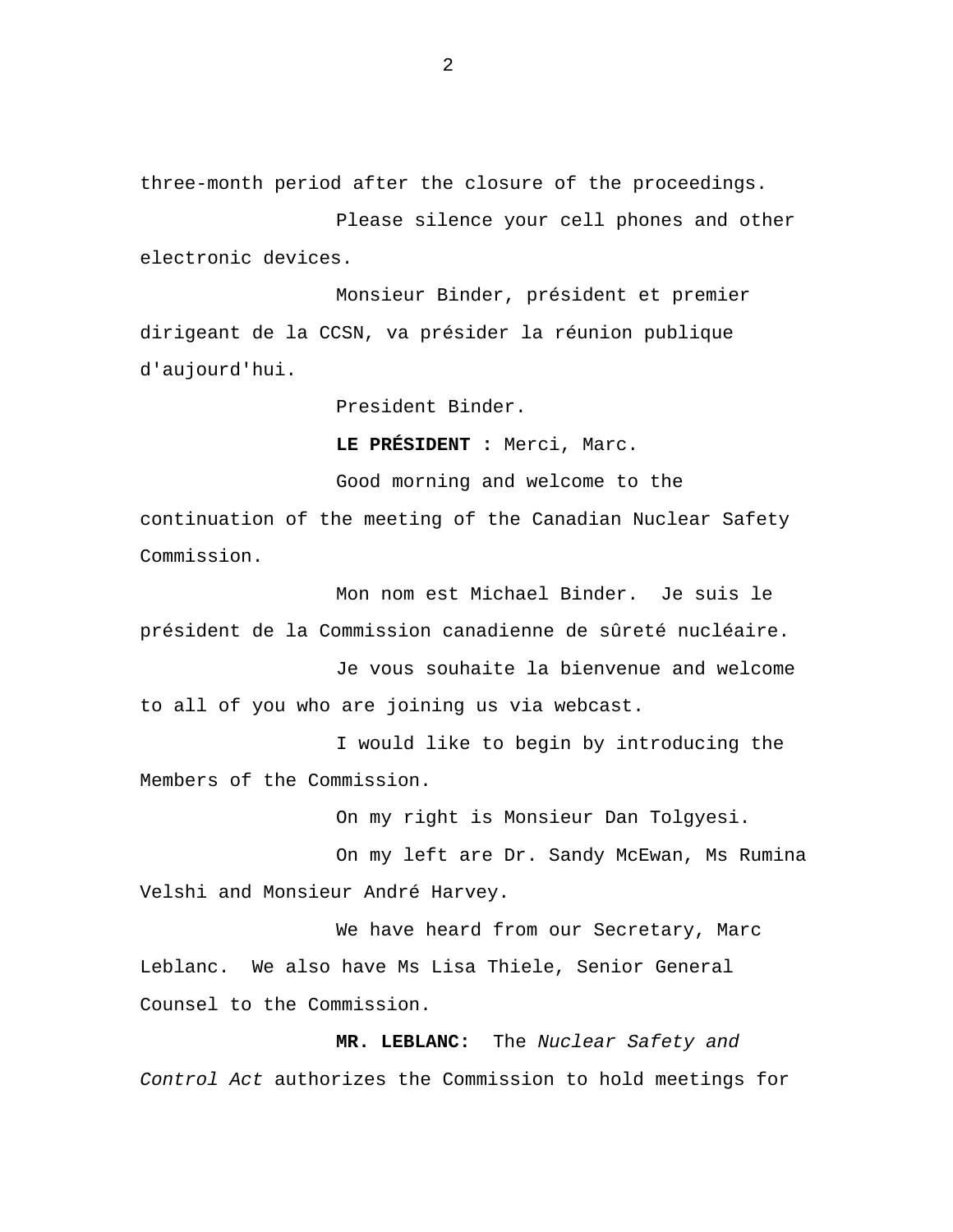three-month period after the closure of the proceedings.

Please silence your cell phones and other electronic devices.

Monsieur Binder, président et premier dirigeant de la CCSN, va présider la réunion publique d'aujourd'hui.

President Binder.

**LE PRÉSIDENT :** Merci, Marc.

Good morning and welcome to the continuation of the meeting of the Canadian Nuclear Safety Commission.

Mon nom est Michael Binder. Je suis le président de la Commission canadienne de sûreté nucléaire.

Je vous souhaite la bienvenue and welcome to all of you who are joining us via webcast.

I would like to begin by introducing the Members of the Commission.

On my right is Monsieur Dan Tolgyesi.

On my left are Dr. Sandy McEwan, Ms Rumina Velshi and Monsieur André Harvey.

We have heard from our Secretary, Marc Leblanc. We also have Ms Lisa Thiele, Senior General Counsel to the Commission.

**MR. LEBLANC:** The *Nuclear Safety and Control Act* authorizes the Commission to hold meetings for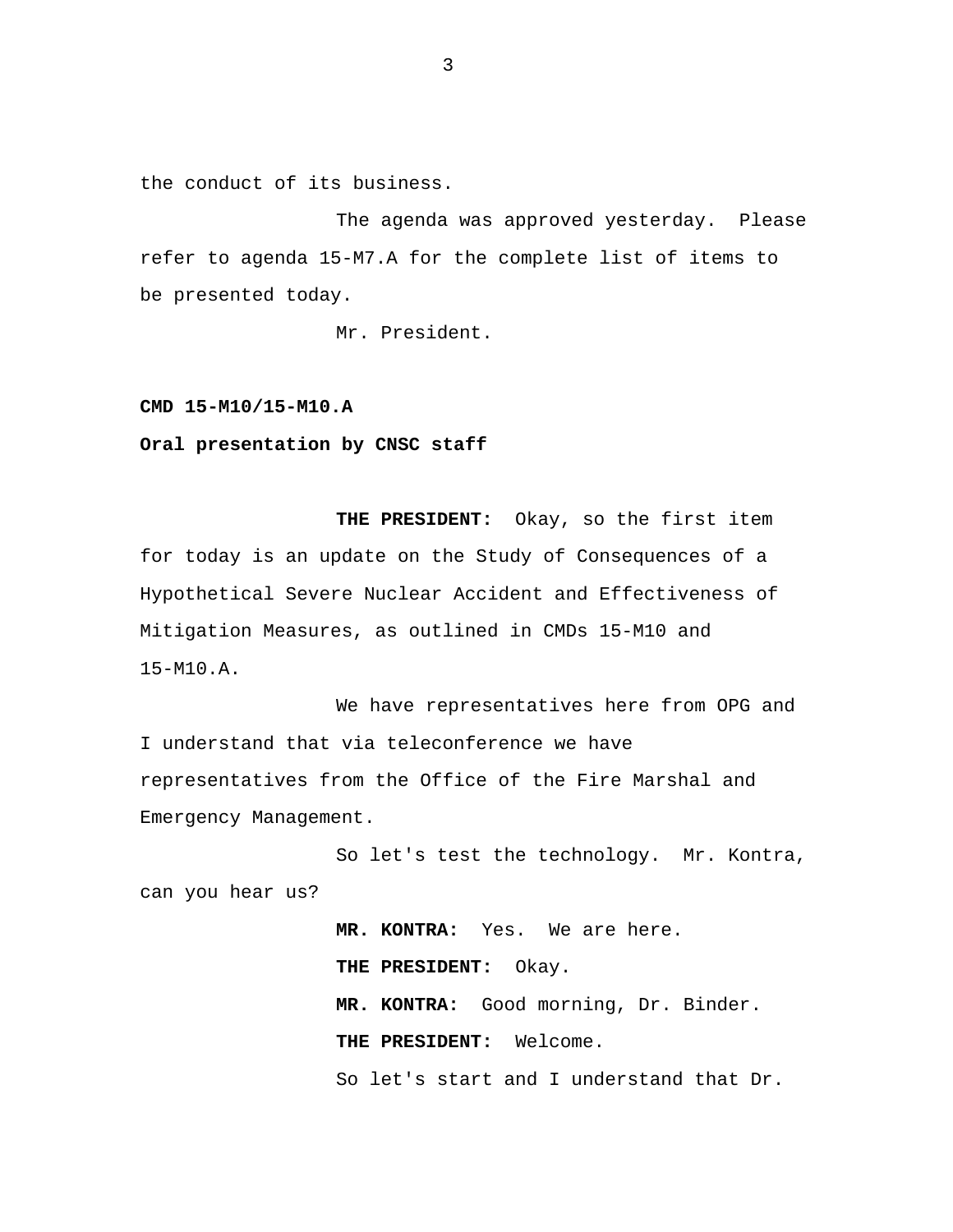<span id="page-4-0"></span>the conduct of its business.

The agenda was approved yesterday. Please refer to agenda 15-M7.A for the complete list of items to be presented today.

Mr. President.

**CMD 15-M10/15-M10.A** 

**Oral presentation by CNSC staff** 

 **THE PRESIDENT:** Okay, so the first item for today is an update on the Study of Consequences of a Hypothetical Severe Nuclear Accident and Effectiveness of Mitigation Measures, as outlined in CMDs 15-M10 and 15-M10.A.

We have representatives here from OPG and I understand that via teleconference we have representatives from the Office of the Fire Marshal and Emergency Management.

So let's test the technology. Mr. Kontra, can you hear us?

> **MR. KONTRA:** Yes. We are here. **THE PRESIDENT:** Okay. **MR. KONTRA:** Good morning, Dr. Binder. **THE PRESIDENT:** Welcome. So let's start and I understand that Dr.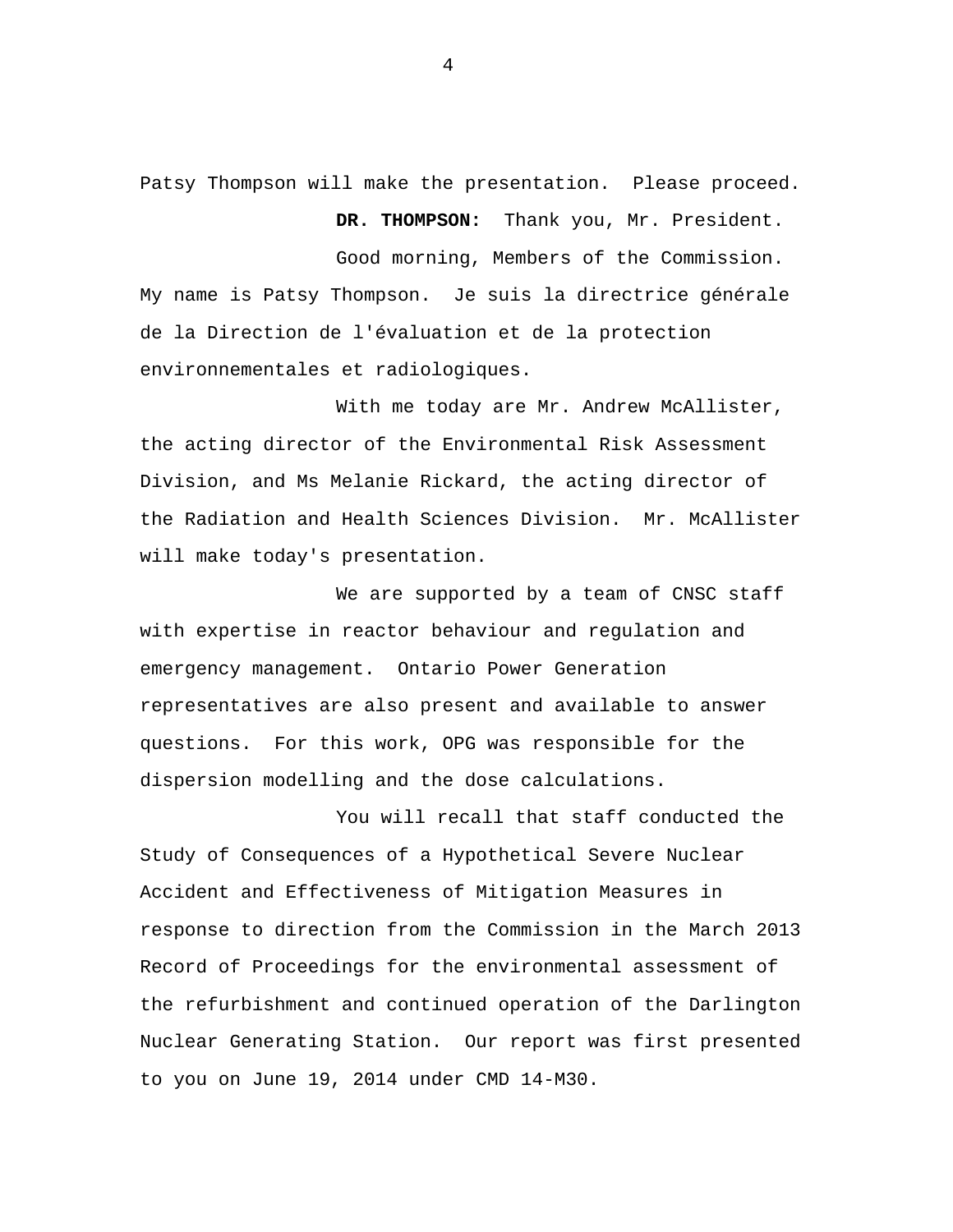Patsy Thompson will make the presentation. Please proceed.

 **DR. THOMPSON:** Thank you, Mr. President.

Good morning, Members of the Commission. My name is Patsy Thompson. Je suis la directrice générale de la Direction de l'évaluation et de la protection environnementales et radiologiques.

With me today are Mr. Andrew McAllister, the acting director of the Environmental Risk Assessment Division, and Ms Melanie Rickard, the acting director of the Radiation and Health Sciences Division. Mr. McAllister will make today's presentation.

We are supported by a team of CNSC staff with expertise in reactor behaviour and regulation and emergency management. Ontario Power Generation representatives are also present and available to answer questions. For this work, OPG was responsible for the dispersion modelling and the dose calculations.

You will recall that staff conducted the Study of Consequences of a Hypothetical Severe Nuclear Accident and Effectiveness of Mitigation Measures in response to direction from the Commission in the March 2013 Record of Proceedings for the environmental assessment of the refurbishment and continued operation of the Darlington Nuclear Generating Station. Our report was first presented to you on June 19, 2014 under CMD 14-M30.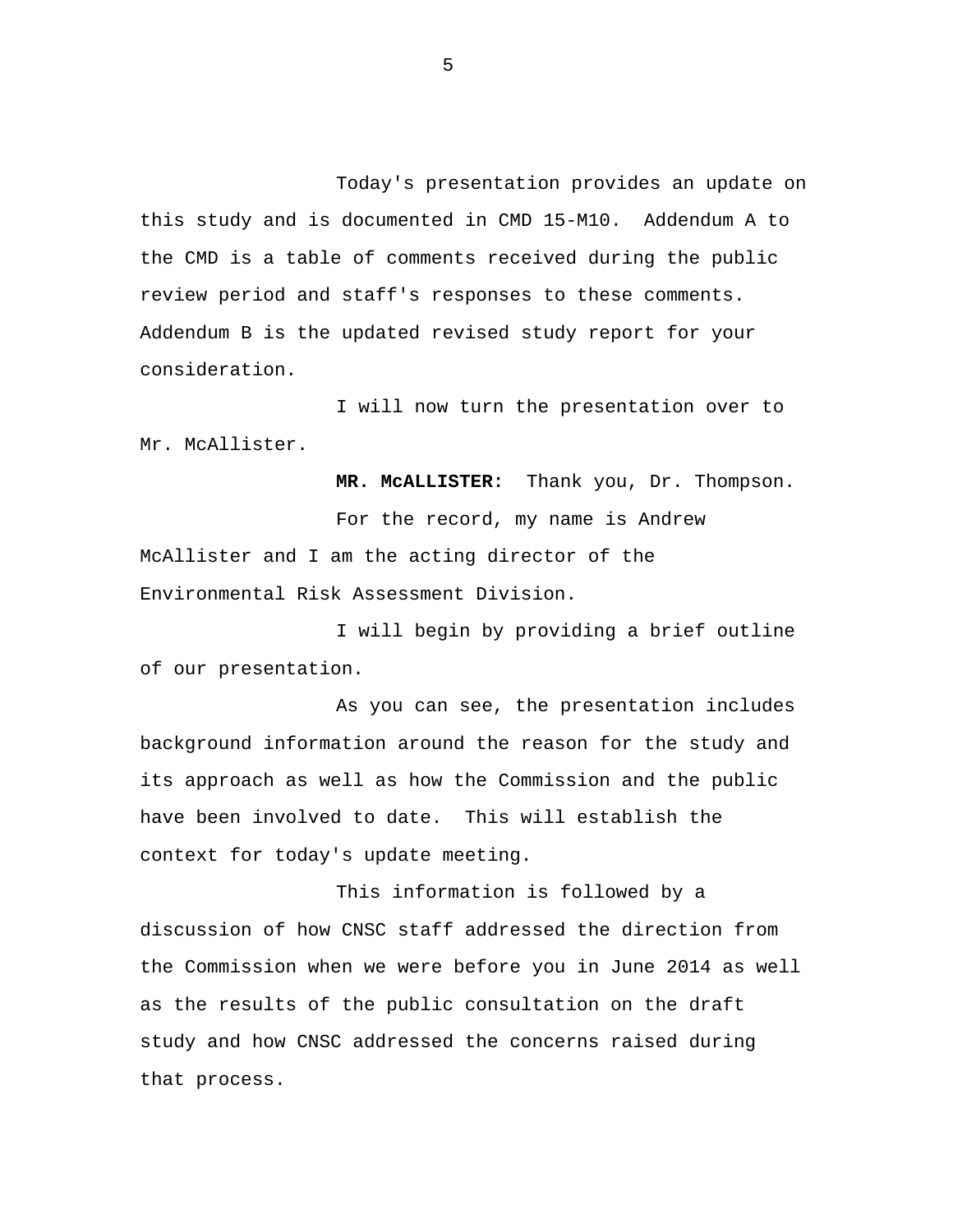Today's presentation provides an update on this study and is documented in CMD 15-M10. Addendum A to the CMD is a table of comments received during the public review period and staff's responses to these comments. Addendum B is the updated revised study report for your consideration.

I will now turn the presentation over to Mr. McAllister.

 **MR. McALLISTER:** Thank you, Dr. Thompson. For the record, my name is Andrew McAllister and I am the acting director of the Environmental Risk Assessment Division.

I will begin by providing a brief outline of our presentation.

As you can see, the presentation includes background information around the reason for the study and its approach as well as how the Commission and the public have been involved to date. This will establish the context for today's update meeting.

This information is followed by a discussion of how CNSC staff addressed the direction from the Commission when we were before you in June 2014 as well as the results of the public consultation on the draft study and how CNSC addressed the concerns raised during that process.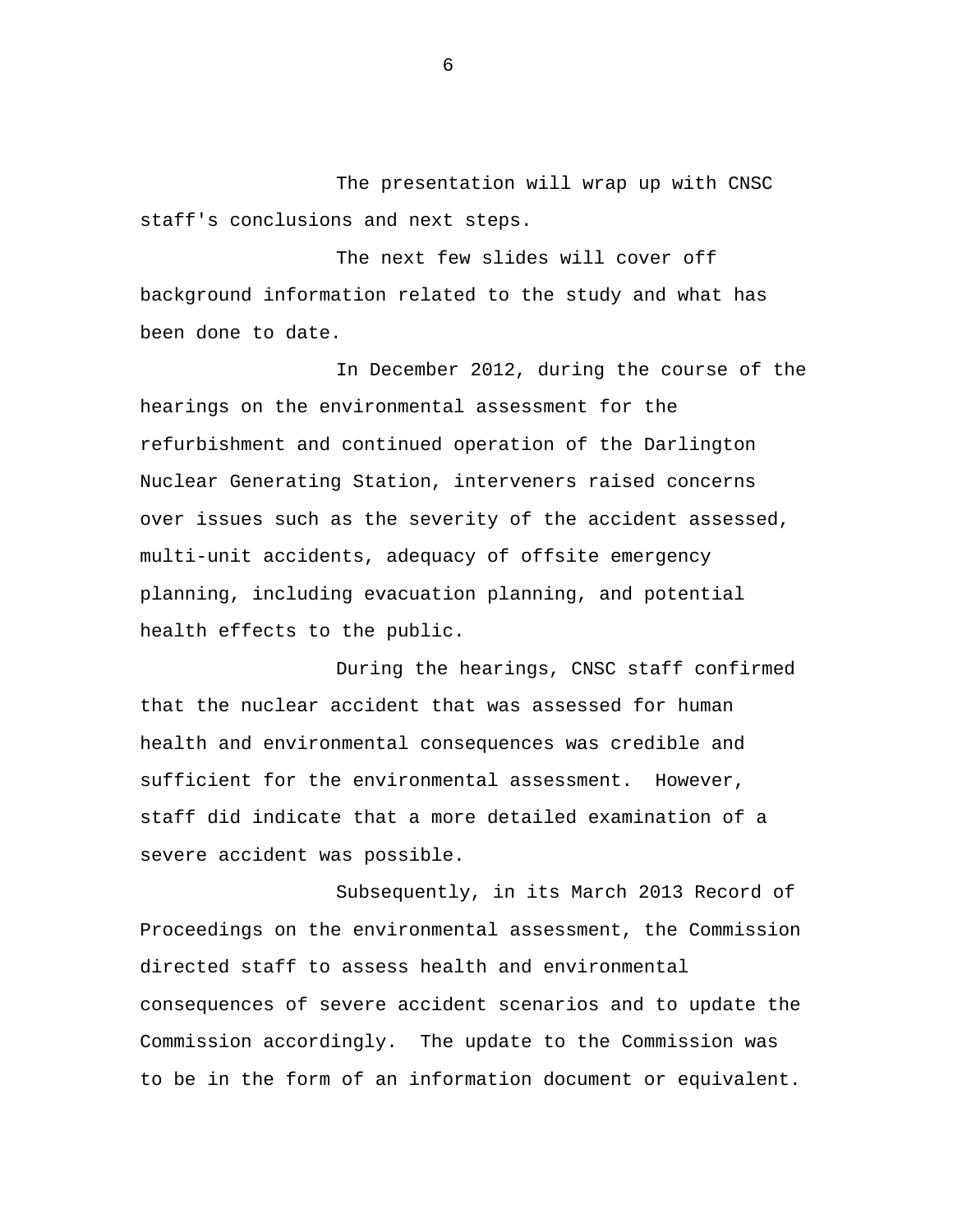The presentation will wrap up with CNSC staff's conclusions and next steps.

The next few slides will cover off background information related to the study and what has been done to date.

In December 2012, during the course of the hearings on the environmental assessment for the refurbishment and continued operation of the Darlington Nuclear Generating Station, interveners raised concerns over issues such as the severity of the accident assessed, multi-unit accidents, adequacy of offsite emergency planning, including evacuation planning, and potential health effects to the public.

During the hearings, CNSC staff confirmed that the nuclear accident that was assessed for human health and environmental consequences was credible and sufficient for the environmental assessment. However, staff did indicate that a more detailed examination of a severe accident was possible.

Subsequently, in its March 2013 Record of Proceedings on the environmental assessment, the Commission directed staff to assess health and environmental consequences of severe accident scenarios and to update the Commission accordingly. The update to the Commission was to be in the form of an information document or equivalent.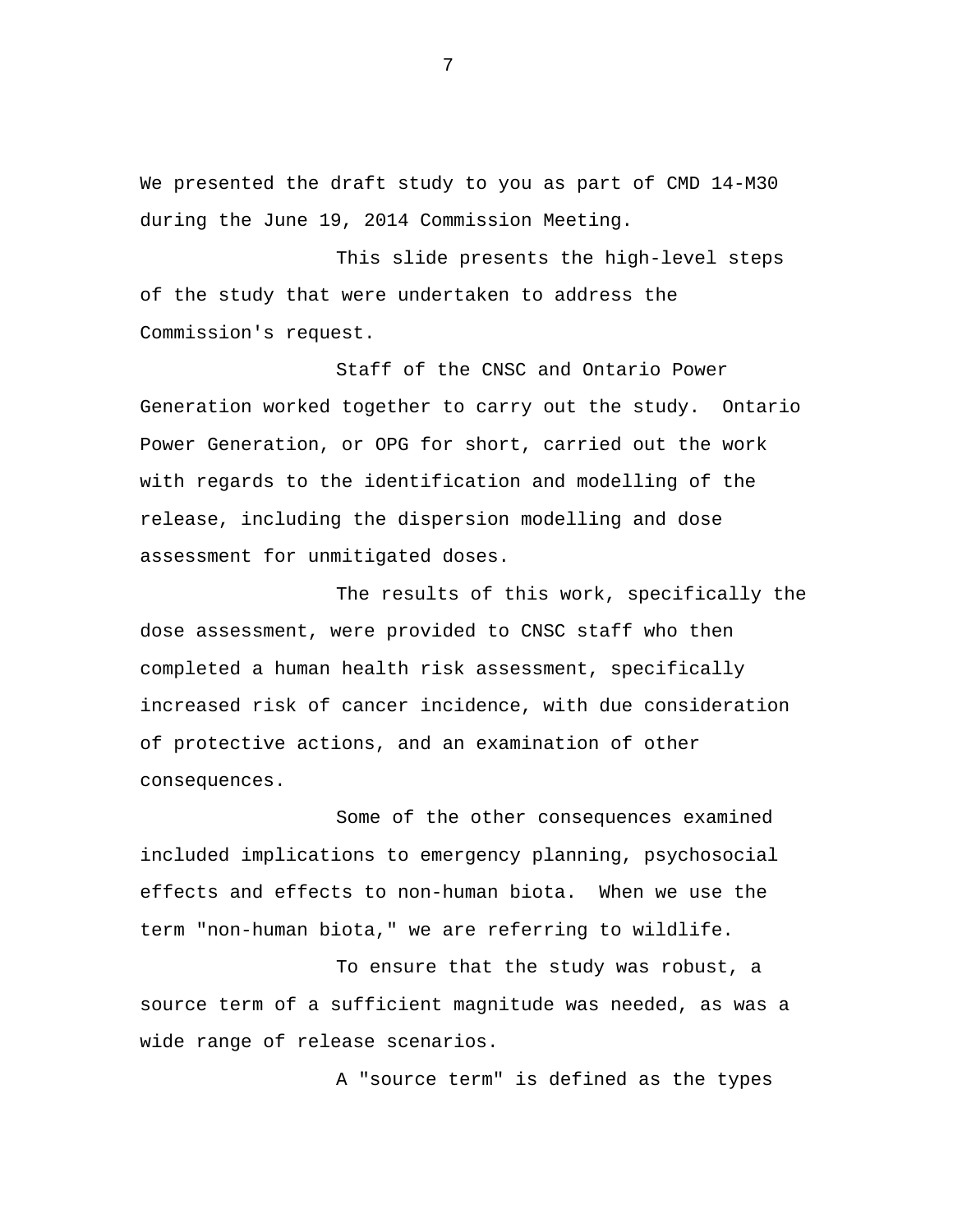We presented the draft study to you as part of CMD 14-M30 during the June 19, 2014 Commission Meeting.

This slide presents the high-level steps of the study that were undertaken to address the Commission's request.

Staff of the CNSC and Ontario Power Generation worked together to carry out the study. Ontario Power Generation, or OPG for short, carried out the work with regards to the identification and modelling of the release, including the dispersion modelling and dose assessment for unmitigated doses.

The results of this work, specifically the dose assessment, were provided to CNSC staff who then completed a human health risk assessment, specifically increased risk of cancer incidence, with due consideration of protective actions, and an examination of other consequences.

Some of the other consequences examined included implications to emergency planning, psychosocial effects and effects to non-human biota. When we use the term "non-human biota," we are referring to wildlife.

To ensure that the study was robust, a source term of a sufficient magnitude was needed, as was a wide range of release scenarios.

A "source term" is defined as the types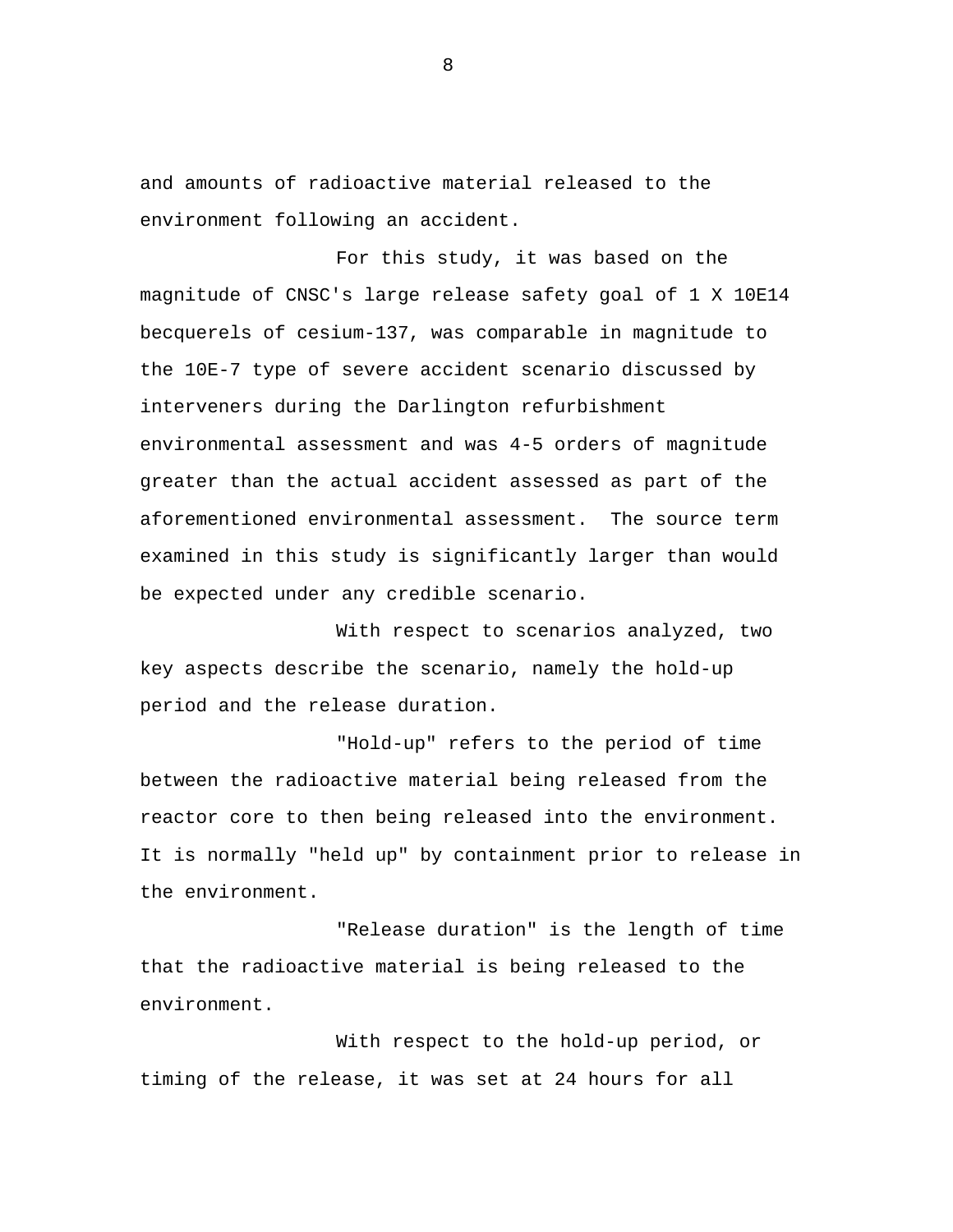and amounts of radioactive material released to the environment following an accident.

For this study, it was based on the magnitude of CNSC's large release safety goal of 1 X 10E14 becquerels of cesium-137, was comparable in magnitude to the 10E-7 type of severe accident scenario discussed by interveners during the Darlington refurbishment environmental assessment and was 4-5 orders of magnitude greater than the actual accident assessed as part of the aforementioned environmental assessment. The source term examined in this study is significantly larger than would be expected under any credible scenario.

With respect to scenarios analyzed, two key aspects describe the scenario, namely the hold-up period and the release duration.

"Hold-up" refers to the period of time between the radioactive material being released from the reactor core to then being released into the environment. It is normally "held up" by containment prior to release in the environment.

"Release duration" is the length of time that the radioactive material is being released to the environment.

With respect to the hold-up period, or timing of the release, it was set at 24 hours for all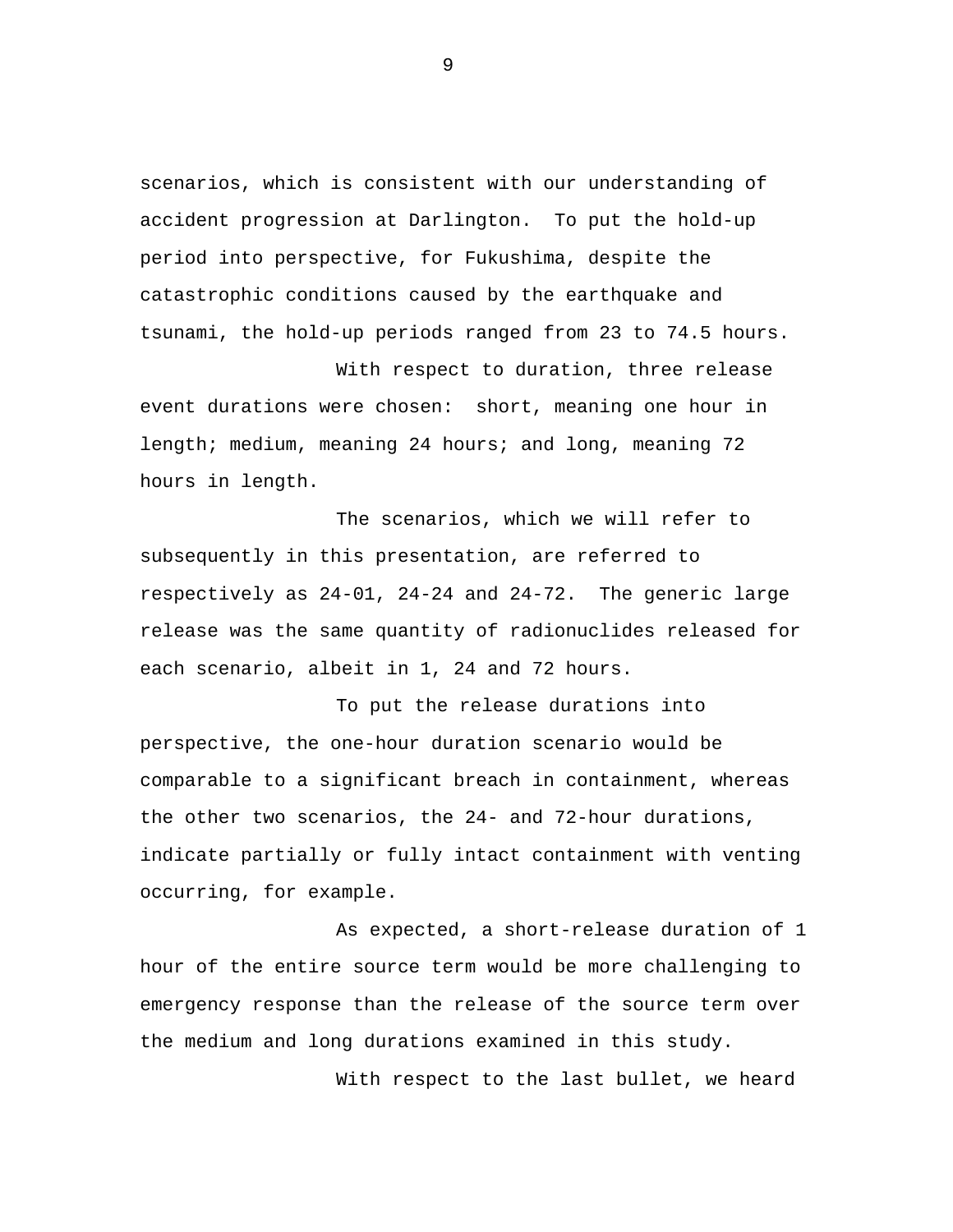scenarios, which is consistent with our understanding of accident progression at Darlington. To put the hold-up period into perspective, for Fukushima, despite the catastrophic conditions caused by the earthquake and tsunami, the hold-up periods ranged from 23 to 74.5 hours.

With respect to duration, three release event durations were chosen: short, meaning one hour in length; medium, meaning 24 hours; and long, meaning 72 hours in length.

The scenarios, which we will refer to subsequently in this presentation, are referred to respectively as 24-01, 24-24 and 24-72. The generic large release was the same quantity of radionuclides released for each scenario, albeit in 1, 24 and 72 hours.

To put the release durations into perspective, the one-hour duration scenario would be comparable to a significant breach in containment, whereas the other two scenarios, the 24- and 72-hour durations, indicate partially or fully intact containment with venting occurring, for example.

As expected, a short-release duration of 1 hour of the entire source term would be more challenging to emergency response than the release of the source term over the medium and long durations examined in this study.

With respect to the last bullet, we heard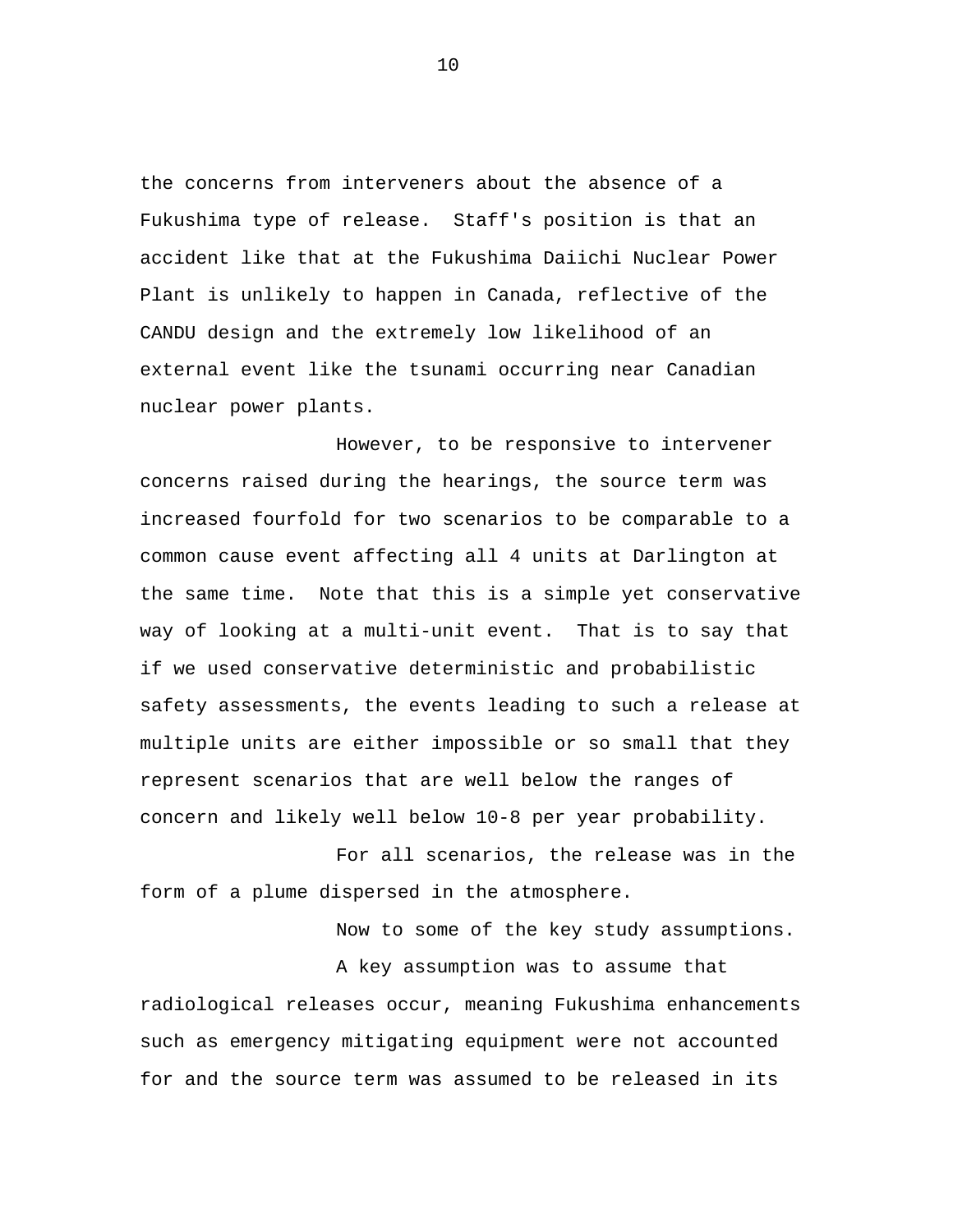the concerns from interveners about the absence of a Fukushima type of release. Staff's position is that an accident like that at the Fukushima Daiichi Nuclear Power Plant is unlikely to happen in Canada, reflective of the CANDU design and the extremely low likelihood of an external event like the tsunami occurring near Canadian nuclear power plants.

However, to be responsive to intervener concerns raised during the hearings, the source term was increased fourfold for two scenarios to be comparable to a common cause event affecting all 4 units at Darlington at the same time. Note that this is a simple yet conservative way of looking at a multi-unit event. That is to say that if we used conservative deterministic and probabilistic safety assessments, the events leading to such a release at multiple units are either impossible or so small that they represent scenarios that are well below the ranges of concern and likely well below 10-8 per year probability.

For all scenarios, the release was in the form of a plume dispersed in the atmosphere.

> Now to some of the key study assumptions. A key assumption was to assume that

radiological releases occur, meaning Fukushima enhancements such as emergency mitigating equipment were not accounted for and the source term was assumed to be released in its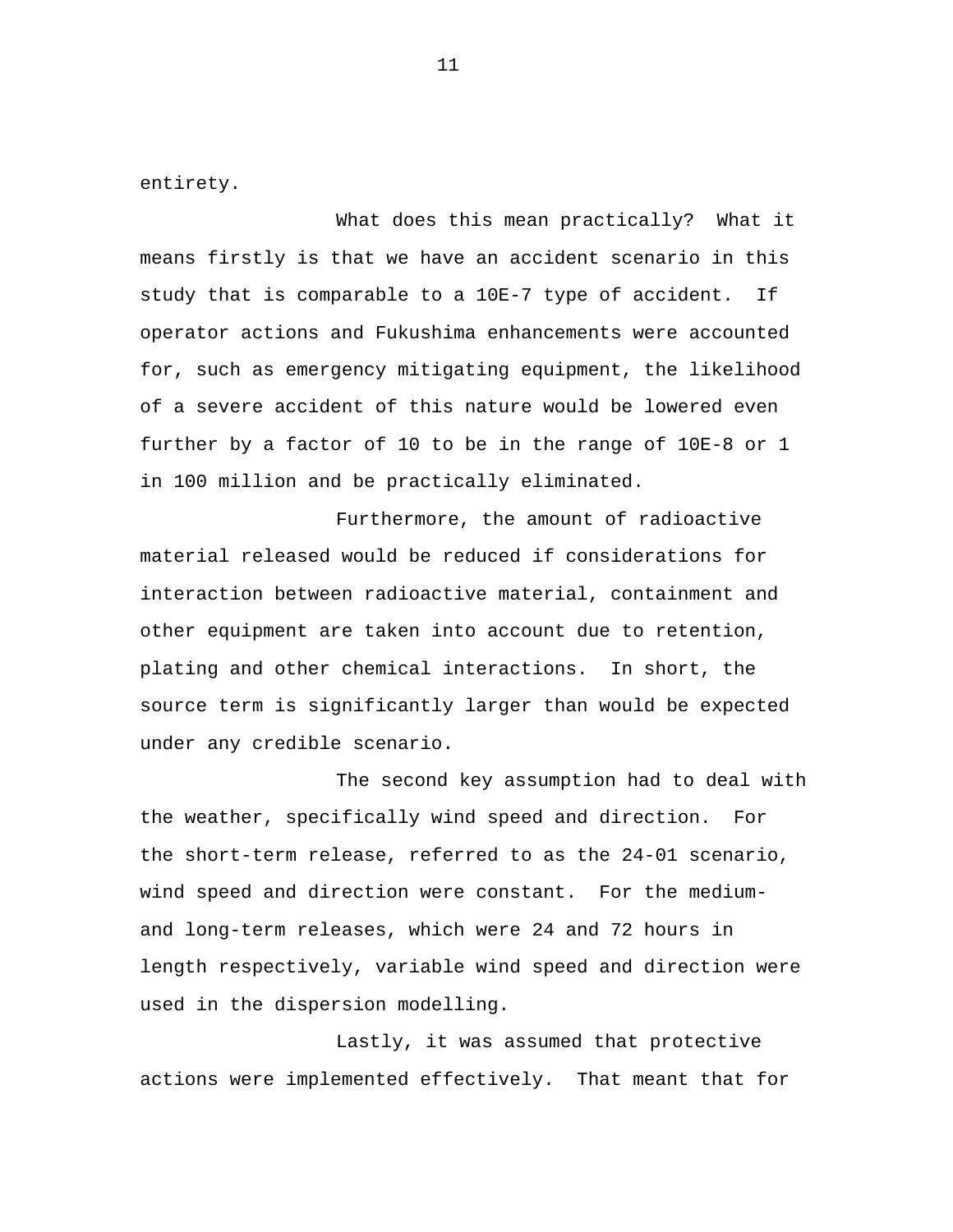entirety.

What does this mean practically? What it means firstly is that we have an accident scenario in this study that is comparable to a 10E-7 type of accident. If operator actions and Fukushima enhancements were accounted for, such as emergency mitigating equipment, the likelihood of a severe accident of this nature would be lowered even further by a factor of 10 to be in the range of 10E-8 or 1 in 100 million and be practically eliminated.

Furthermore, the amount of radioactive material released would be reduced if considerations for interaction between radioactive material, containment and other equipment are taken into account due to retention, plating and other chemical interactions. In short, the source term is significantly larger than would be expected under any credible scenario.

The second key assumption had to deal with the weather, specifically wind speed and direction. For the short-term release, referred to as the 24-01 scenario, wind speed and direction were constant. For the mediumand long-term releases, which were 24 and 72 hours in length respectively, variable wind speed and direction were used in the dispersion modelling.

Lastly, it was assumed that protective actions were implemented effectively. That meant that for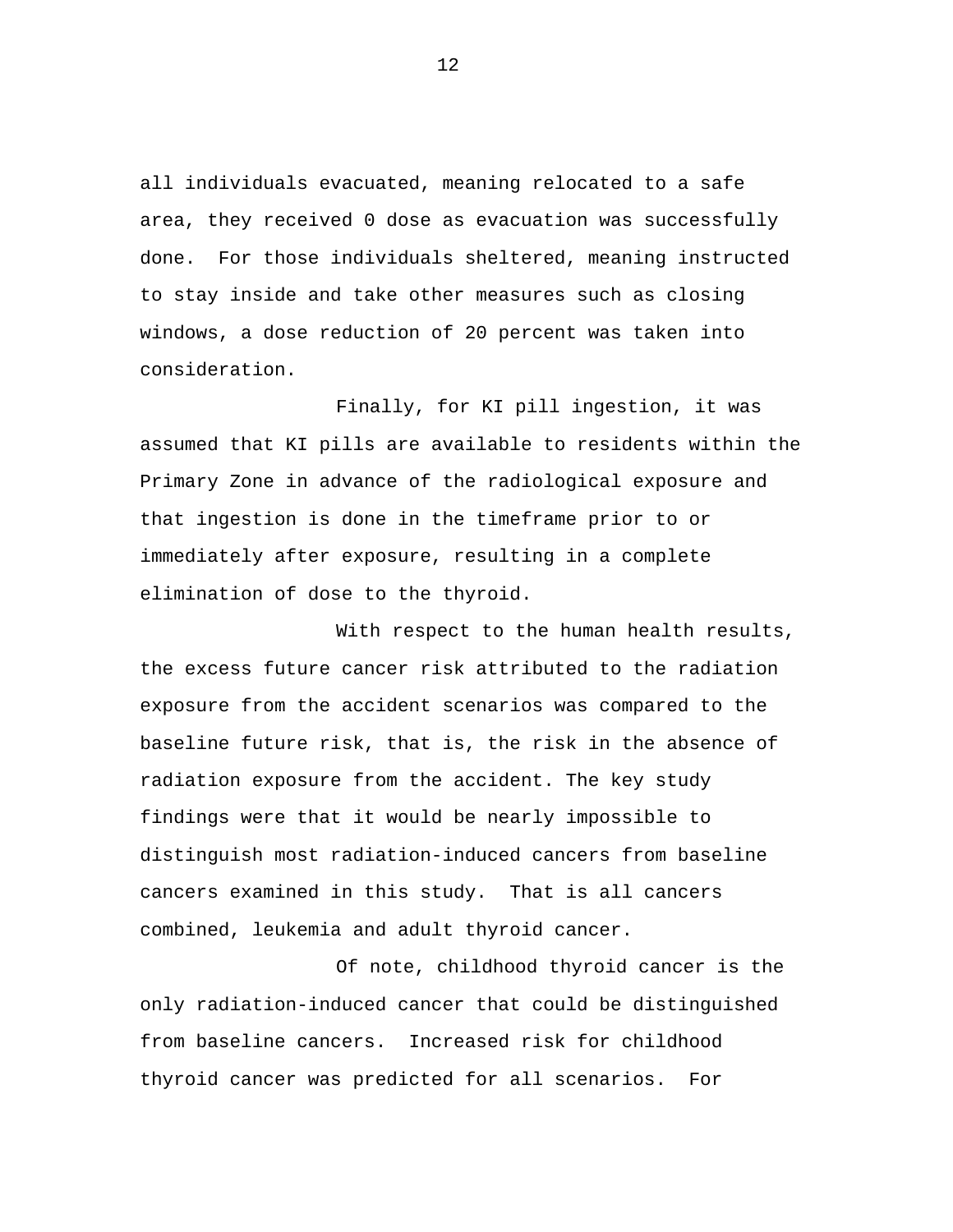all individuals evacuated, meaning relocated to a safe area, they received 0 dose as evacuation was successfully done. For those individuals sheltered, meaning instructed to stay inside and take other measures such as closing windows, a dose reduction of 20 percent was taken into consideration.

Finally, for KI pill ingestion, it was assumed that KI pills are available to residents within the Primary Zone in advance of the radiological exposure and that ingestion is done in the timeframe prior to or immediately after exposure, resulting in a complete elimination of dose to the thyroid.

With respect to the human health results, the excess future cancer risk attributed to the radiation exposure from the accident scenarios was compared to the baseline future risk, that is, the risk in the absence of radiation exposure from the accident. The key study findings were that it would be nearly impossible to distinguish most radiation-induced cancers from baseline cancers examined in this study. That is all cancers combined, leukemia and adult thyroid cancer.

Of note, childhood thyroid cancer is the only radiation-induced cancer that could be distinguished from baseline cancers. Increased risk for childhood thyroid cancer was predicted for all scenarios. For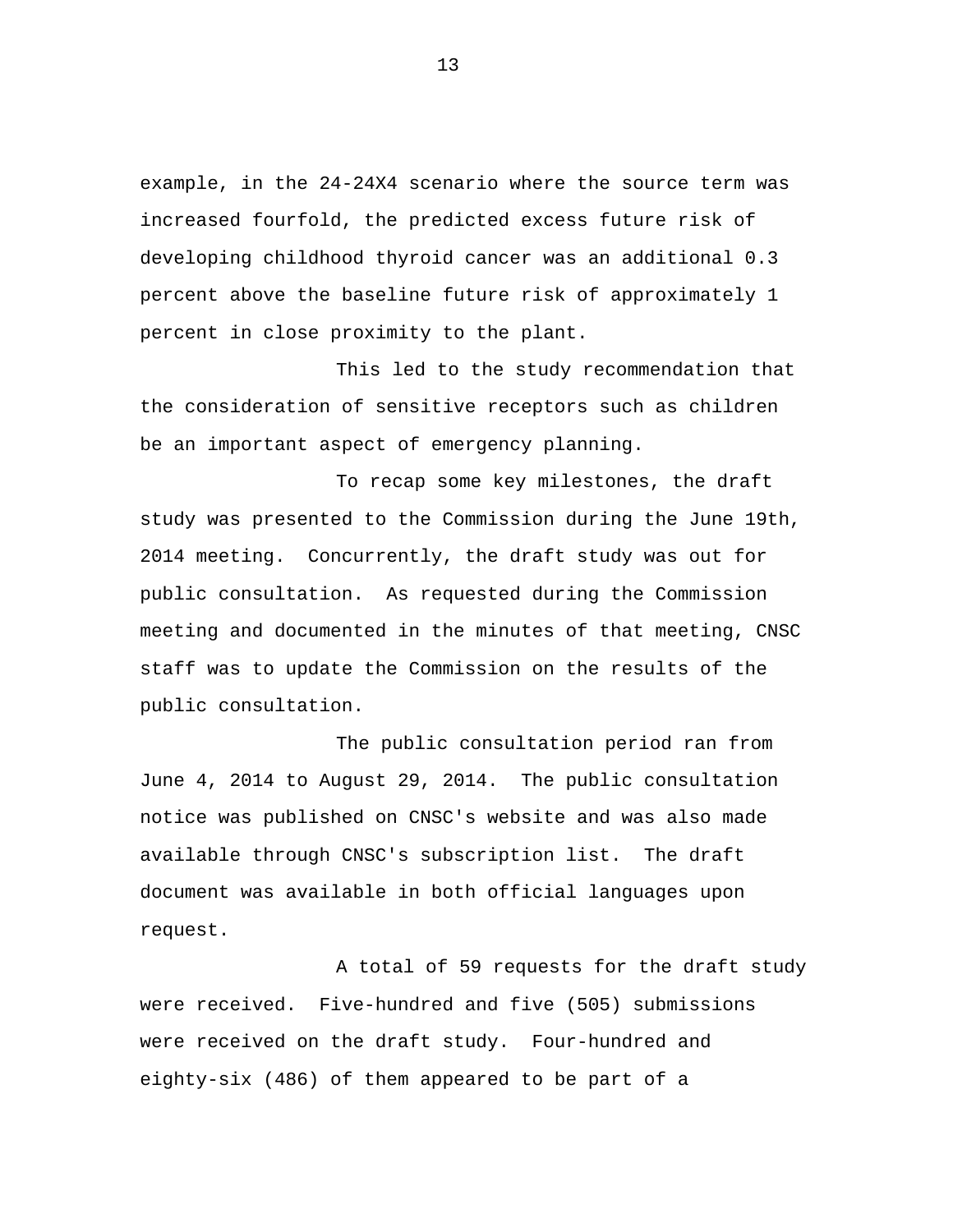example, in the 24-24X4 scenario where the source term was increased fourfold, the predicted excess future risk of developing childhood thyroid cancer was an additional 0.3 percent above the baseline future risk of approximately 1 percent in close proximity to the plant.

This led to the study recommendation that the consideration of sensitive receptors such as children be an important aspect of emergency planning.

To recap some key milestones, the draft study was presented to the Commission during the June 19th, 2014 meeting. Concurrently, the draft study was out for public consultation. As requested during the Commission meeting and documented in the minutes of that meeting, CNSC staff was to update the Commission on the results of the public consultation.

The public consultation period ran from June 4, 2014 to August 29, 2014. The public consultation notice was published on CNSC's website and was also made available through CNSC's subscription list. The draft document was available in both official languages upon request.

A total of 59 requests for the draft study were received. Five-hundred and five (505) submissions were received on the draft study. Four-hundred and eighty-six (486) of them appeared to be part of a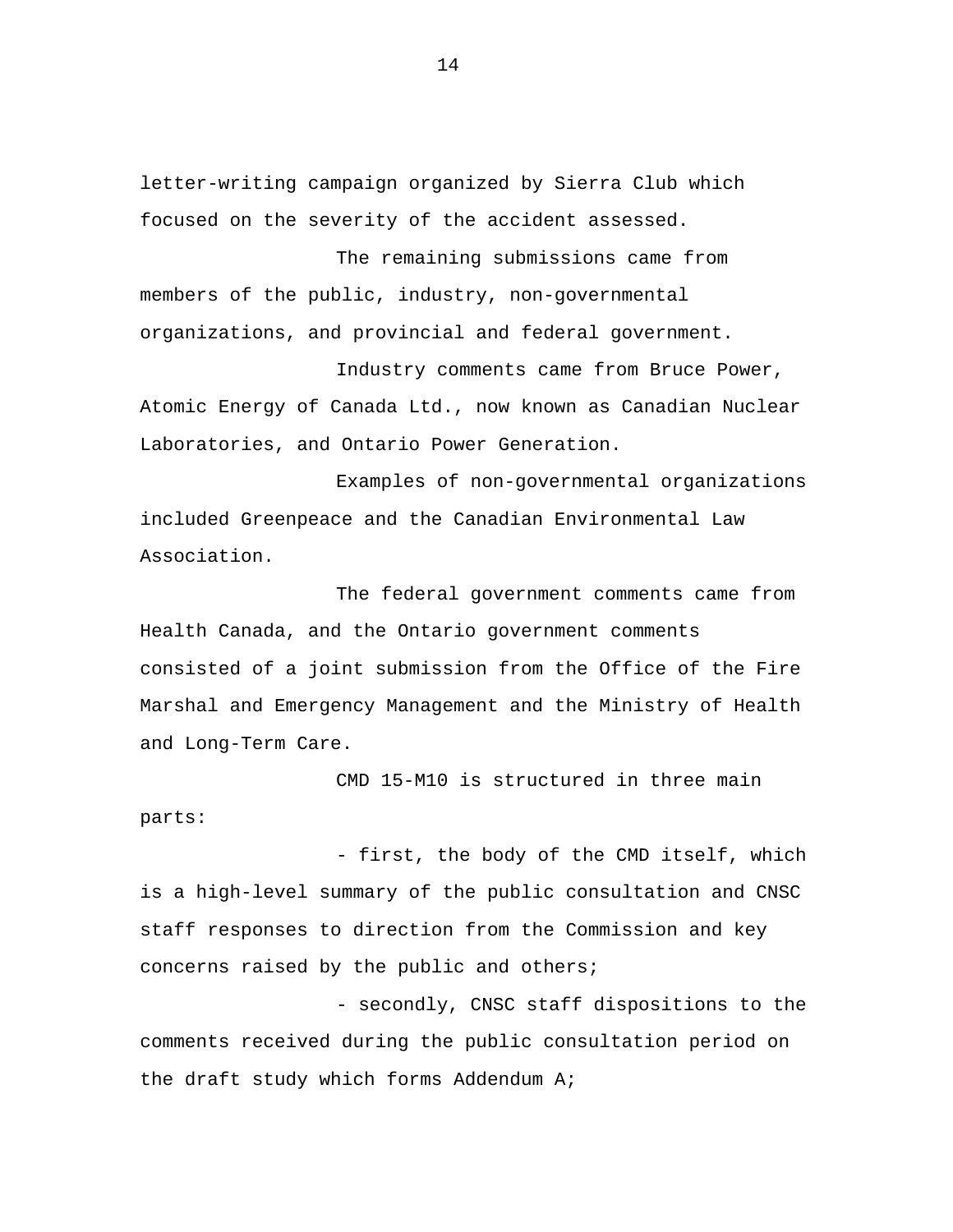letter-writing campaign organized by Sierra Club which focused on the severity of the accident assessed.

The remaining submissions came from members of the public, industry, non-governmental organizations, and provincial and federal government.

Industry comments came from Bruce Power, Atomic Energy of Canada Ltd., now known as Canadian Nuclear Laboratories, and Ontario Power Generation.

Examples of non-governmental organizations included Greenpeace and the Canadian Environmental Law Association.

The federal government comments came from Health Canada, and the Ontario government comments consisted of a joint submission from the Office of the Fire Marshal and Emergency Management and the Ministry of Health and Long-Term Care.

CMD 15-M10 is structured in three main parts:

- first, the body of the CMD itself, which is a high-level summary of the public consultation and CNSC staff responses to direction from the Commission and key concerns raised by the public and others;

- secondly, CNSC staff dispositions to the comments received during the public consultation period on the draft study which forms Addendum A;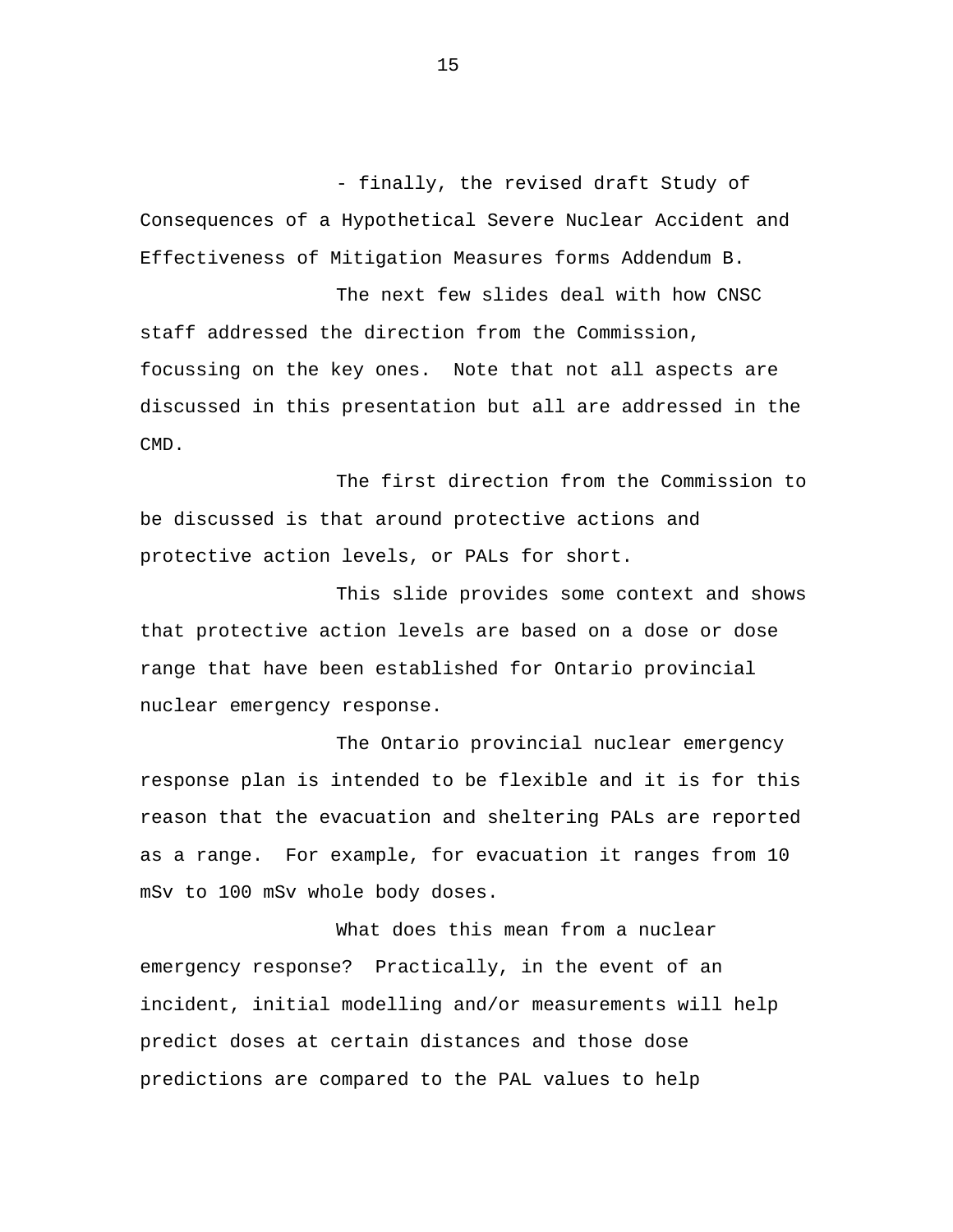- finally, the revised draft Study of Consequences of a Hypothetical Severe Nuclear Accident and Effectiveness of Mitigation Measures forms Addendum B.

The next few slides deal with how CNSC staff addressed the direction from the Commission, focussing on the key ones. Note that not all aspects are discussed in this presentation but all are addressed in the CMD.

The first direction from the Commission to be discussed is that around protective actions and protective action levels, or PALs for short.

This slide provides some context and shows that protective action levels are based on a dose or dose range that have been established for Ontario provincial nuclear emergency response.

The Ontario provincial nuclear emergency response plan is intended to be flexible and it is for this reason that the evacuation and sheltering PALs are reported as a range. For example, for evacuation it ranges from 10 mSv to 100 mSv whole body doses.

What does this mean from a nuclear emergency response? Practically, in the event of an incident, initial modelling and/or measurements will help predict doses at certain distances and those dose predictions are compared to the PAL values to help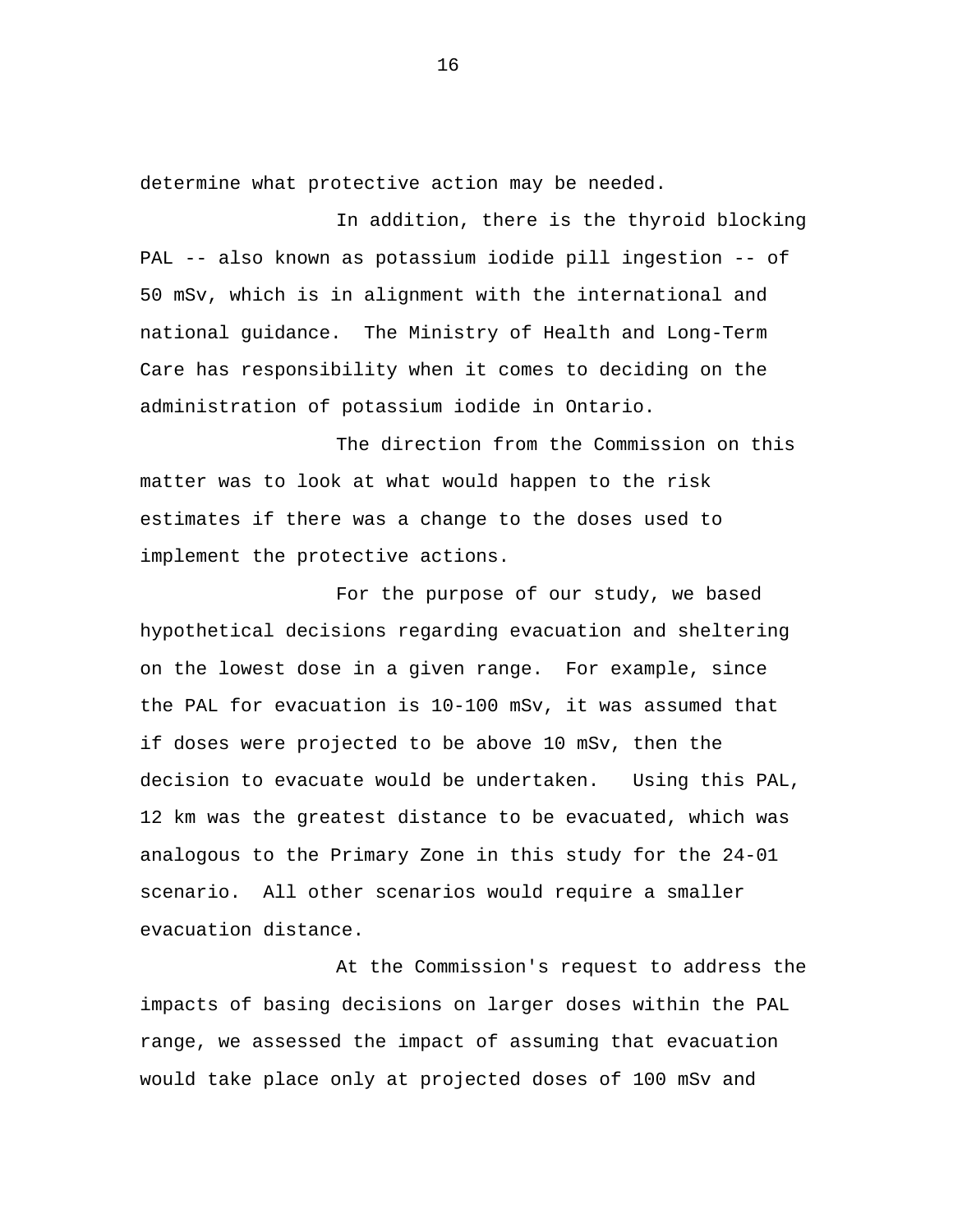determine what protective action may be needed.

In addition, there is the thyroid blocking PAL -- also known as potassium iodide pill ingestion -- of 50 mSv, which is in alignment with the international and national guidance. The Ministry of Health and Long-Term Care has responsibility when it comes to deciding on the administration of potassium iodide in Ontario.

The direction from the Commission on this matter was to look at what would happen to the risk estimates if there was a change to the doses used to implement the protective actions.

For the purpose of our study, we based hypothetical decisions regarding evacuation and sheltering on the lowest dose in a given range. For example, since the PAL for evacuation is 10-100 mSv, it was assumed that if doses were projected to be above 10 mSv, then the decision to evacuate would be undertaken. Using this PAL, 12 km was the greatest distance to be evacuated, which was analogous to the Primary Zone in this study for the 24-01 scenario. All other scenarios would require a smaller evacuation distance.

At the Commission's request to address the impacts of basing decisions on larger doses within the PAL range, we assessed the impact of assuming that evacuation would take place only at projected doses of 100 mSv and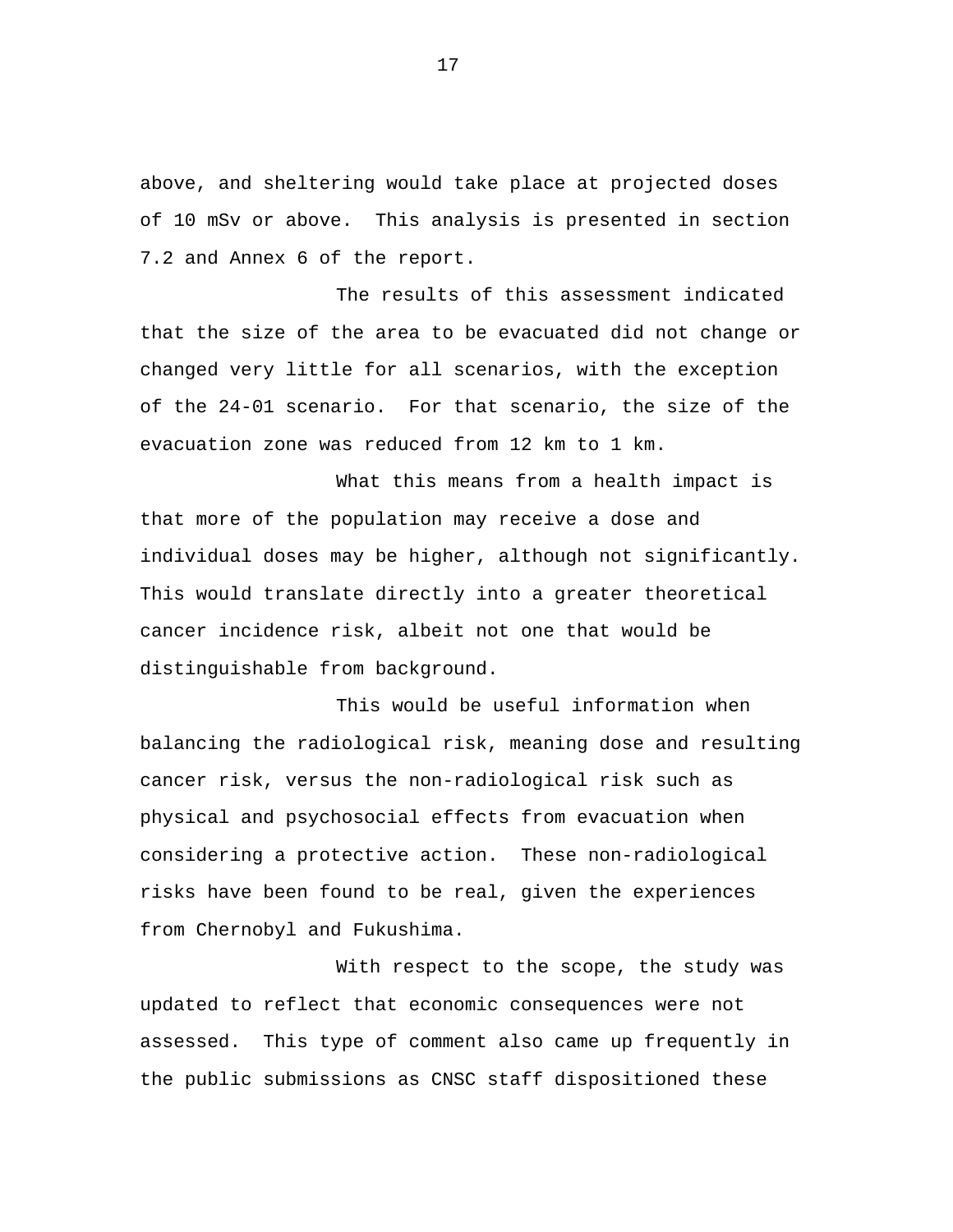above, and sheltering would take place at projected doses of 10 mSv or above. This analysis is presented in section 7.2 and Annex 6 of the report.

The results of this assessment indicated that the size of the area to be evacuated did not change or changed very little for all scenarios, with the exception of the 24-01 scenario. For that scenario, the size of the evacuation zone was reduced from 12 km to 1 km.

What this means from a health impact is that more of the population may receive a dose and individual doses may be higher, although not significantly. This would translate directly into a greater theoretical cancer incidence risk, albeit not one that would be distinguishable from background.

This would be useful information when balancing the radiological risk, meaning dose and resulting cancer risk, versus the non-radiological risk such as physical and psychosocial effects from evacuation when considering a protective action. These non-radiological risks have been found to be real, given the experiences from Chernobyl and Fukushima.

With respect to the scope, the study was updated to reflect that economic consequences were not assessed. This type of comment also came up frequently in the public submissions as CNSC staff dispositioned these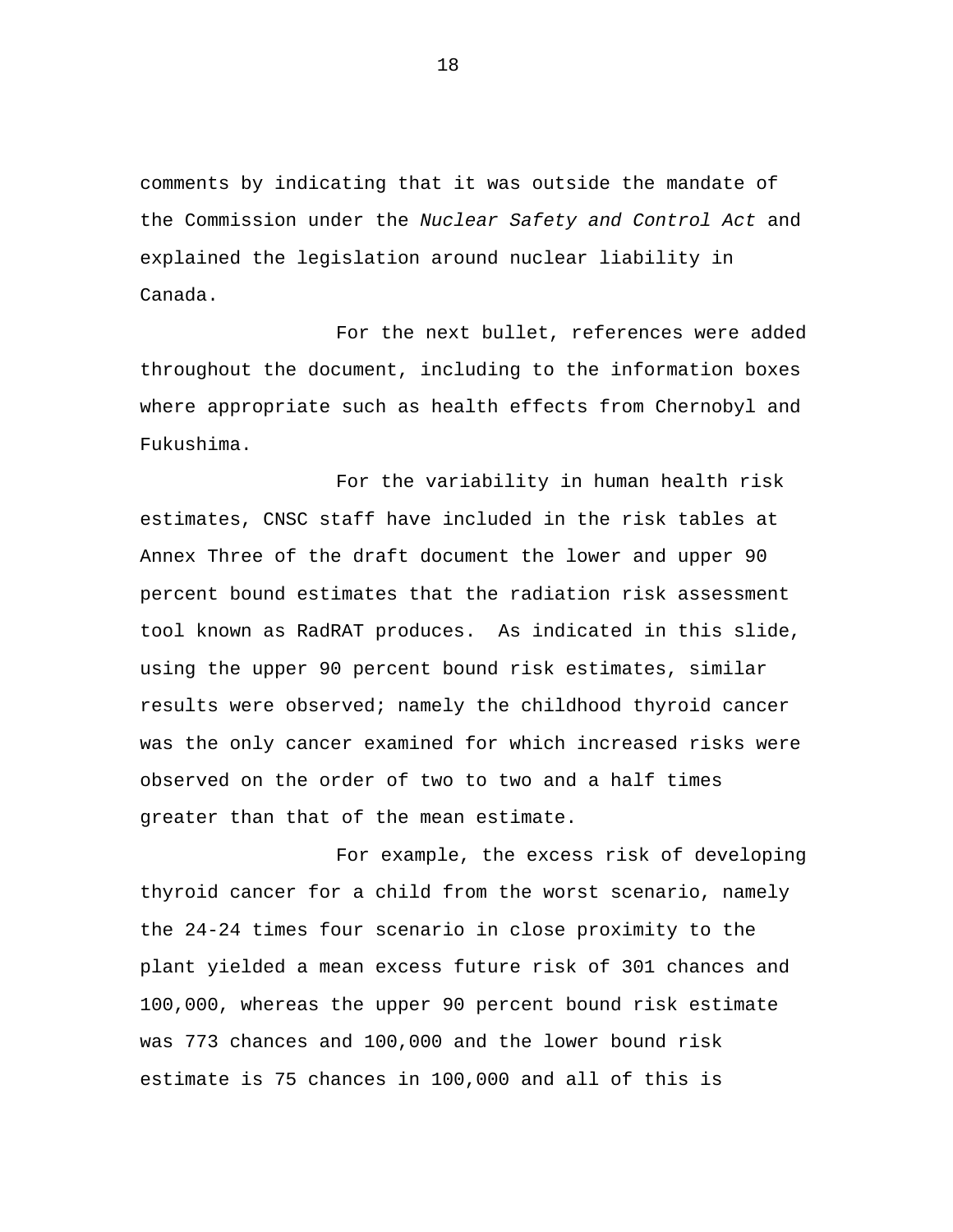comments by indicating that it was outside the mandate of the Commission under the *Nuclear Safety and Control Act* and explained the legislation around nuclear liability in Canada.

For the next bullet, references were added throughout the document, including to the information boxes where appropriate such as health effects from Chernobyl and Fukushima.

For the variability in human health risk estimates, CNSC staff have included in the risk tables at Annex Three of the draft document the lower and upper 90 percent bound estimates that the radiation risk assessment tool known as RadRAT produces. As indicated in this slide, using the upper 90 percent bound risk estimates, similar results were observed; namely the childhood thyroid cancer was the only cancer examined for which increased risks were observed on the order of two to two and a half times greater than that of the mean estimate.

For example, the excess risk of developing thyroid cancer for a child from the worst scenario, namely the 24-24 times four scenario in close proximity to the plant yielded a mean excess future risk of 301 chances and 100,000, whereas the upper 90 percent bound risk estimate was 773 chances and 100,000 and the lower bound risk estimate is 75 chances in 100,000 and all of this is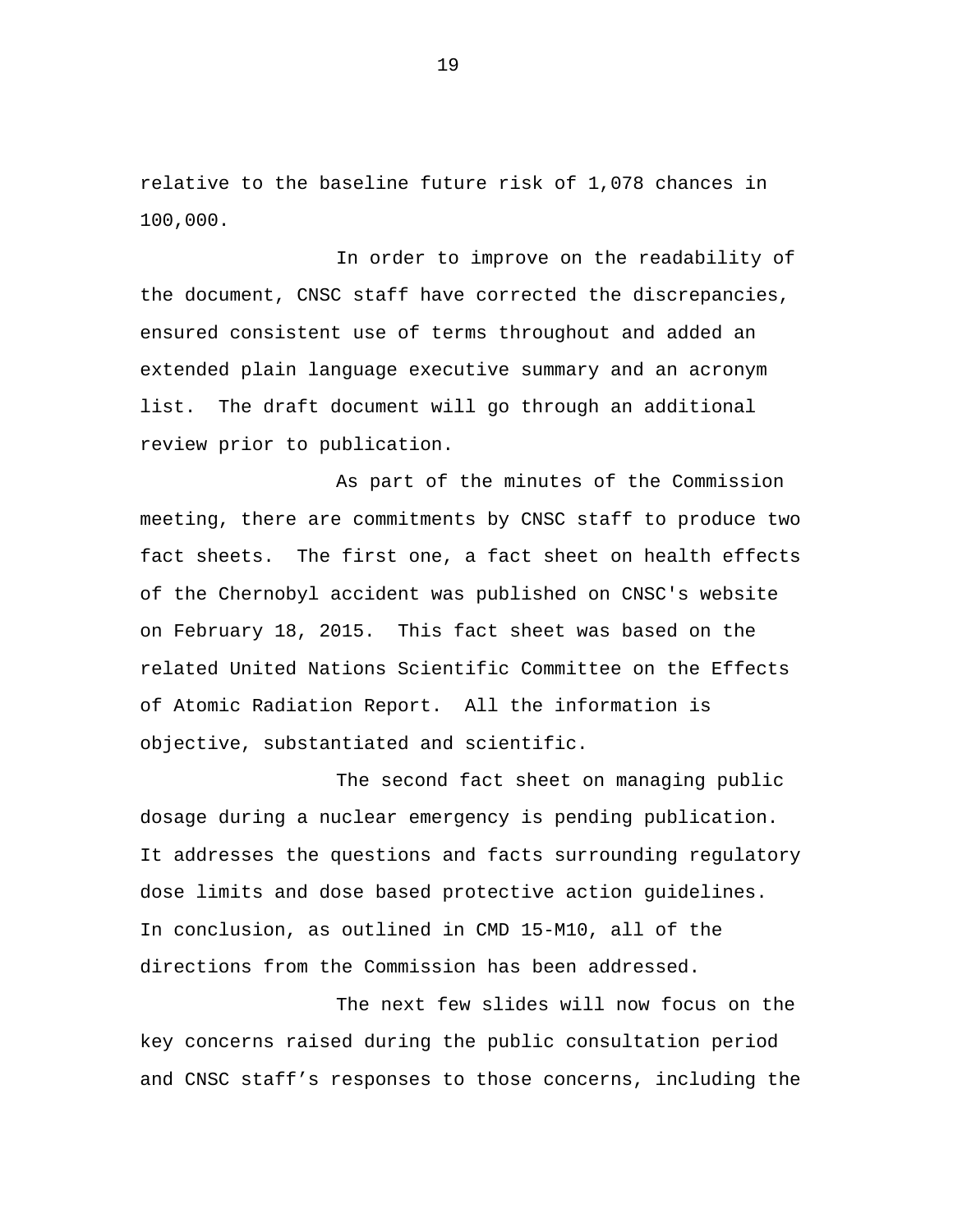relative to the baseline future risk of 1,078 chances in 100,000.

In order to improve on the readability of the document, CNSC staff have corrected the discrepancies, ensured consistent use of terms throughout and added an extended plain language executive summary and an acronym list. The draft document will go through an additional review prior to publication.

As part of the minutes of the Commission meeting, there are commitments by CNSC staff to produce two fact sheets. The first one, a fact sheet on health effects of the Chernobyl accident was published on CNSC's website on February 18, 2015. This fact sheet was based on the related United Nations Scientific Committee on the Effects of Atomic Radiation Report. All the information is objective, substantiated and scientific.

The second fact sheet on managing public dosage during a nuclear emergency is pending publication. It addresses the questions and facts surrounding regulatory dose limits and dose based protective action guidelines. In conclusion, as outlined in CMD 15-M10, all of the directions from the Commission has been addressed.

The next few slides will now focus on the key concerns raised during the public consultation period and CNSC staff's responses to those concerns, including the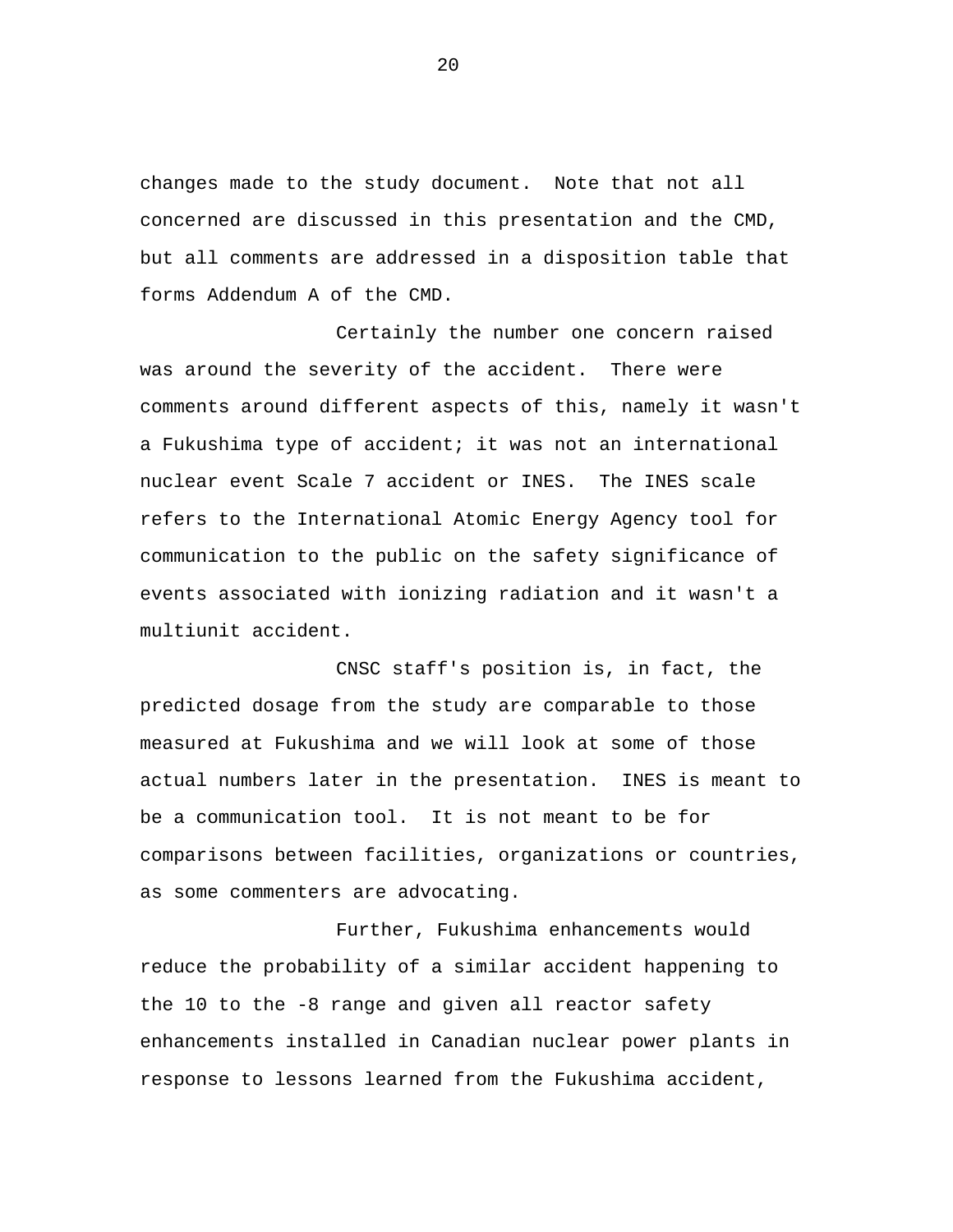changes made to the study document. Note that not all concerned are discussed in this presentation and the CMD, but all comments are addressed in a disposition table that forms Addendum A of the CMD.

Certainly the number one concern raised was around the severity of the accident. There were comments around different aspects of this, namely it wasn't a Fukushima type of accident; it was not an international nuclear event Scale 7 accident or INES. The INES scale refers to the International Atomic Energy Agency tool for communication to the public on the safety significance of events associated with ionizing radiation and it wasn't a multiunit accident.

CNSC staff's position is, in fact, the predicted dosage from the study are comparable to those measured at Fukushima and we will look at some of those actual numbers later in the presentation. INES is meant to be a communication tool. It is not meant to be for comparisons between facilities, organizations or countries, as some commenters are advocating.

Further, Fukushima enhancements would reduce the probability of a similar accident happening to the 10 to the -8 range and given all reactor safety enhancements installed in Canadian nuclear power plants in response to lessons learned from the Fukushima accident,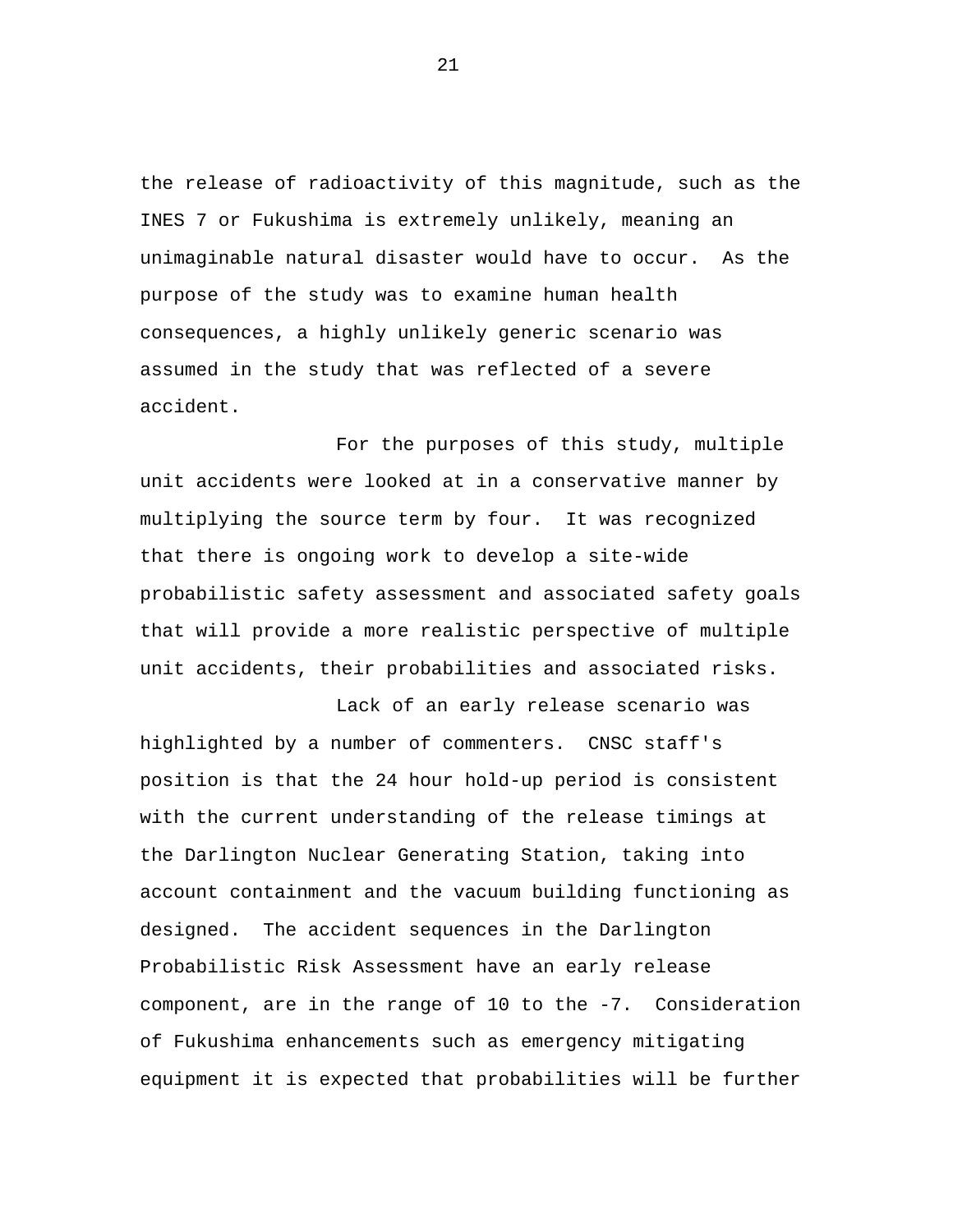the release of radioactivity of this magnitude, such as the INES 7 or Fukushima is extremely unlikely, meaning an unimaginable natural disaster would have to occur. As the purpose of the study was to examine human health consequences, a highly unlikely generic scenario was assumed in the study that was reflected of a severe accident.

For the purposes of this study, multiple unit accidents were looked at in a conservative manner by multiplying the source term by four. It was recognized that there is ongoing work to develop a site-wide probabilistic safety assessment and associated safety goals that will provide a more realistic perspective of multiple unit accidents, their probabilities and associated risks.

Lack of an early release scenario was highlighted by a number of commenters. CNSC staff's position is that the 24 hour hold-up period is consistent with the current understanding of the release timings at the Darlington Nuclear Generating Station, taking into account containment and the vacuum building functioning as designed. The accident sequences in the Darlington Probabilistic Risk Assessment have an early release component, are in the range of 10 to the -7. Consideration of Fukushima enhancements such as emergency mitigating equipment it is expected that probabilities will be further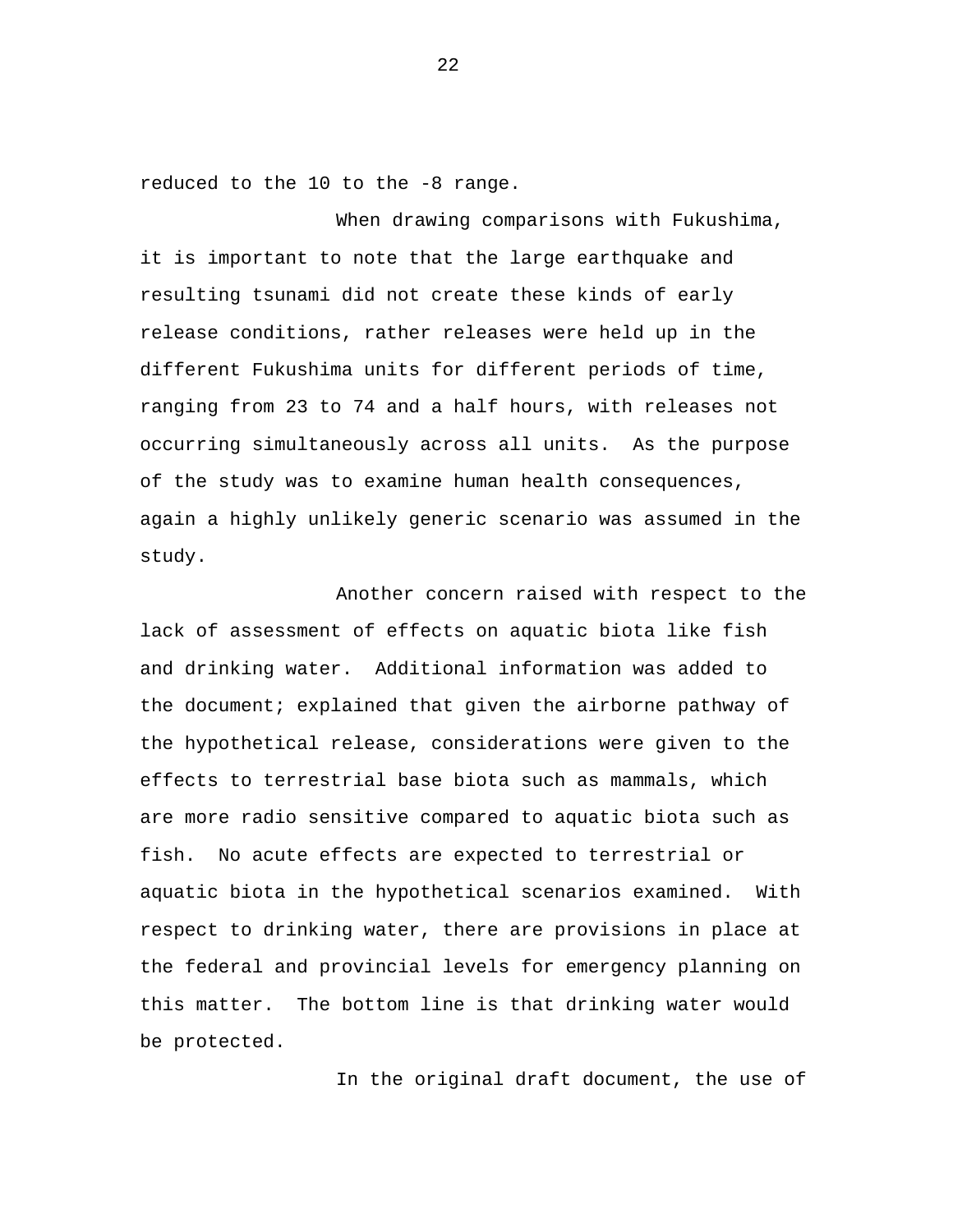reduced to the 10 to the -8 range.

When drawing comparisons with Fukushima, it is important to note that the large earthquake and resulting tsunami did not create these kinds of early release conditions, rather releases were held up in the different Fukushima units for different periods of time, ranging from 23 to 74 and a half hours, with releases not occurring simultaneously across all units. As the purpose of the study was to examine human health consequences, again a highly unlikely generic scenario was assumed in the study.

Another concern raised with respect to the lack of assessment of effects on aquatic biota like fish and drinking water. Additional information was added to the document; explained that given the airborne pathway of the hypothetical release, considerations were given to the effects to terrestrial base biota such as mammals, which are more radio sensitive compared to aquatic biota such as fish. No acute effects are expected to terrestrial or aquatic biota in the hypothetical scenarios examined. With respect to drinking water, there are provisions in place at the federal and provincial levels for emergency planning on this matter. The bottom line is that drinking water would be protected.

In the original draft document, the use of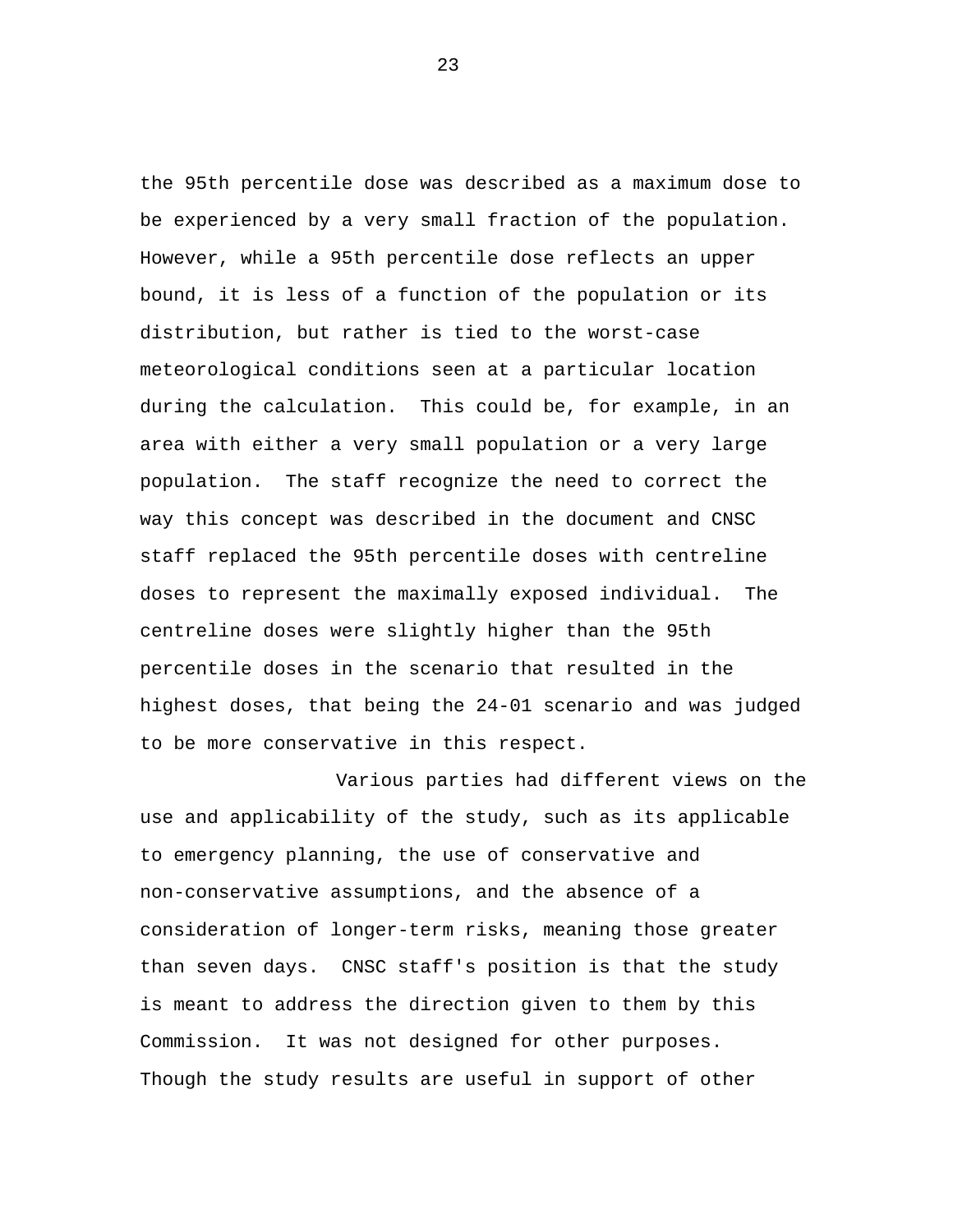the 95th percentile dose was described as a maximum dose to be experienced by a very small fraction of the population. However, while a 95th percentile dose reflects an upper bound, it is less of a function of the population or its distribution, but rather is tied to the worst-case meteorological conditions seen at a particular location during the calculation. This could be, for example, in an area with either a very small population or a very large population. The staff recognize the need to correct the way this concept was described in the document and CNSC staff replaced the 95th percentile doses with centreline doses to represent the maximally exposed individual. The centreline doses were slightly higher than the 95th percentile doses in the scenario that resulted in the highest doses, that being the 24-01 scenario and was judged to be more conservative in this respect.

Various parties had different views on the use and applicability of the study, such as its applicable to emergency planning, the use of conservative and non-conservative assumptions, and the absence of a consideration of longer-term risks, meaning those greater than seven days. CNSC staff's position is that the study is meant to address the direction given to them by this Commission. It was not designed for other purposes. Though the study results are useful in support of other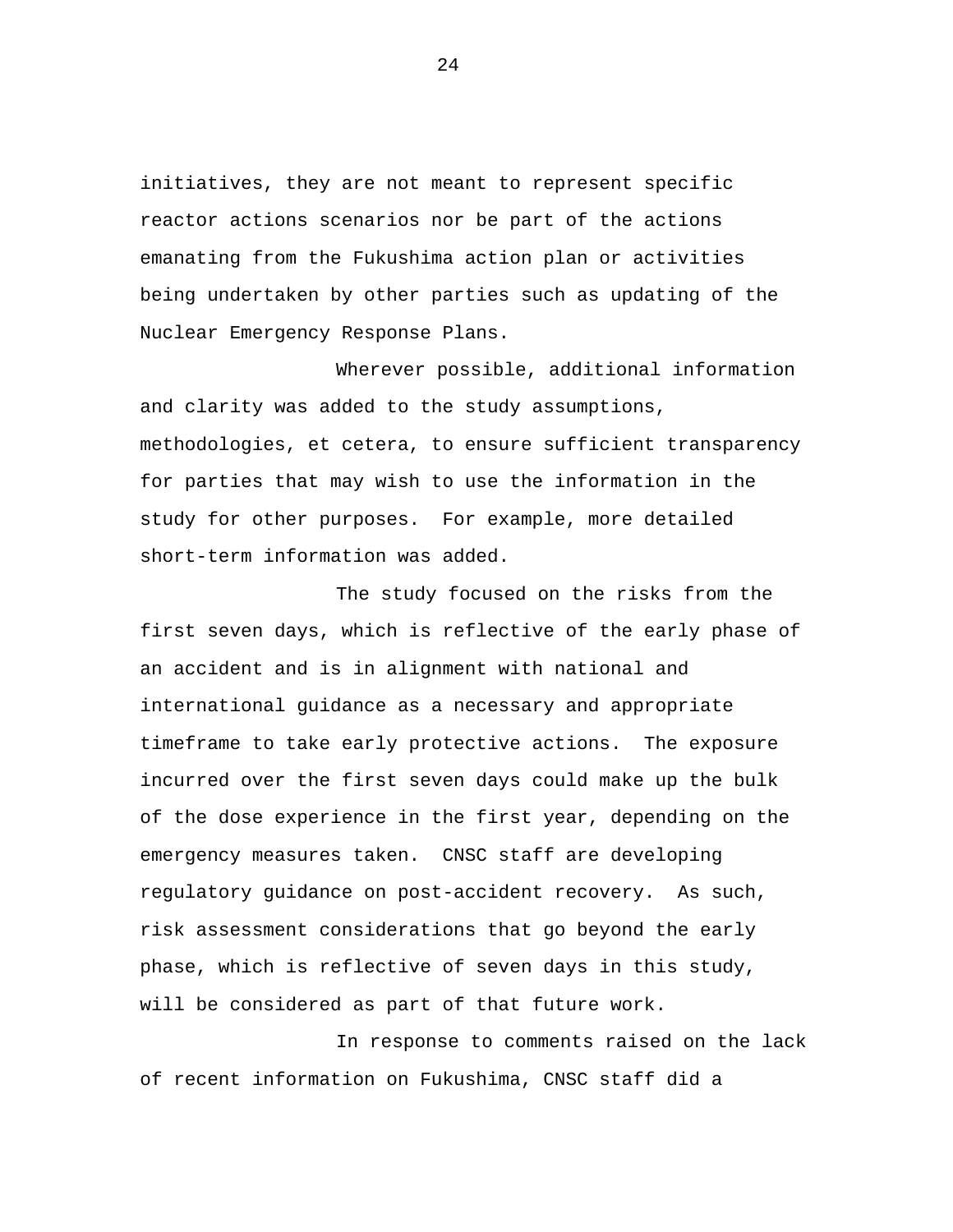initiatives, they are not meant to represent specific reactor actions scenarios nor be part of the actions emanating from the Fukushima action plan or activities being undertaken by other parties such as updating of the Nuclear Emergency Response Plans.

Wherever possible, additional information and clarity was added to the study assumptions, methodologies, et cetera, to ensure sufficient transparency for parties that may wish to use the information in the study for other purposes. For example, more detailed short-term information was added.

The study focused on the risks from the first seven days, which is reflective of the early phase of an accident and is in alignment with national and international guidance as a necessary and appropriate timeframe to take early protective actions. The exposure incurred over the first seven days could make up the bulk of the dose experience in the first year, depending on the emergency measures taken. CNSC staff are developing regulatory guidance on post-accident recovery. As such, risk assessment considerations that go beyond the early phase, which is reflective of seven days in this study, will be considered as part of that future work.

In response to comments raised on the lack of recent information on Fukushima, CNSC staff did a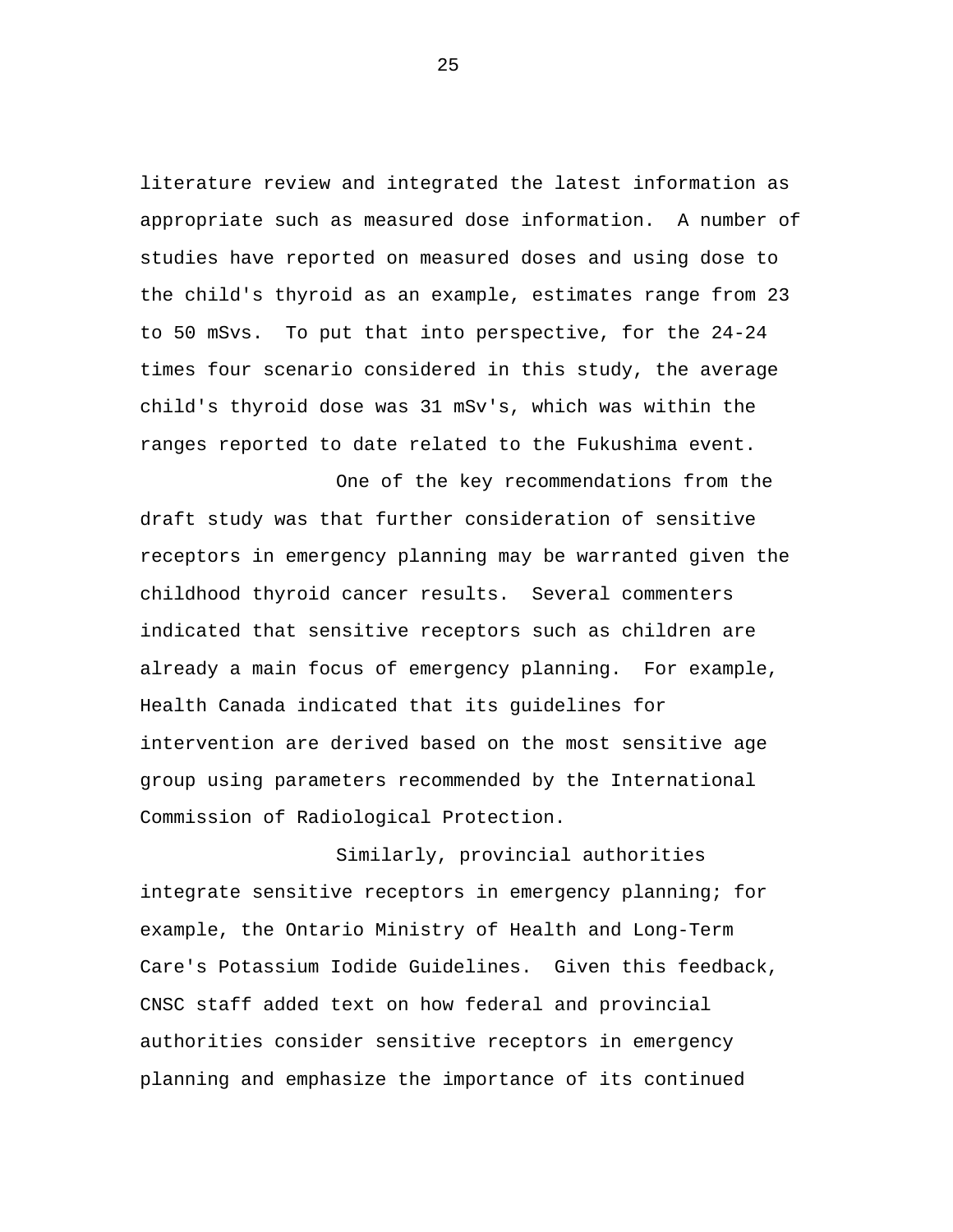literature review and integrated the latest information as appropriate such as measured dose information. A number of studies have reported on measured doses and using dose to the child's thyroid as an example, estimates range from 23 to 50 mSvs. To put that into perspective, for the 24-24 times four scenario considered in this study, the average child's thyroid dose was 31 mSv's, which was within the ranges reported to date related to the Fukushima event.

One of the key recommendations from the draft study was that further consideration of sensitive receptors in emergency planning may be warranted given the childhood thyroid cancer results. Several commenters indicated that sensitive receptors such as children are already a main focus of emergency planning. For example, Health Canada indicated that its guidelines for intervention are derived based on the most sensitive age group using parameters recommended by the International Commission of Radiological Protection.

Similarly, provincial authorities integrate sensitive receptors in emergency planning; for example, the Ontario Ministry of Health and Long-Term Care's Potassium Iodide Guidelines. Given this feedback, CNSC staff added text on how federal and provincial authorities consider sensitive receptors in emergency planning and emphasize the importance of its continued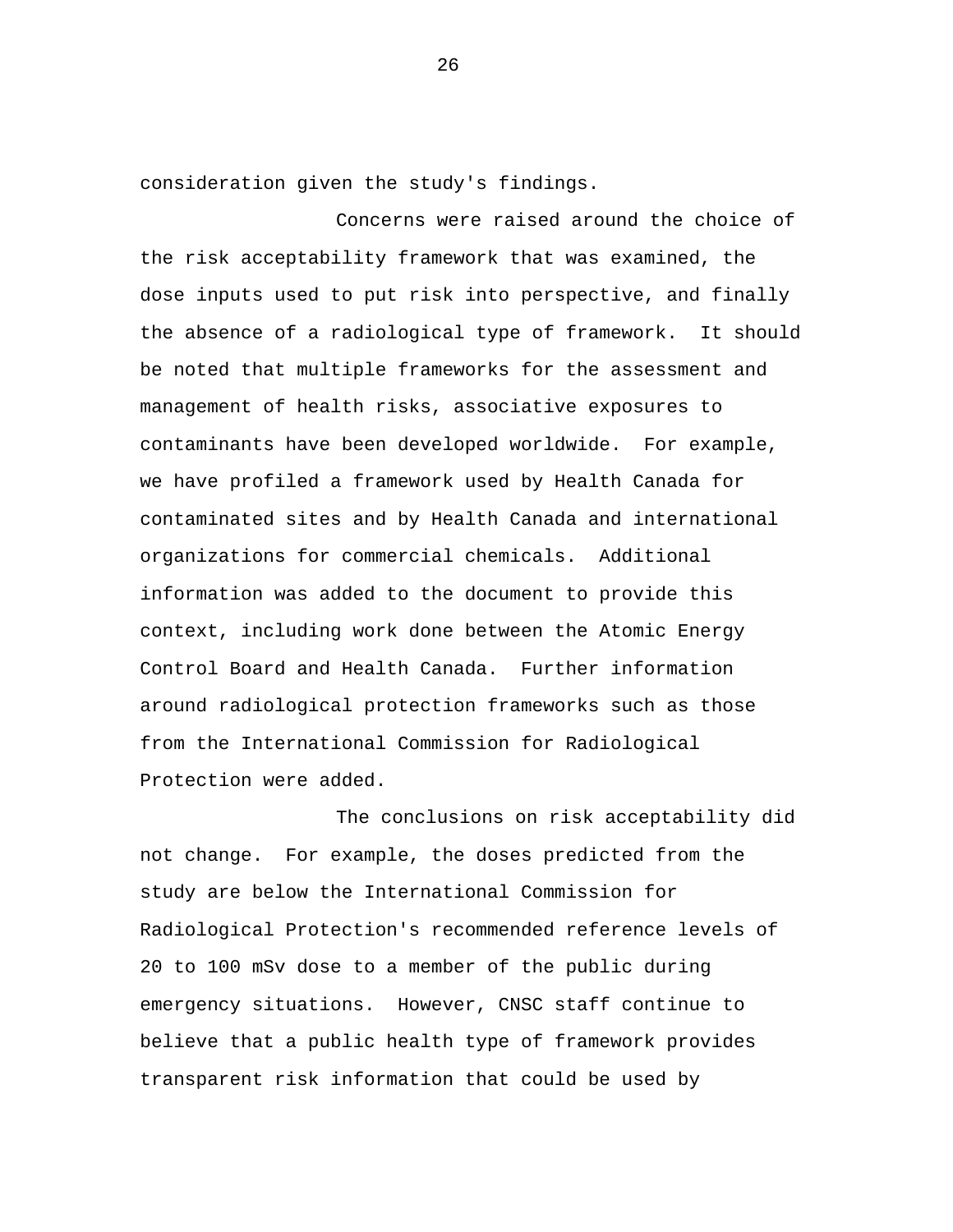consideration given the study's findings.

Concerns were raised around the choice of the risk acceptability framework that was examined, the dose inputs used to put risk into perspective, and finally the absence of a radiological type of framework. It should be noted that multiple frameworks for the assessment and management of health risks, associative exposures to contaminants have been developed worldwide. For example, we have profiled a framework used by Health Canada for contaminated sites and by Health Canada and international organizations for commercial chemicals. Additional information was added to the document to provide this context, including work done between the Atomic Energy Control Board and Health Canada. Further information around radiological protection frameworks such as those from the International Commission for Radiological Protection were added.

The conclusions on risk acceptability did not change. For example, the doses predicted from the study are below the International Commission for Radiological Protection's recommended reference levels of 20 to 100 mSv dose to a member of the public during emergency situations. However, CNSC staff continue to believe that a public health type of framework provides transparent risk information that could be used by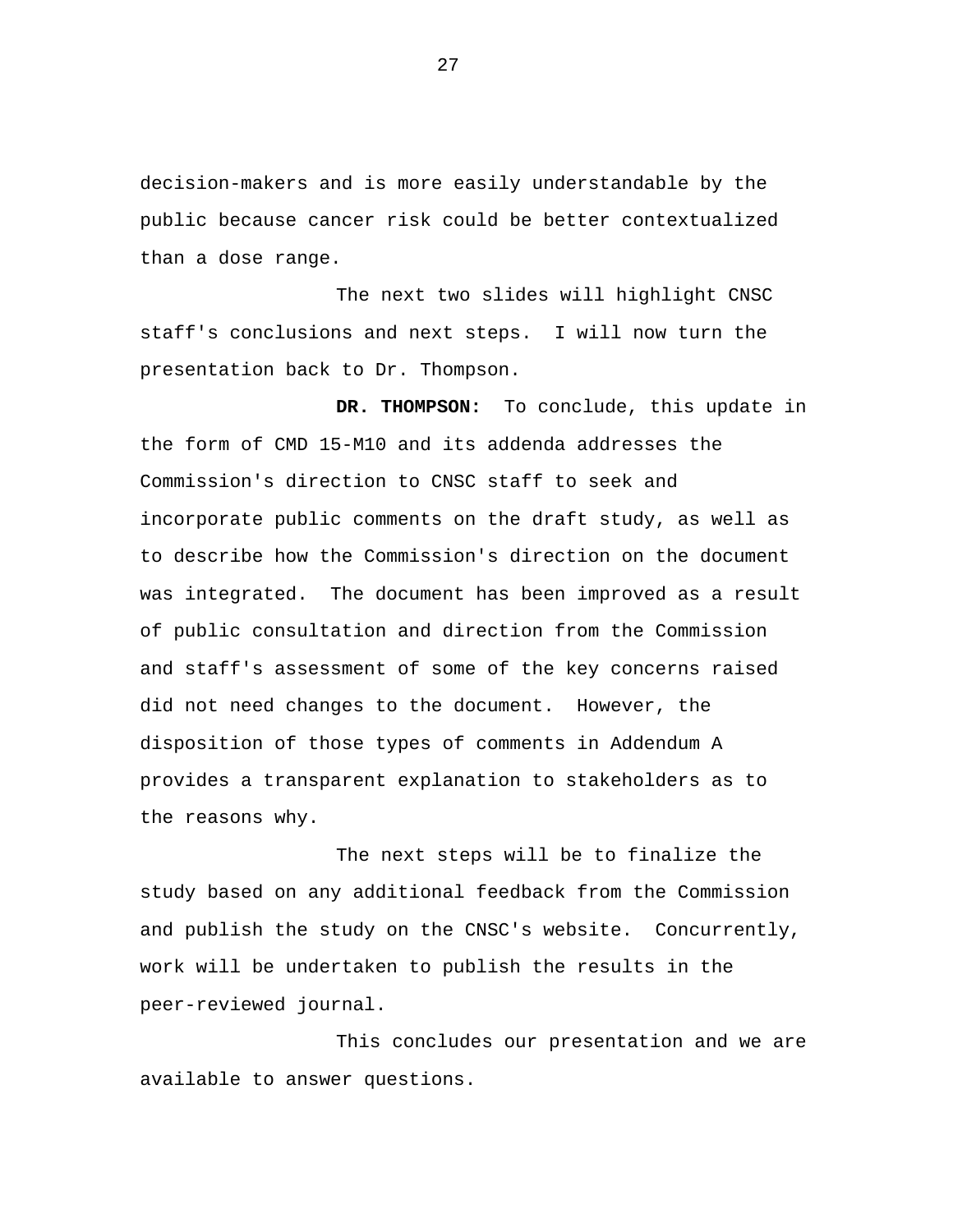decision-makers and is more easily understandable by the public because cancer risk could be better contextualized than a dose range.

The next two slides will highlight CNSC staff's conclusions and next steps. I will now turn the presentation back to Dr. Thompson.

**DR. THOMPSON:** To conclude, this update in the form of CMD 15-M10 and its addenda addresses the Commission's direction to CNSC staff to seek and incorporate public comments on the draft study, as well as to describe how the Commission's direction on the document was integrated. The document has been improved as a result of public consultation and direction from the Commission and staff's assessment of some of the key concerns raised did not need changes to the document. However, the disposition of those types of comments in Addendum A provides a transparent explanation to stakeholders as to the reasons why.

The next steps will be to finalize the study based on any additional feedback from the Commission and publish the study on the CNSC's website. Concurrently, work will be undertaken to publish the results in the peer-reviewed journal.

This concludes our presentation and we are available to answer questions.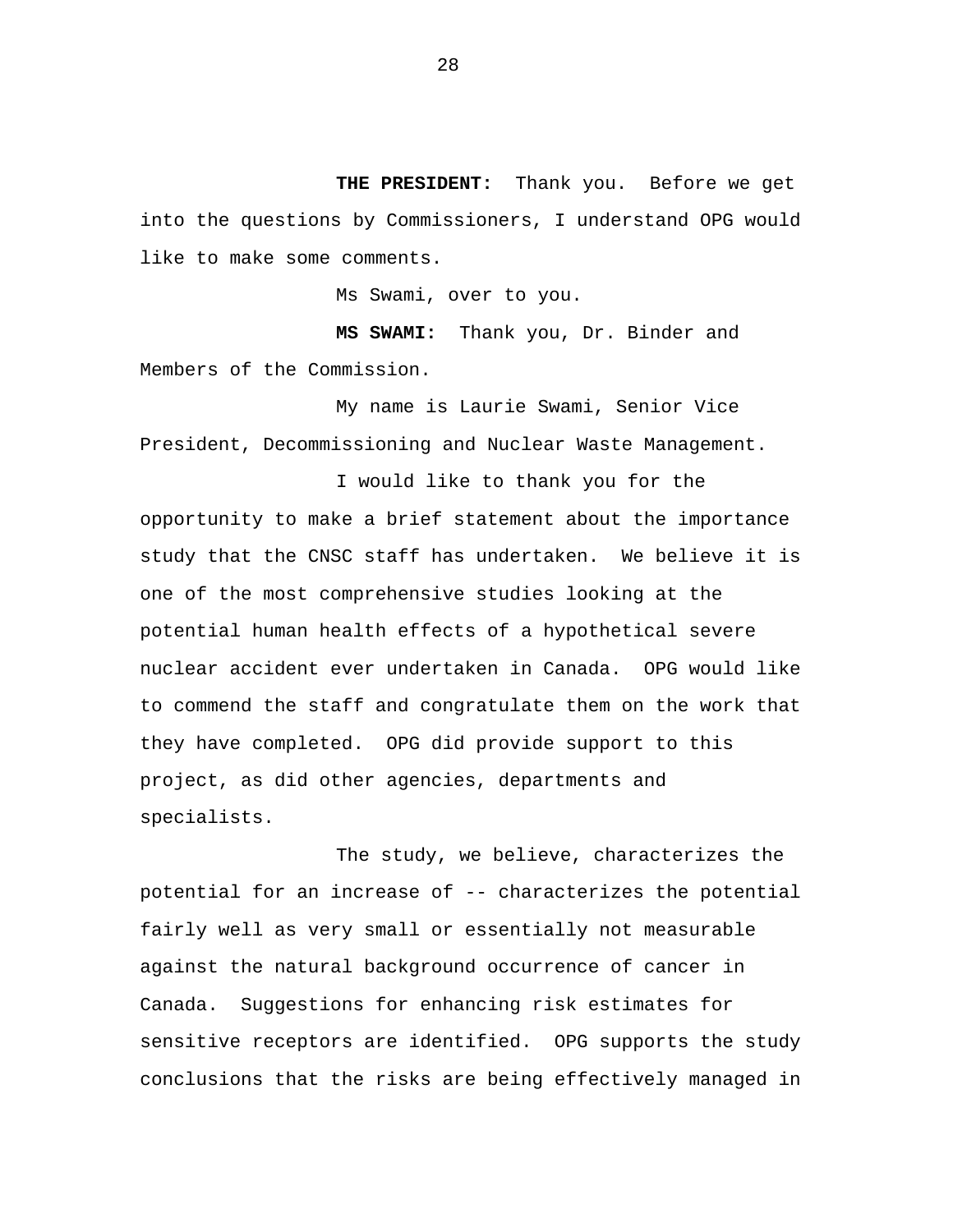**THE PRESIDENT:** Thank you. Before we get into the questions by Commissioners, I understand OPG would like to make some comments.

Ms Swami, over to you.

**MS SWAMI:** Thank you, Dr. Binder and Members of the Commission.

My name is Laurie Swami, Senior Vice President, Decommissioning and Nuclear Waste Management.

I would like to thank you for the opportunity to make a brief statement about the importance study that the CNSC staff has undertaken. We believe it is one of the most comprehensive studies looking at the potential human health effects of a hypothetical severe nuclear accident ever undertaken in Canada. OPG would like to commend the staff and congratulate them on the work that they have completed. OPG did provide support to this project, as did other agencies, departments and specialists.

The study, we believe, characterizes the potential for an increase of -- characterizes the potential fairly well as very small or essentially not measurable against the natural background occurrence of cancer in Canada. Suggestions for enhancing risk estimates for sensitive receptors are identified. OPG supports the study conclusions that the risks are being effectively managed in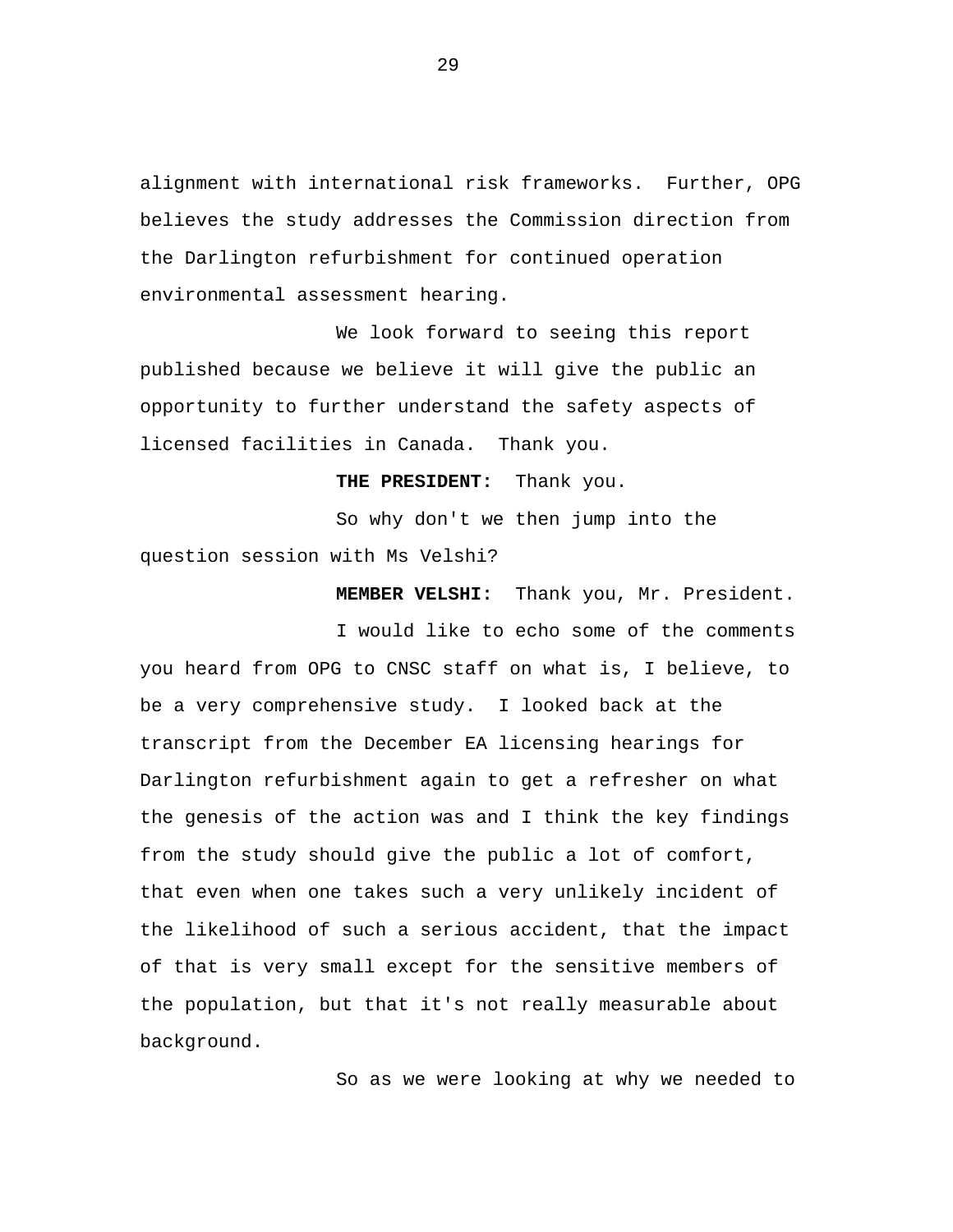alignment with international risk frameworks. Further, OPG believes the study addresses the Commission direction from the Darlington refurbishment for continued operation environmental assessment hearing.

We look forward to seeing this report published because we believe it will give the public an opportunity to further understand the safety aspects of licensed facilities in Canada. Thank you.

**THE PRESIDENT:** Thank you.

So why don't we then jump into the question session with Ms Velshi?

**MEMBER VELSHI:** Thank you, Mr. President.

I would like to echo some of the comments you heard from OPG to CNSC staff on what is, I believe, to be a very comprehensive study. I looked back at the transcript from the December EA licensing hearings for Darlington refurbishment again to get a refresher on what the genesis of the action was and I think the key findings from the study should give the public a lot of comfort, that even when one takes such a very unlikely incident of the likelihood of such a serious accident, that the impact of that is very small except for the sensitive members of the population, but that it's not really measurable about background.

So as we were looking at why we needed to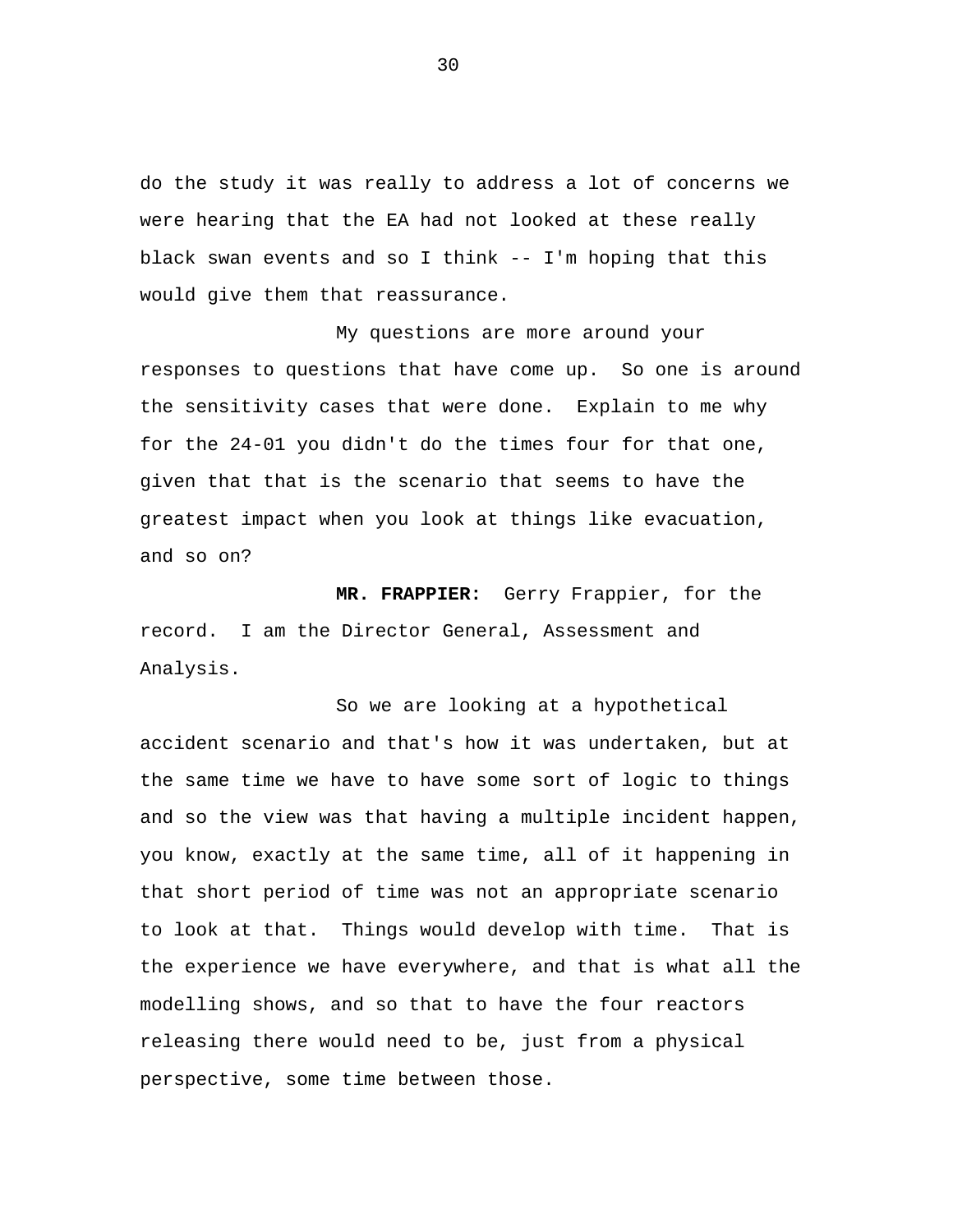do the study it was really to address a lot of concerns we were hearing that the EA had not looked at these really black swan events and so I think -- I'm hoping that this would give them that reassurance.

My questions are more around your responses to questions that have come up. So one is around the sensitivity cases that were done. Explain to me why for the 24-01 you didn't do the times four for that one, given that that is the scenario that seems to have the greatest impact when you look at things like evacuation, and so on?

**MR. FRAPPIER:** Gerry Frappier, for the record. I am the Director General, Assessment and Analysis.

So we are looking at a hypothetical accident scenario and that's how it was undertaken, but at the same time we have to have some sort of logic to things and so the view was that having a multiple incident happen, you know, exactly at the same time, all of it happening in that short period of time was not an appropriate scenario to look at that. Things would develop with time. That is the experience we have everywhere, and that is what all the modelling shows, and so that to have the four reactors releasing there would need to be, just from a physical perspective, some time between those.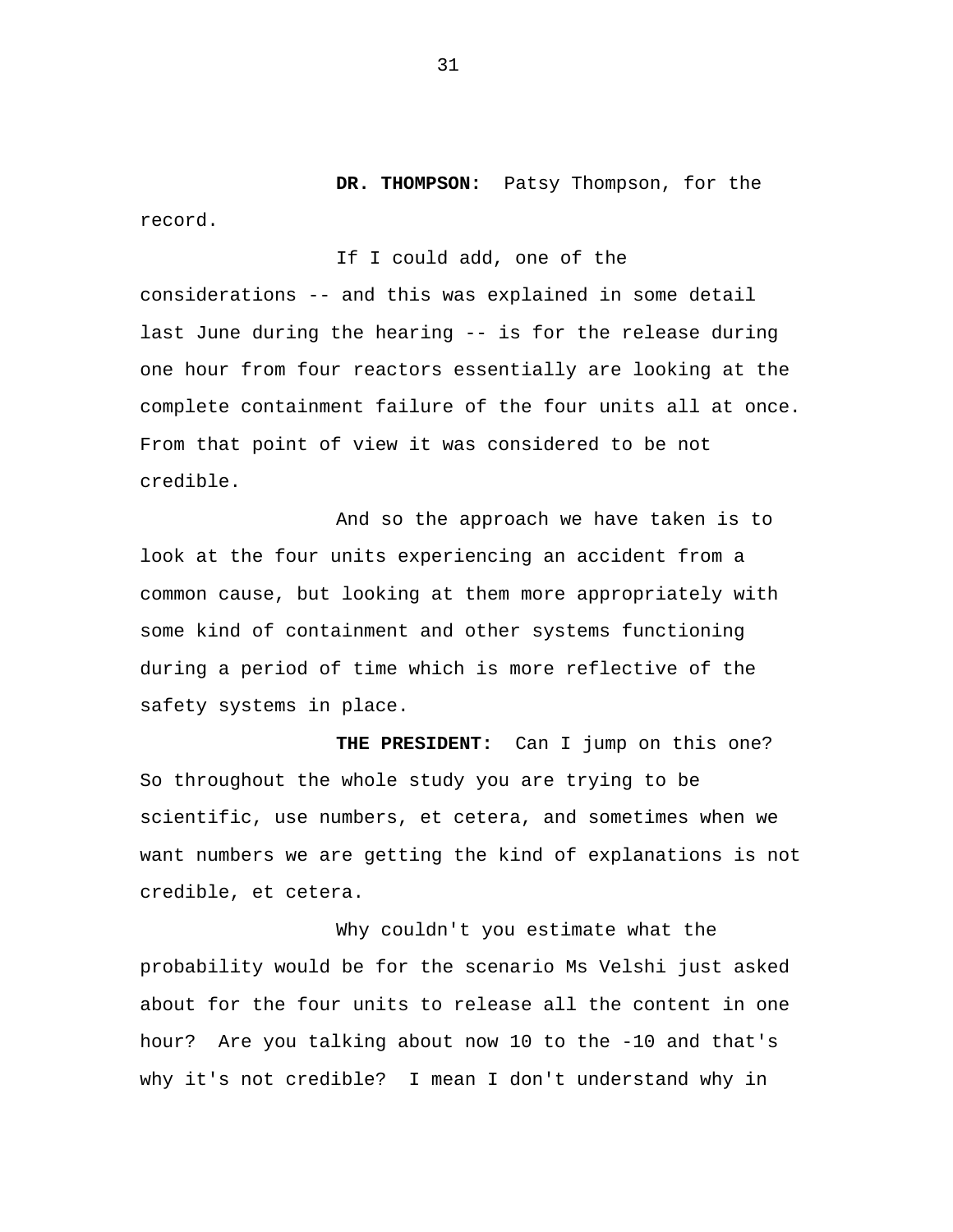**DR. THOMPSON:** Patsy Thompson, for the

If I could add, one of the

considerations -- and this was explained in some detail last June during the hearing -- is for the release during one hour from four reactors essentially are looking at the complete containment failure of the four units all at once. From that point of view it was considered to be not credible.

And so the approach we have taken is to look at the four units experiencing an accident from a common cause, but looking at them more appropriately with some kind of containment and other systems functioning during a period of time which is more reflective of the safety systems in place.

**THE PRESIDENT:** Can I jump on this one? So throughout the whole study you are trying to be scientific, use numbers, et cetera, and sometimes when we want numbers we are getting the kind of explanations is not credible, et cetera.

Why couldn't you estimate what the probability would be for the scenario Ms Velshi just asked about for the four units to release all the content in one hour? Are you talking about now 10 to the -10 and that's why it's not credible? I mean I don't understand why in

record.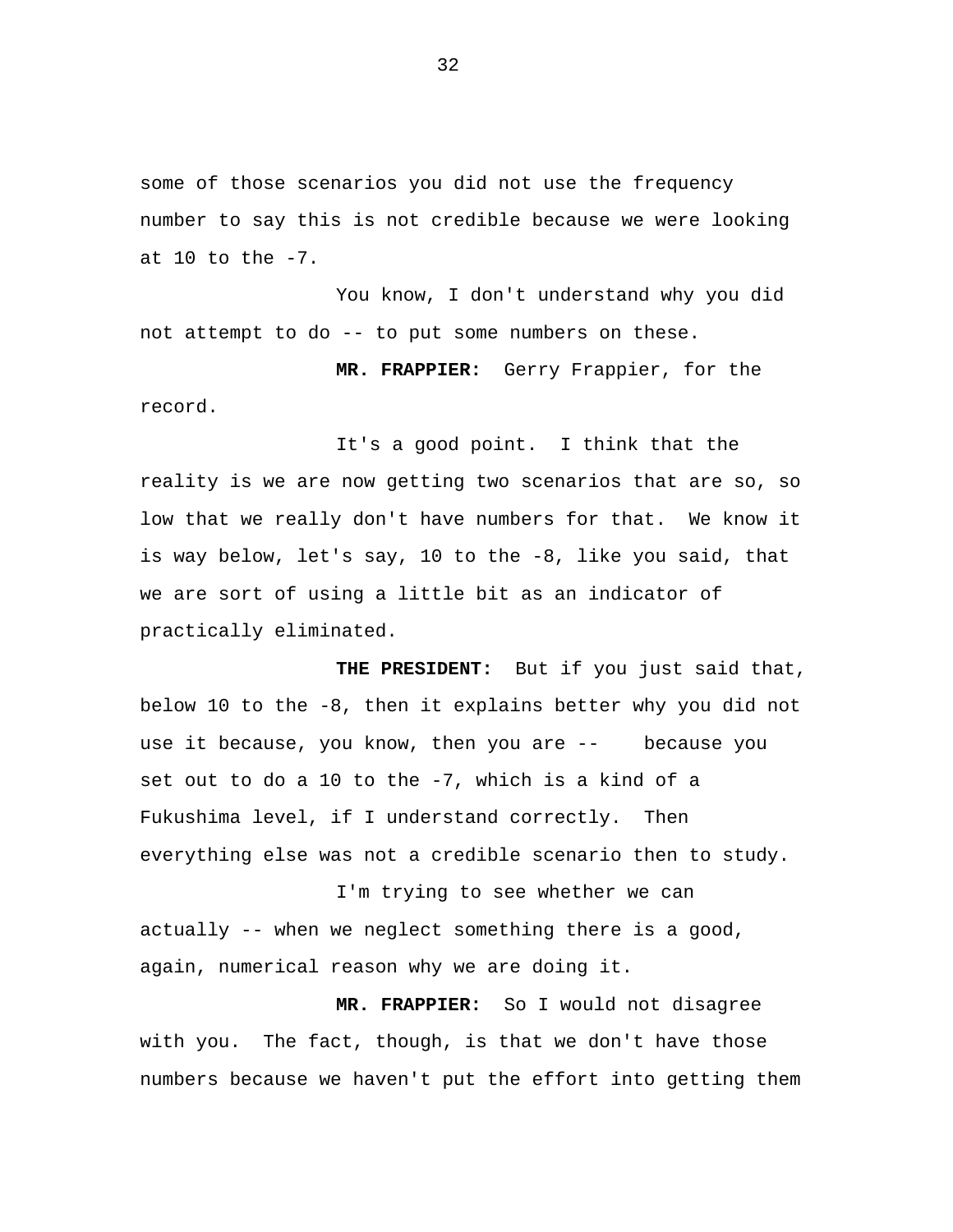some of those scenarios you did not use the frequency number to say this is not credible because we were looking at  $10$  to the  $-7$ .

You know, I don't understand why you did not attempt to do -- to put some numbers on these.

**MR. FRAPPIER:** Gerry Frappier, for the record.

It's a good point. I think that the reality is we are now getting two scenarios that are so, so low that we really don't have numbers for that. We know it is way below, let's say, 10 to the -8, like you said, that we are sort of using a little bit as an indicator of practically eliminated.

 use it because, you know, then you are -- because you **THE PRESIDENT:** But if you just said that, below 10 to the -8, then it explains better why you did not set out to do a 10 to the -7, which is a kind of a Fukushima level, if I understand correctly. Then everything else was not a credible scenario then to study.

I'm trying to see whether we can actually -- when we neglect something there is a good, again, numerical reason why we are doing it.

**MR. FRAPPIER:** So I would not disagree with you. The fact, though, is that we don't have those numbers because we haven't put the effort into getting them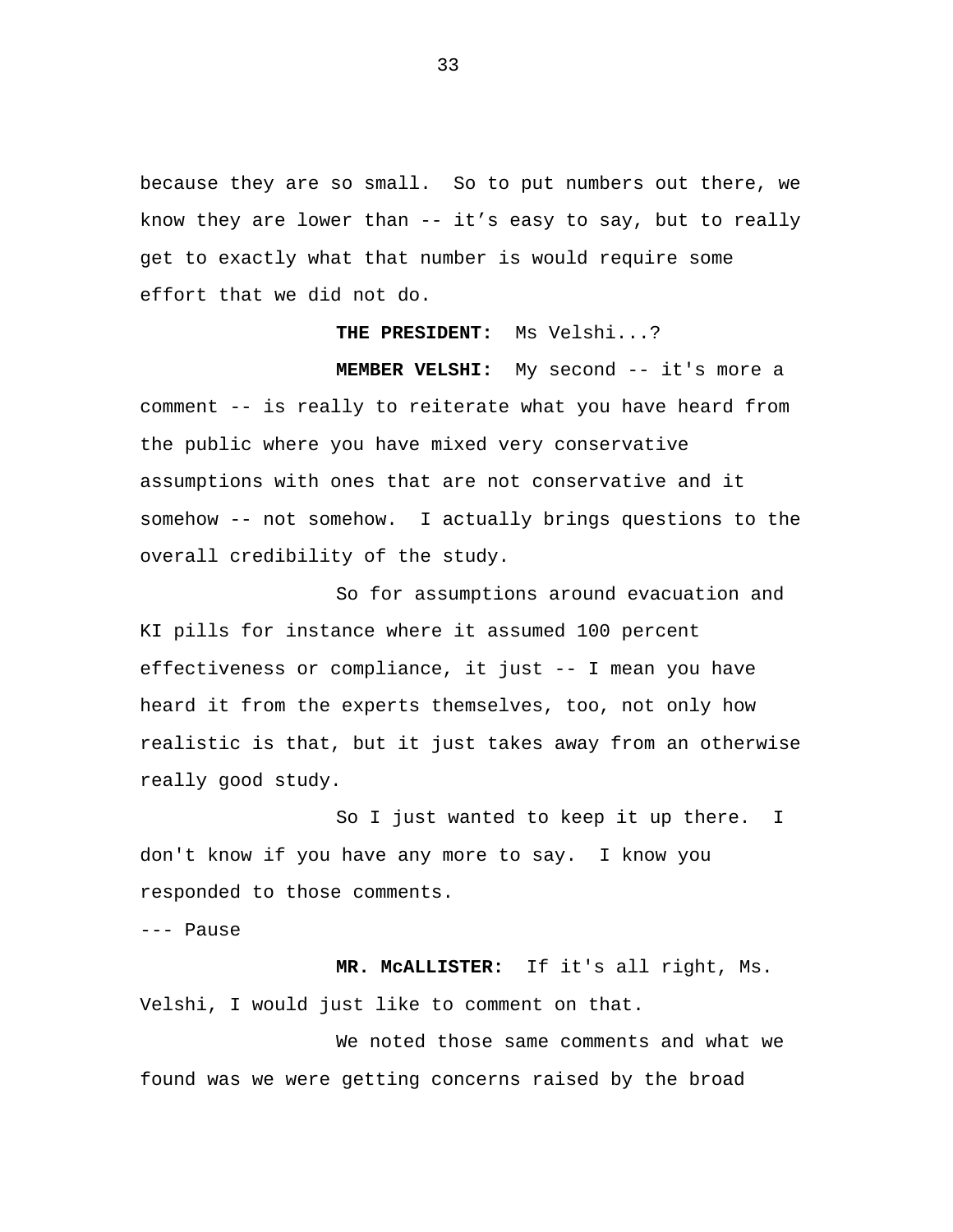because they are so small. So to put numbers out there, we know they are lower than -- it's easy to say, but to really get to exactly what that number is would require some effort that we did not do.

#### **THE PRESIDENT:** Ms Velshi...?

**MEMBER VELSHI:** My second -- it's more a comment -- is really to reiterate what you have heard from the public where you have mixed very conservative assumptions with ones that are not conservative and it somehow -- not somehow. I actually brings questions to the overall credibility of the study.

So for assumptions around evacuation and KI pills for instance where it assumed 100 percent effectiveness or compliance, it just -- I mean you have heard it from the experts themselves, too, not only how realistic is that, but it just takes away from an otherwise really good study.

So I just wanted to keep it up there. I don't know if you have any more to say. I know you responded to those comments.

--- Pause

**MR. McALLISTER:** If it's all right, Ms. Velshi, I would just like to comment on that.

We noted those same comments and what we found was we were getting concerns raised by the broad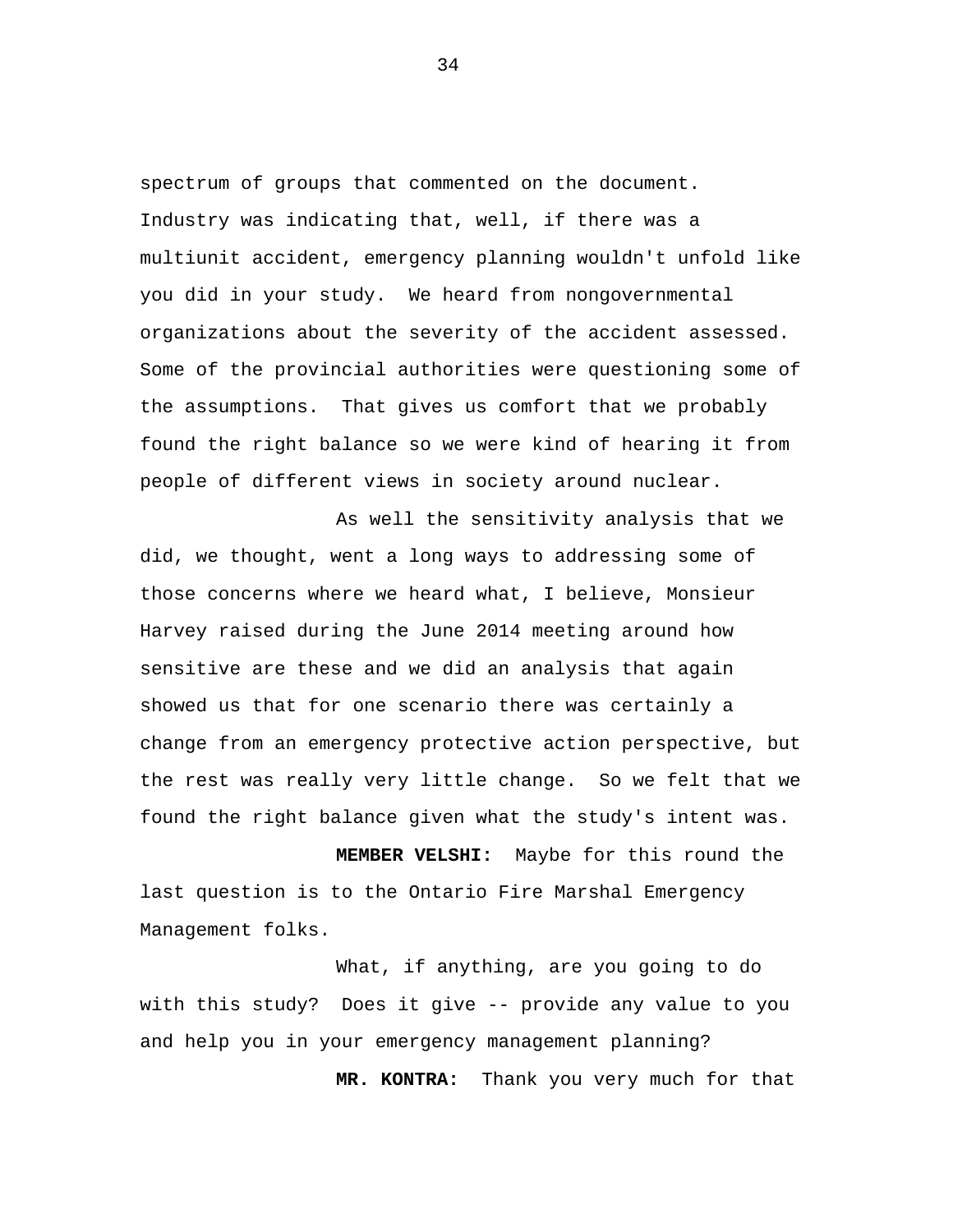spectrum of groups that commented on the document. Industry was indicating that, well, if there was a multiunit accident, emergency planning wouldn't unfold like you did in your study. We heard from nongovernmental organizations about the severity of the accident assessed. Some of the provincial authorities were questioning some of the assumptions. That gives us comfort that we probably found the right balance so we were kind of hearing it from people of different views in society around nuclear.

As well the sensitivity analysis that we did, we thought, went a long ways to addressing some of those concerns where we heard what, I believe, Monsieur Harvey raised during the June 2014 meeting around how sensitive are these and we did an analysis that again showed us that for one scenario there was certainly a change from an emergency protective action perspective, but the rest was really very little change. So we felt that we found the right balance given what the study's intent was.

**MEMBER VELSHI:** Maybe for this round the last question is to the Ontario Fire Marshal Emergency Management folks.

What, if anything, are you going to do with this study? Does it give -- provide any value to you and help you in your emergency management planning?

**MR. KONTRA:** Thank you very much for that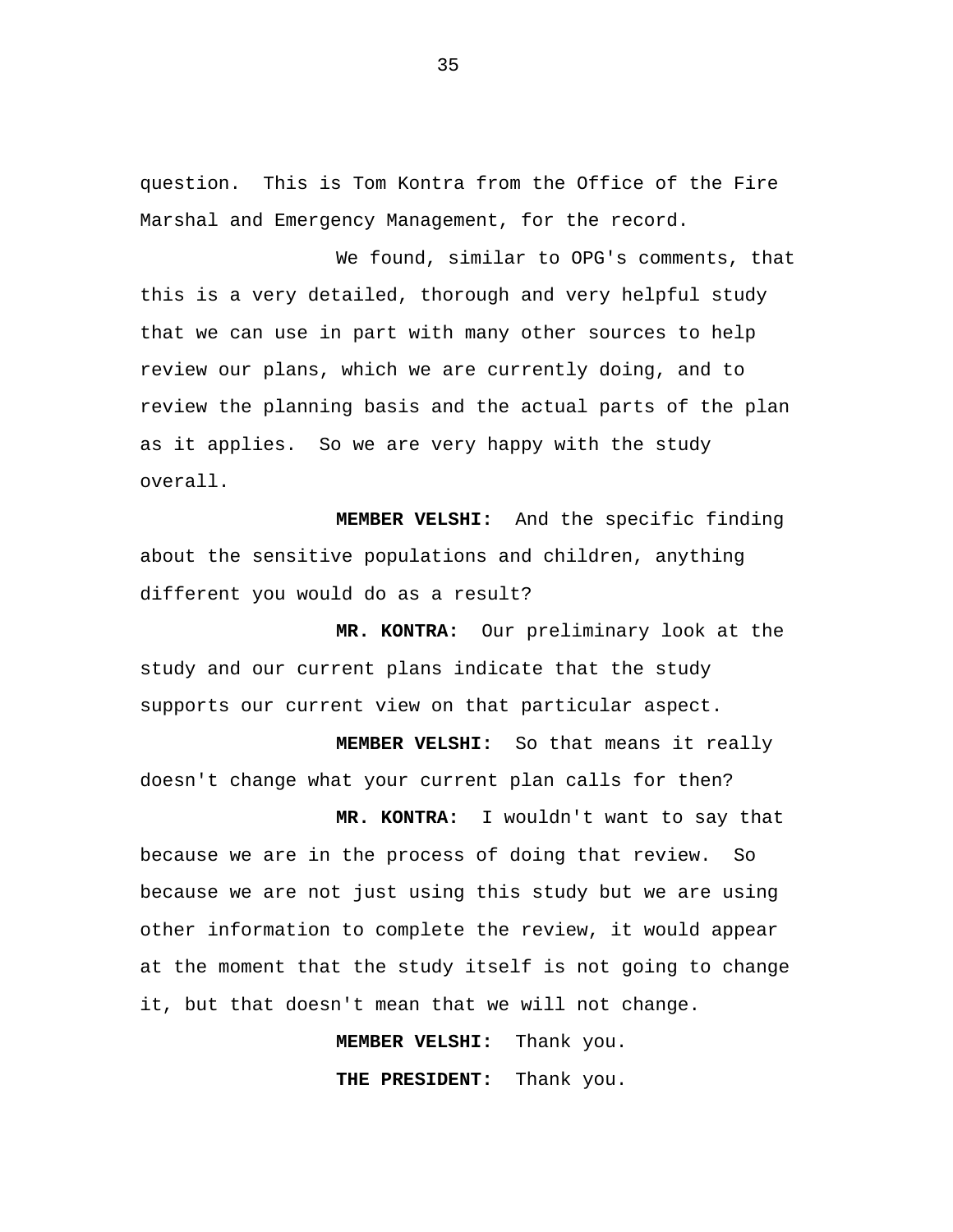question. This is Tom Kontra from the Office of the Fire Marshal and Emergency Management, for the record.

We found, similar to OPG's comments, that this is a very detailed, thorough and very helpful study that we can use in part with many other sources to help review our plans, which we are currently doing, and to review the planning basis and the actual parts of the plan as it applies. So we are very happy with the study overall.

**MEMBER VELSHI:** And the specific finding about the sensitive populations and children, anything different you would do as a result?

**MR. KONTRA:** Our preliminary look at the study and our current plans indicate that the study supports our current view on that particular aspect.

**MEMBER VELSHI:** So that means it really doesn't change what your current plan calls for then?

**MR. KONTRA:** I wouldn't want to say that because we are in the process of doing that review. So because we are not just using this study but we are using other information to complete the review, it would appear at the moment that the study itself is not going to change it, but that doesn't mean that we will not change.

> **MEMBER VELSHI:** Thank you. **THE PRESIDENT:** Thank you.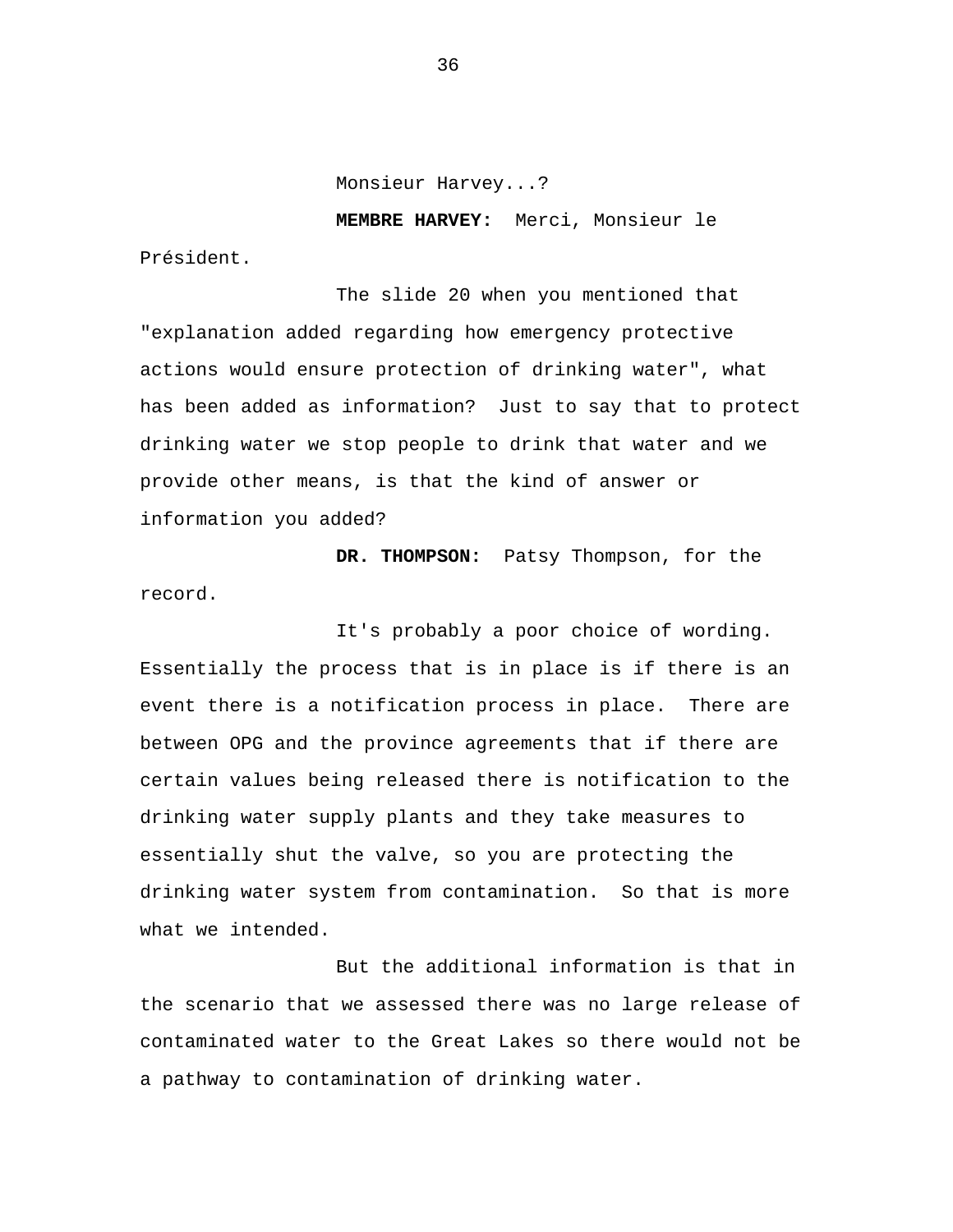Monsieur Harvey...?

**MEMBRE HARVEY:** Merci, Monsieur le

Président.

The slide 20 when you mentioned that "explanation added regarding how emergency protective actions would ensure protection of drinking water", what has been added as information? Just to say that to protect drinking water we stop people to drink that water and we provide other means, is that the kind of answer or information you added?

**DR. THOMPSON:** Patsy Thompson, for the record.

It's probably a poor choice of wording. Essentially the process that is in place is if there is an event there is a notification process in place. There are between OPG and the province agreements that if there are certain values being released there is notification to the drinking water supply plants and they take measures to essentially shut the valve, so you are protecting the drinking water system from contamination. So that is more what we intended.

But the additional information is that in the scenario that we assessed there was no large release of contaminated water to the Great Lakes so there would not be a pathway to contamination of drinking water.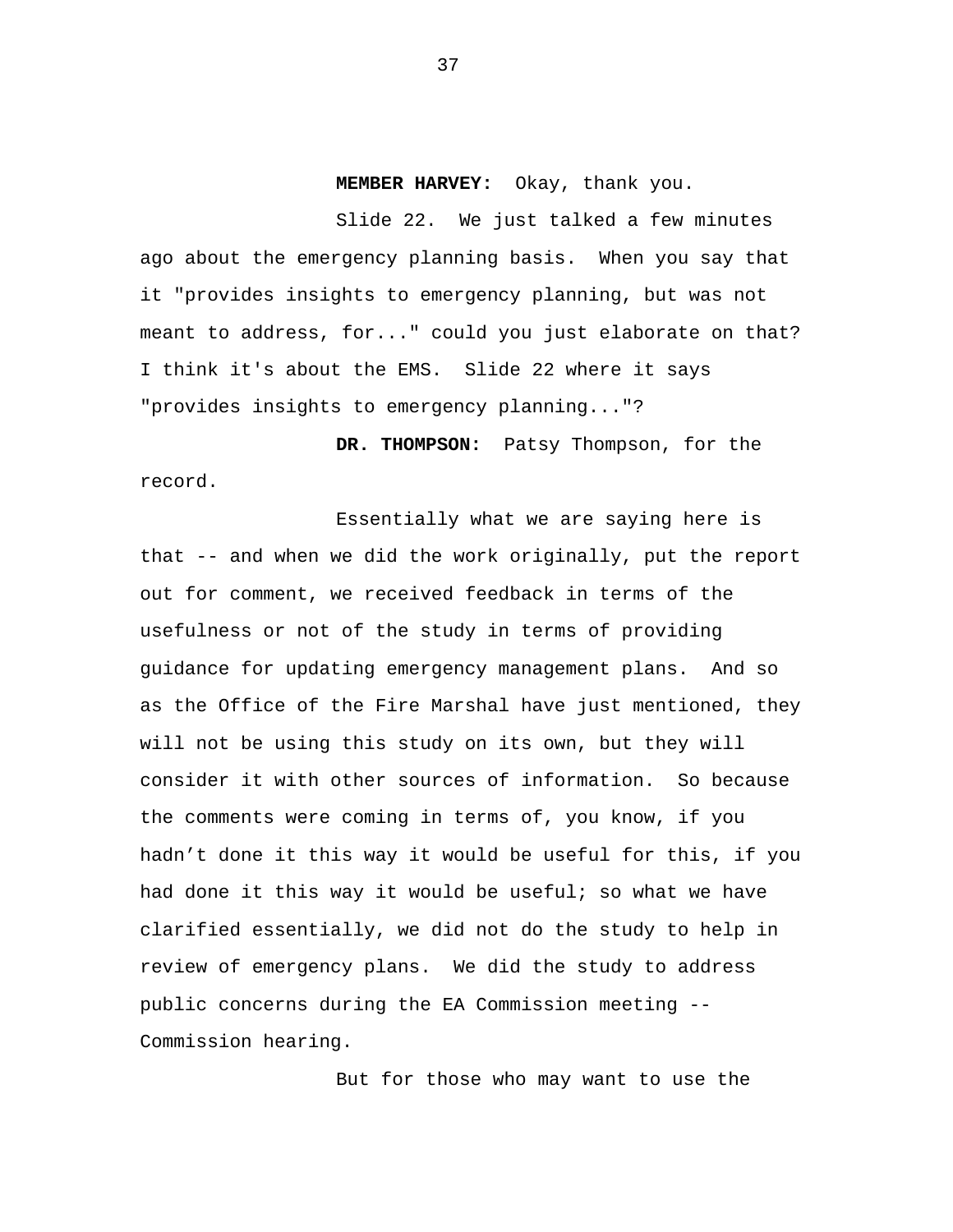**MEMBER HARVEY:** Okay, thank you.

Slide 22. We just talked a few minutes ago about the emergency planning basis. When you say that it "provides insights to emergency planning, but was not meant to address, for..." could you just elaborate on that? I think it's about the EMS. Slide 22 where it says "provides insights to emergency planning..."?

**DR. THOMPSON:** Patsy Thompson, for the record.

Essentially what we are saying here is that -- and when we did the work originally, put the report out for comment, we received feedback in terms of the usefulness or not of the study in terms of providing guidance for updating emergency management plans. And so as the Office of the Fire Marshal have just mentioned, they will not be using this study on its own, but they will consider it with other sources of information. So because the comments were coming in terms of, you know, if you hadn't done it this way it would be useful for this, if you had done it this way it would be useful; so what we have clarified essentially, we did not do the study to help in review of emergency plans. We did the study to address public concerns during the EA Commission meeting -- Commission hearing.

But for those who may want to use the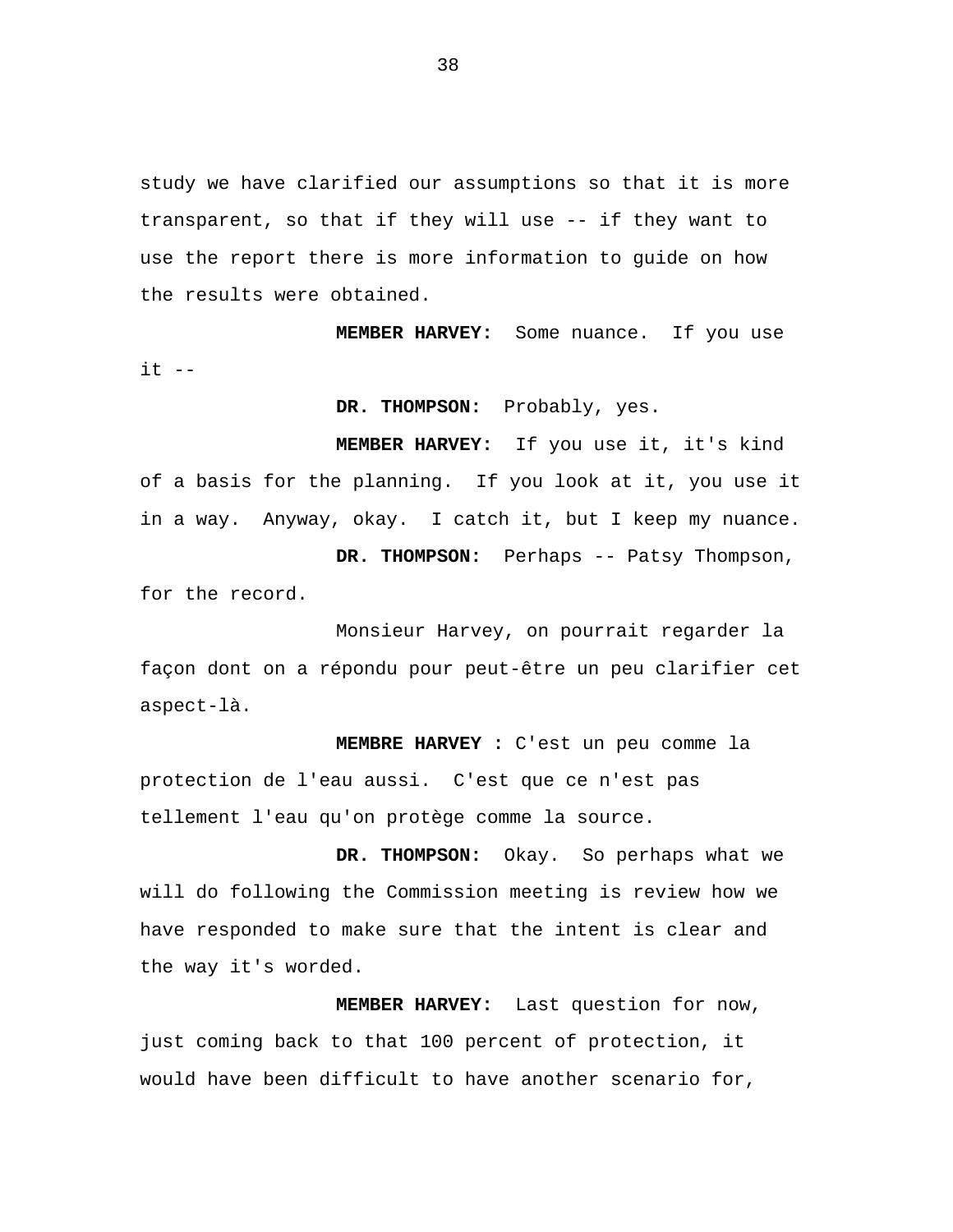study we have clarified our assumptions so that it is more transparent, so that if they will use -- if they want to use the report there is more information to guide on how the results were obtained.

**MEMBER HARVEY:** Some nuance. If you use  $it$   $--$ 

**DR. THOMPSON:** Probably, yes.

**MEMBER HARVEY:** If you use it, it's kind of a basis for the planning. If you look at it, you use it in a way. Anyway, okay. I catch it, but I keep my nuance. **DR. THOMPSON:** Perhaps -- Patsy Thompson,

for the record.

Monsieur Harvey, on pourrait regarder la façon dont on a répondu pour peut-être un peu clarifier cet aspect-là.

**MEMBRE HARVEY :** C'est un peu comme la protection de l'eau aussi. C'est que ce n'est pas tellement l'eau qu'on protège comme la source.

**DR. THOMPSON:** Okay. So perhaps what we will do following the Commission meeting is review how we have responded to make sure that the intent is clear and the way it's worded.

**MEMBER HARVEY:** Last question for now, just coming back to that 100 percent of protection, it would have been difficult to have another scenario for,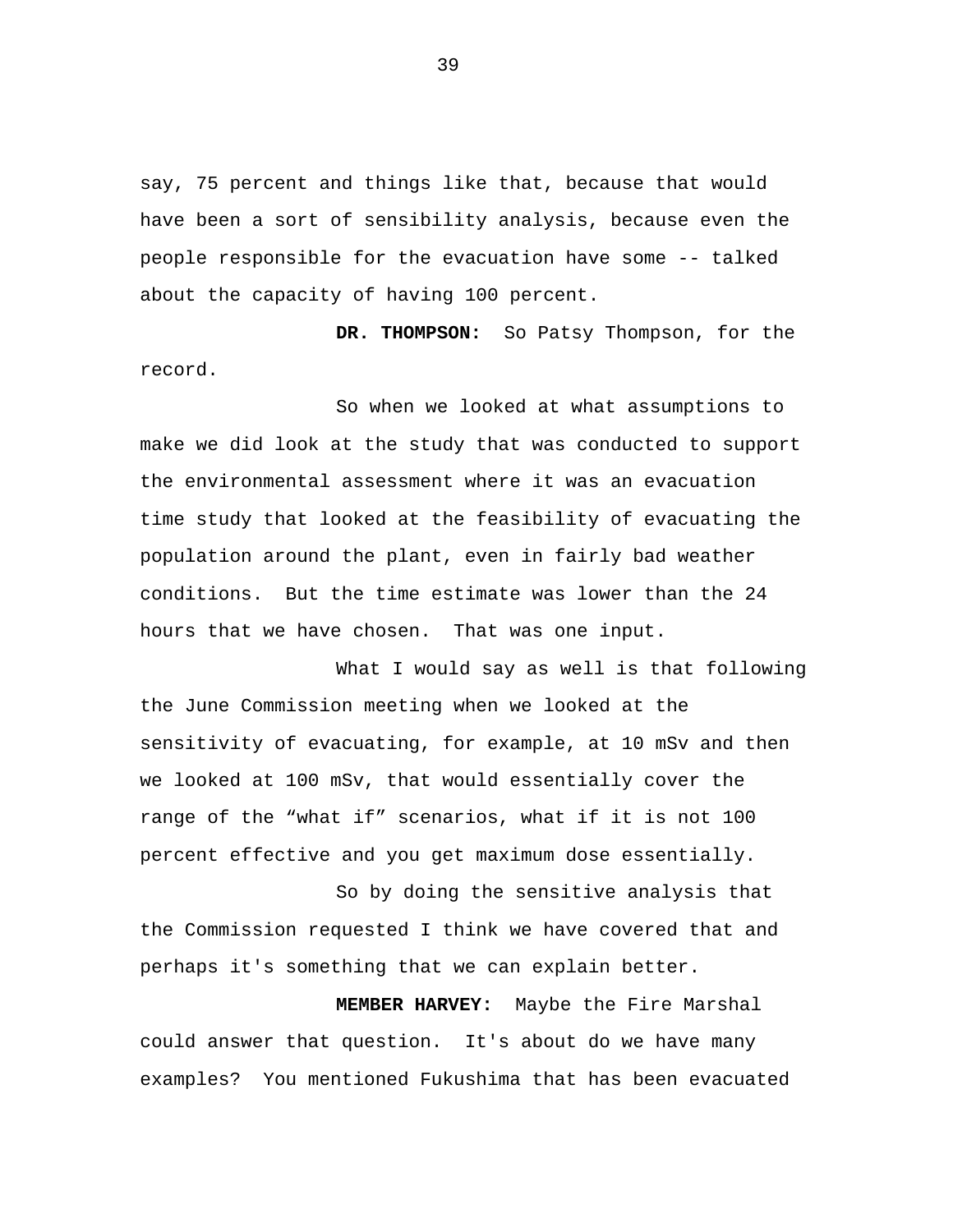say, 75 percent and things like that, because that would have been a sort of sensibility analysis, because even the people responsible for the evacuation have some -- talked about the capacity of having 100 percent.

**DR. THOMPSON:** So Patsy Thompson, for the record.

So when we looked at what assumptions to make we did look at the study that was conducted to support the environmental assessment where it was an evacuation time study that looked at the feasibility of evacuating the population around the plant, even in fairly bad weather conditions. But the time estimate was lower than the 24 hours that we have chosen. That was one input.

What I would say as well is that following the June Commission meeting when we looked at the sensitivity of evacuating, for example, at 10 mSv and then we looked at 100 mSv, that would essentially cover the range of the "what if" scenarios, what if it is not 100 percent effective and you get maximum dose essentially.

So by doing the sensitive analysis that the Commission requested I think we have covered that and perhaps it's something that we can explain better.

**MEMBER HARVEY:** Maybe the Fire Marshal could answer that question. It's about do we have many examples? You mentioned Fukushima that has been evacuated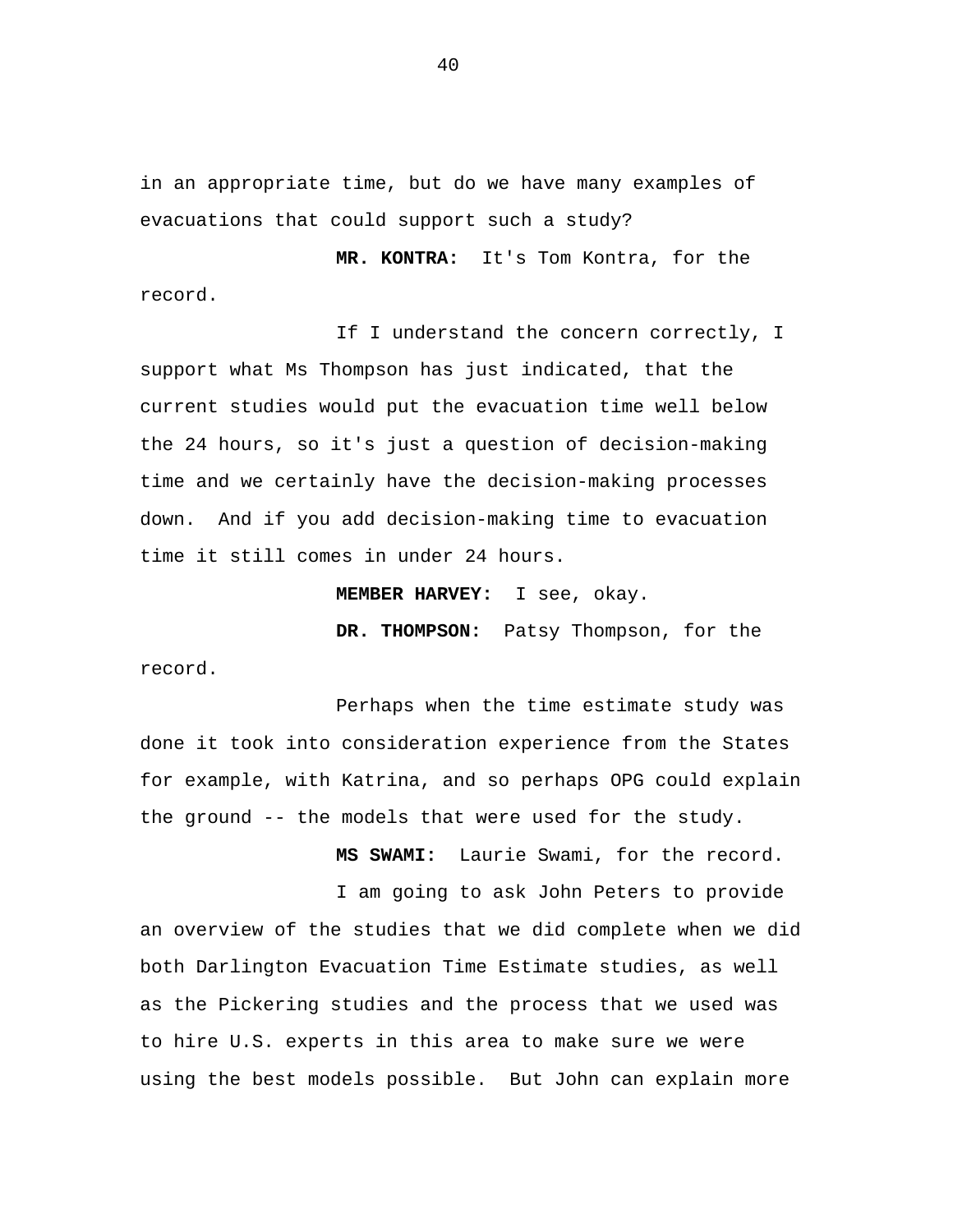in an appropriate time, but do we have many examples of evacuations that could support such a study?

**MR. KONTRA:** It's Tom Kontra, for the record.

If I understand the concern correctly, I support what Ms Thompson has just indicated, that the current studies would put the evacuation time well below the 24 hours, so it's just a question of decision-making time and we certainly have the decision-making processes down. And if you add decision-making time to evacuation time it still comes in under 24 hours.

**MEMBER HARVEY:** I see, okay.

**DR. THOMPSON:** Patsy Thompson, for the

record.

Perhaps when the time estimate study was done it took into consideration experience from the States for example, with Katrina, and so perhaps OPG could explain the ground -- the models that were used for the study.

**MS SWAMI:** Laurie Swami, for the record.

I am going to ask John Peters to provide an overview of the studies that we did complete when we did both Darlington Evacuation Time Estimate studies, as well as the Pickering studies and the process that we used was to hire U.S. experts in this area to make sure we were using the best models possible. But John can explain more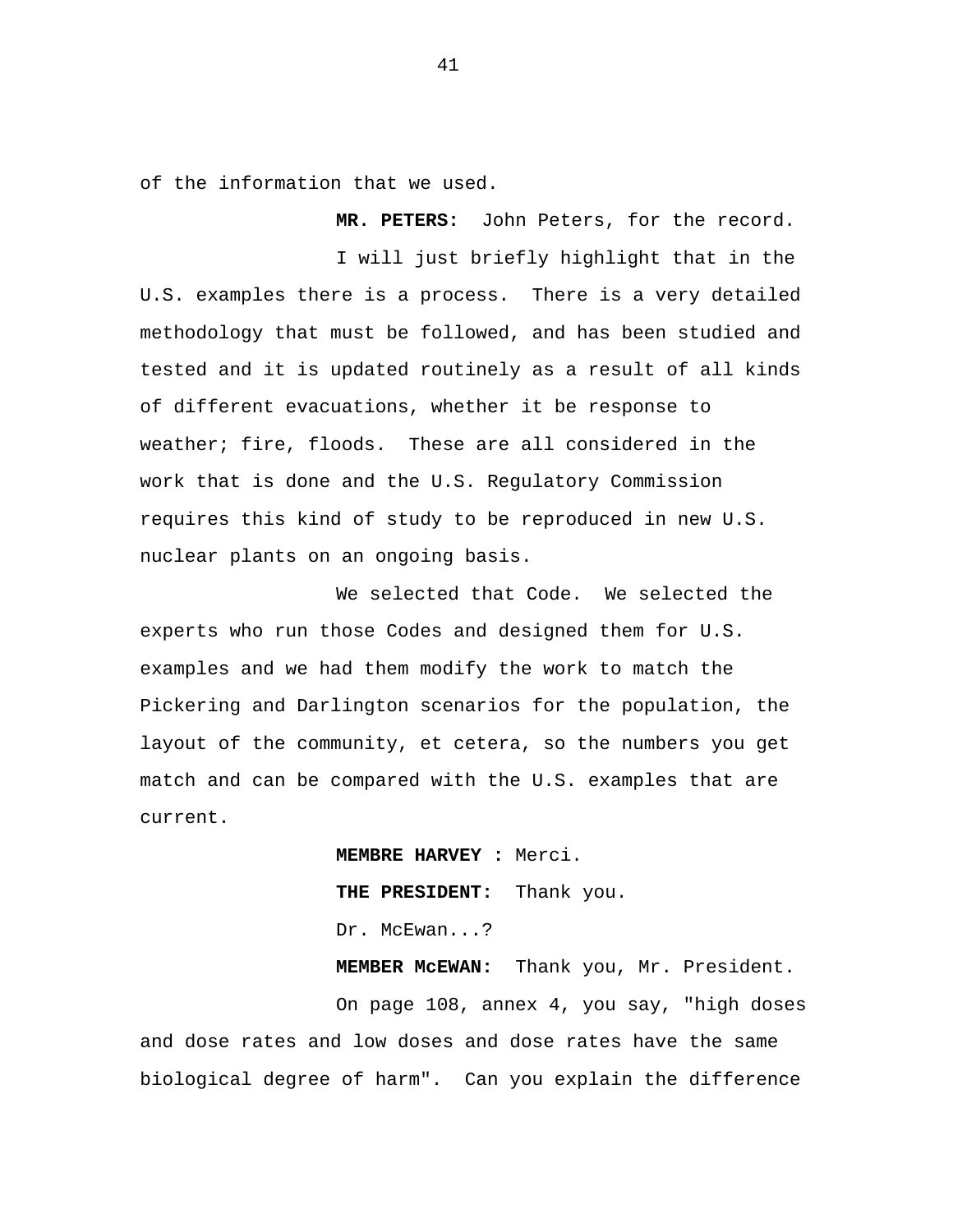of the information that we used.

**MR. PETERS:** John Peters, for the record.

I will just briefly highlight that in the U.S. examples there is a process. There is a very detailed methodology that must be followed, and has been studied and tested and it is updated routinely as a result of all kinds of different evacuations, whether it be response to weather; fire, floods. These are all considered in the work that is done and the U.S. Regulatory Commission requires this kind of study to be reproduced in new U.S. nuclear plants on an ongoing basis.

We selected that Code. We selected the experts who run those Codes and designed them for U.S. examples and we had them modify the work to match the Pickering and Darlington scenarios for the population, the layout of the community, et cetera, so the numbers you get match and can be compared with the U.S. examples that are current.

> **MEMBRE HARVEY :** Merci. **THE PRESIDENT:** Thank you. Dr. McEwan...?

**MEMBER McEWAN:** Thank you, Mr. President.

On page 108, annex 4, you say, "high doses and dose rates and low doses and dose rates have the same biological degree of harm". Can you explain the difference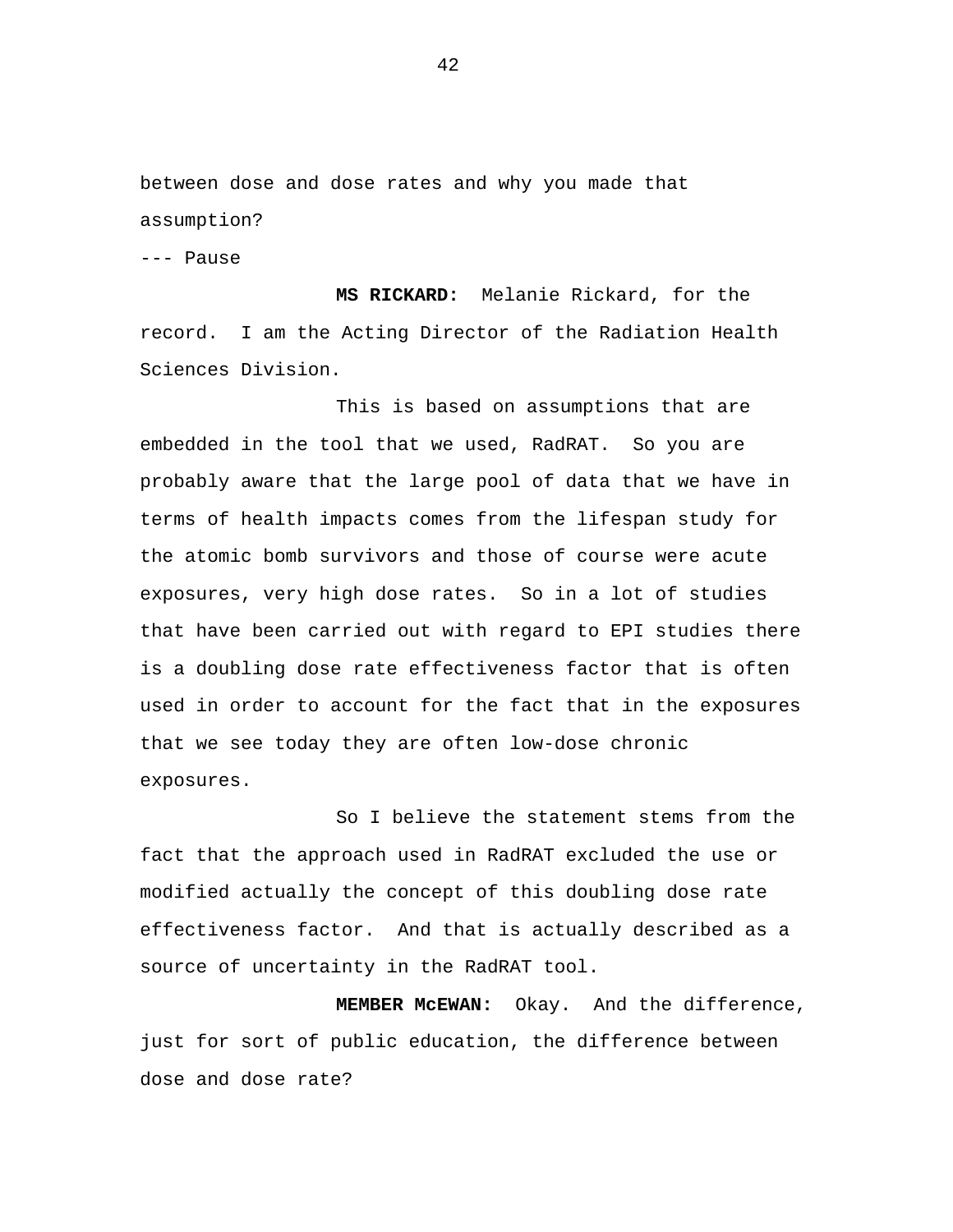between dose and dose rates and why you made that assumption?

--- Pause

**MS RICKARD:** Melanie Rickard, for the record. I am the Acting Director of the Radiation Health Sciences Division.

This is based on assumptions that are embedded in the tool that we used, RadRAT. So you are probably aware that the large pool of data that we have in terms of health impacts comes from the lifespan study for the atomic bomb survivors and those of course were acute exposures, very high dose rates. So in a lot of studies that have been carried out with regard to EPI studies there is a doubling dose rate effectiveness factor that is often used in order to account for the fact that in the exposures that we see today they are often low-dose chronic exposures.

So I believe the statement stems from the fact that the approach used in RadRAT excluded the use or modified actually the concept of this doubling dose rate effectiveness factor. And that is actually described as a source of uncertainty in the RadRAT tool.

**MEMBER McEWAN:** Okay. And the difference, just for sort of public education, the difference between dose and dose rate?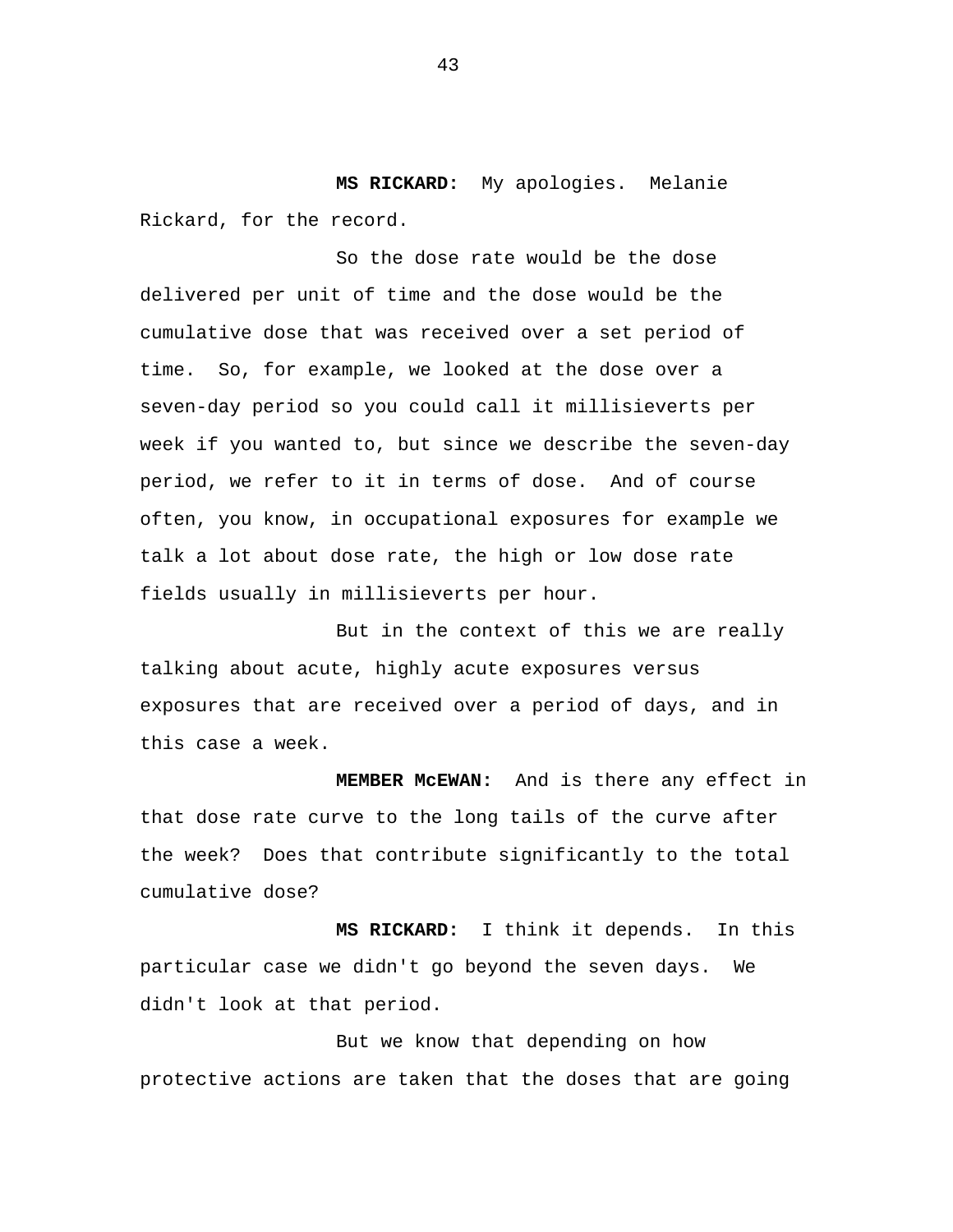**MS RICKARD:** My apologies. Melanie Rickard, for the record.

So the dose rate would be the dose delivered per unit of time and the dose would be the cumulative dose that was received over a set period of time. So, for example, we looked at the dose over a seven-day period so you could call it millisieverts per week if you wanted to, but since we describe the seven-day period, we refer to it in terms of dose. And of course often, you know, in occupational exposures for example we talk a lot about dose rate, the high or low dose rate fields usually in millisieverts per hour.

But in the context of this we are really talking about acute, highly acute exposures versus exposures that are received over a period of days, and in this case a week.

**MEMBER McEWAN:** And is there any effect in that dose rate curve to the long tails of the curve after the week? Does that contribute significantly to the total cumulative dose?

**MS RICKARD:** I think it depends. In this particular case we didn't go beyond the seven days. We didn't look at that period.

But we know that depending on how protective actions are taken that the doses that are going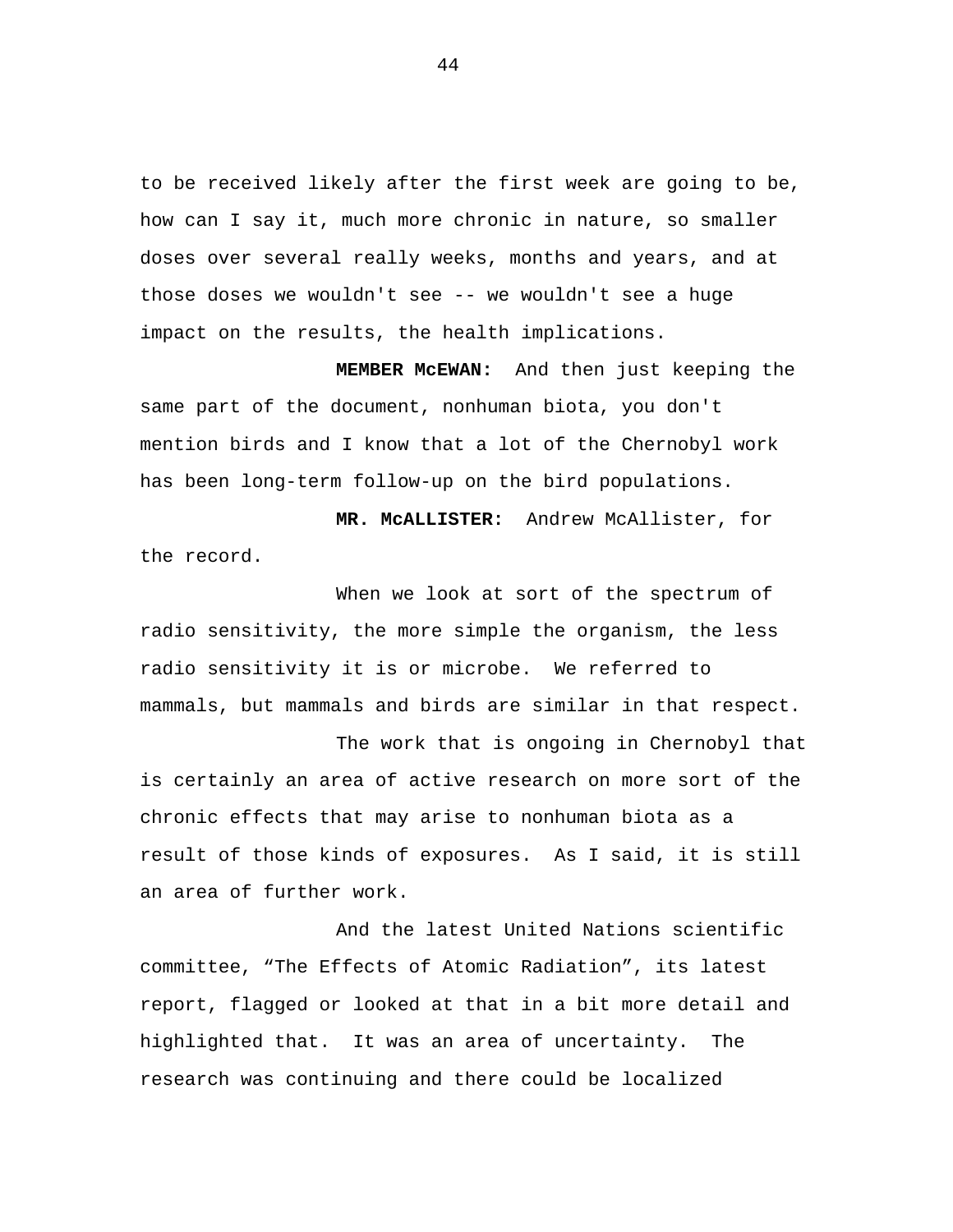to be received likely after the first week are going to be, how can I say it, much more chronic in nature, so smaller doses over several really weeks, months and years, and at those doses we wouldn't see -- we wouldn't see a huge impact on the results, the health implications.

**MEMBER McEWAN:** And then just keeping the same part of the document, nonhuman biota, you don't mention birds and I know that a lot of the Chernobyl work has been long-term follow-up on the bird populations.

**MR. McALLISTER:** Andrew McAllister, for the record.

When we look at sort of the spectrum of radio sensitivity, the more simple the organism, the less radio sensitivity it is or microbe. We referred to mammals, but mammals and birds are similar in that respect.

The work that is ongoing in Chernobyl that is certainly an area of active research on more sort of the chronic effects that may arise to nonhuman biota as a result of those kinds of exposures. As I said, it is still an area of further work.

And the latest United Nations scientific committee, "The Effects of Atomic Radiation", its latest report, flagged or looked at that in a bit more detail and highlighted that. It was an area of uncertainty. The research was continuing and there could be localized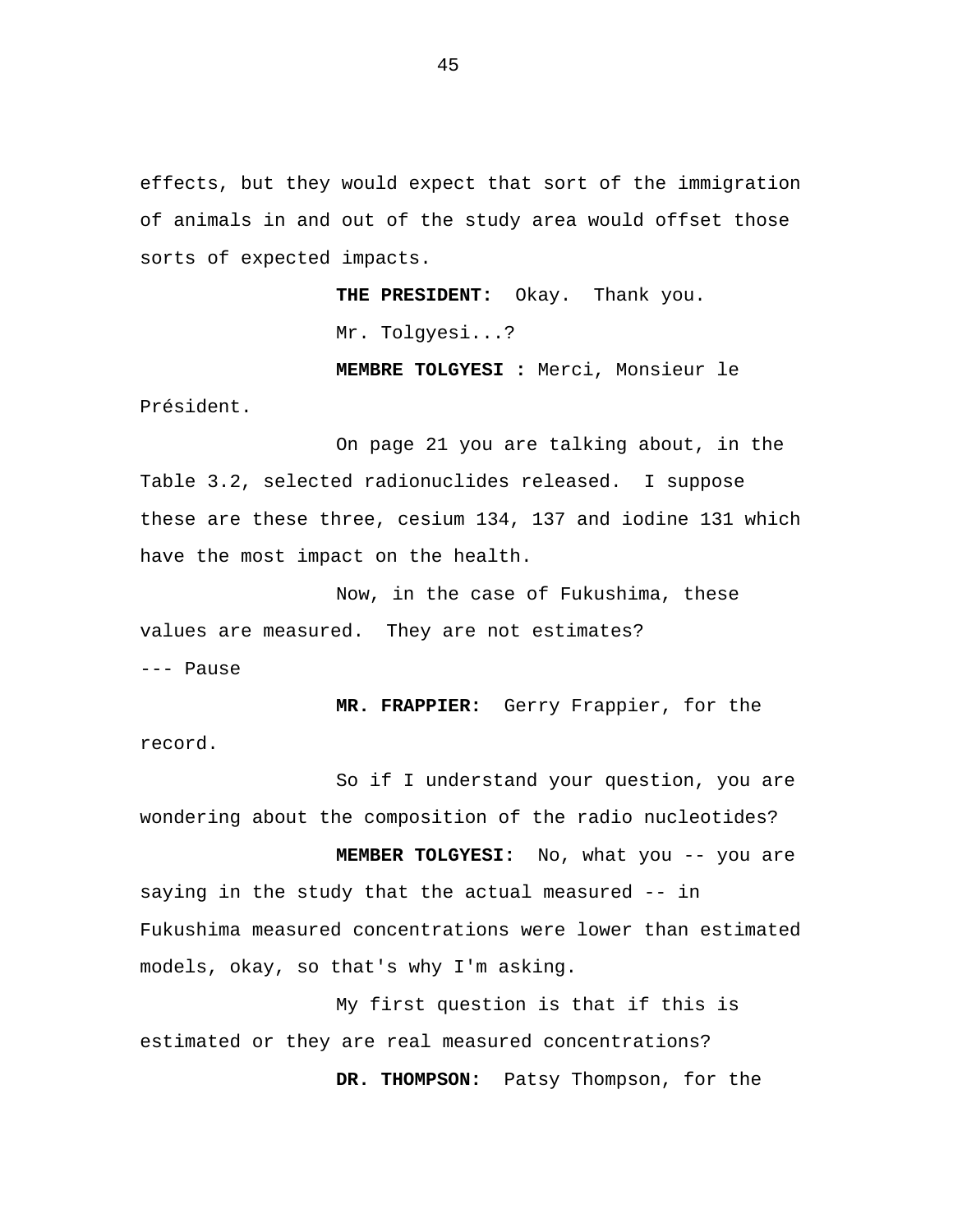effects, but they would expect that sort of the immigration of animals in and out of the study area would offset those sorts of expected impacts.

> **THE PRESIDENT:** Okay. Thank you. Mr. Tolgyesi...?

**MEMBRE TOLGYESI :** Merci, Monsieur le

On page 21 you are talking about, in the Table 3.2, selected radionuclides released. I suppose these are these three, cesium 134, 137 and iodine 131 which have the most impact on the health.

Now, in the case of Fukushima, these values are measured. They are not estimates? --- Pause

Président.

**MR. FRAPPIER:** Gerry Frappier, for the record.

So if I understand your question, you are wondering about the composition of the radio nucleotides?

**MEMBER TOLGYESI:** No, what you -- you are saying in the study that the actual measured -- in Fukushima measured concentrations were lower than estimated models, okay, so that's why I'm asking.

My first question is that if this is estimated or they are real measured concentrations?

**DR. THOMPSON:** Patsy Thompson, for the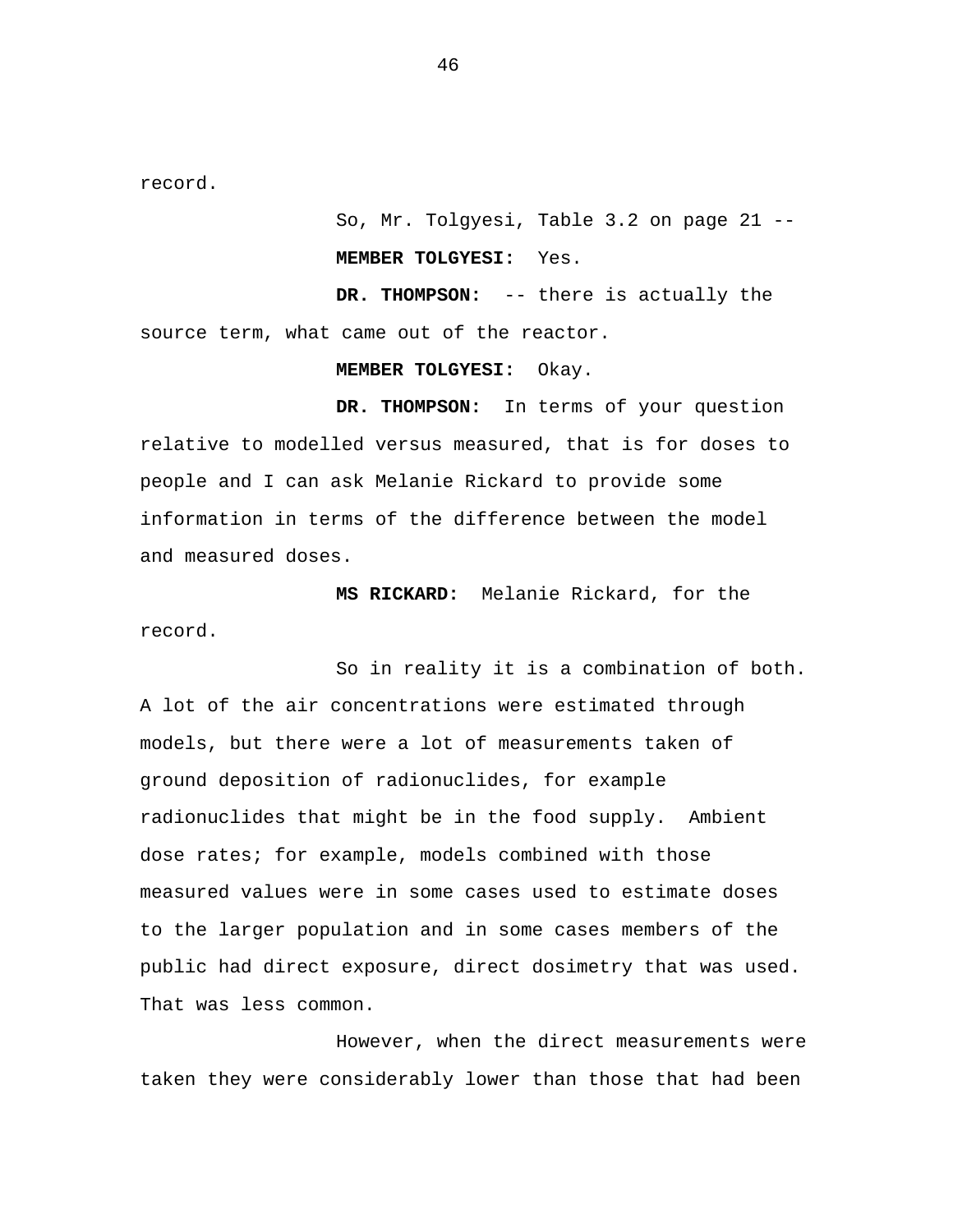record.

So, Mr. Tolgyesi, Table 3.2 on page 21 -- **MEMBER TOLGYESI:** Yes.

**DR. THOMPSON:** -- there is actually the source term, what came out of the reactor.

**MEMBER TOLGYESI:** Okay.

**DR. THOMPSON:** In terms of your question relative to modelled versus measured, that is for doses to people and I can ask Melanie Rickard to provide some information in terms of the difference between the model and measured doses.

**MS RICKARD:** Melanie Rickard, for the record.

So in reality it is a combination of both. A lot of the air concentrations were estimated through models, but there were a lot of measurements taken of ground deposition of radionuclides, for example radionuclides that might be in the food supply. Ambient dose rates; for example, models combined with those measured values were in some cases used to estimate doses to the larger population and in some cases members of the public had direct exposure, direct dosimetry that was used. That was less common.

However, when the direct measurements were taken they were considerably lower than those that had been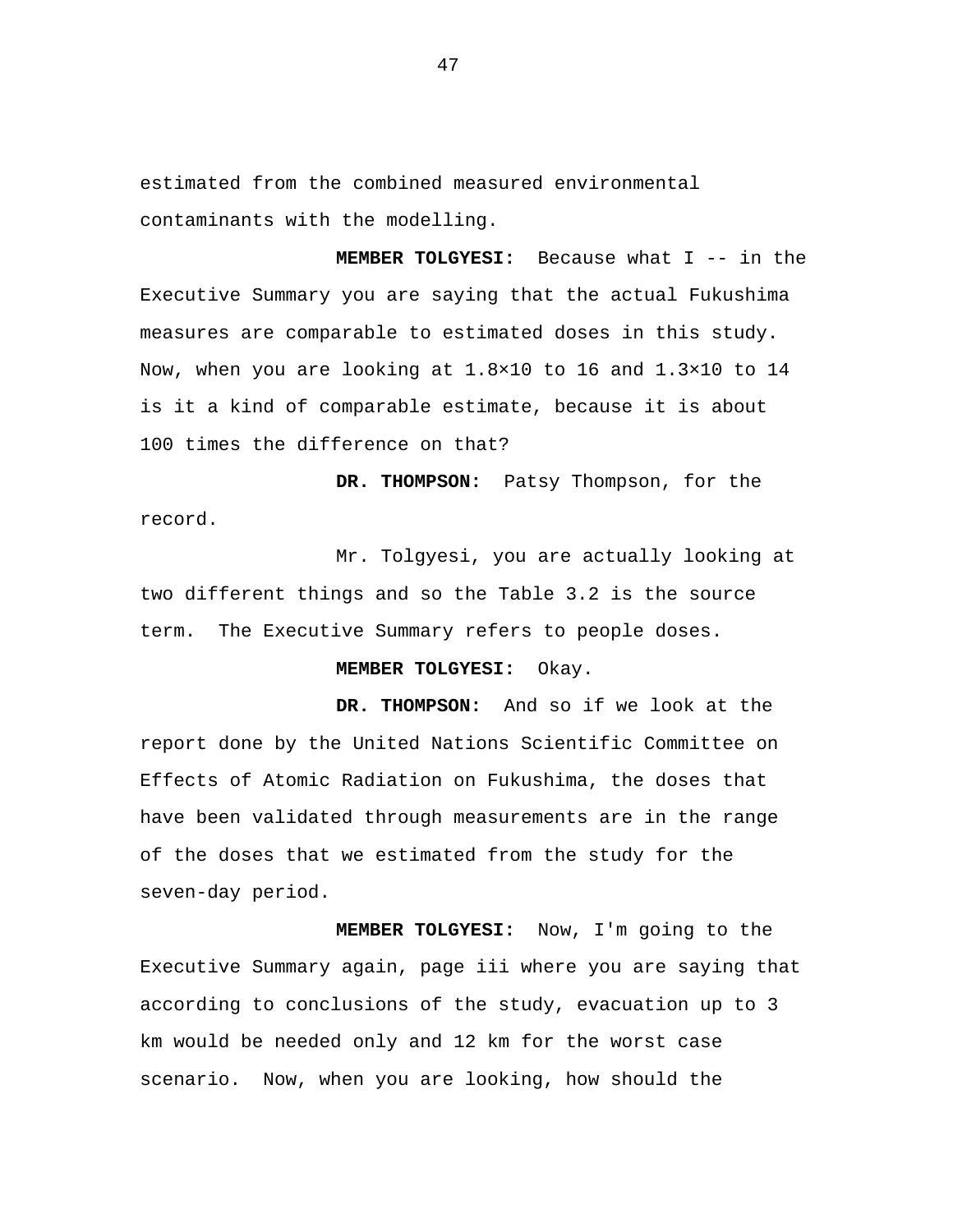estimated from the combined measured environmental contaminants with the modelling.

**MEMBER TOLGYESI:** Because what I -- in the Executive Summary you are saying that the actual Fukushima measures are comparable to estimated doses in this study. Now, when you are looking at 1.8×10 to 16 and 1.3×10 to 14 is it a kind of comparable estimate, because it is about 100 times the difference on that?

**DR. THOMPSON:** Patsy Thompson, for the record.

Mr. Tolgyesi, you are actually looking at two different things and so the Table 3.2 is the source term. The Executive Summary refers to people doses.

## **MEMBER TOLGYESI:** Okay.

**DR. THOMPSON:** And so if we look at the report done by the United Nations Scientific Committee on Effects of Atomic Radiation on Fukushima, the doses that have been validated through measurements are in the range of the doses that we estimated from the study for the seven-day period.

**MEMBER TOLGYESI:** Now, I'm going to the Executive Summary again, page iii where you are saying that according to conclusions of the study, evacuation up to 3 km would be needed only and 12 km for the worst case scenario. Now, when you are looking, how should the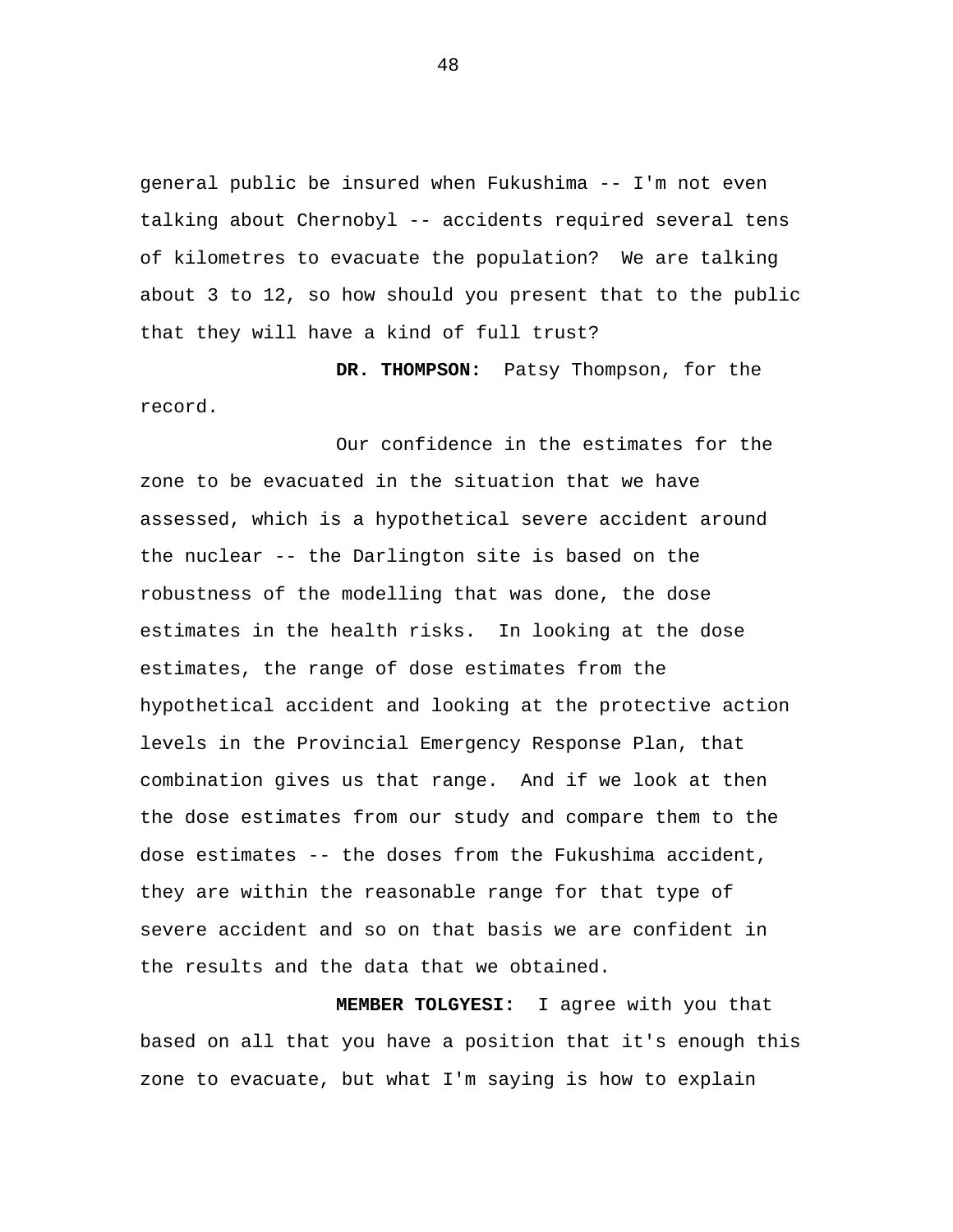general public be insured when Fukushima -- I'm not even talking about Chernobyl -- accidents required several tens of kilometres to evacuate the population? We are talking about 3 to 12, so how should you present that to the public that they will have a kind of full trust?

**DR. THOMPSON:** Patsy Thompson, for the record.

Our confidence in the estimates for the zone to be evacuated in the situation that we have assessed, which is a hypothetical severe accident around the nuclear -- the Darlington site is based on the robustness of the modelling that was done, the dose estimates in the health risks. In looking at the dose estimates, the range of dose estimates from the hypothetical accident and looking at the protective action levels in the Provincial Emergency Response Plan, that combination gives us that range. And if we look at then the dose estimates from our study and compare them to the dose estimates -- the doses from the Fukushima accident, they are within the reasonable range for that type of severe accident and so on that basis we are confident in the results and the data that we obtained.

**MEMBER TOLGYESI:** I agree with you that based on all that you have a position that it's enough this zone to evacuate, but what I'm saying is how to explain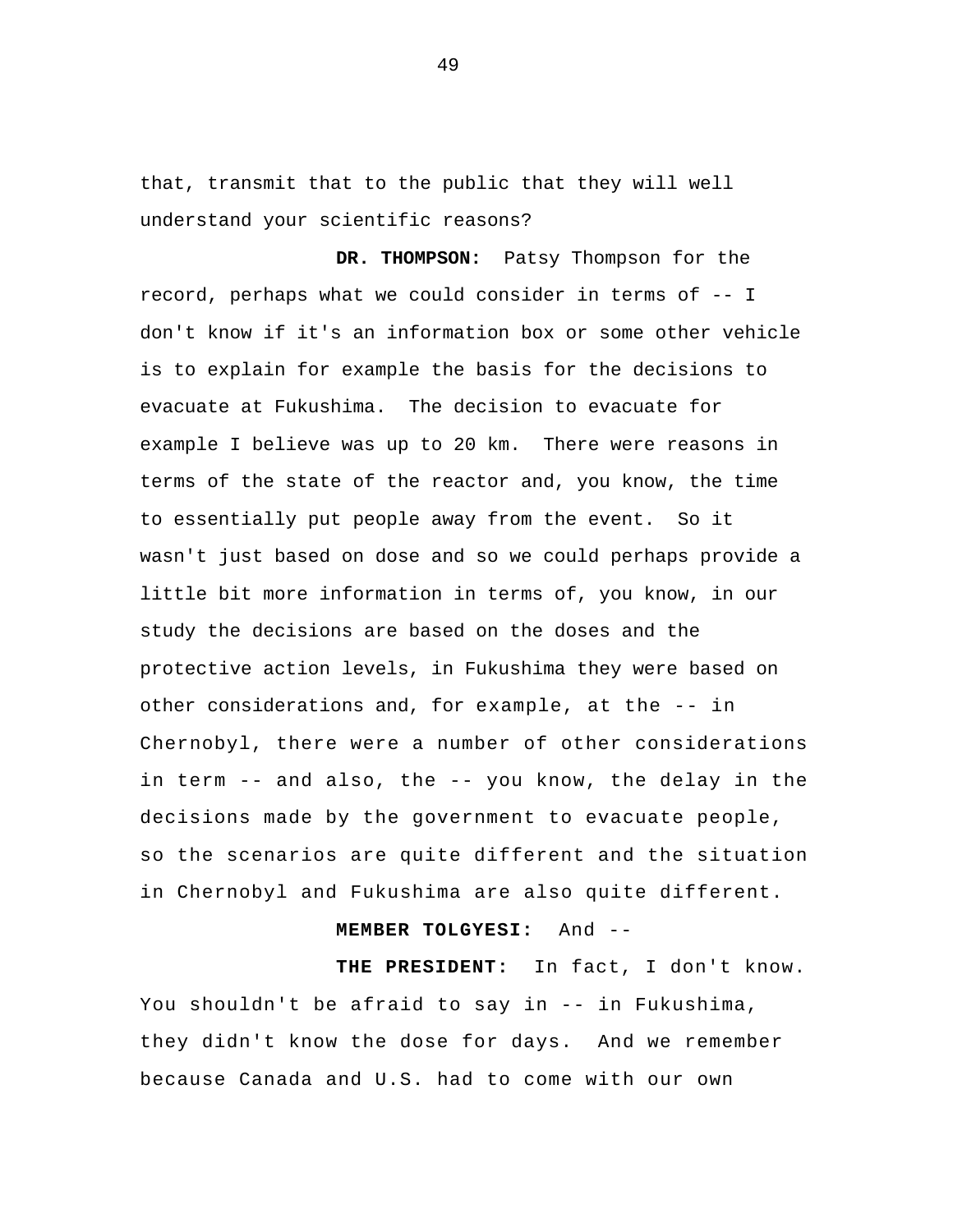that, transmit that to the public that they will well understand your scientific reasons?

 other considerations and, for example, at the -- in **DR. THOMPSON:** Patsy Thompson for the record, perhaps what we could consider in terms of -- I don't know if it's an information box or some other vehicle is to explain for example the basis for the decisions to evacuate at Fukushima. The decision to evacuate for example I believe was up to 20 km. There were reasons in terms of the state of the reactor and, you know, the time to essentially put people away from the event. So it wasn't just based on dose and so we could perhaps provide a little bit more information in terms of, you know, in our study the decisions are based on the doses and the protective action levels, in Fukushima they were based on Chernobyl, there were a number of other considerations in term -- and also, the -- you know, the delay in the decisions made by the government to evacuate people, so the scenarios are quite different and the situation in Chernobyl and Fukushima are also quite different.

## **MEMBER TOLGYESI:** And --

**THE PRESIDENT:** In fact, I don't know. You shouldn't be afraid to say in -- in Fukushima, they didn't know the dose for days. And we remember because Canada and U.S. had to come with our own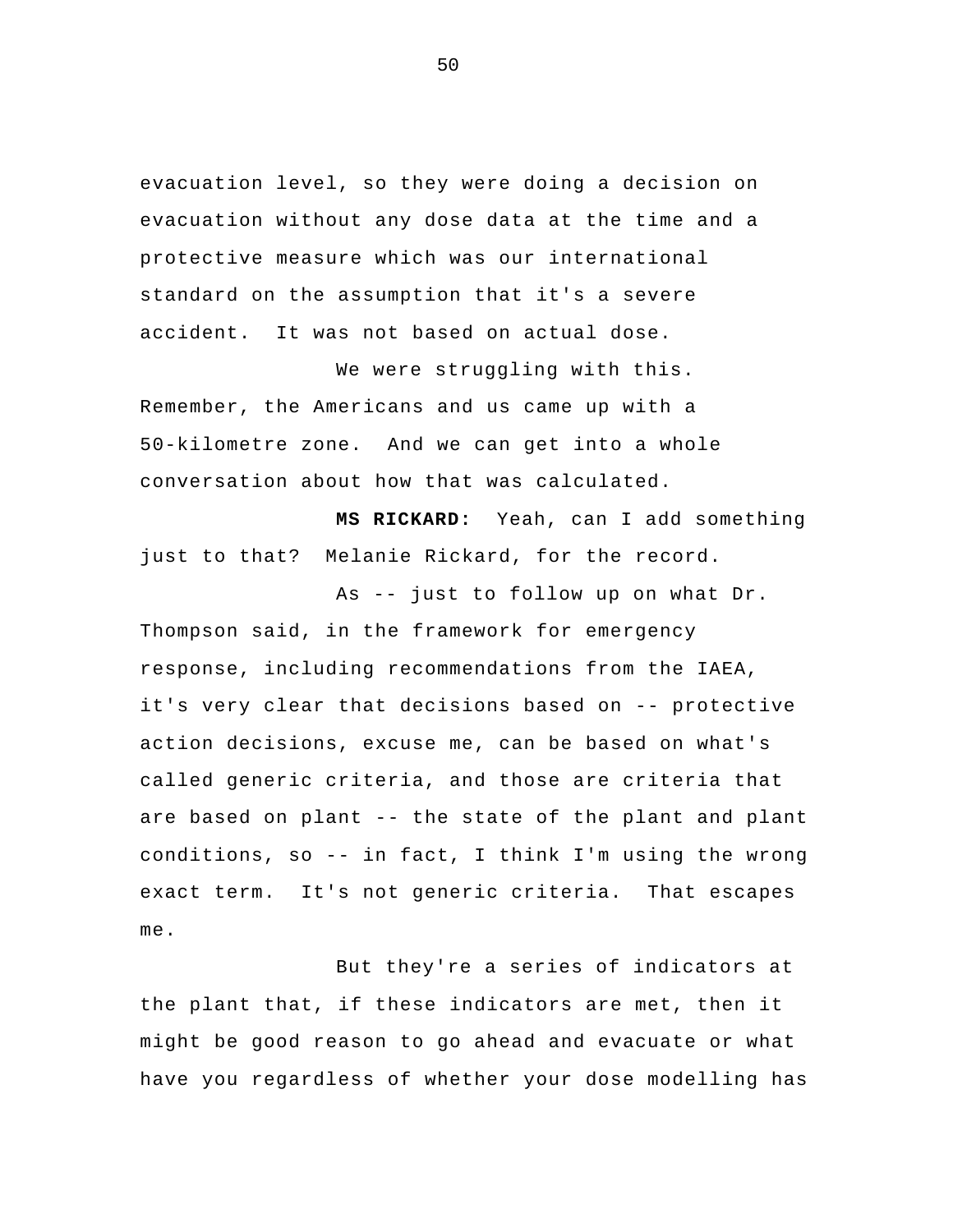evacuation level, so they were doing a decision on evacuation without any dose data at the time and a protective measure which was our international standard on the assumption that it's a severe accident. It was not based on actual dose.

 We were struggling with this. Remember, the Americans and us came up with a 50-kilometre zone. And we can get into a whole conversation about how that was calculated.

**MS RICKARD:** Yeah, can I add something just to that? Melanie Rickard, for the record.

As -- just to follow up on what Dr. Thompson said, in the framework for emergency response, including recommendations from the IAEA, it's very clear that decisions based on -- protective action decisions, excuse me, can be based on what's called generic criteria, and those are criteria that are based on plant -- the state of the plant and plant conditions, so -- in fact, I think I'm using the wrong exact term. It's not generic criteria. That escapes me.

But they're a series of indicators at the plant that, if these indicators are met, then it might be good reason to go ahead and evacuate or what have you regardless of whether your dose modelling has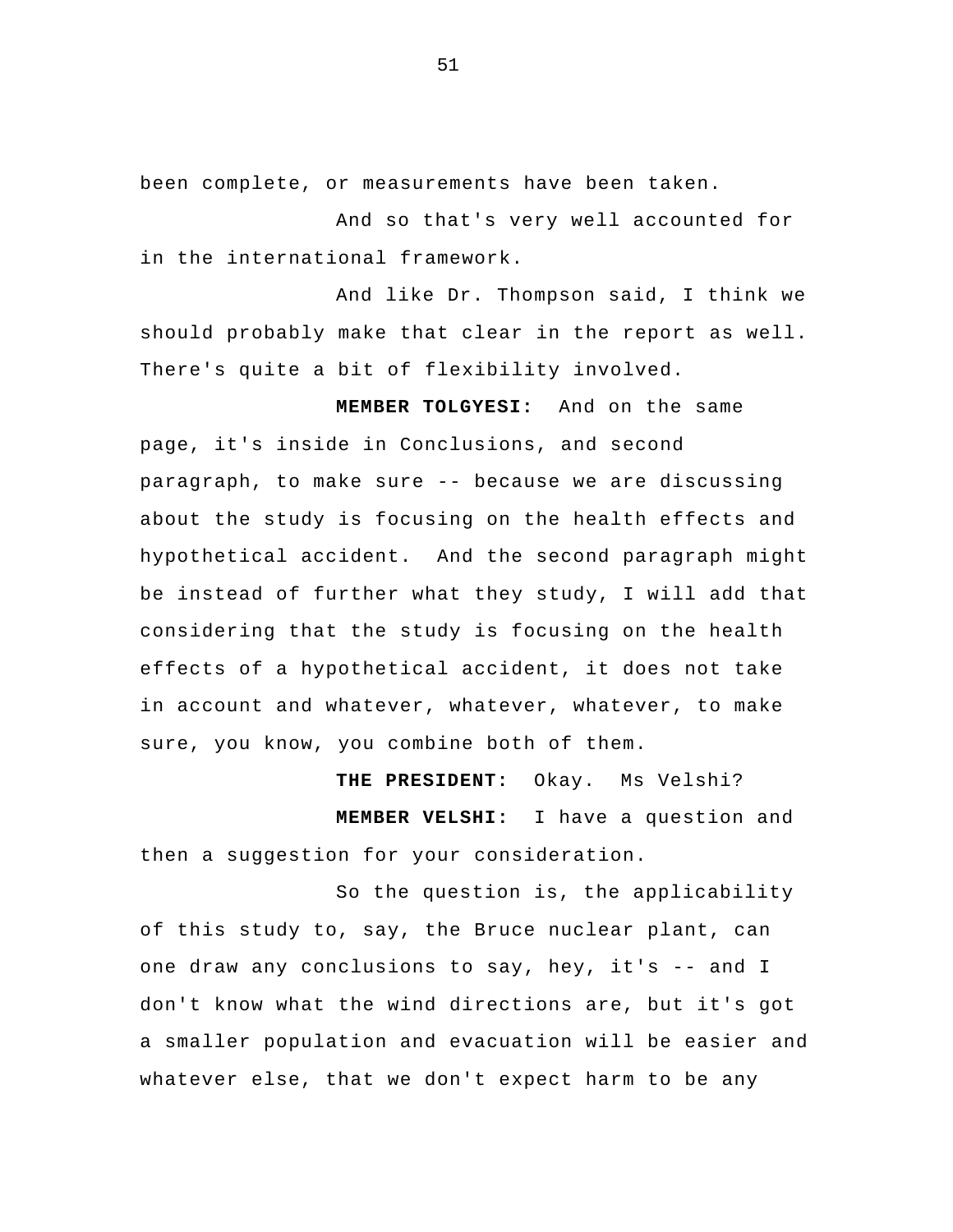been complete, or measurements have been taken.

And so that's very well accounted for in the international framework.

And like Dr. Thompson said, I think we should probably make that clear in the report as well. There's quite a bit of flexibility involved.

**MEMBER TOLGYESI:** And on the same page, it's inside in Conclusions, and second paragraph, to make sure -- because we are discussing about the study is focusing on the health effects and hypothetical accident. And the second paragraph might be instead of further what they study, I will add that considering that the study is focusing on the health effects of a hypothetical accident, it does not take in account and whatever, whatever, whatever, to make sure, you know, you combine both of them.

**THE PRESIDENT:** Okay. Ms Velshi? **MEMBER VELSHI:** I have a question and then a suggestion for your consideration.

So the question is, the applicability of this study to, say, the Bruce nuclear plant, can one draw any conclusions to say, hey, it's -- and I don't know what the wind directions are, but it's got a smaller population and evacuation will be easier and whatever else, that we don't expect harm to be any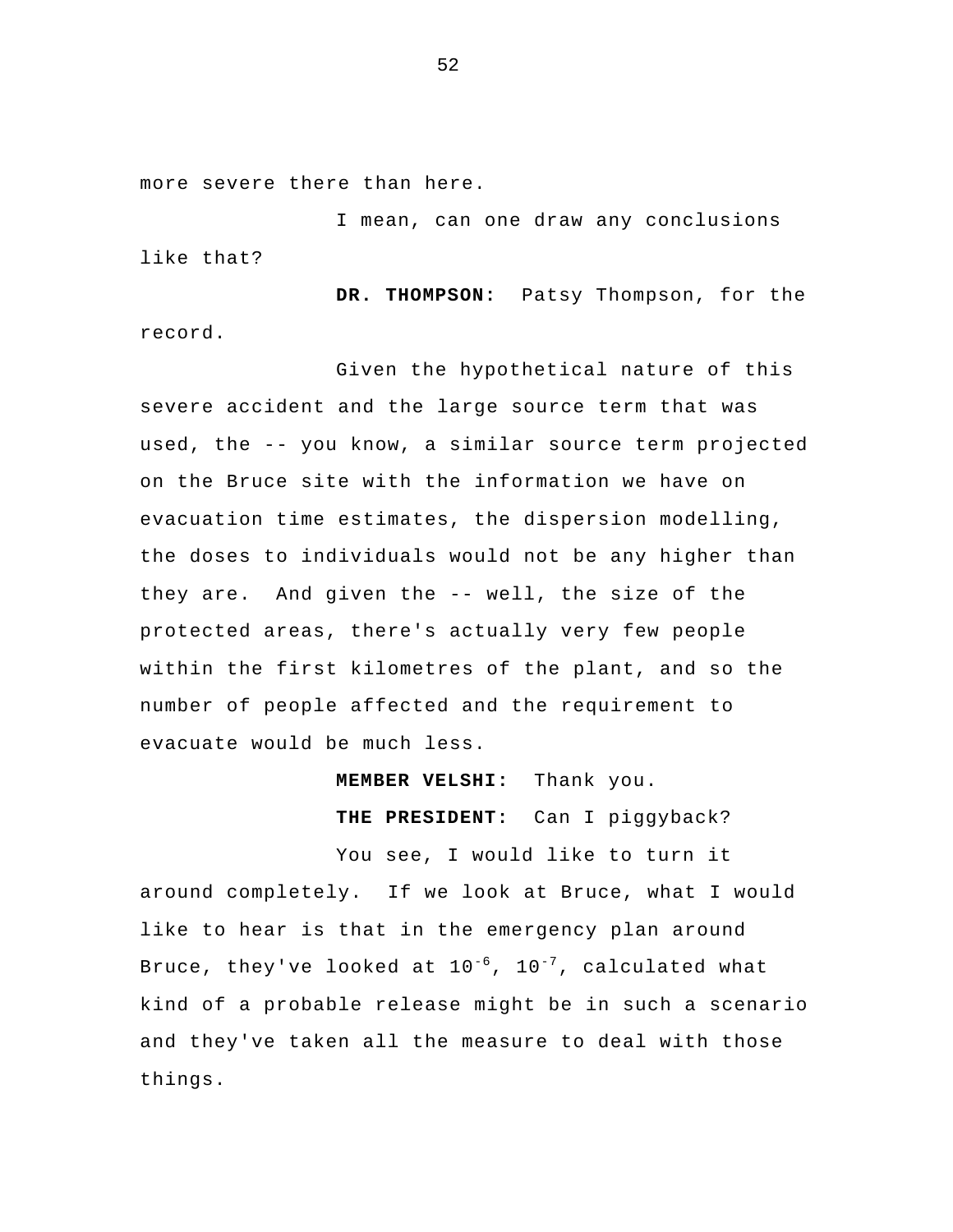more severe there than here.

I mean, can one draw any conclusions like that?

**DR. THOMPSON:** Patsy Thompson, for the record.

 Given the hypothetical nature of this severe accident and the large source term that was used, the -- you know, a similar source term projected on the Bruce site with the information we have on evacuation time estimates, the dispersion modelling, the doses to individuals would not be any higher than they are. And given the -- well, the size of the protected areas, there's actually very few people within the first kilometres of the plant, and so the number of people affected and the requirement to evacuate would be much less.

**MEMBER VELSHI:** Thank you.

**THE PRESIDENT:** Can I piggyback?

You see, I would like to turn it around completely. If we look at Bruce, what I would like to hear is that in the emergency plan around Bruce, they've looked at  $10^{-6}$ ,  $10^{-7}$ , calculated what kind of a probable release might be in such a scenario and they've taken all the measure to deal with those things.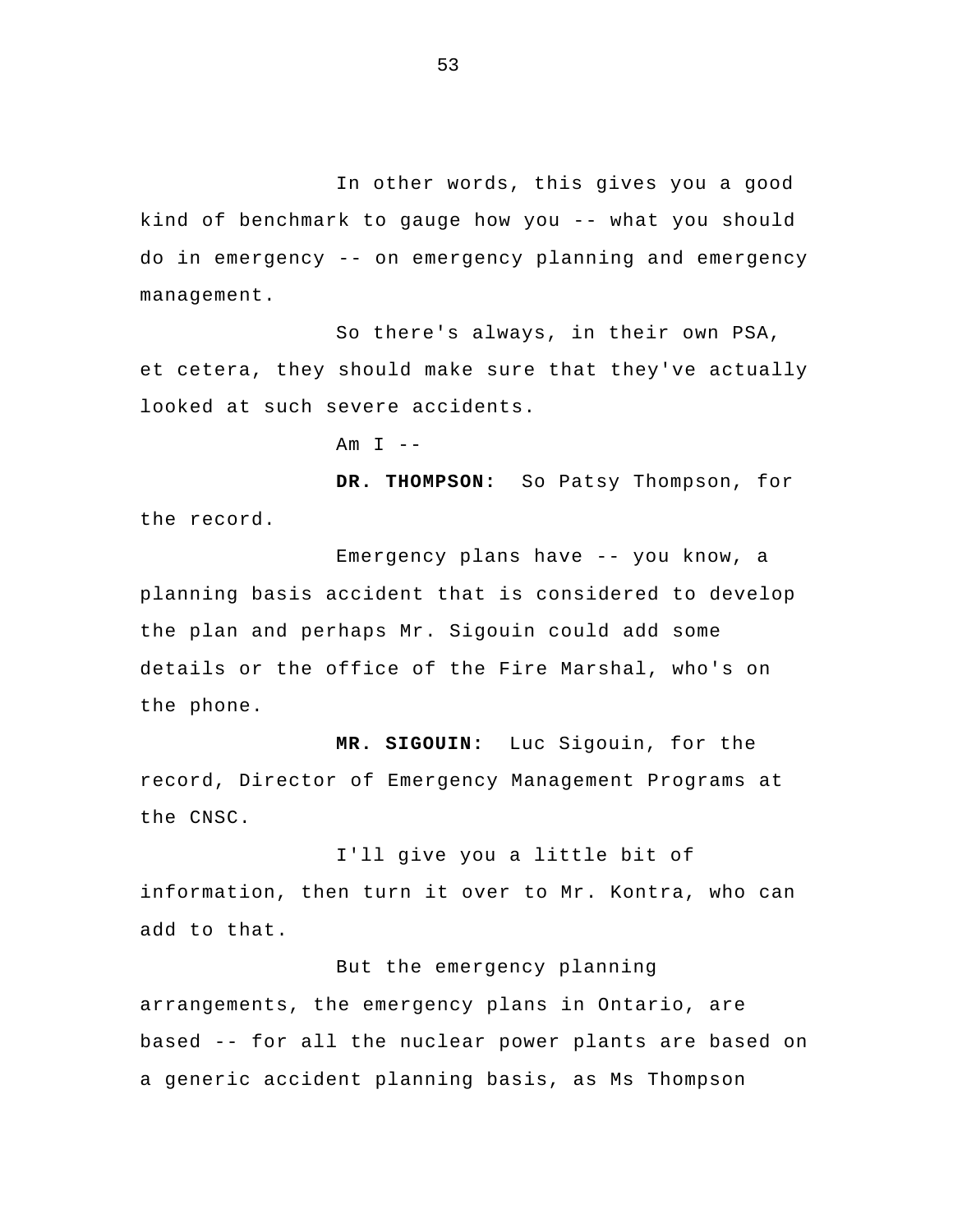In other words, this gives you a good kind of benchmark to gauge how you -- what you should do in emergency -- on emergency planning and emergency management.

 So there's always, in their own PSA, et cetera, they should make sure that they've actually looked at such severe accidents.

Am  $I$  --

**DR. THOMPSON:** So Patsy Thompson, for the record.

 Emergency plans have -- you know, a planning basis accident that is considered to develop the plan and perhaps Mr. Sigouin could add some details or the office of the Fire Marshal, who's on the phone.

**MR. SIGOUIN:** Luc Sigouin, for the record, Director of Emergency Management Programs at the CNSC.

I'll give you a little bit of information, then turn it over to Mr. Kontra, who can add to that.

## But the emergency planning

arrangements, the emergency plans in Ontario, are based -- for all the nuclear power plants are based on a generic accident planning basis, as Ms Thompson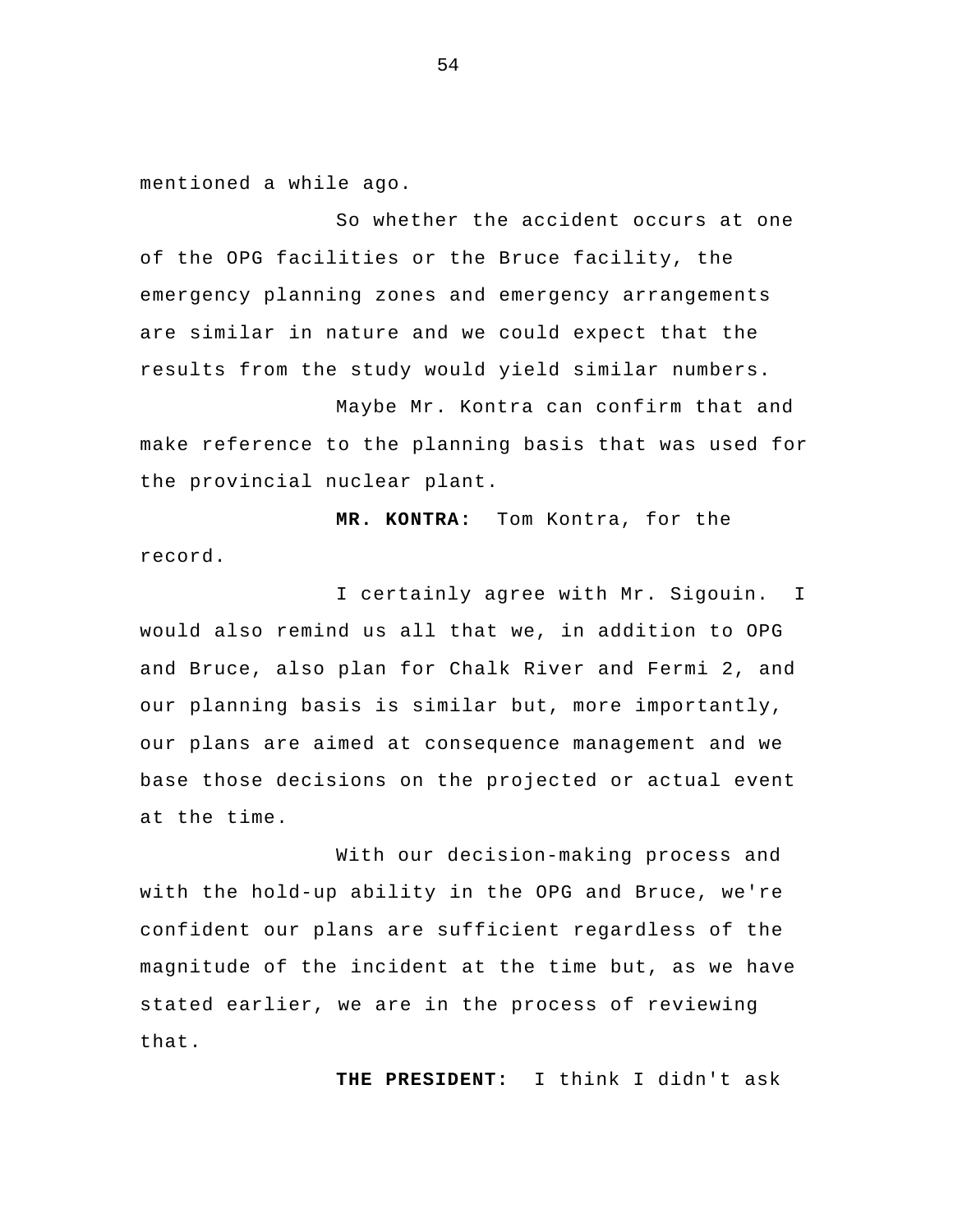mentioned a while ago.

So whether the accident occurs at one of the OPG facilities or the Bruce facility, the emergency planning zones and emergency arrangements are similar in nature and we could expect that the results from the study would yield similar numbers.

 Maybe Mr. Kontra can confirm that and make reference to the planning basis that was used for the provincial nuclear plant.

**MR. KONTRA:** Tom Kontra, for the record.

I certainly agree with Mr. Sigouin. I would also remind us all that we, in addition to OPG and Bruce, also plan for Chalk River and Fermi 2, and our planning basis is similar but, more importantly, our plans are aimed at consequence management and we base those decisions on the projected or actual event at the time.

 With our decision-making process and with the hold-up ability in the OPG and Bruce, we're confident our plans are sufficient regardless of the magnitude of the incident at the time but, as we have stated earlier, we are in the process of reviewing that.

**THE PRESIDENT:** I think I didn't ask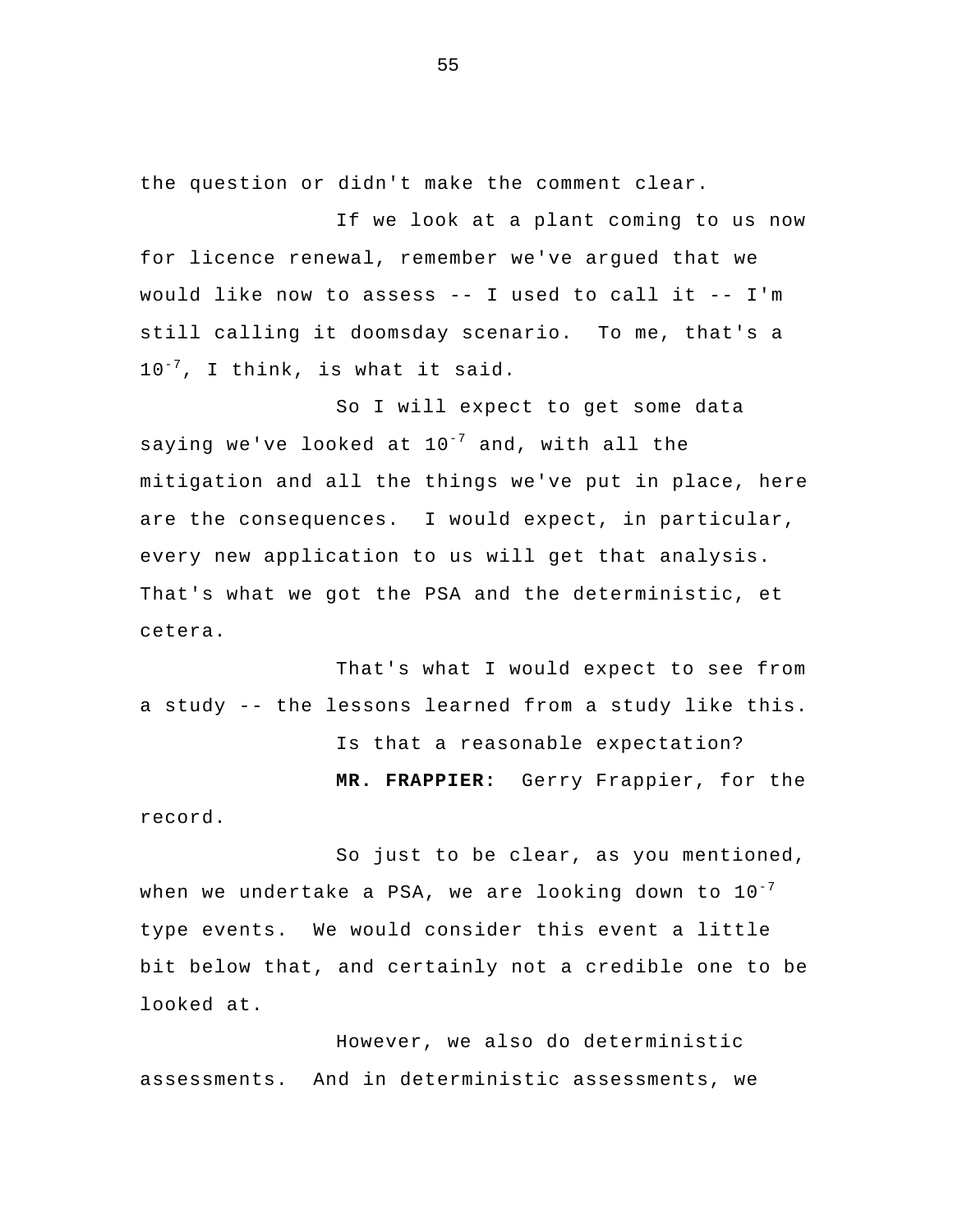the question or didn't make the comment clear.

If we look at a plant coming to us now for licence renewal, remember we've argued that we would like now to assess -- I used to call it -- I'm still calling it doomsday scenario. To me, that's a  $10^{-7}$ , I think, is what it said.

So I will expect to get some data saying we've looked at  $10^{-7}$  and, with all the mitigation and all the things we've put in place, here are the consequences. I would expect, in particular, every new application to us will get that analysis. That's what we got the PSA and the deterministic, et cetera.

That's what I would expect to see from a study -- the lessons learned from a study like this. Is that a reasonable expectation? **MR. FRAPPIER:** Gerry Frappier, for the record.

So just to be clear, as you mentioned, when we undertake a PSA, we are looking down to  $10^{-7}$ type events. We would consider this event a little bit below that, and certainly not a credible one to be looked at.

 However, we also do deterministic assessments. And in deterministic assessments, we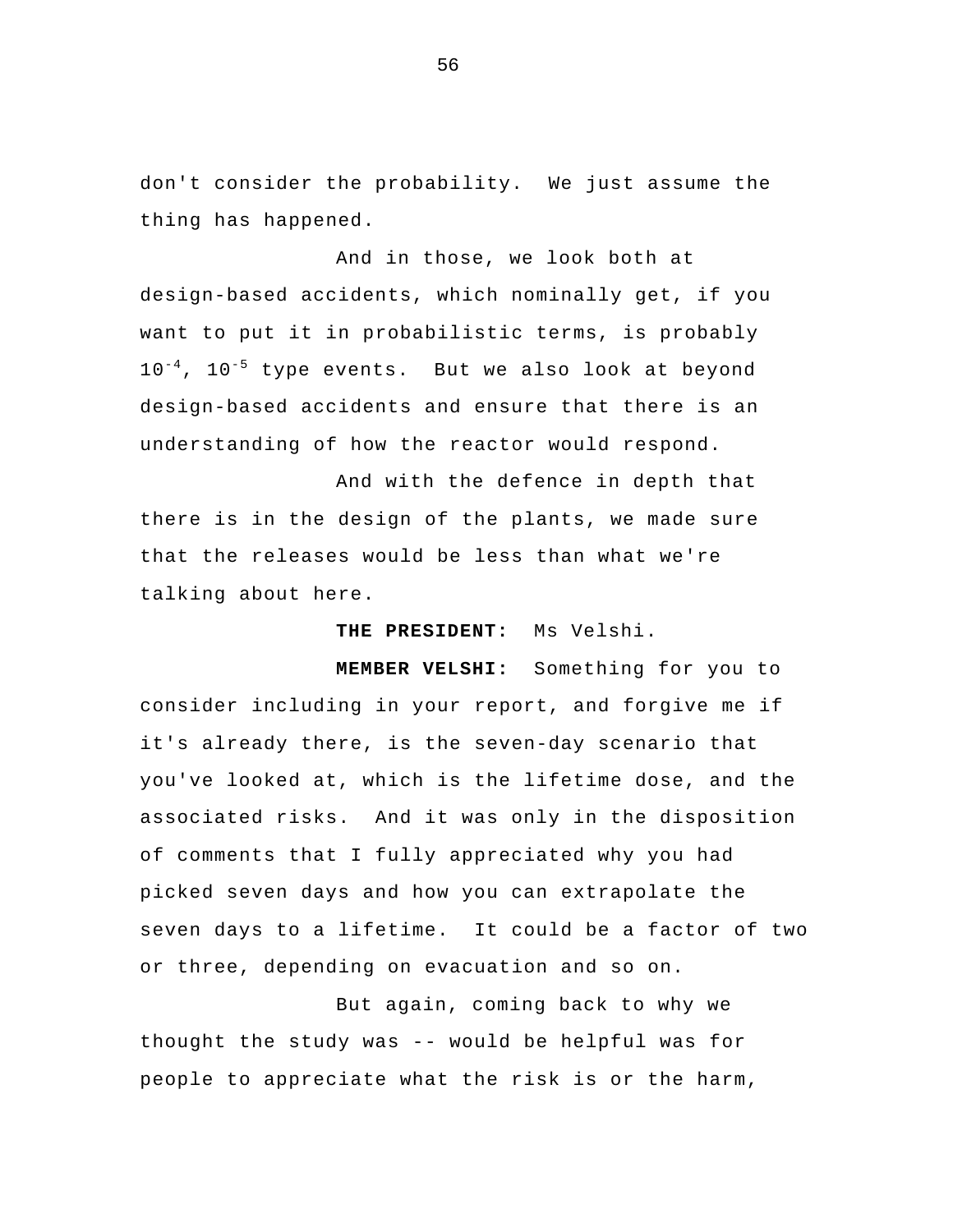don't consider the probability. We just assume the thing has happened.

And in those, we look both at design-based accidents, which nominally get, if you want to put it in probabilistic terms, is probably  $10^{-4}$ ,  $10^{-5}$  type events. But we also look at beyond design-based accidents and ensure that there is an understanding of how the reactor would respond.

And with the defence in depth that there is in the design of the plants, we made sure that the releases would be less than what we're talking about here.

**THE PRESIDENT:** Ms Velshi.

**MEMBER VELSHI:** Something for you to consider including in your report, and forgive me if it's already there, is the seven-day scenario that you've looked at, which is the lifetime dose, and the associated risks. And it was only in the disposition of comments that I fully appreciated why you had picked seven days and how you can extrapolate the seven days to a lifetime. It could be a factor of two or three, depending on evacuation and so on.

But again, coming back to why we thought the study was -- would be helpful was for people to appreciate what the risk is or the harm,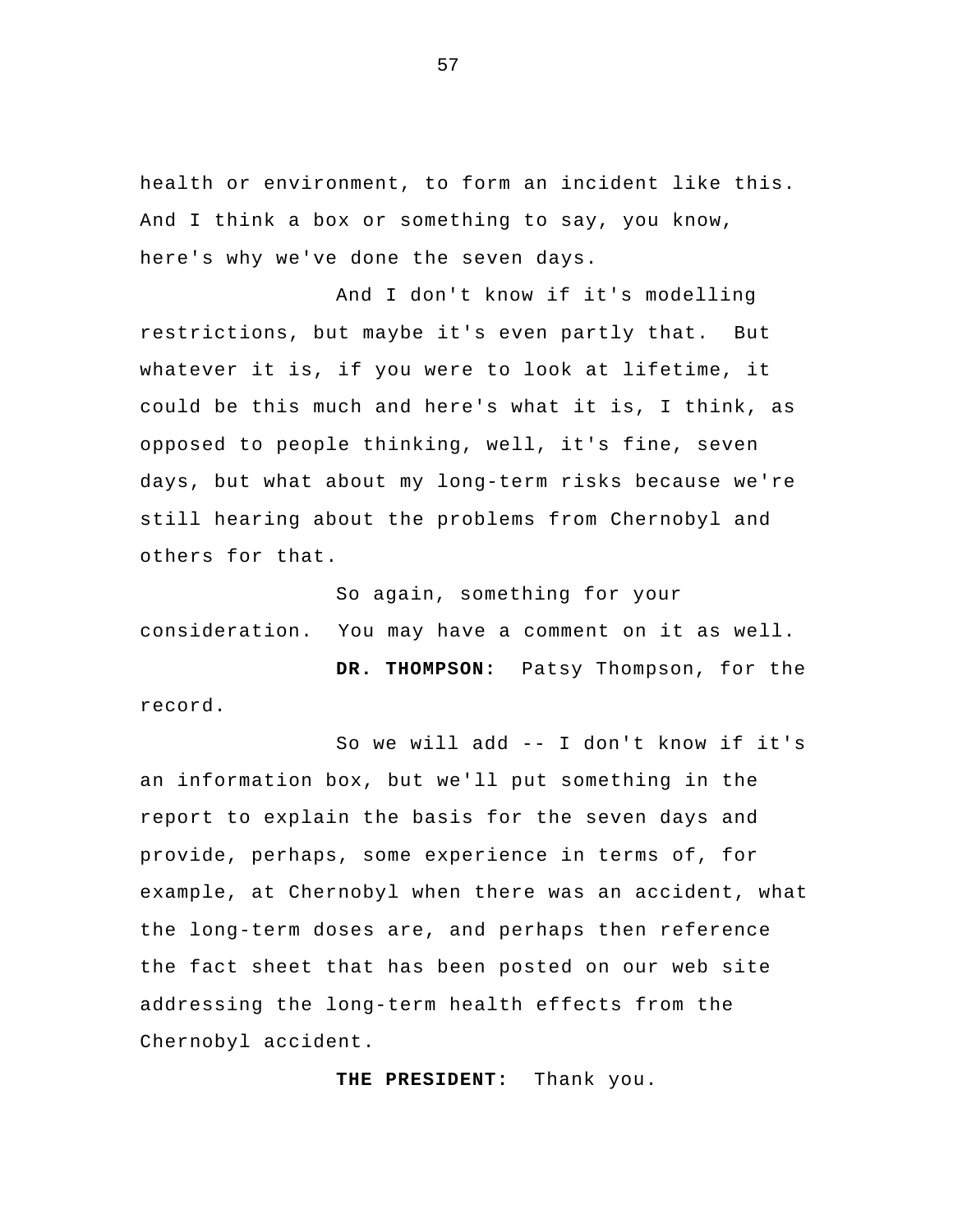health or environment, to form an incident like this. And I think a box or something to say, you know, here's why we've done the seven days.

And I don't know if it's modelling restrictions, but maybe it's even partly that. But whatever it is, if you were to look at lifetime, it could be this much and here's what it is, I think, as opposed to people thinking, well, it's fine, seven days, but what about my long-term risks because we're still hearing about the problems from Chernobyl and others for that.

So again, something for your consideration. You may have a comment on it as well.

**DR. THOMPSON:** Patsy Thompson, for the record.

So we will add -- I don't know if it's an information box, but we'll put something in the report to explain the basis for the seven days and provide, perhaps, some experience in terms of, for example, at Chernobyl when there was an accident, what the long-term doses are, and perhaps then reference the fact sheet that has been posted on our web site addressing the long-term health effects from the Chernobyl accident.

**THE PRESIDENT:** Thank you.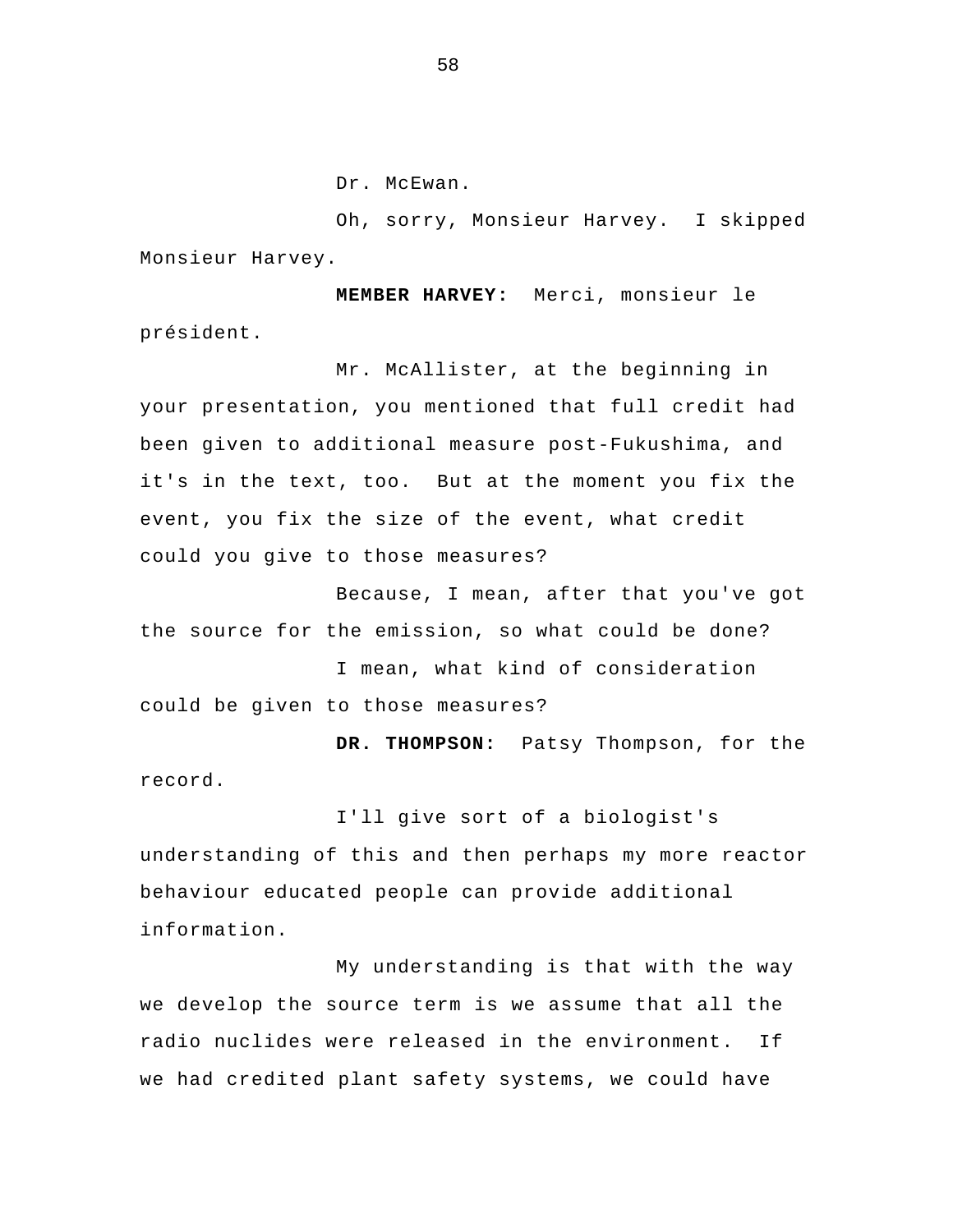Dr. McEwan.

Oh, sorry, Monsieur Harvey. I skipped Monsieur Harvey.

**MEMBER HARVEY:** Merci, monsieur le président.

Mr. McAllister, at the beginning in your presentation, you mentioned that full credit had been given to additional measure post-Fukushima, and it's in the text, too. But at the moment you fix the event, you fix the size of the event, what credit could you give to those measures?

Because, I mean, after that you've got the source for the emission, so what could be done?

I mean, what kind of consideration could be given to those measures?

**DR. THOMPSON:** Patsy Thompson, for the record.

I'll give sort of a biologist's understanding of this and then perhaps my more reactor behaviour educated people can provide additional information.

 My understanding is that with the way we develop the source term is we assume that all the radio nuclides were released in the environment. If we had credited plant safety systems, we could have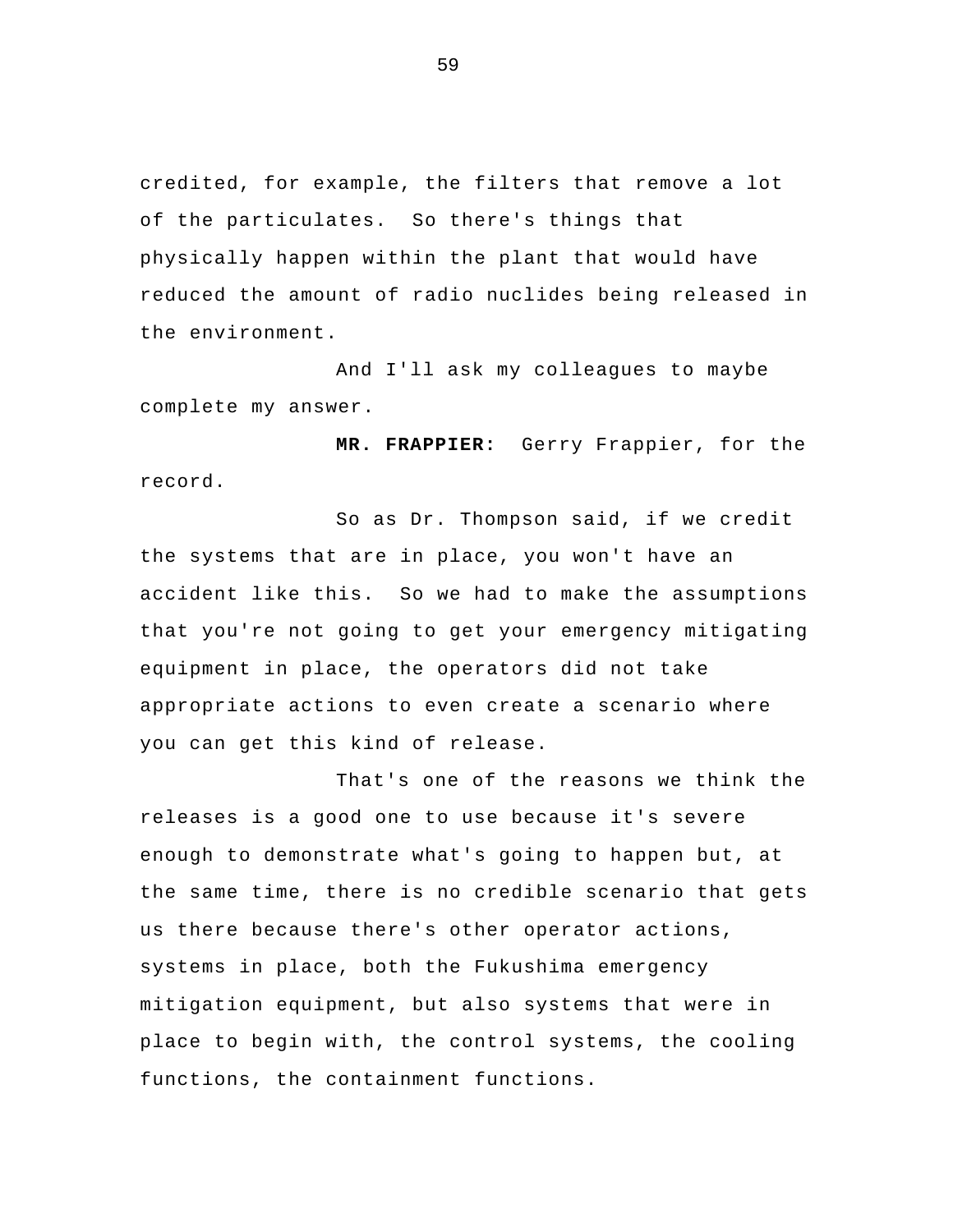credited, for example, the filters that remove a lot of the particulates. So there's things that physically happen within the plant that would have reduced the amount of radio nuclides being released in the environment.

And I'll ask my colleagues to maybe complete my answer.

**MR. FRAPPIER:** Gerry Frappier, for the record.

So as Dr. Thompson said, if we credit the systems that are in place, you won't have an accident like this. So we had to make the assumptions that you're not going to get your emergency mitigating equipment in place, the operators did not take appropriate actions to even create a scenario where you can get this kind of release.

That's one of the reasons we think the releases is a good one to use because it's severe enough to demonstrate what's going to happen but, at the same time, there is no credible scenario that gets us there because there's other operator actions, systems in place, both the Fukushima emergency mitigation equipment, but also systems that were in place to begin with, the control systems, the cooling functions, the containment functions.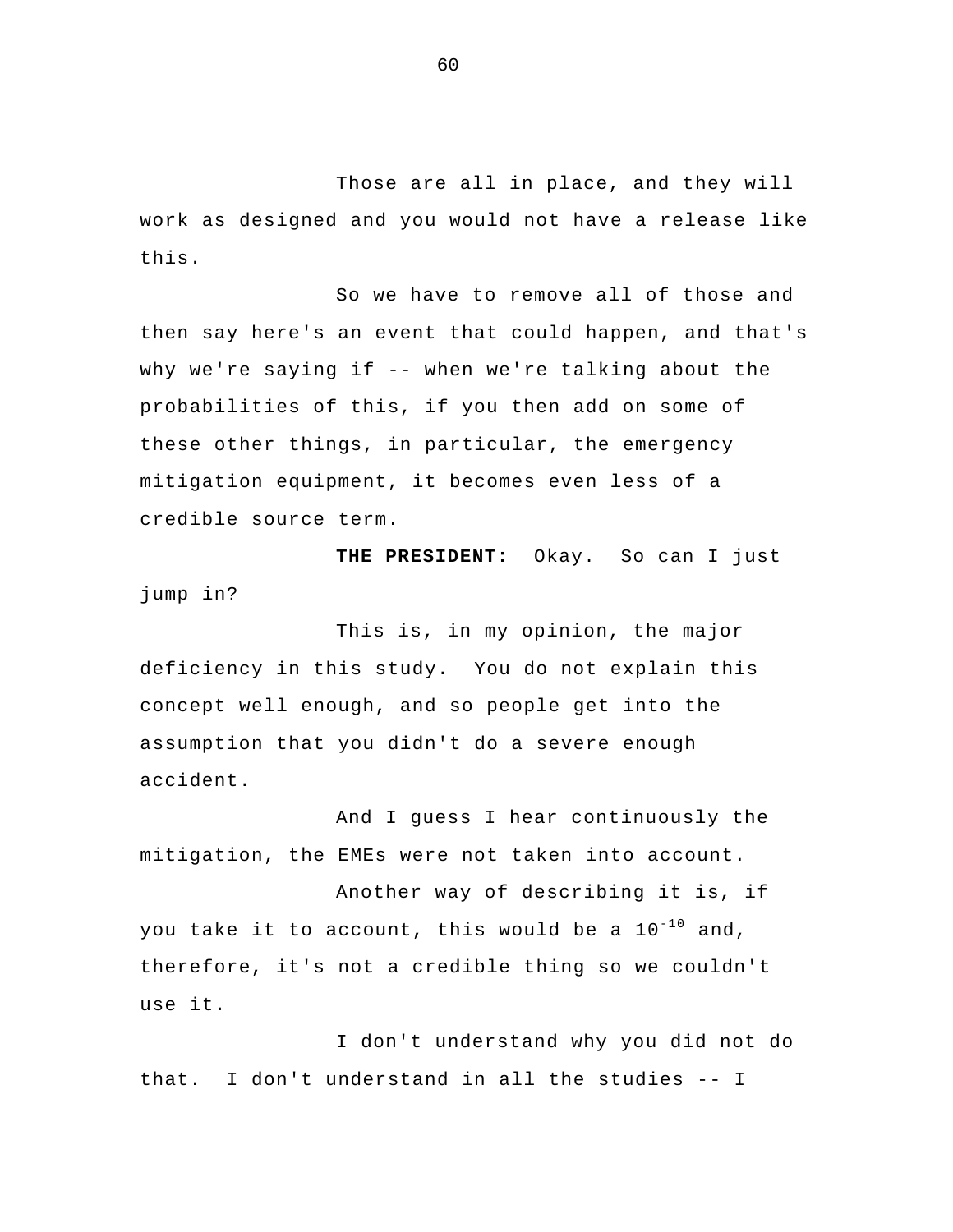Those are all in place, and they will work as designed and you would not have a release like this.

So we have to remove all of those and then say here's an event that could happen, and that's why we're saying if -- when we're talking about the probabilities of this, if you then add on some of these other things, in particular, the emergency mitigation equipment, it becomes even less of a credible source term.

**THE PRESIDENT:** Okay. So can I just jump in?

This is, in my opinion, the major deficiency in this study. You do not explain this concept well enough, and so people get into the assumption that you didn't do a severe enough accident.

And I guess I hear continuously the mitigation, the EMEs were not taken into account.

 Another way of describing it is, if you take it to account, this would be a  $10^{-10}$  and, therefore, it's not a credible thing so we couldn't use it.

I don't understand why you did not do that. I don't understand in all the studies -- I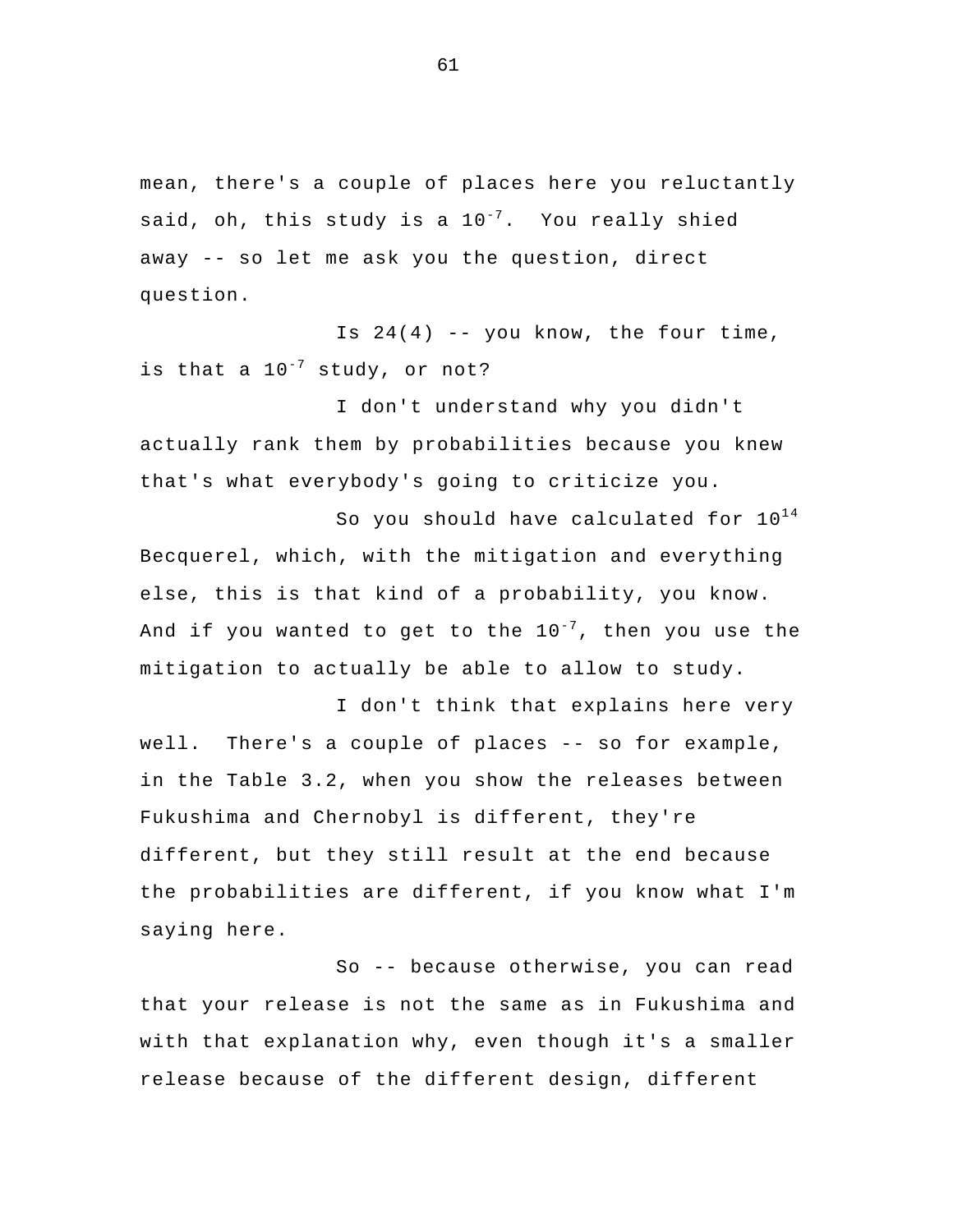mean, there's a couple of places here you reluctantly said, oh, this study is a  $10^{-7}$ . You really shied away -- so let me ask you the question, direct question.

Is  $24(4)$  -- you know, the four time, is that a  $10^{-7}$  study, or not?

I don't understand why you didn't actually rank them by probabilities because you knew that's what everybody's going to criticize you.

So you should have calculated for  $10^{14}$ Becquerel, which, with the mitigation and everything else, this is that kind of a probability, you know. And if you wanted to get to the  $10^{-7}$ , then you use the mitigation to actually be able to allow to study.

I don't think that explains here very well. There's a couple of places -- so for example, in the Table 3.2, when you show the releases between Fukushima and Chernobyl is different, they're different, but they still result at the end because the probabilities are different, if you know what I'm saying here.

 So -- because otherwise, you can read that your release is not the same as in Fukushima and with that explanation why, even though it's a smaller release because of the different design, different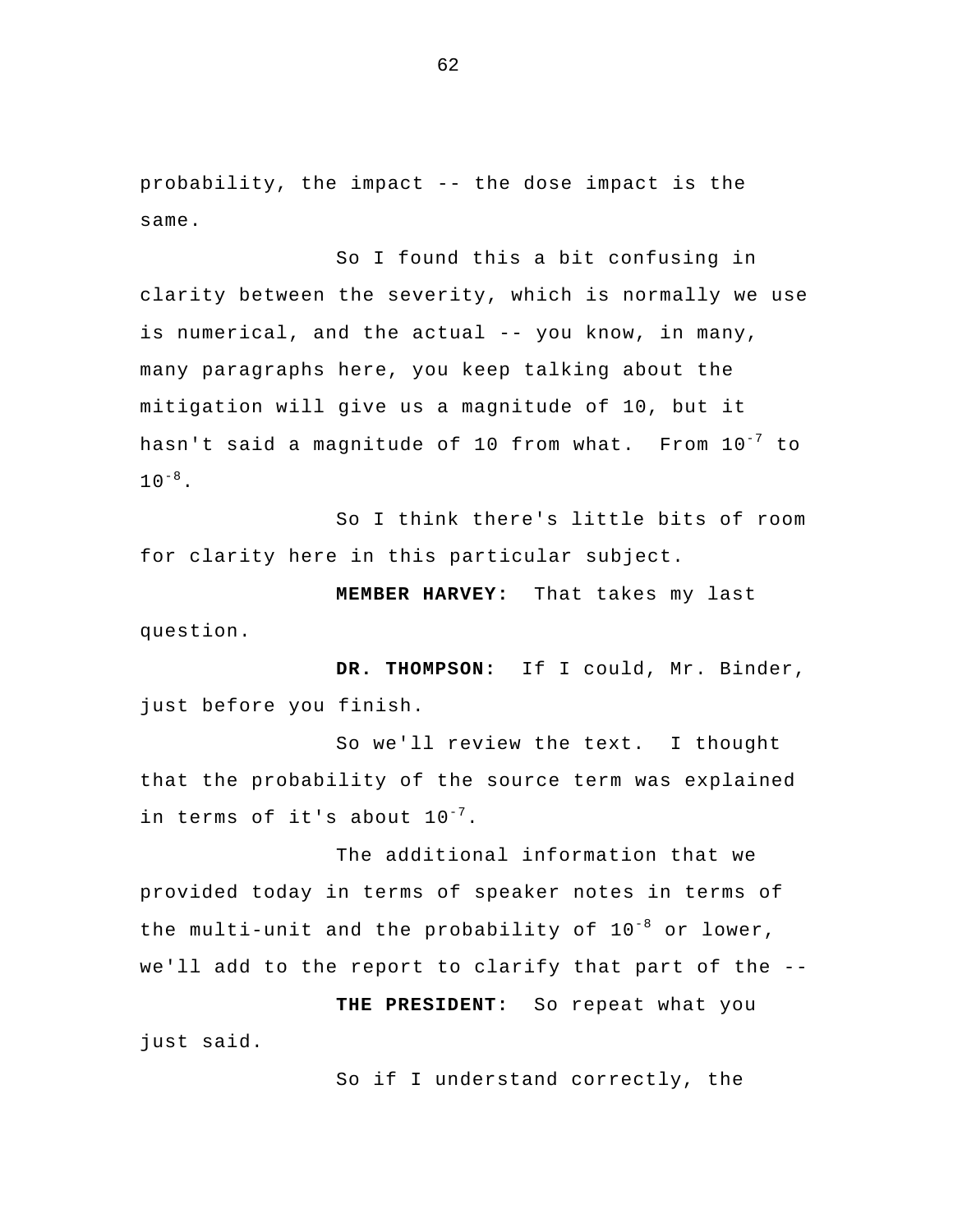probability, the impact -- the dose impact is the same.

So I found this a bit confusing in clarity between the severity, which is normally we use is numerical, and the actual -- you know, in many, many paragraphs here, you keep talking about the mitigation will give us a magnitude of 10, but it hasn't said a magnitude of 10 from what. From 10<sup>-7</sup> to  $10^{-8}$ .

So I think there's little bits of room for clarity here in this particular subject.

**MEMBER HARVEY:** That takes my last question.

**DR. THOMPSON:** If I could, Mr. Binder, just before you finish.

So we'll review the text. I thought that the probability of the source term was explained in terms of it's about  $10^{-7}$ .

The additional information that we provided today in terms of speaker notes in terms of the multi-unit and the probability of  $10^{-8}$  or lower, we'll add to the report to clarify that part of the --

**THE PRESIDENT:** So repeat what you just said.

So if I understand correctly, the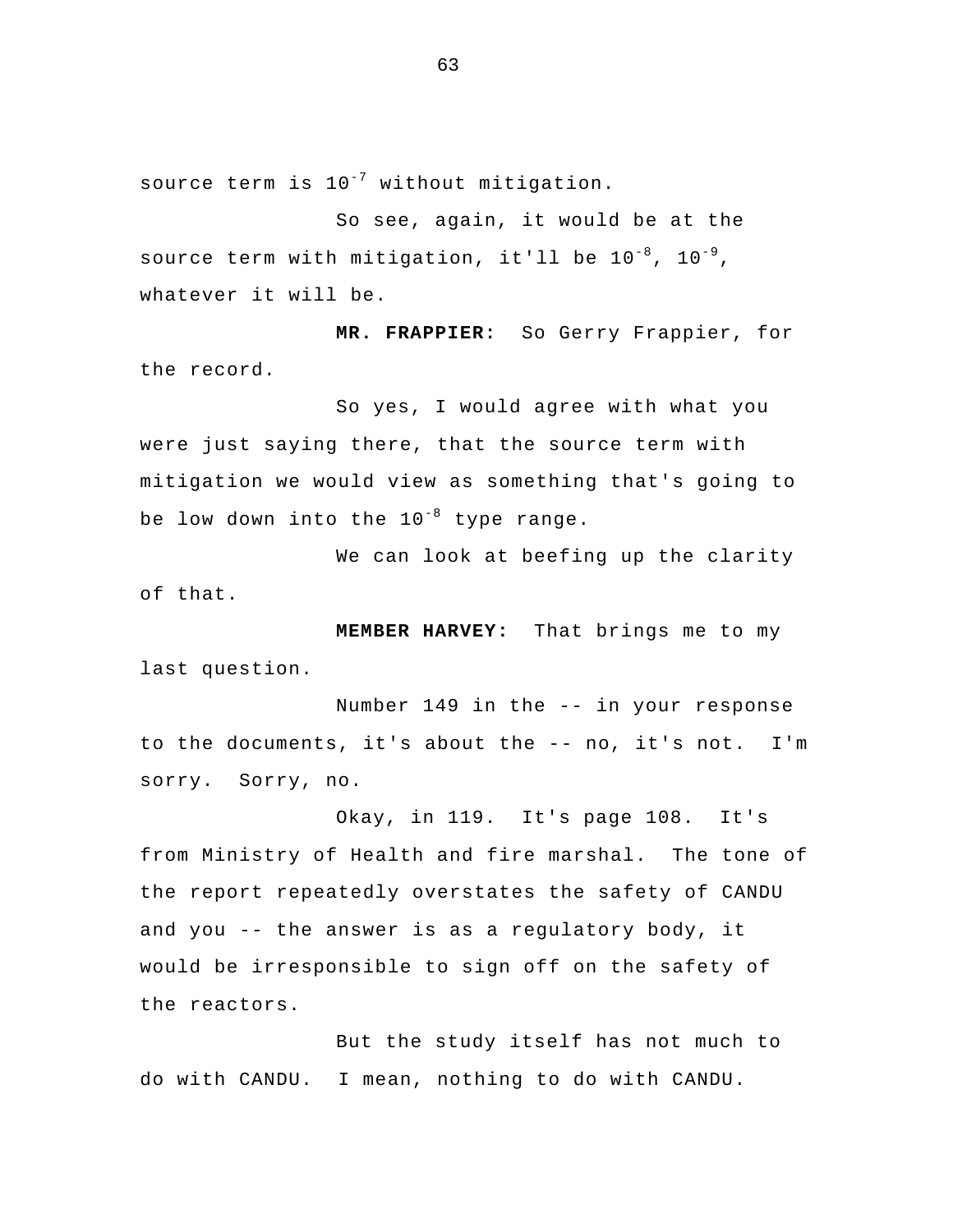source term is  $10^{-7}$  without mitigation.

 So see, again, it would be at the source term with mitigation, it'll be  $10^{-8}$ ,  $10^{-9}$ , whatever it will be.

**MR. FRAPPIER:** So Gerry Frappier, for the record.

So yes, I would agree with what you were just saying there, that the source term with mitigation we would view as something that's going to be low down into the  $10^{-8}$  type range.

We can look at beefing up the clarity of that.

**MEMBER HARVEY:** That brings me to my last question.

Number 149 in the -- in your response to the documents, it's about the -- no, it's not. I'm sorry. Sorry, no.

Okay, in 119. It's page 108. It's from Ministry of Health and fire marshal. The tone of the report repeatedly overstates the safety of CANDU and you -- the answer is as a regulatory body, it would be irresponsible to sign off on the safety of the reactors.

But the study itself has not much to do with CANDU. I mean, nothing to do with CANDU.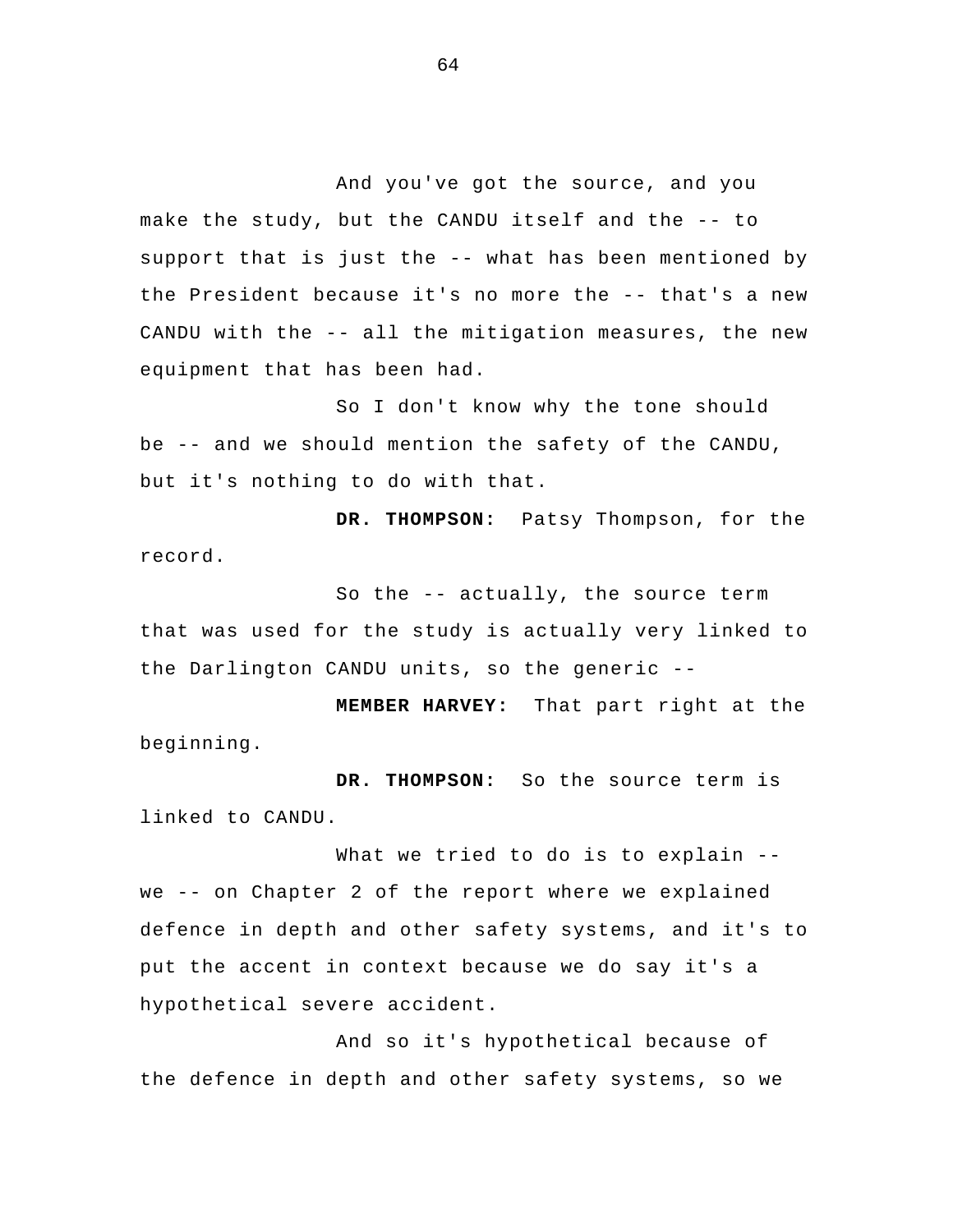And you've got the source, and you make the study, but the CANDU itself and the -- to support that is just the -- what has been mentioned by the President because it's no more the -- that's a new CANDU with the -- all the mitigation measures, the new equipment that has been had.

So I don't know why the tone should be -- and we should mention the safety of the CANDU, but it's nothing to do with that.

**DR. THOMPSON:** Patsy Thompson, for the record.

So the -- actually, the source term that was used for the study is actually very linked to the Darlington CANDU units, so the generic --

**MEMBER HARVEY:** That part right at the beginning.

**DR. THOMPSON:** So the source term is linked to CANDU.

What we tried to do is to explain -we -- on Chapter 2 of the report where we explained defence in depth and other safety systems, and it's to put the accent in context because we do say it's a hypothetical severe accident.

And so it's hypothetical because of the defence in depth and other safety systems, so we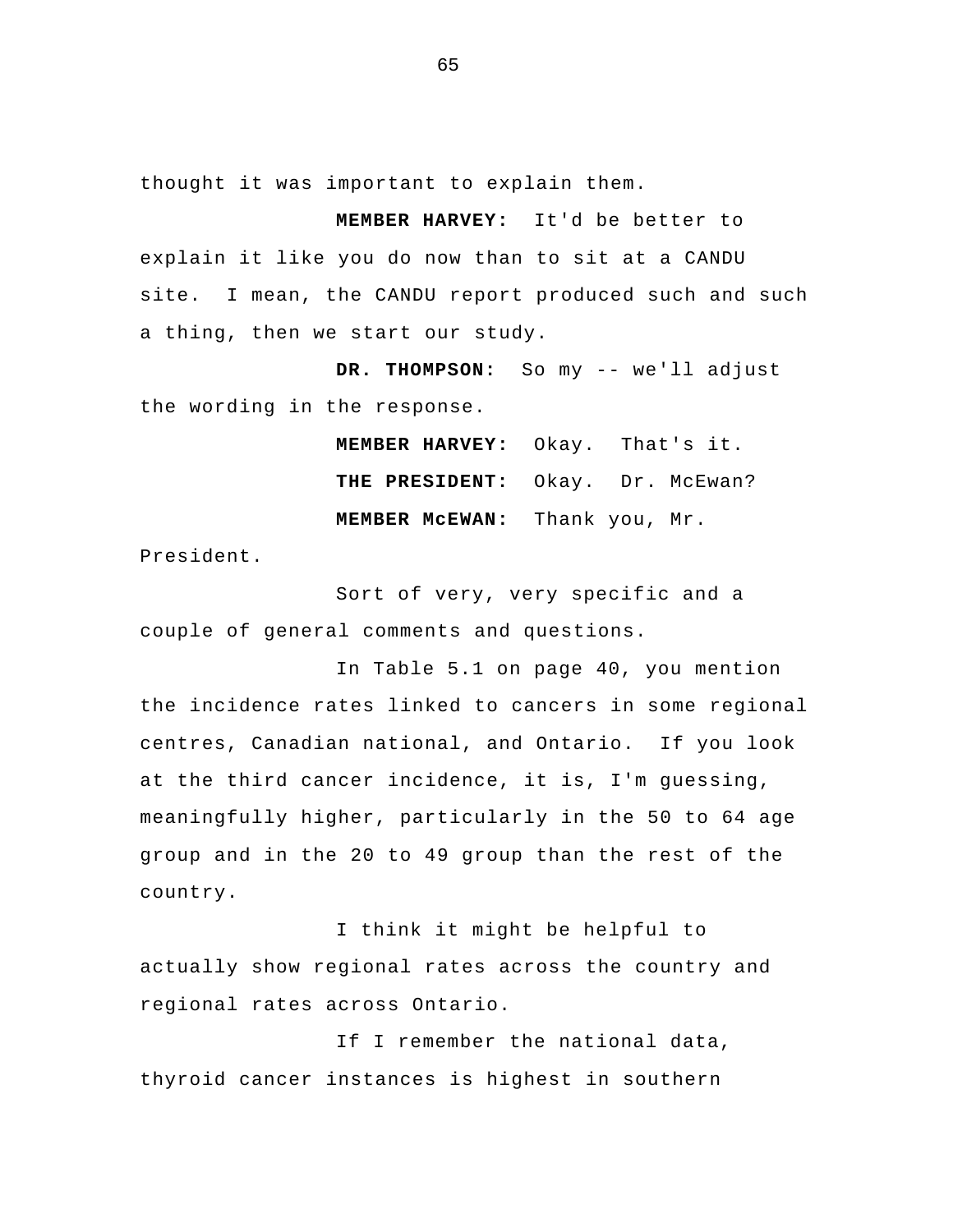thought it was important to explain them.

**MEMBER HARVEY:** It'd be better to explain it like you do now than to sit at a CANDU site. I mean, the CANDU report produced such and such a thing, then we start our study.

**DR. THOMPSON:** So my -- we'll adjust the wording in the response.

> **MEMBER HARVEY:** Okay. That's it. **THE PRESIDENT:** Okay. Dr. McEwan? **MEMBER McEWAN:** Thank you, Mr.

President.

Sort of very, very specific and a couple of general comments and questions.

In Table 5.1 on page 40, you mention the incidence rates linked to cancers in some regional centres, Canadian national, and Ontario. If you look at the third cancer incidence, it is, I'm guessing, meaningfully higher, particularly in the 50 to 64 age group and in the 20 to 49 group than the rest of the country.

I think it might be helpful to actually show regional rates across the country and regional rates across Ontario.

If I remember the national data, thyroid cancer instances is highest in southern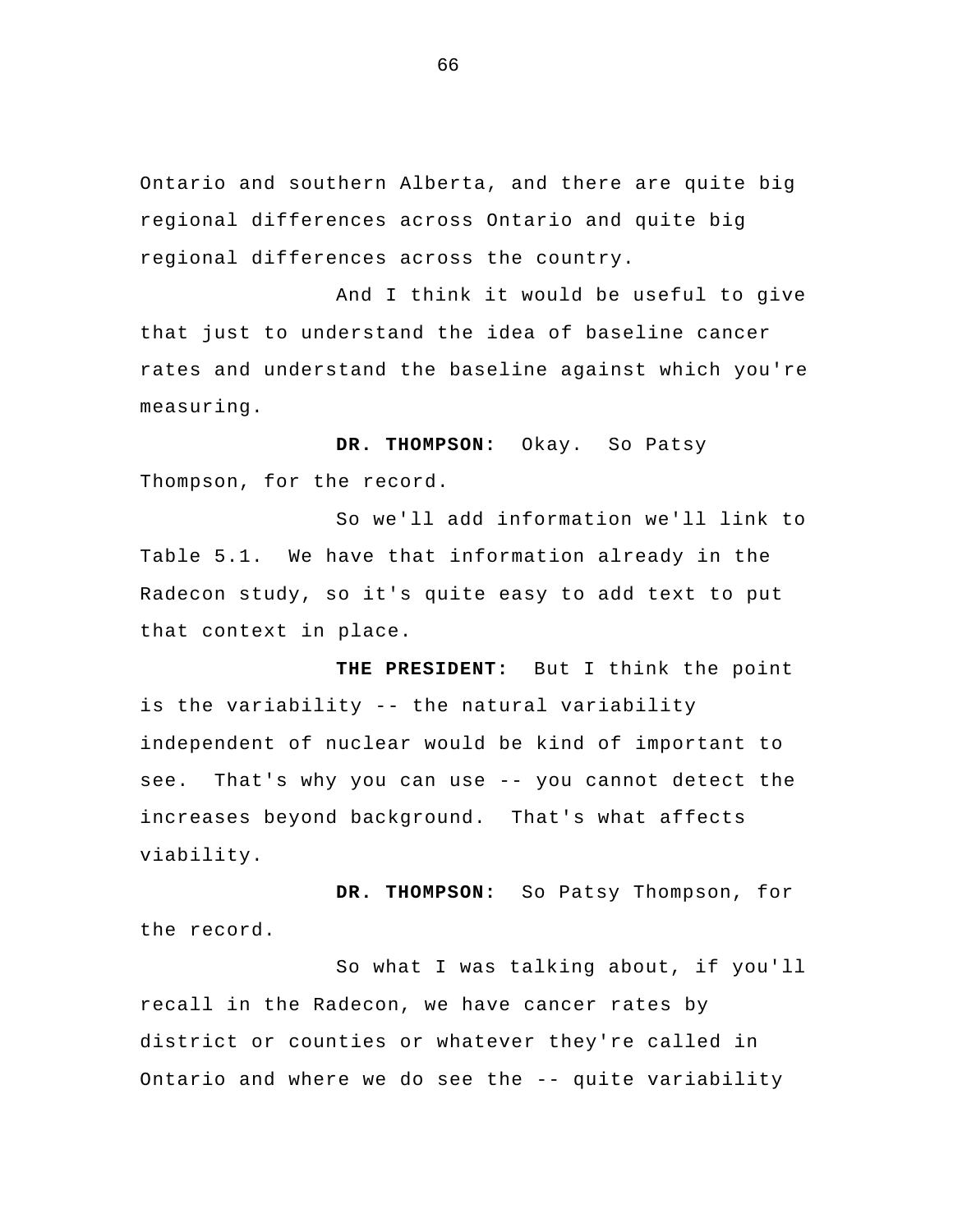Ontario and southern Alberta, and there are quite big regional differences across Ontario and quite big regional differences across the country.

And I think it would be useful to give that just to understand the idea of baseline cancer rates and understand the baseline against which you're measuring.

**DR. THOMPSON:** Okay. So Patsy Thompson, for the record.

So we'll add information we'll link to Table 5.1. We have that information already in the Radecon study, so it's quite easy to add text to put that context in place.

**THE PRESIDENT:** But I think the point is the variability -- the natural variability independent of nuclear would be kind of important to see. That's why you can use -- you cannot detect the increases beyond background. That's what affects viability.

**DR. THOMPSON:** So Patsy Thompson, for the record.

So what I was talking about, if you'll recall in the Radecon, we have cancer rates by district or counties or whatever they're called in Ontario and where we do see the -- quite variability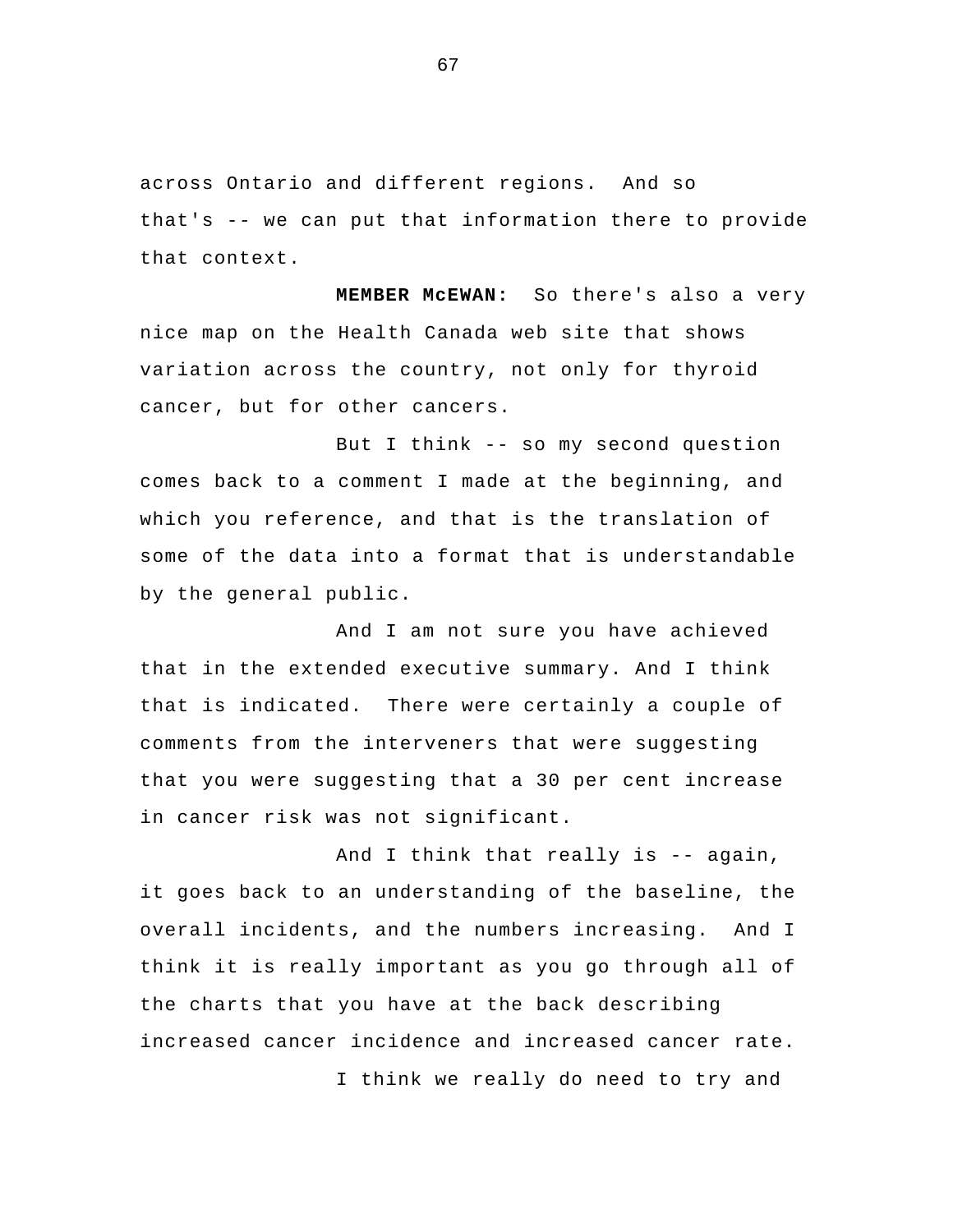across Ontario and different regions. And so that's -- we can put that information there to provide that context.

**MEMBER McEWAN:** So there's also a very nice map on the Health Canada web site that shows variation across the country, not only for thyroid cancer, but for other cancers.

But I think -- so my second question comes back to a comment I made at the beginning, and which you reference, and that is the translation of some of the data into a format that is understandable by the general public.

And I am not sure you have achieved that in the extended executive summary. And I think that is indicated. There were certainly a couple of comments from the interveners that were suggesting that you were suggesting that a 30 per cent increase in cancer risk was not significant.

And I think that really is -- again, it goes back to an understanding of the baseline, the overall incidents, and the numbers increasing. And I think it is really important as you go through all of the charts that you have at the back describing increased cancer incidence and increased cancer rate. I think we really do need to try and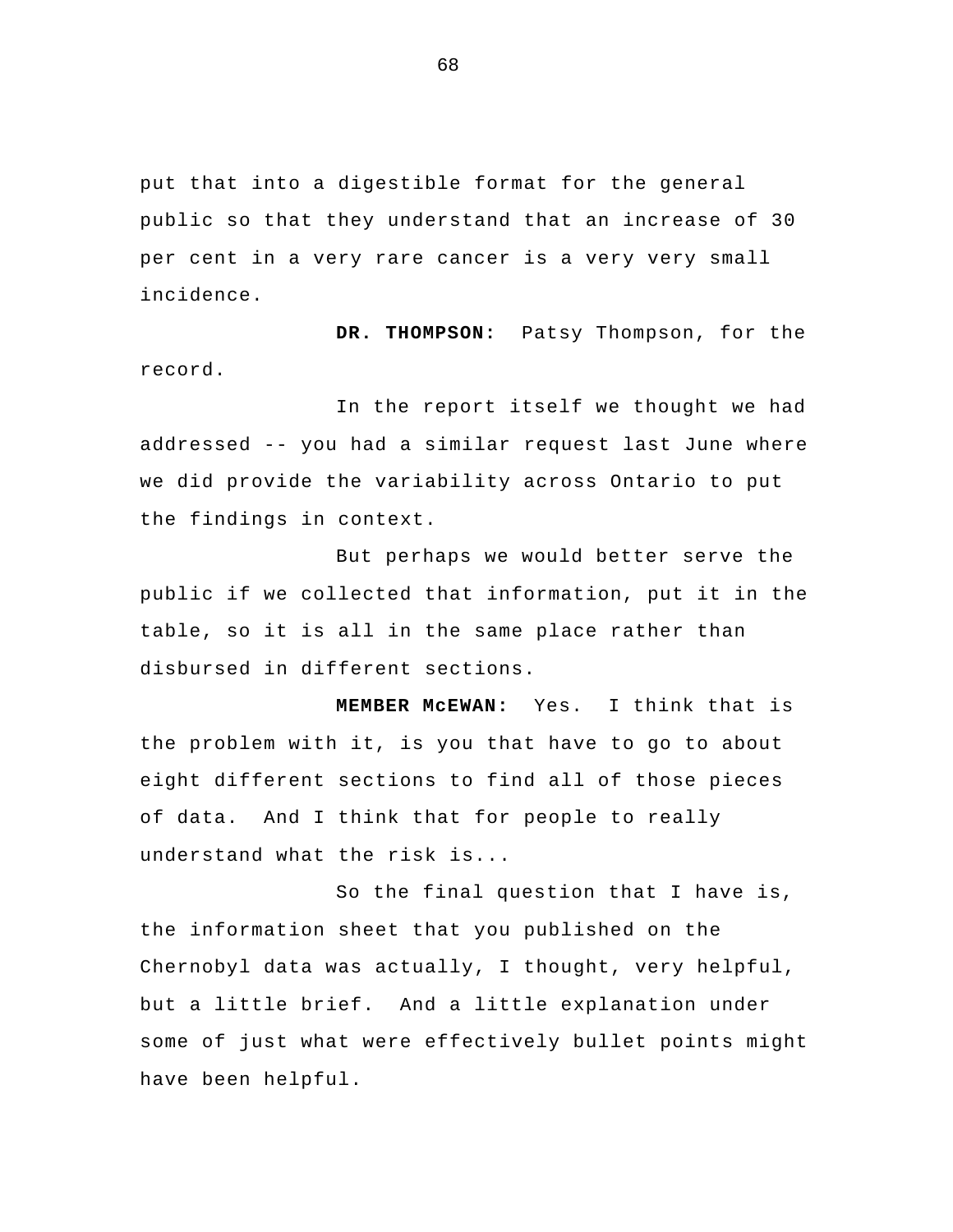put that into a digestible format for the general public so that they understand that an increase of 30 per cent in a very rare cancer is a very very small incidence.

 **DR. THOMPSON:** Patsy Thompson, for the record.

In the report itself we thought we had addressed -- you had a similar request last June where we did provide the variability across Ontario to put the findings in context.

But perhaps we would better serve the public if we collected that information, put it in the table, so it is all in the same place rather than disbursed in different sections.

**MEMBER McEWAN:** Yes. I think that is the problem with it, is you that have to go to about eight different sections to find all of those pieces of data. And I think that for people to really understand what the risk is...

So the final question that I have is, the information sheet that you published on the Chernobyl data was actually, I thought, very helpful, but a little brief. And a little explanation under some of just what were effectively bullet points might have been helpful.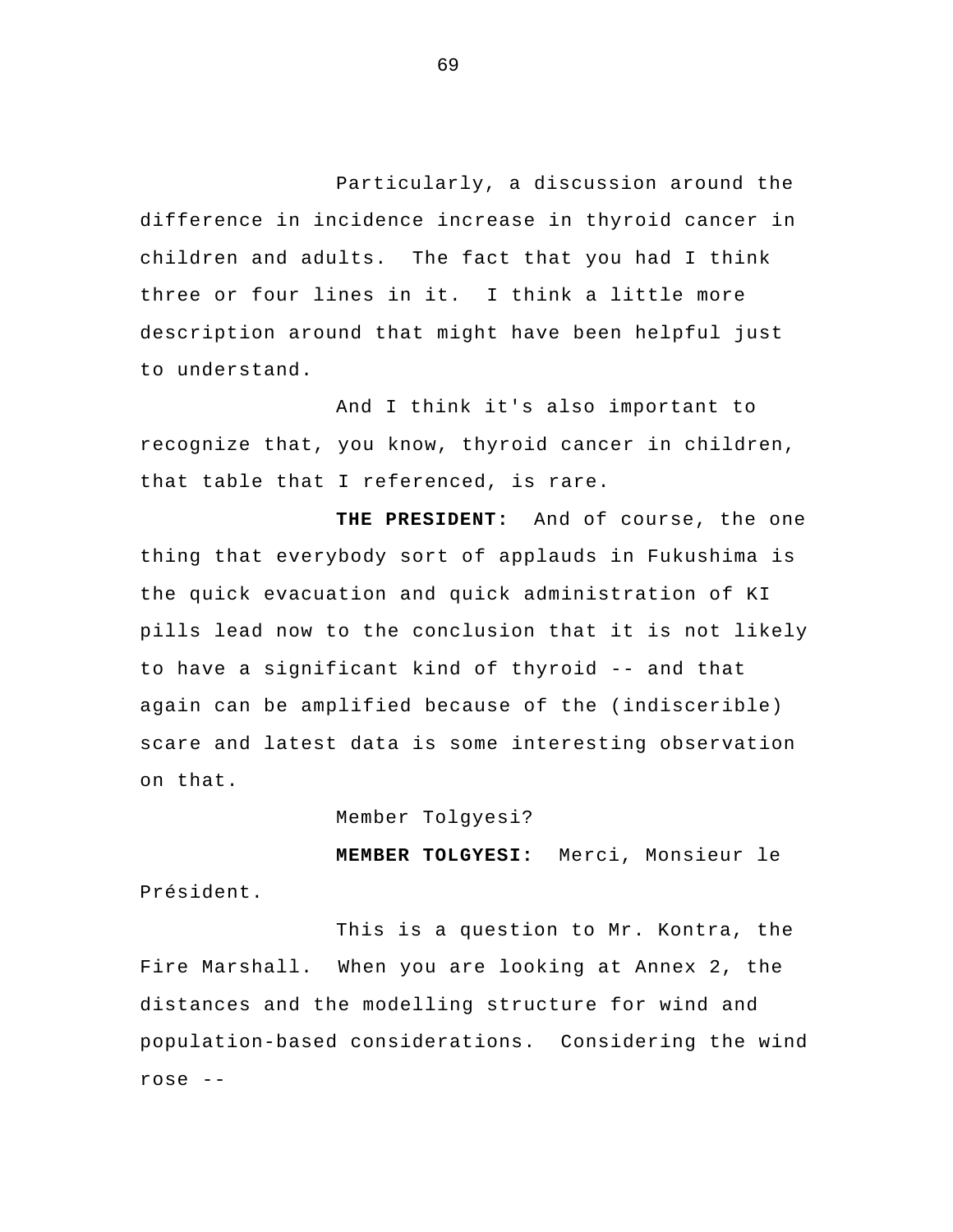Particularly, a discussion around the difference in incidence increase in thyroid cancer in children and adults. The fact that you had I think three or four lines in it. I think a little more description around that might have been helpful just to understand.

And I think it's also important to recognize that, you know, thyroid cancer in children, that table that I referenced, is rare.

 **THE PRESIDENT:** And of course, the one thing that everybody sort of applauds in Fukushima is the quick evacuation and quick administration of KI pills lead now to the conclusion that it is not likely to have a significant kind of thyroid -- and that again can be amplified because of the (indiscerible) scare and latest data is some interesting observation on that.

Member Tolgyesi?

**MEMBER TOLGYESI:** Merci, Monsieur le Président.

This is a question to Mr. Kontra, the Fire Marshall. When you are looking at Annex 2, the distances and the modelling structure for wind and population-based considerations. Considering the wind rose --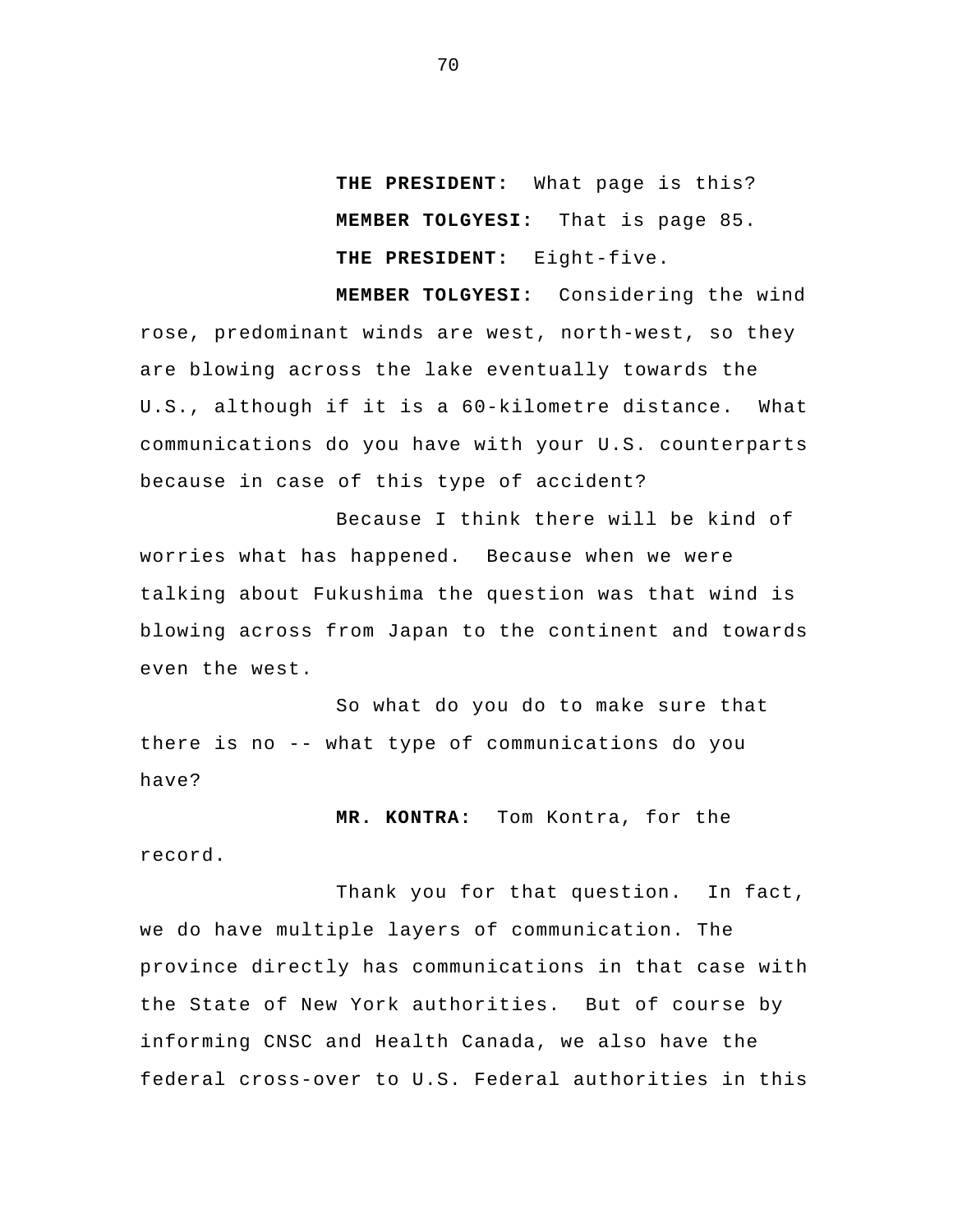**THE PRESIDENT:** What page is this?  **MEMBER TOLGYESI:** That is page 85.  **THE PRESIDENT:** Eight-five.

 **MEMBER TOLGYESI:** Considering the wind rose, predominant winds are west, north-west, so they are blowing across the lake eventually towards the U.S., although if it is a 60-kilometre distance. What communications do you have with your U.S. counterparts because in case of this type of accident?

Because I think there will be kind of worries what has happened. Because when we were talking about Fukushima the question was that wind is blowing across from Japan to the continent and towards even the west.

So what do you do to make sure that there is no -- what type of communications do you have?

 **MR. KONTRA:** Tom Kontra, for the record.

 Thank you for that question. In fact, we do have multiple layers of communication. The province directly has communications in that case with the State of New York authorities. But of course by informing CNSC and Health Canada, we also have the federal cross-over to U.S. Federal authorities in this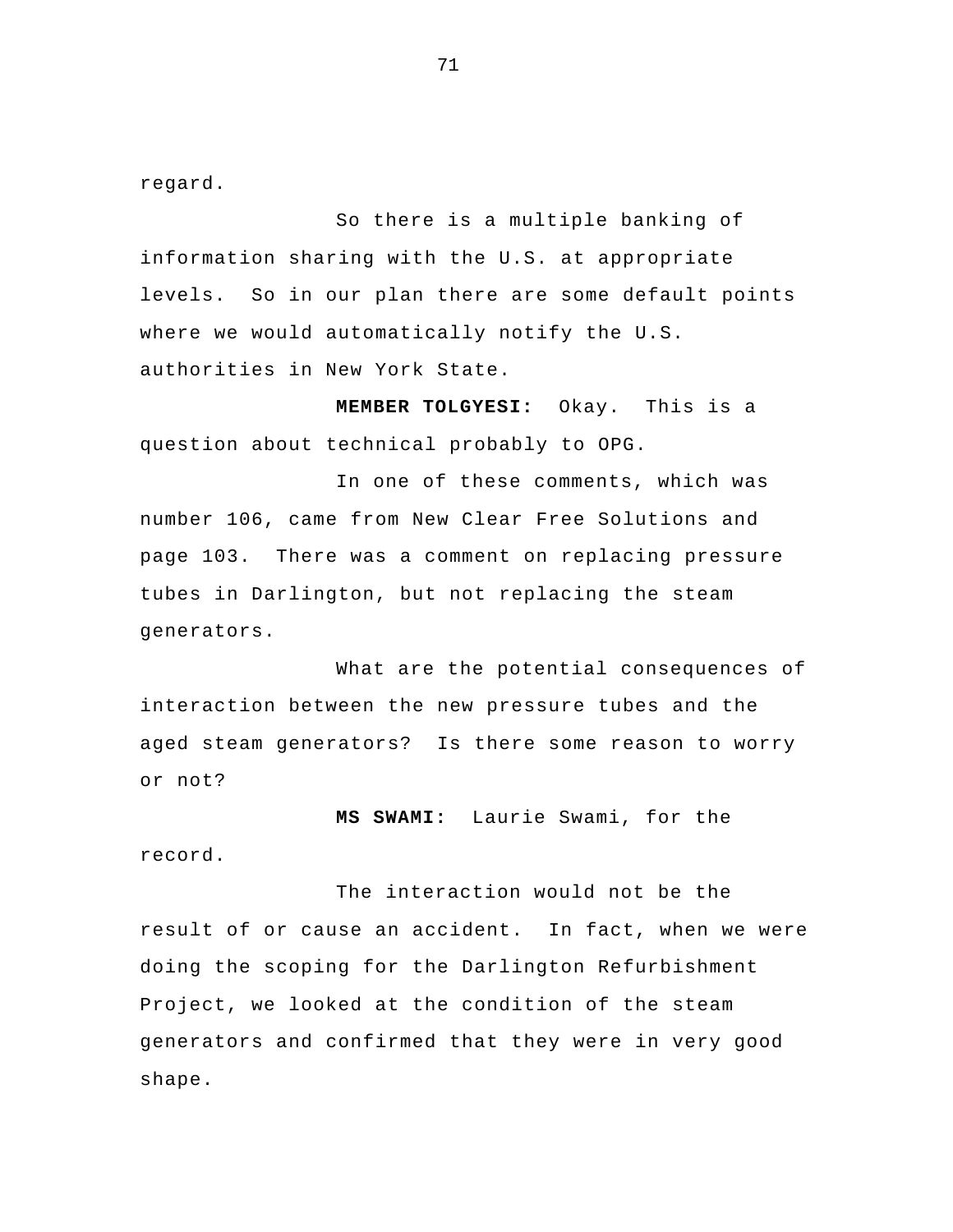regard.

So there is a multiple banking of information sharing with the U.S. at appropriate levels. So in our plan there are some default points where we would automatically notify the U.S. authorities in New York State.

 **MEMBER TOLGYESI:** Okay. This is a question about technical probably to OPG.

In one of these comments, which was number 106, came from New Clear Free Solutions and page 103. There was a comment on replacing pressure tubes in Darlington, but not replacing the steam generators.

What are the potential consequences of interaction between the new pressure tubes and the aged steam generators? Is there some reason to worry or not?

 **MS SWAMI:** Laurie Swami, for the record.

 The interaction would not be the result of or cause an accident. In fact, when we were doing the scoping for the Darlington Refurbishment Project, we looked at the condition of the steam generators and confirmed that they were in very good shape.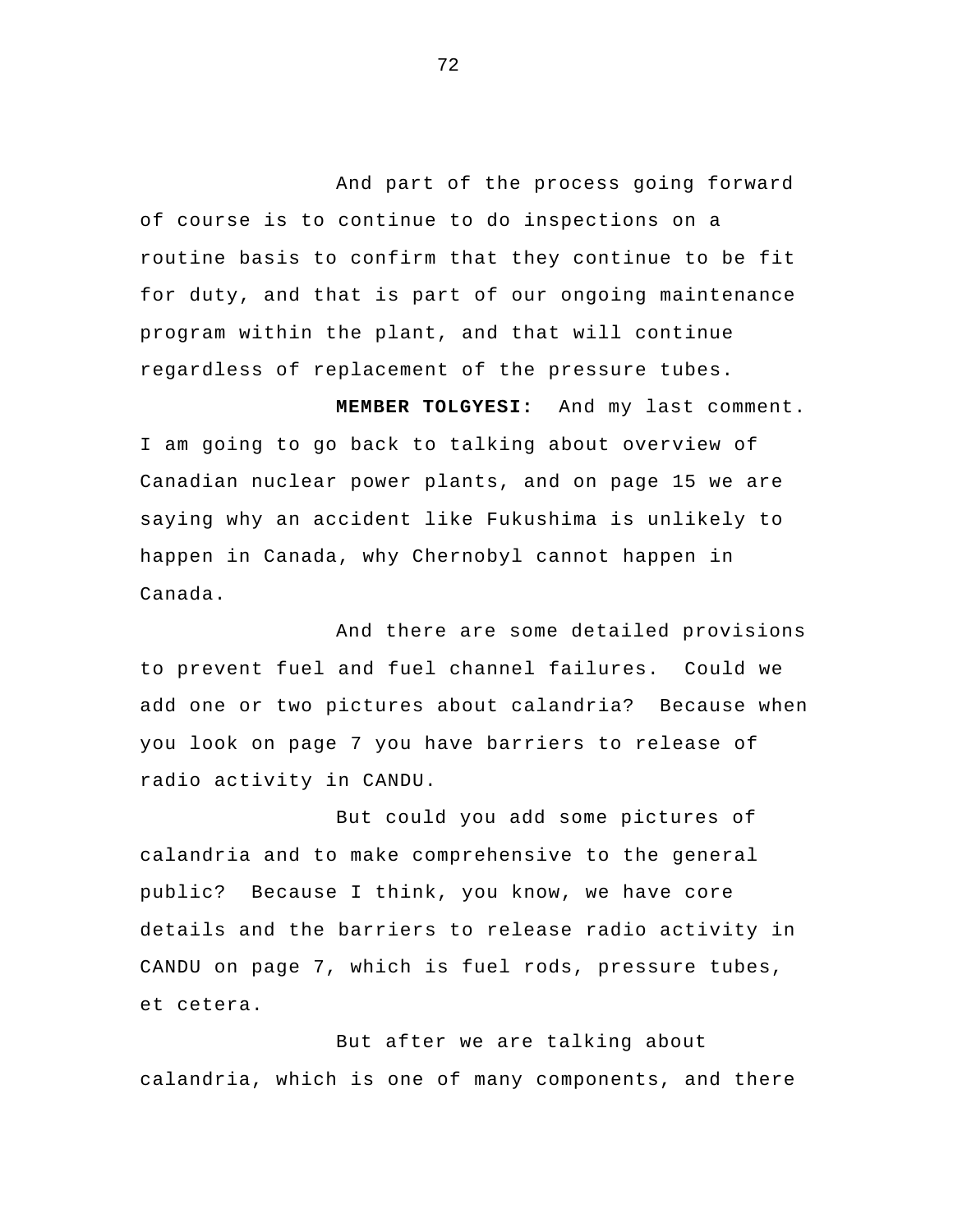And part of the process going forward of course is to continue to do inspections on a routine basis to confirm that they continue to be fit for duty, and that is part of our ongoing maintenance program within the plant, and that will continue regardless of replacement of the pressure tubes.

 **MEMBER TOLGYESI:** And my last comment. I am going to go back to talking about overview of Canadian nuclear power plants, and on page 15 we are saying why an accident like Fukushima is unlikely to happen in Canada, why Chernobyl cannot happen in Canada.

And there are some detailed provisions to prevent fuel and fuel channel failures. Could we add one or two pictures about calandria? Because when you look on page 7 you have barriers to release of radio activity in CANDU.

But could you add some pictures of calandria and to make comprehensive to the general public? Because I think, you know, we have core details and the barriers to release radio activity in CANDU on page 7, which is fuel rods, pressure tubes, et cetera.

But after we are talking about calandria, which is one of many components, and there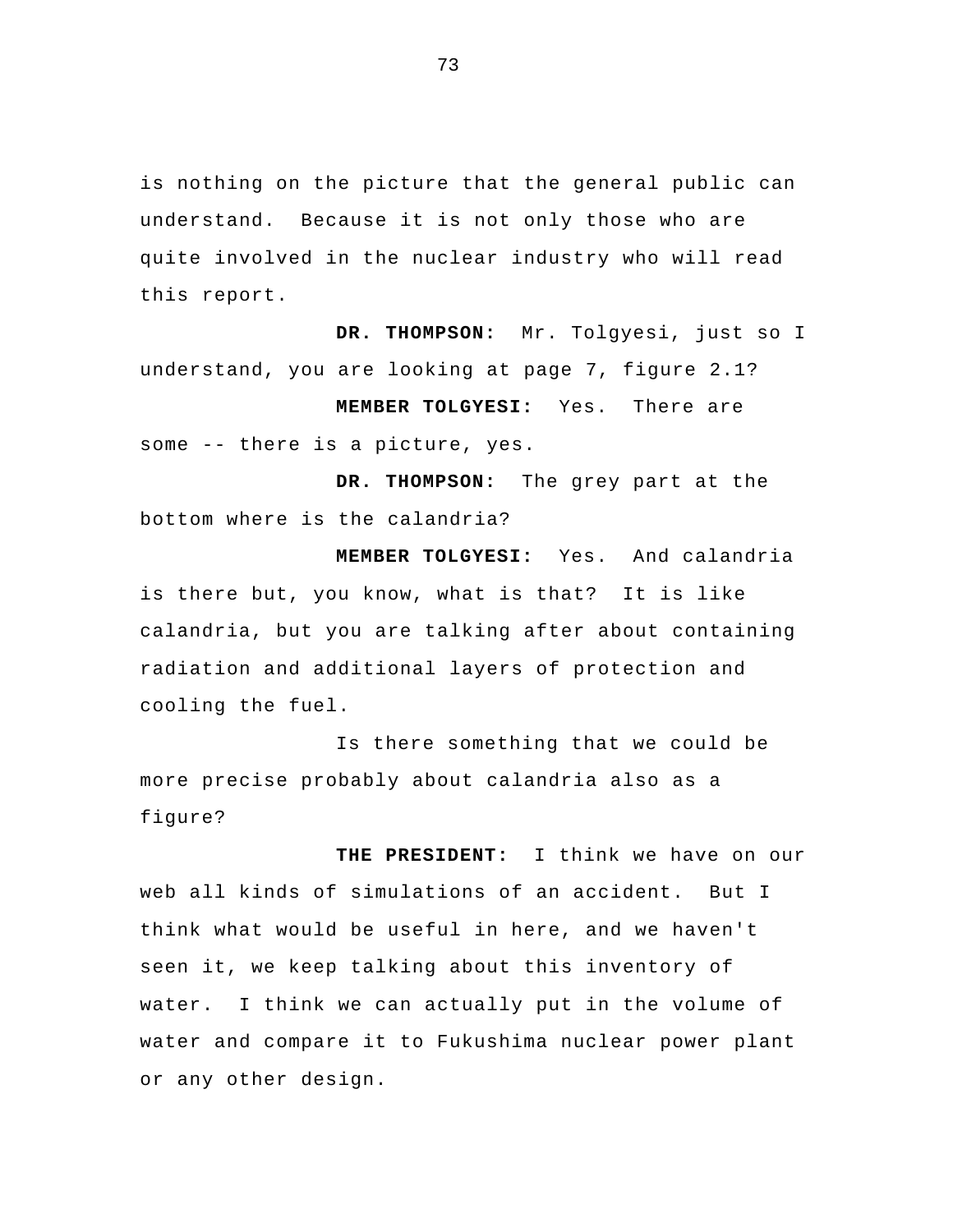is nothing on the picture that the general public can understand. Because it is not only those who are quite involved in the nuclear industry who will read this report.

 **DR. THOMPSON:** Mr. Tolgyesi, just so I understand, you are looking at page 7, figure 2.1?

 **MEMBER TOLGYESI:** Yes. There are some -- there is a picture, yes.

**DR. THOMPSON:** The grey part at the bottom where is the calandria?

**MEMBER TOLGYESI:** Yes. And calandria is there but, you know, what is that? It is like calandria, but you are talking after about containing radiation and additional layers of protection and cooling the fuel.

 Is there something that we could be more precise probably about calandria also as a figure?

 **THE PRESIDENT:** I think we have on our web all kinds of simulations of an accident. But I think what would be useful in here, and we haven't seen it, we keep talking about this inventory of water. I think we can actually put in the volume of water and compare it to Fukushima nuclear power plant or any other design.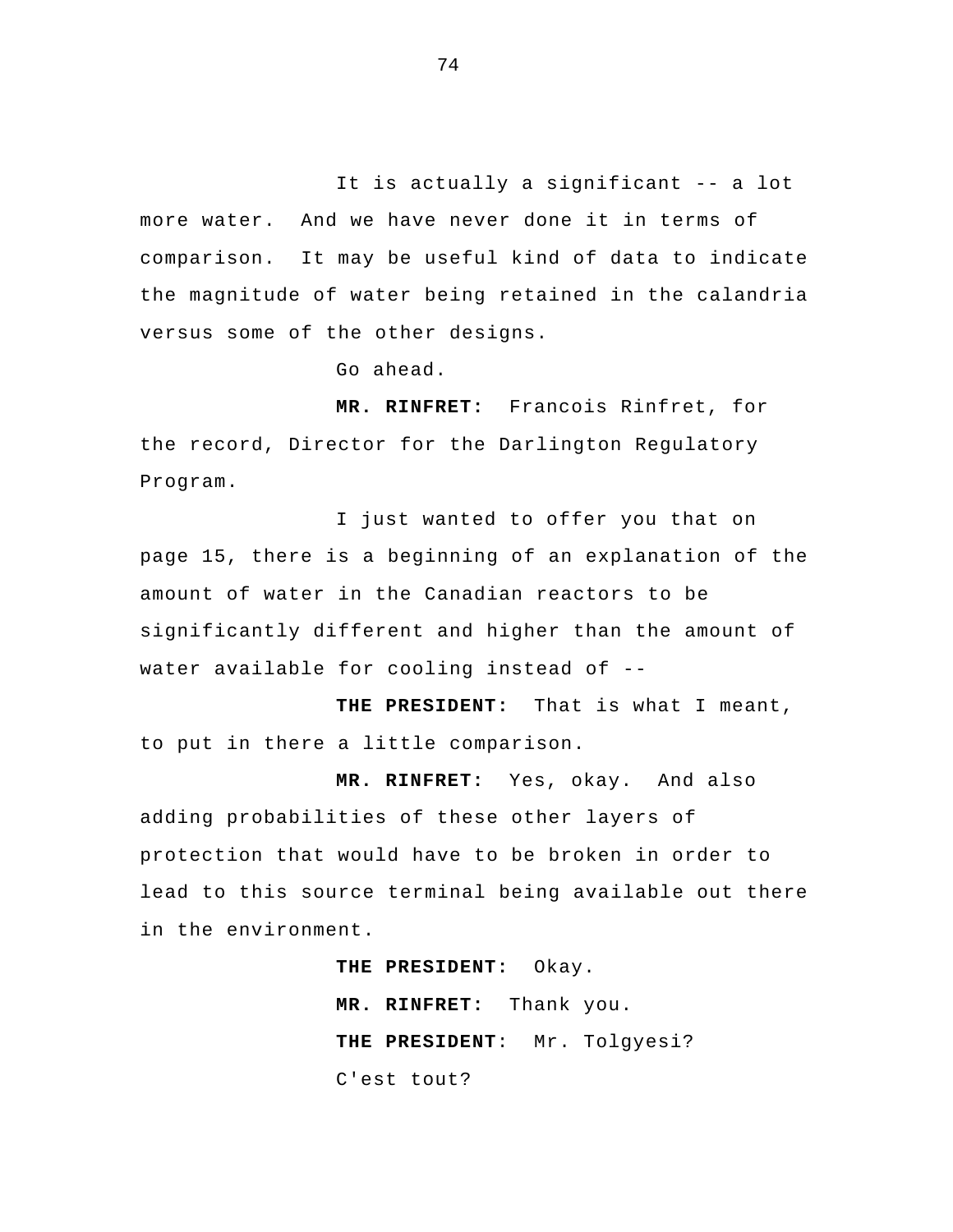It is actually a significant -- a lot more water. And we have never done it in terms of comparison. It may be useful kind of data to indicate the magnitude of water being retained in the calandria versus some of the other designs.

Go ahead.

 **MR. RINFRET:** Francois Rinfret, for the record, Director for the Darlington Regulatory Program.

I just wanted to offer you that on page 15, there is a beginning of an explanation of the amount of water in the Canadian reactors to be significantly different and higher than the amount of water available for cooling instead of --

 **THE PRESIDENT:** That is what I meant, to put in there a little comparison.

**MR. RINFRET:** Yes, okay. And also adding probabilities of these other layers of protection that would have to be broken in order to lead to this source terminal being available out there in the environment.

> **THE PRESIDENT:** Okay.  **MR. RINFRET:** Thank you.  **THE PRESIDENT**: Mr. Tolgyesi? C'est tout?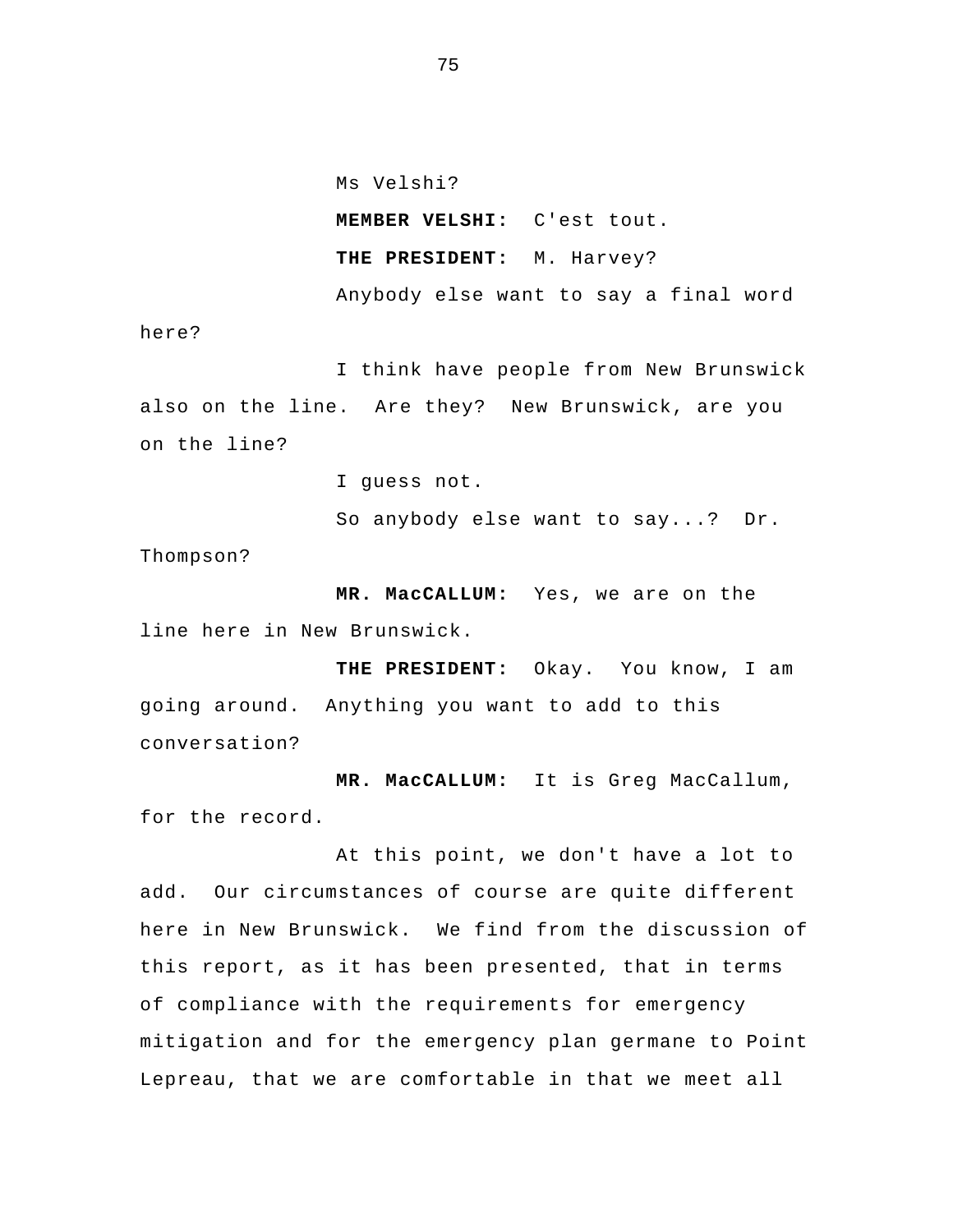Ms Velshi?

**MEMBER VELSHI:** C'est tout.

**THE PRESIDENT:** M. Harvey?

 Anybody else want to say a final word here?

I think have people from New Brunswick also on the line. Are they? New Brunswick, are you on the line?

I guess not.

So anybody else want to say...? Dr. Thompson?

**MR. MacCALLUM:** Yes, we are on the line here in New Brunswick.

**THE PRESIDENT:** Okay. You know, I am going around. Anything you want to add to this conversation?

 **MR. MacCALLUM:** It is Greg MacCallum, for the record.

 At this point, we don't have a lot to add. Our circumstances of course are quite different here in New Brunswick. We find from the discussion of this report, as it has been presented, that in terms of compliance with the requirements for emergency mitigation and for the emergency plan germane to Point Lepreau, that we are comfortable in that we meet all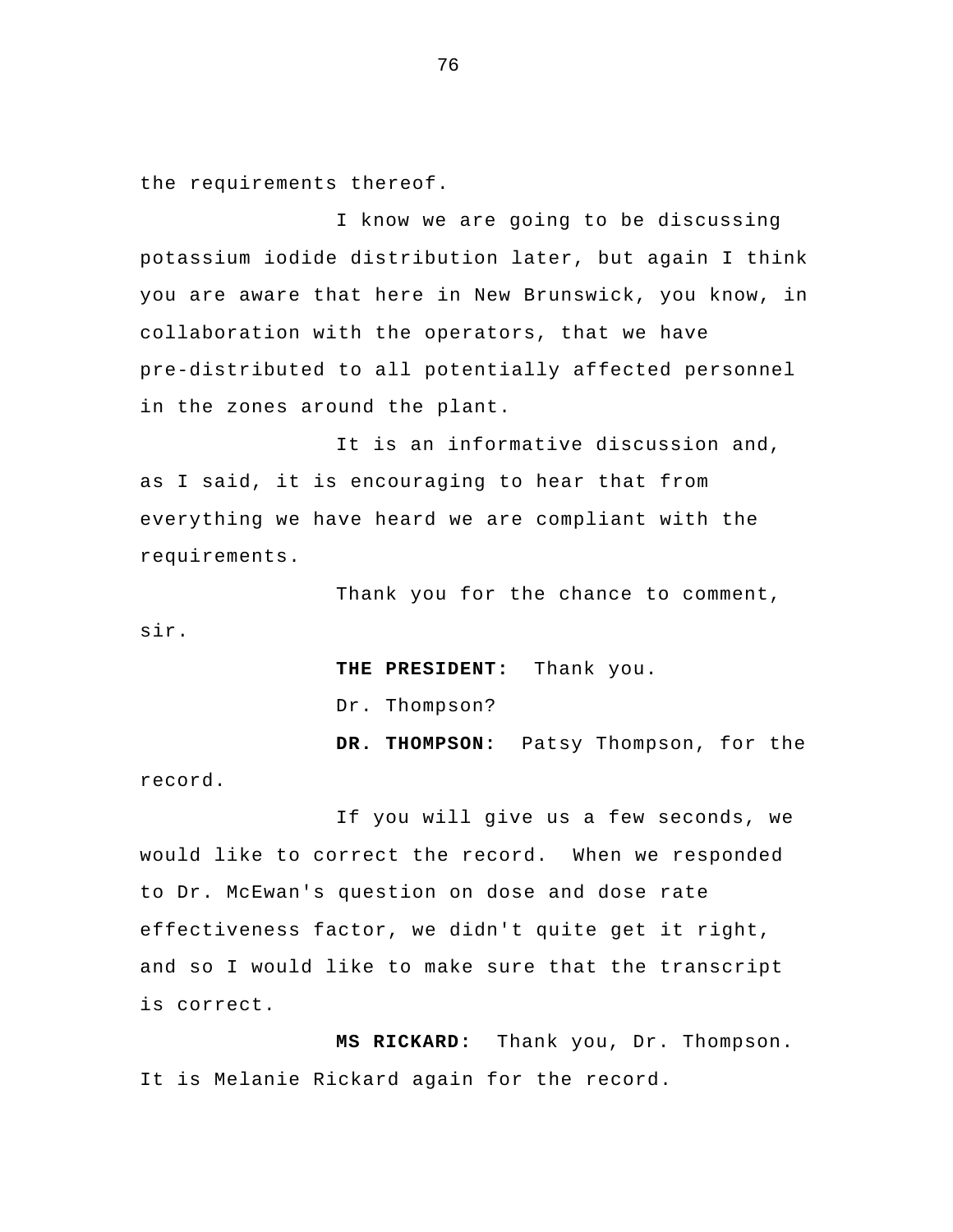the requirements thereof.

I know we are going to be discussing potassium iodide distribution later, but again I think you are aware that here in New Brunswick, you know, in collaboration with the operators, that we have pre-distributed to all potentially affected personnel in the zones around the plant.

It is an informative discussion and, as I said, it is encouraging to hear that from everything we have heard we are compliant with the requirements.

 Thank you for the chance to comment, sir.

 **THE PRESIDENT:** Thank you.

Dr. Thompson?

 **DR. THOMPSON:** Patsy Thompson, for the record.

If you will give us a few seconds, we would like to correct the record. When we responded to Dr. McEwan's question on dose and dose rate effectiveness factor, we didn't quite get it right, and so I would like to make sure that the transcript is correct.

 **MS RICKARD:** Thank you, Dr. Thompson. It is Melanie Rickard again for the record.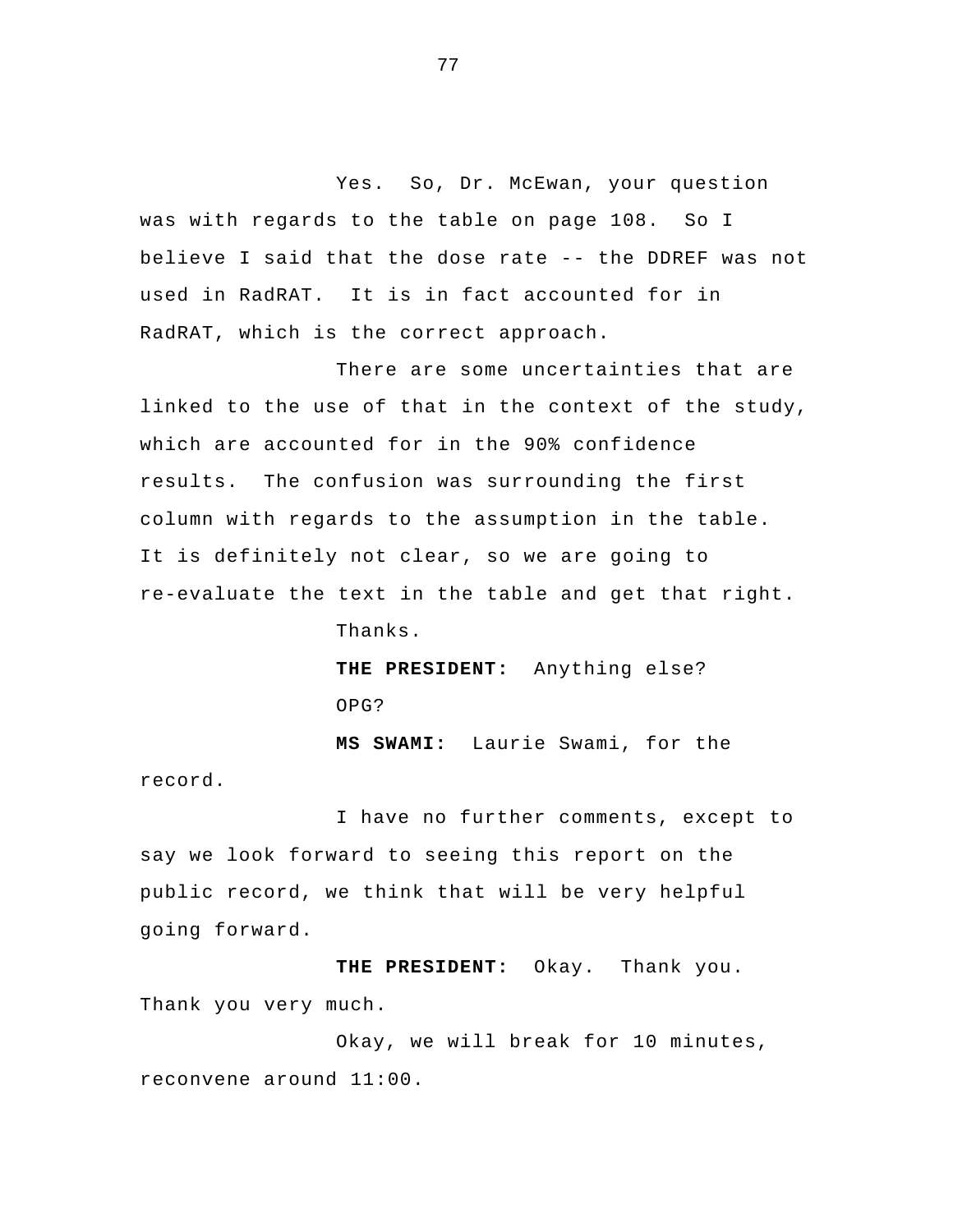Yes. So, Dr. McEwan, your question was with regards to the table on page 108. So I believe I said that the dose rate -- the DDREF was not used in RadRAT. It is in fact accounted for in RadRAT, which is the correct approach.

 There are some uncertainties that are linked to the use of that in the context of the study, which are accounted for in the 90% confidence results. The confusion was surrounding the first column with regards to the assumption in the table. It is definitely not clear, so we are going to re-evaluate the text in the table and get that right.

Thanks.

record.

**THE PRESIDENT:** Anything else? OPG?

 **MS SWAMI:** Laurie Swami, for the

I have no further comments, except to say we look forward to seeing this report on the public record, we think that will be very helpful going forward.

**THE PRESIDENT:** Okay. Thank you. Thank you very much.

Okay, we will break for 10 minutes, reconvene around 11:00.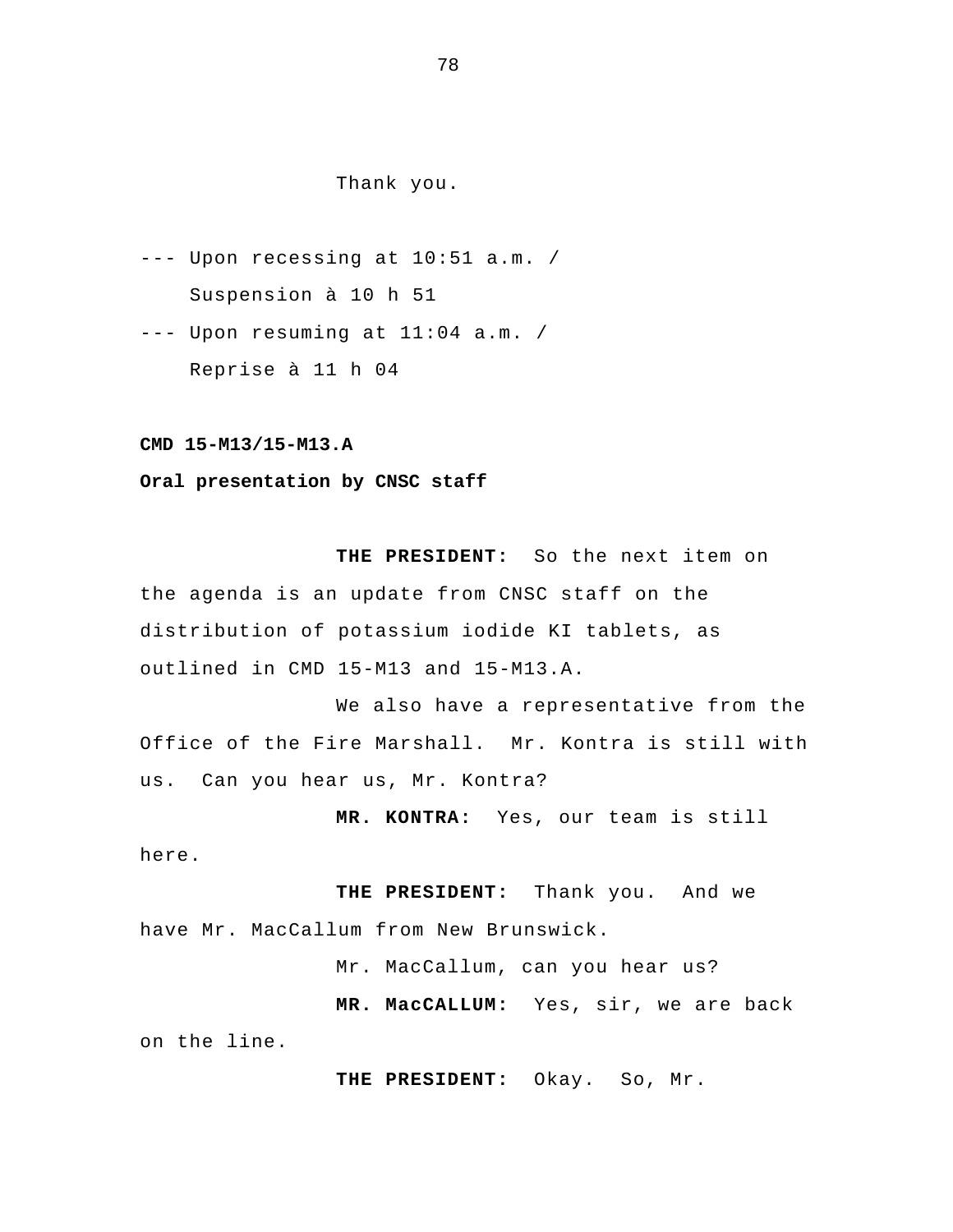## Thank you.

- --- Upon recessing at 10:51 a.m. / Suspension à 10 h 51
- --- Upon resuming at 11:04 a.m. / Reprise à 11 h 04

**CMD 15-M13/15-M13.A** 

**Oral presentation by CNSC staff** 

 **THE PRESIDENT:** So the next item on the agenda is an update from CNSC staff on the distribution of potassium iodide KI tablets, as outlined in CMD 15-M13 and 15-M13.A.

We also have a representative from the Office of the Fire Marshall. Mr. Kontra is still with us. Can you hear us, Mr. Kontra?

 **MR. KONTRA:** Yes, our team is still

here.

 **THE PRESIDENT:** Thank you. And we have Mr. MacCallum from New Brunswick.

Mr. MacCallum, can you hear us?

 **MR. MacCALLUM:** Yes, sir, we are back on the line.

 **THE PRESIDENT:** Okay. So, Mr.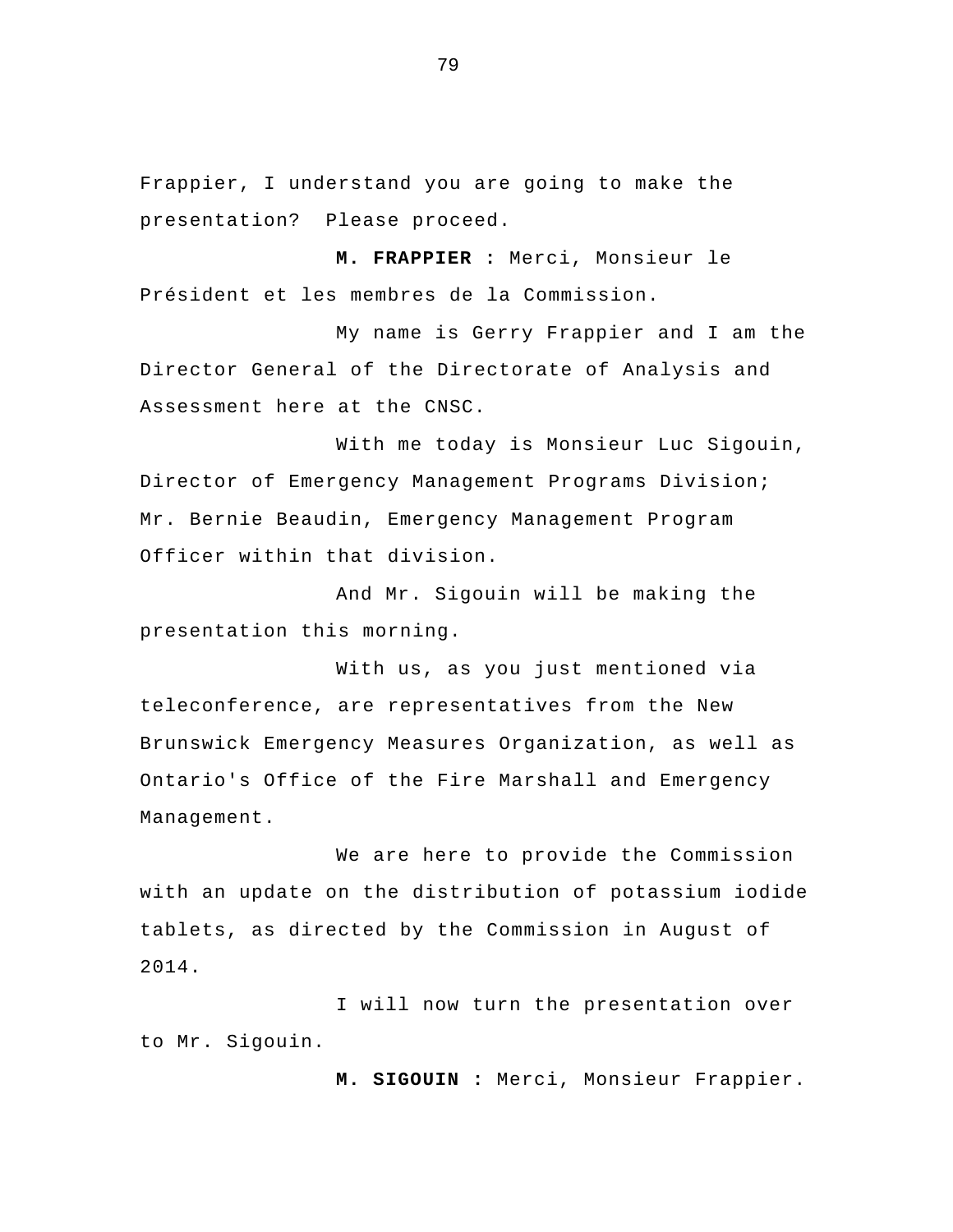Frappier, I understand you are going to make the presentation? Please proceed.

**M. FRAPPIER :** Merci, Monsieur le Président et les membres de la Commission.

My name is Gerry Frappier and I am the Director General of the Directorate of Analysis and Assessment here at the CNSC.

With me today is Monsieur Luc Sigouin, Director of Emergency Management Programs Division; Mr. Bernie Beaudin, Emergency Management Program Officer within that division.

And Mr. Sigouin will be making the presentation this morning.

With us, as you just mentioned via teleconference, are representatives from the New Brunswick Emergency Measures Organization, as well as Ontario's Office of the Fire Marshall and Emergency Management.

We are here to provide the Commission with an update on the distribution of potassium iodide tablets, as directed by the Commission in August of 2014.

I will now turn the presentation over to Mr. Sigouin.

**M. SIGOUIN :** Merci, Monsieur Frappier.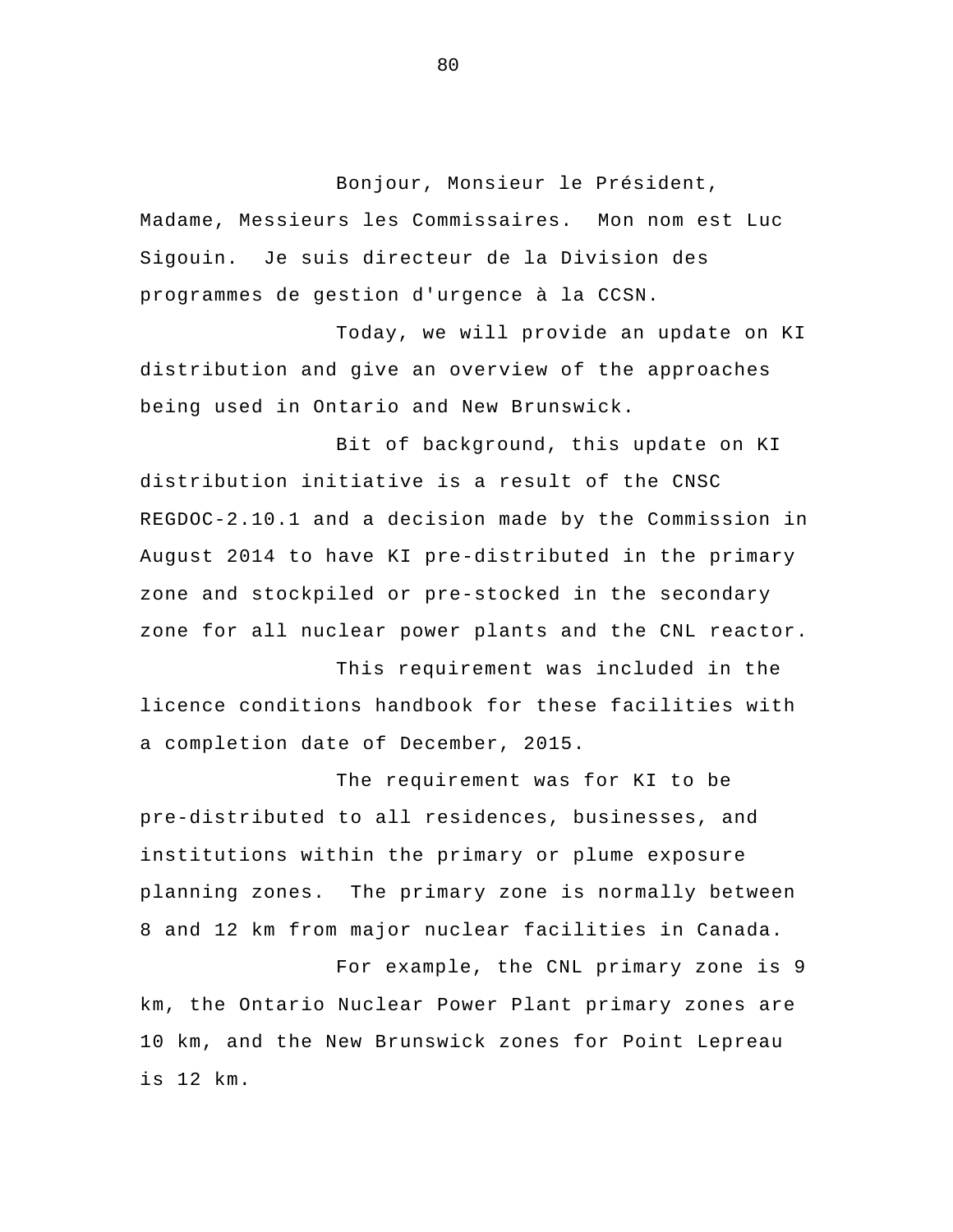Bonjour, Monsieur le Président, Madame, Messieurs les Commissaires. Mon nom est Luc Sigouin. Je suis directeur de la Division des programmes de gestion d'urgence à la CCSN.

Today, we will provide an update on KI distribution and give an overview of the approaches being used in Ontario and New Brunswick.

 Bit of background, this update on KI distribution initiative is a result of the CNSC REGDOC-2.10.1 and a decision made by the Commission in August 2014 to have KI pre-distributed in the primary zone and stockpiled or pre-stocked in the secondary zone for all nuclear power plants and the CNL reactor.

This requirement was included in the licence conditions handbook for these facilities with a completion date of December, 2015.

The requirement was for KI to be pre-distributed to all residences, businesses, and institutions within the primary or plume exposure planning zones. The primary zone is normally between 8 and 12 km from major nuclear facilities in Canada.

 For example, the CNL primary zone is 9 km, the Ontario Nuclear Power Plant primary zones are 10 km, and the New Brunswick zones for Point Lepreau is 12 km.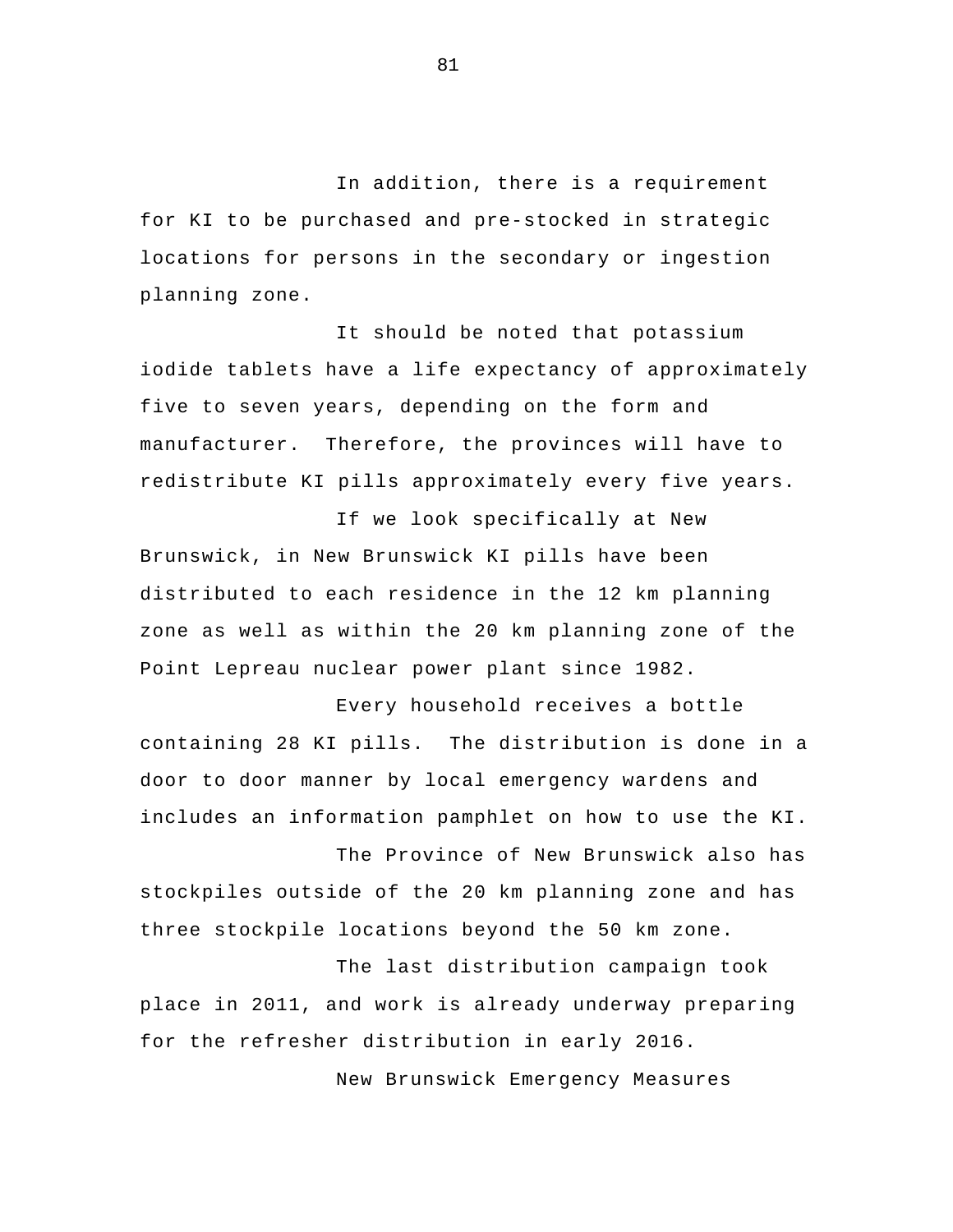In addition, there is a requirement for KI to be purchased and pre-stocked in strategic locations for persons in the secondary or ingestion planning zone.

It should be noted that potassium iodide tablets have a life expectancy of approximately five to seven years, depending on the form and manufacturer. Therefore, the provinces will have to redistribute KI pills approximately every five years.

If we look specifically at New Brunswick, in New Brunswick KI pills have been distributed to each residence in the 12 km planning zone as well as within the 20 km planning zone of the Point Lepreau nuclear power plant since 1982.

Every household receives a bottle containing 28 KI pills. The distribution is done in a door to door manner by local emergency wardens and includes an information pamphlet on how to use the KI.

The Province of New Brunswick also has stockpiles outside of the 20 km planning zone and has three stockpile locations beyond the 50 km zone.

The last distribution campaign took place in 2011, and work is already underway preparing for the refresher distribution in early 2016.

New Brunswick Emergency Measures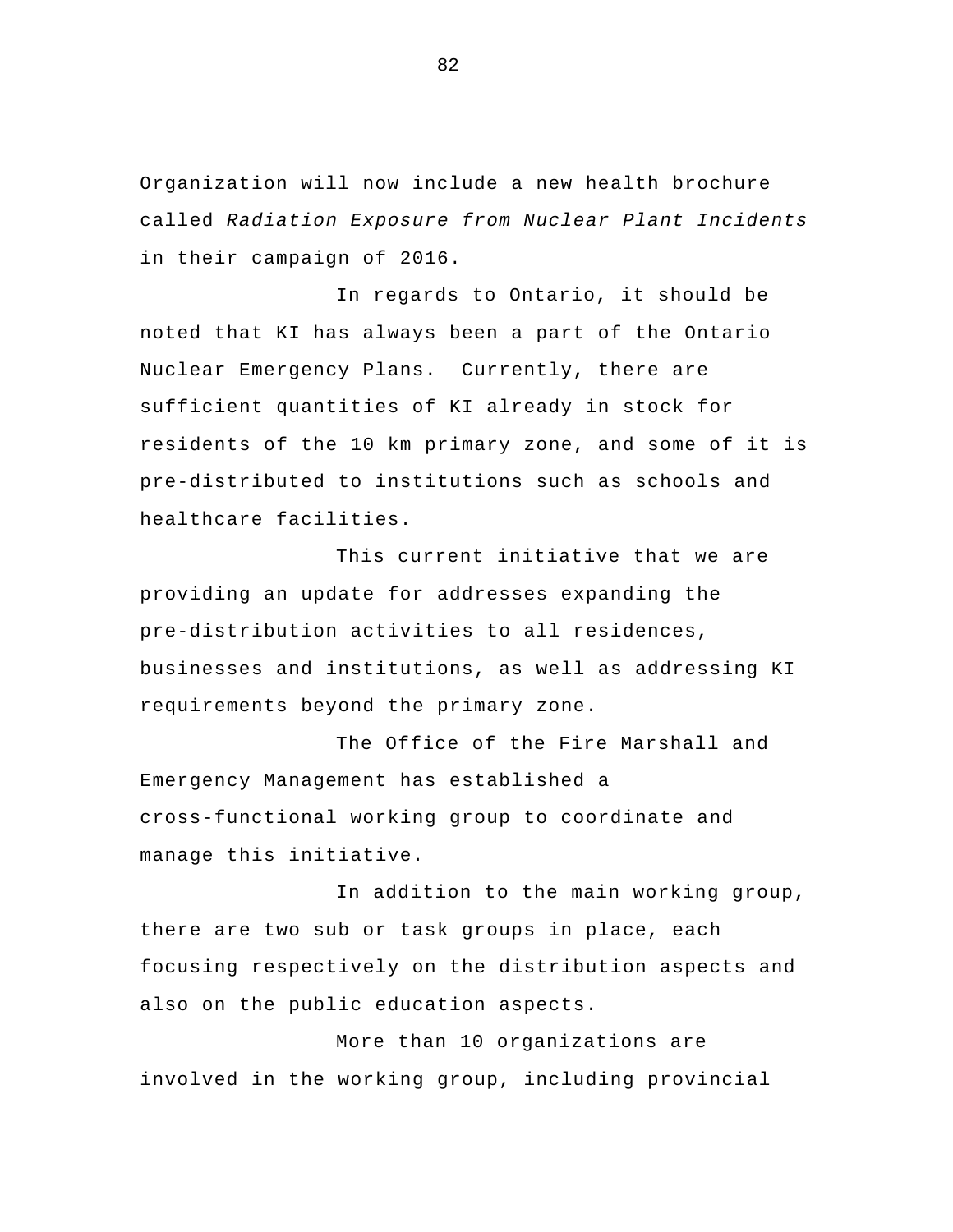Organization will now include a new health brochure called *Radiation Exposure from Nuclear Plant Incidents*  in their campaign of 2016.

In regards to Ontario, it should be noted that KI has always been a part of the Ontario Nuclear Emergency Plans. Currently, there are sufficient quantities of KI already in stock for residents of the 10 km primary zone, and some of it is pre-distributed to institutions such as schools and healthcare facilities.

 This current initiative that we are providing an update for addresses expanding the pre-distribution activities to all residences, businesses and institutions, as well as addressing KI requirements beyond the primary zone.

The Office of the Fire Marshall and Emergency Management has established a cross-functional working group to coordinate and manage this initiative.

In addition to the main working group, there are two sub or task groups in place, each focusing respectively on the distribution aspects and also on the public education aspects.

More than 10 organizations are involved in the working group, including provincial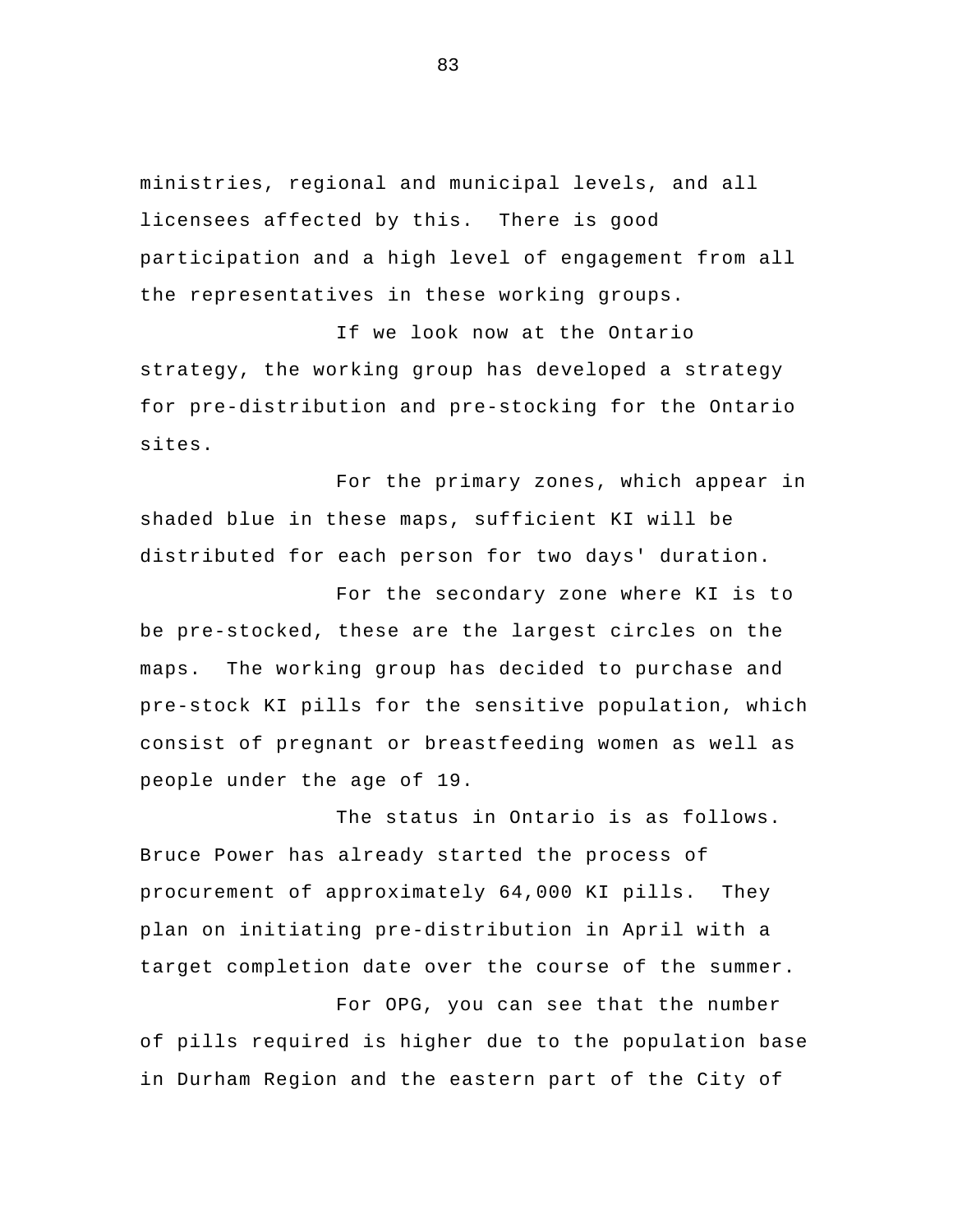ministries, regional and municipal levels, and all licensees affected by this. There is good participation and a high level of engagement from all the representatives in these working groups.

If we look now at the Ontario strategy, the working group has developed a strategy for pre-distribution and pre-stocking for the Ontario sites.

For the primary zones, which appear in shaded blue in these maps, sufficient KI will be distributed for each person for two days' duration.

For the secondary zone where KI is to be pre-stocked, these are the largest circles on the maps. The working group has decided to purchase and pre-stock KI pills for the sensitive population, which consist of pregnant or breastfeeding women as well as people under the age of 19.

The status in Ontario is as follows. Bruce Power has already started the process of procurement of approximately 64,000 KI pills. They plan on initiating pre-distribution in April with a target completion date over the course of the summer.

For OPG, you can see that the number of pills required is higher due to the population base in Durham Region and the eastern part of the City of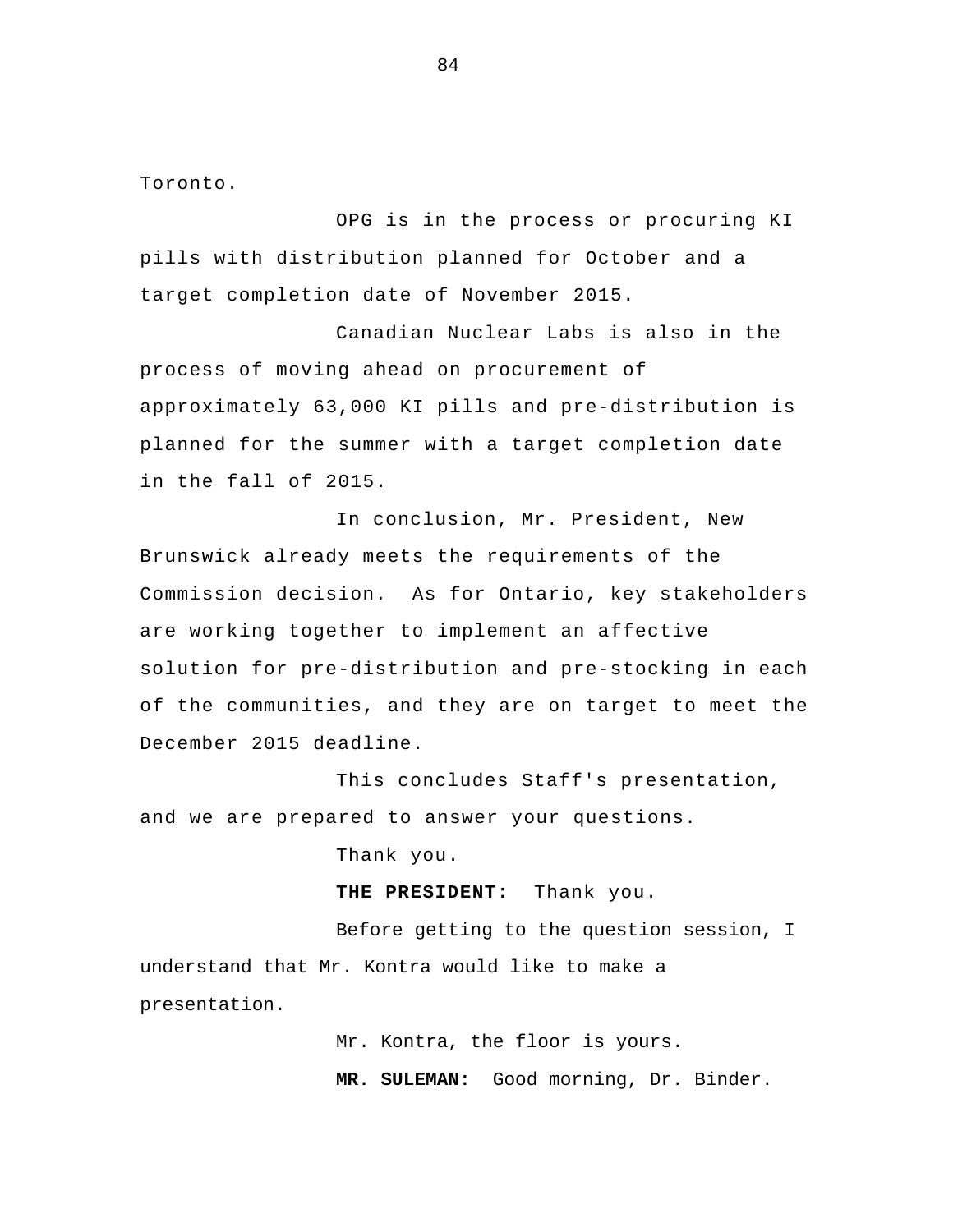Toronto.

OPG is in the process or procuring KI pills with distribution planned for October and a target completion date of November 2015.

 Canadian Nuclear Labs is also in the process of moving ahead on procurement of approximately 63,000 KI pills and pre-distribution is planned for the summer with a target completion date in the fall of 2015.

 In conclusion, Mr. President, New Brunswick already meets the requirements of the Commission decision. As for Ontario, key stakeholders are working together to implement an affective solution for pre-distribution and pre-stocking in each of the communities, and they are on target to meet the December 2015 deadline.

 This concludes Staff's presentation, and we are prepared to answer your questions.

Thank you.

**THE PRESIDENT:** Thank you.

Before getting to the question session, I understand that Mr. Kontra would like to make a presentation.

> Mr. Kontra, the floor is yours. **MR. SULEMAN:** Good morning, Dr. Binder.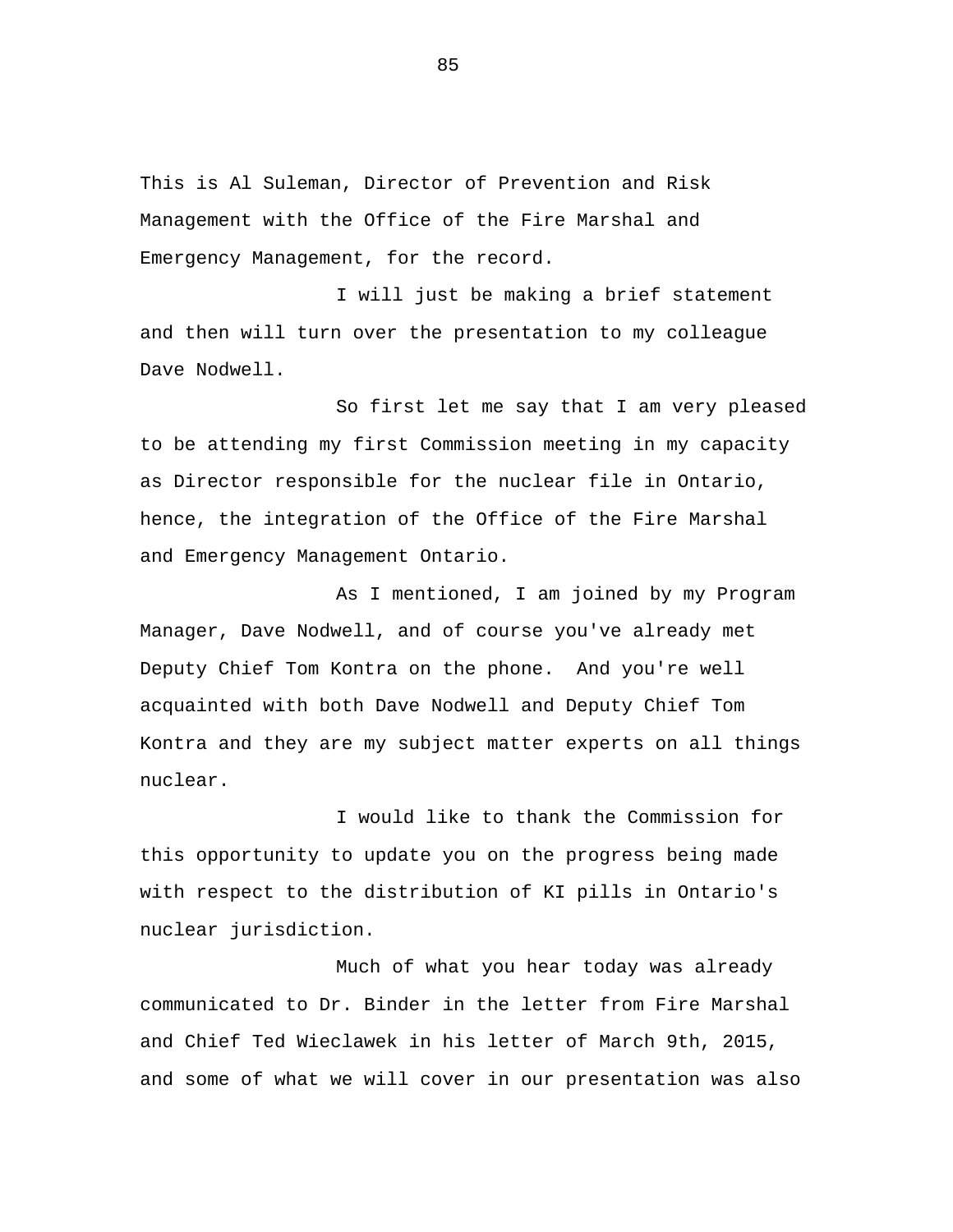This is Al Suleman, Director of Prevention and Risk Management with the Office of the Fire Marshal and Emergency Management, for the record.

I will just be making a brief statement and then will turn over the presentation to my colleague Dave Nodwell.

So first let me say that I am very pleased to be attending my first Commission meeting in my capacity as Director responsible for the nuclear file in Ontario, hence, the integration of the Office of the Fire Marshal and Emergency Management Ontario.

As I mentioned, I am joined by my Program Manager, Dave Nodwell, and of course you've already met Deputy Chief Tom Kontra on the phone. And you're well acquainted with both Dave Nodwell and Deputy Chief Tom Kontra and they are my subject matter experts on all things nuclear.

I would like to thank the Commission for this opportunity to update you on the progress being made with respect to the distribution of KI pills in Ontario's nuclear jurisdiction.

Much of what you hear today was already communicated to Dr. Binder in the letter from Fire Marshal and Chief Ted Wieclawek in his letter of March 9th, 2015, and some of what we will cover in our presentation was also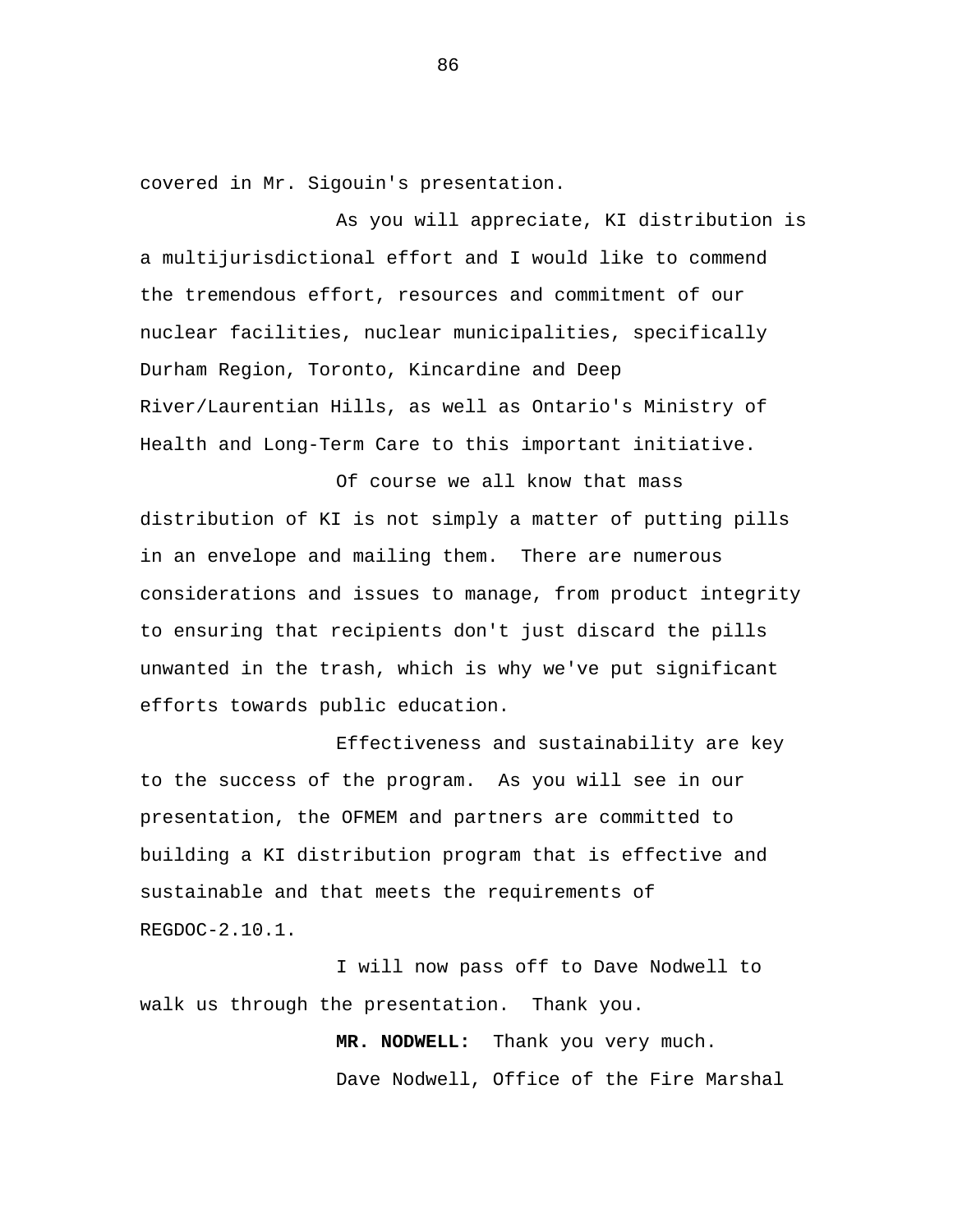covered in Mr. Sigouin's presentation.

As you will appreciate, KI distribution is a multijurisdictional effort and I would like to commend the tremendous effort, resources and commitment of our nuclear facilities, nuclear municipalities, specifically Durham Region, Toronto, Kincardine and Deep River/Laurentian Hills, as well as Ontario's Ministry of Health and Long-Term Care to this important initiative.

Of course we all know that mass distribution of KI is not simply a matter of putting pills in an envelope and mailing them. There are numerous considerations and issues to manage, from product integrity to ensuring that recipients don't just discard the pills unwanted in the trash, which is why we've put significant efforts towards public education.

Effectiveness and sustainability are key to the success of the program. As you will see in our presentation, the OFMEM and partners are committed to building a KI distribution program that is effective and sustainable and that meets the requirements of REGDOC-2.10.1.

I will now pass off to Dave Nodwell to walk us through the presentation. Thank you.

> **MR. NODWELL:** Thank you very much. Dave Nodwell, Office of the Fire Marshal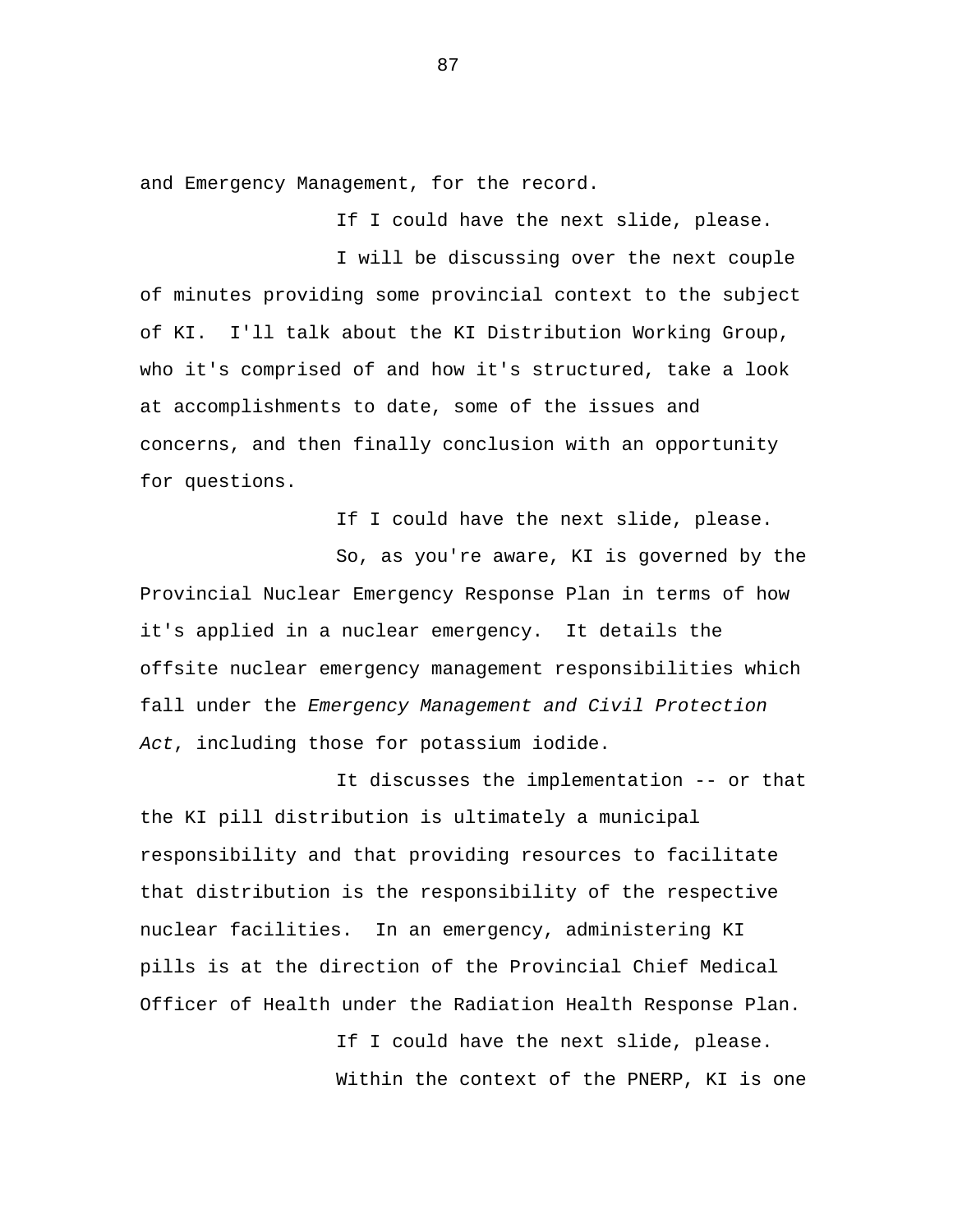and Emergency Management, for the record.

If I could have the next slide, please.

I will be discussing over the next couple of minutes providing some provincial context to the subject of KI. I'll talk about the KI Distribution Working Group, who it's comprised of and how it's structured, take a look at accomplishments to date, some of the issues and concerns, and then finally conclusion with an opportunity for questions.

If I could have the next slide, please.

So, as you're aware, KI is governed by the Provincial Nuclear Emergency Response Plan in terms of how it's applied in a nuclear emergency. It details the offsite nuclear emergency management responsibilities which fall under the *Emergency Management and Civil Protection Act*, including those for potassium iodide.

It discusses the implementation -- or that the KI pill distribution is ultimately a municipal responsibility and that providing resources to facilitate that distribution is the responsibility of the respective nuclear facilities. In an emergency, administering KI pills is at the direction of the Provincial Chief Medical Officer of Health under the Radiation Health Response Plan.

> If I could have the next slide, please. Within the context of the PNERP, KI is one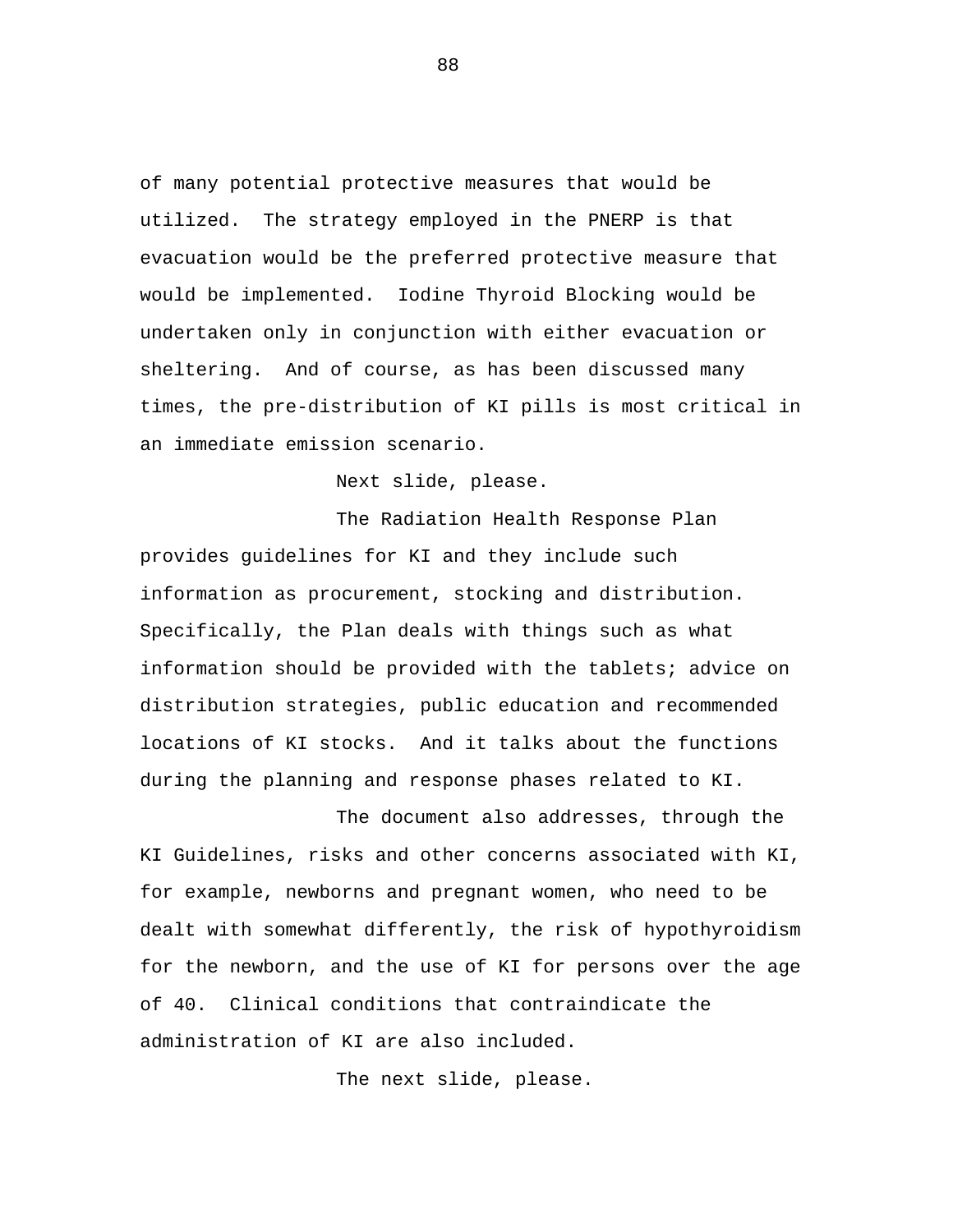of many potential protective measures that would be utilized. The strategy employed in the PNERP is that evacuation would be the preferred protective measure that would be implemented. Iodine Thyroid Blocking would be undertaken only in conjunction with either evacuation or sheltering. And of course, as has been discussed many times, the pre-distribution of KI pills is most critical in an immediate emission scenario.

Next slide, please.

The Radiation Health Response Plan provides guidelines for KI and they include such information as procurement, stocking and distribution. Specifically, the Plan deals with things such as what information should be provided with the tablets; advice on distribution strategies, public education and recommended locations of KI stocks. And it talks about the functions during the planning and response phases related to KI.

The document also addresses, through the KI Guidelines, risks and other concerns associated with KI, for example, newborns and pregnant women, who need to be dealt with somewhat differently, the risk of hypothyroidism for the newborn, and the use of KI for persons over the age of 40. Clinical conditions that contraindicate the administration of KI are also included.

The next slide, please.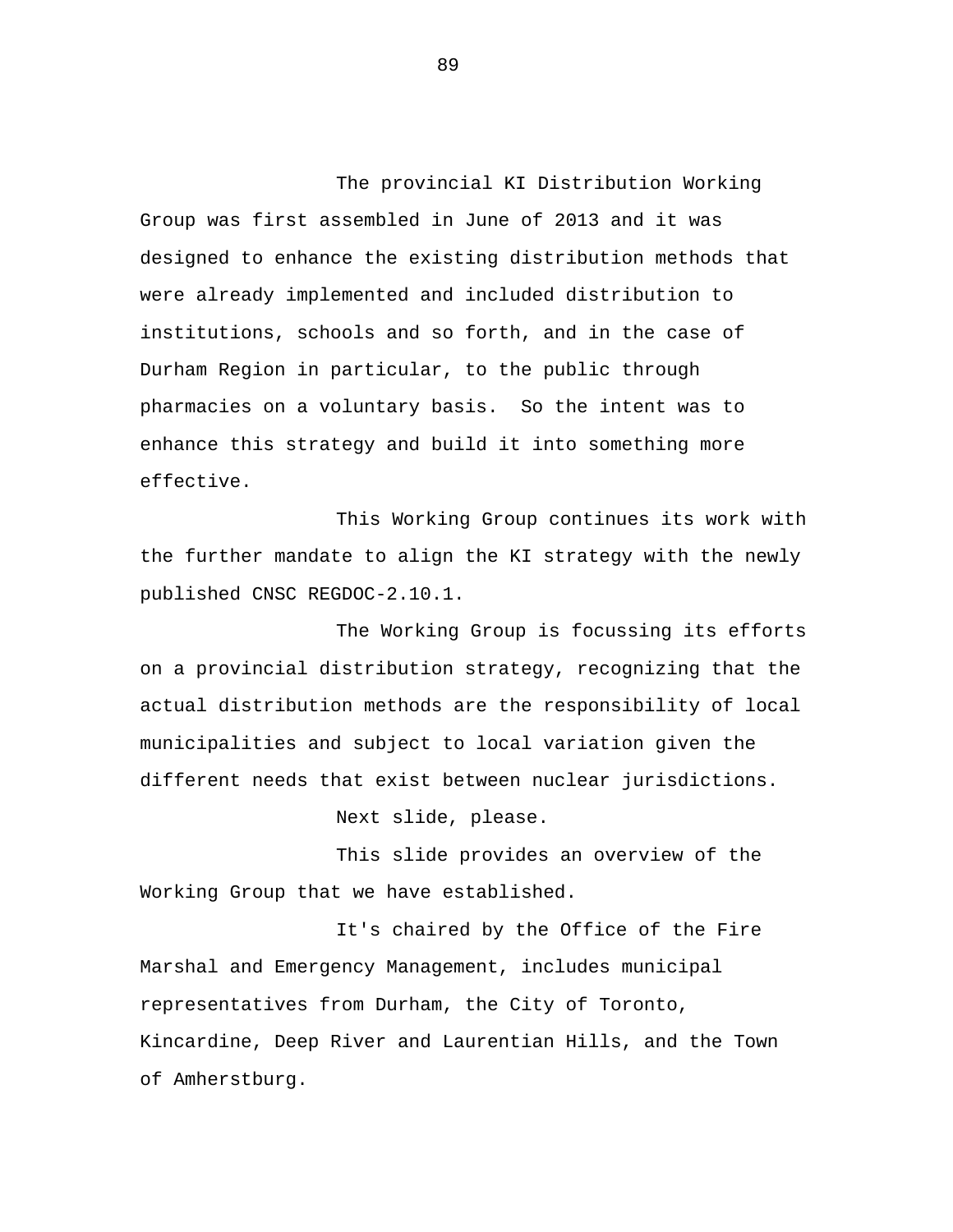The provincial KI Distribution Working Group was first assembled in June of 2013 and it was designed to enhance the existing distribution methods that were already implemented and included distribution to institutions, schools and so forth, and in the case of Durham Region in particular, to the public through pharmacies on a voluntary basis. So the intent was to enhance this strategy and build it into something more effective.

This Working Group continues its work with the further mandate to align the KI strategy with the newly published CNSC REGDOC-2.10.1.

The Working Group is focussing its efforts on a provincial distribution strategy, recognizing that the actual distribution methods are the responsibility of local municipalities and subject to local variation given the different needs that exist between nuclear jurisdictions.

Next slide, please.

This slide provides an overview of the Working Group that we have established.

It's chaired by the Office of the Fire Marshal and Emergency Management, includes municipal representatives from Durham, the City of Toronto, Kincardine, Deep River and Laurentian Hills, and the Town of Amherstburg.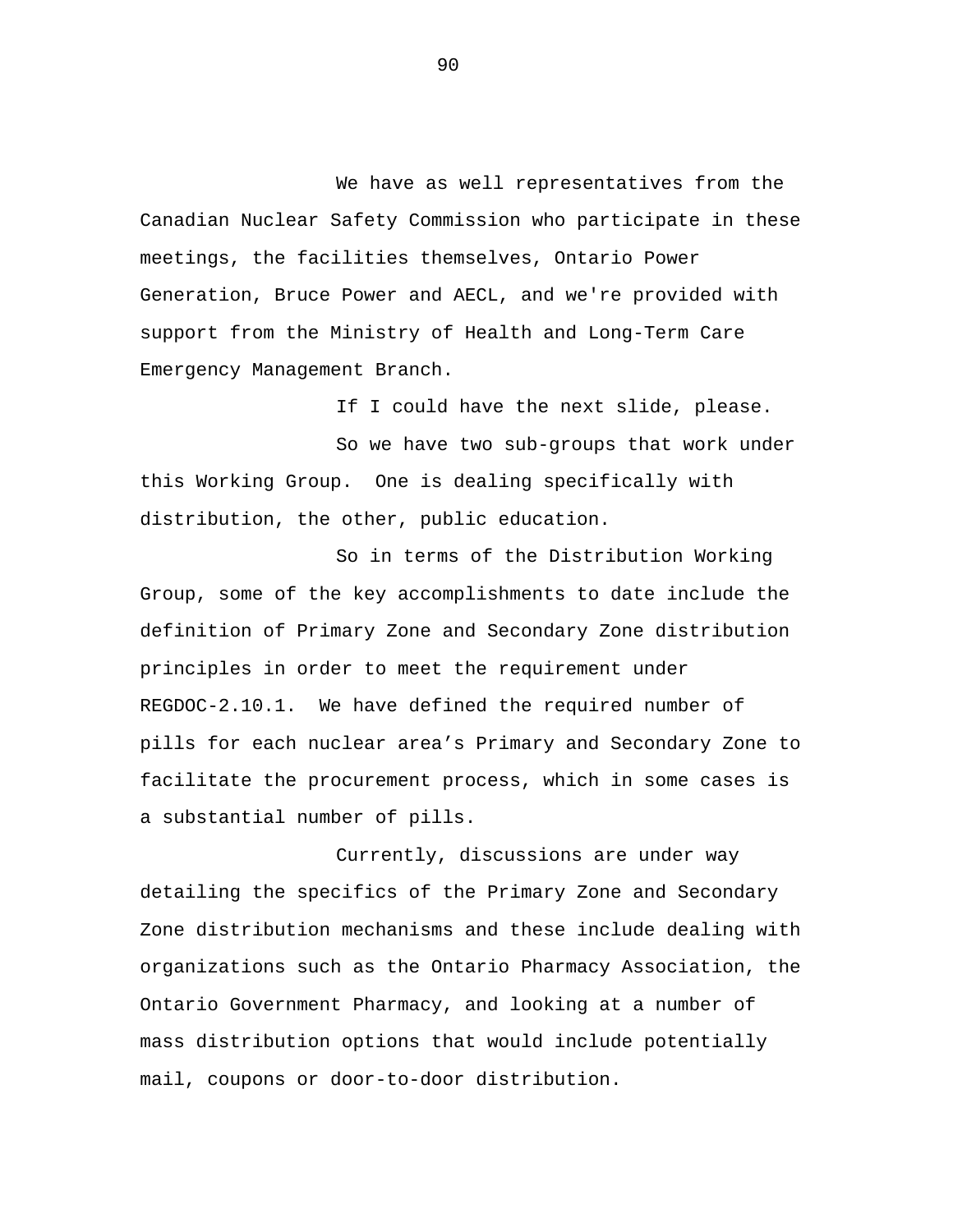We have as well representatives from the Canadian Nuclear Safety Commission who participate in these meetings, the facilities themselves, Ontario Power Generation, Bruce Power and AECL, and we're provided with support from the Ministry of Health and Long-Term Care Emergency Management Branch.

If I could have the next slide, please. So we have two sub-groups that work under this Working Group. One is dealing specifically with distribution, the other, public education.

So in terms of the Distribution Working Group, some of the key accomplishments to date include the definition of Primary Zone and Secondary Zone distribution principles in order to meet the requirement under REGDOC-2.10.1. We have defined the required number of pills for each nuclear area's Primary and Secondary Zone to facilitate the procurement process, which in some cases is a substantial number of pills.

Currently, discussions are under way detailing the specifics of the Primary Zone and Secondary Zone distribution mechanisms and these include dealing with organizations such as the Ontario Pharmacy Association, the Ontario Government Pharmacy, and looking at a number of mass distribution options that would include potentially mail, coupons or door-to-door distribution.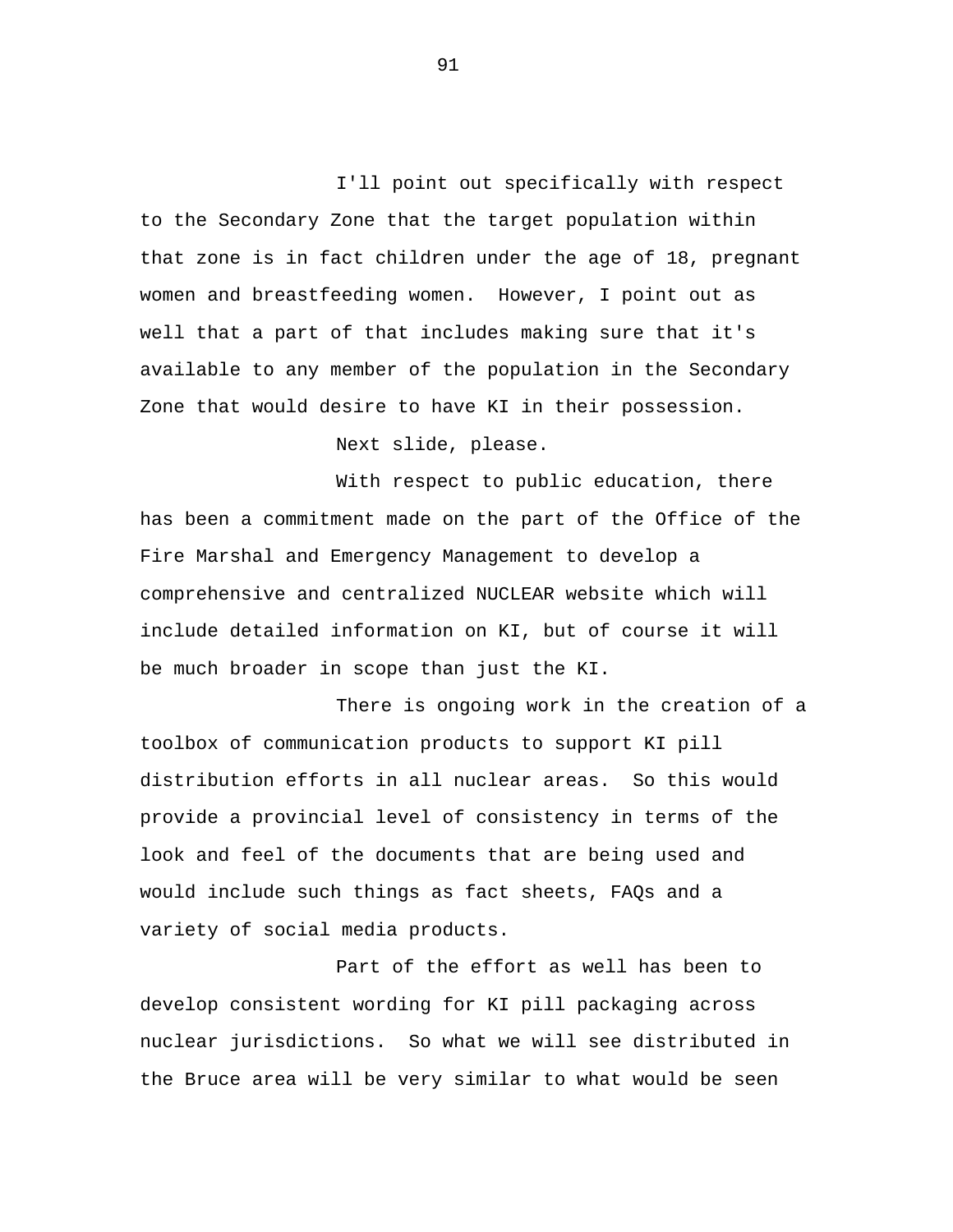I'll point out specifically with respect to the Secondary Zone that the target population within that zone is in fact children under the age of 18, pregnant women and breastfeeding women. However, I point out as well that a part of that includes making sure that it's available to any member of the population in the Secondary Zone that would desire to have KI in their possession.

Next slide, please.

With respect to public education, there has been a commitment made on the part of the Office of the Fire Marshal and Emergency Management to develop a comprehensive and centralized NUCLEAR website which will include detailed information on KI, but of course it will be much broader in scope than just the KI.

There is ongoing work in the creation of a toolbox of communication products to support KI pill distribution efforts in all nuclear areas. So this would provide a provincial level of consistency in terms of the look and feel of the documents that are being used and would include such things as fact sheets, FAQs and a variety of social media products.

Part of the effort as well has been to develop consistent wording for KI pill packaging across nuclear jurisdictions. So what we will see distributed in the Bruce area will be very similar to what would be seen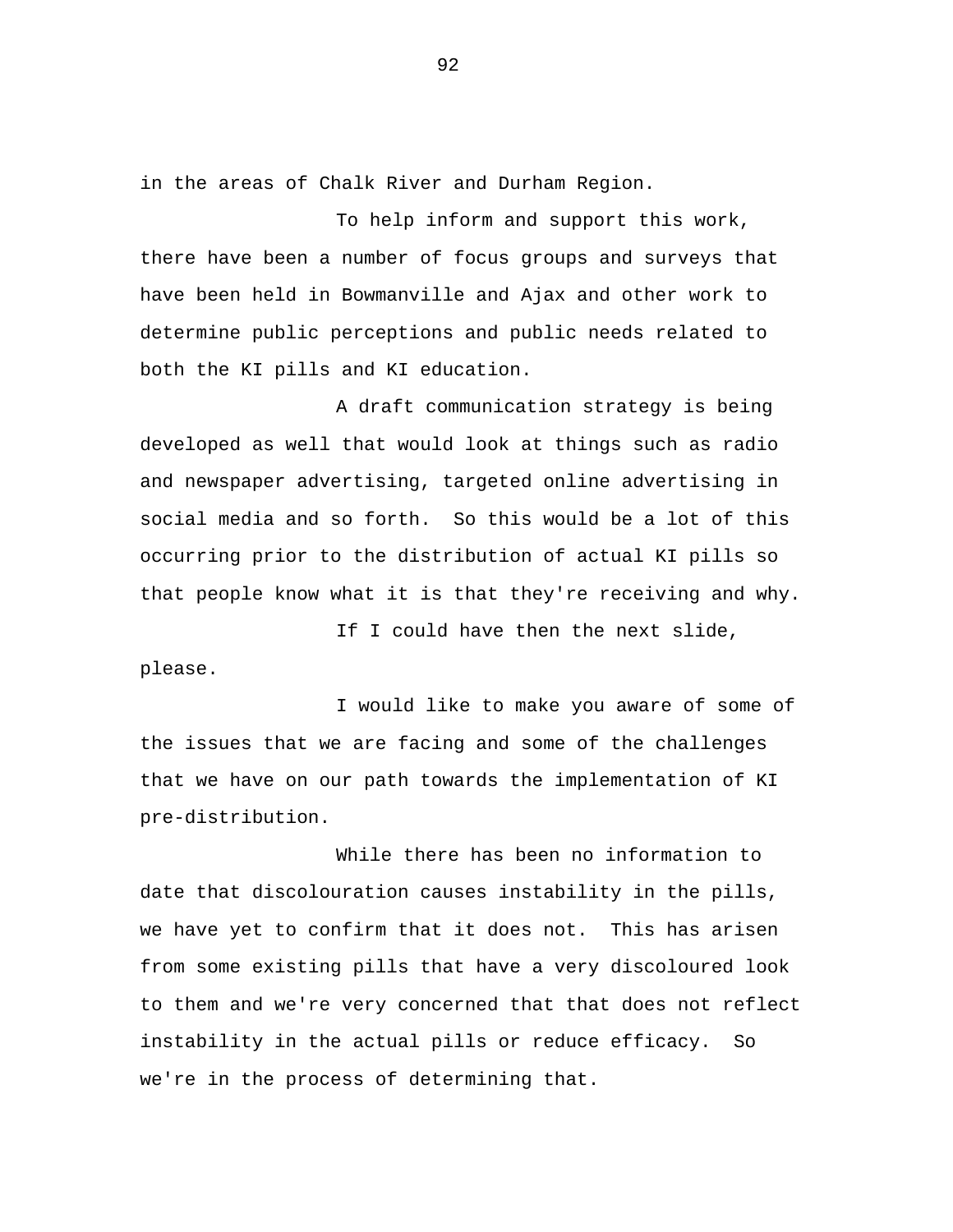in the areas of Chalk River and Durham Region.

To help inform and support this work, there have been a number of focus groups and surveys that have been held in Bowmanville and Ajax and other work to determine public perceptions and public needs related to both the KI pills and KI education.

A draft communication strategy is being developed as well that would look at things such as radio and newspaper advertising, targeted online advertising in social media and so forth. So this would be a lot of this occurring prior to the distribution of actual KI pills so that people know what it is that they're receiving and why.

If I could have then the next slide, please.

I would like to make you aware of some of the issues that we are facing and some of the challenges that we have on our path towards the implementation of KI pre-distribution.

While there has been no information to date that discolouration causes instability in the pills, we have yet to confirm that it does not. This has arisen from some existing pills that have a very discoloured look to them and we're very concerned that that does not reflect instability in the actual pills or reduce efficacy. So we're in the process of determining that.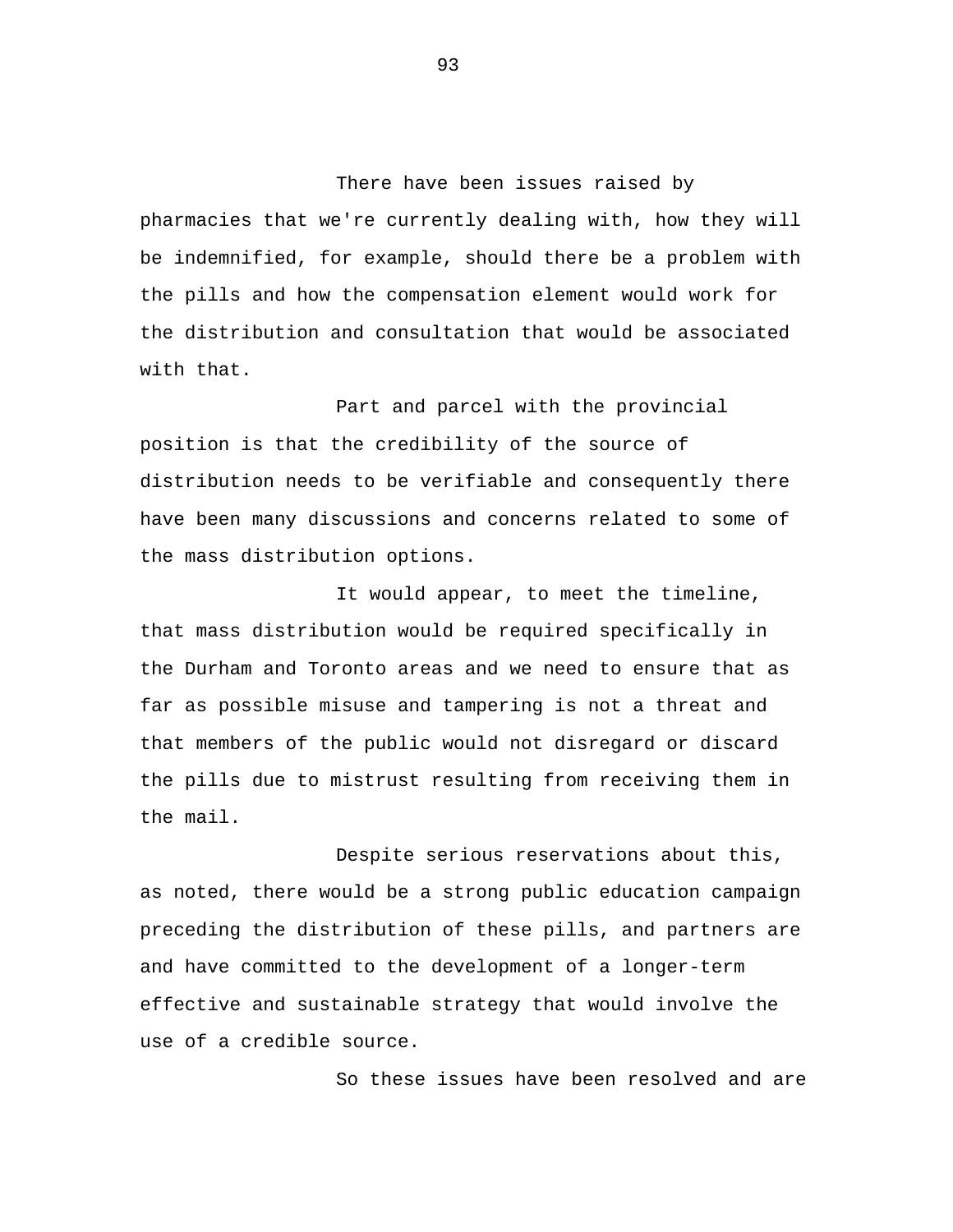There have been issues raised by pharmacies that we're currently dealing with, how they will be indemnified, for example, should there be a problem with the pills and how the compensation element would work for the distribution and consultation that would be associated with that.

Part and parcel with the provincial position is that the credibility of the source of distribution needs to be verifiable and consequently there have been many discussions and concerns related to some of the mass distribution options.

It would appear, to meet the timeline, that mass distribution would be required specifically in the Durham and Toronto areas and we need to ensure that as far as possible misuse and tampering is not a threat and that members of the public would not disregard or discard the pills due to mistrust resulting from receiving them in the mail.

Despite serious reservations about this, as noted, there would be a strong public education campaign preceding the distribution of these pills, and partners are and have committed to the development of a longer-term effective and sustainable strategy that would involve the use of a credible source.

So these issues have been resolved and are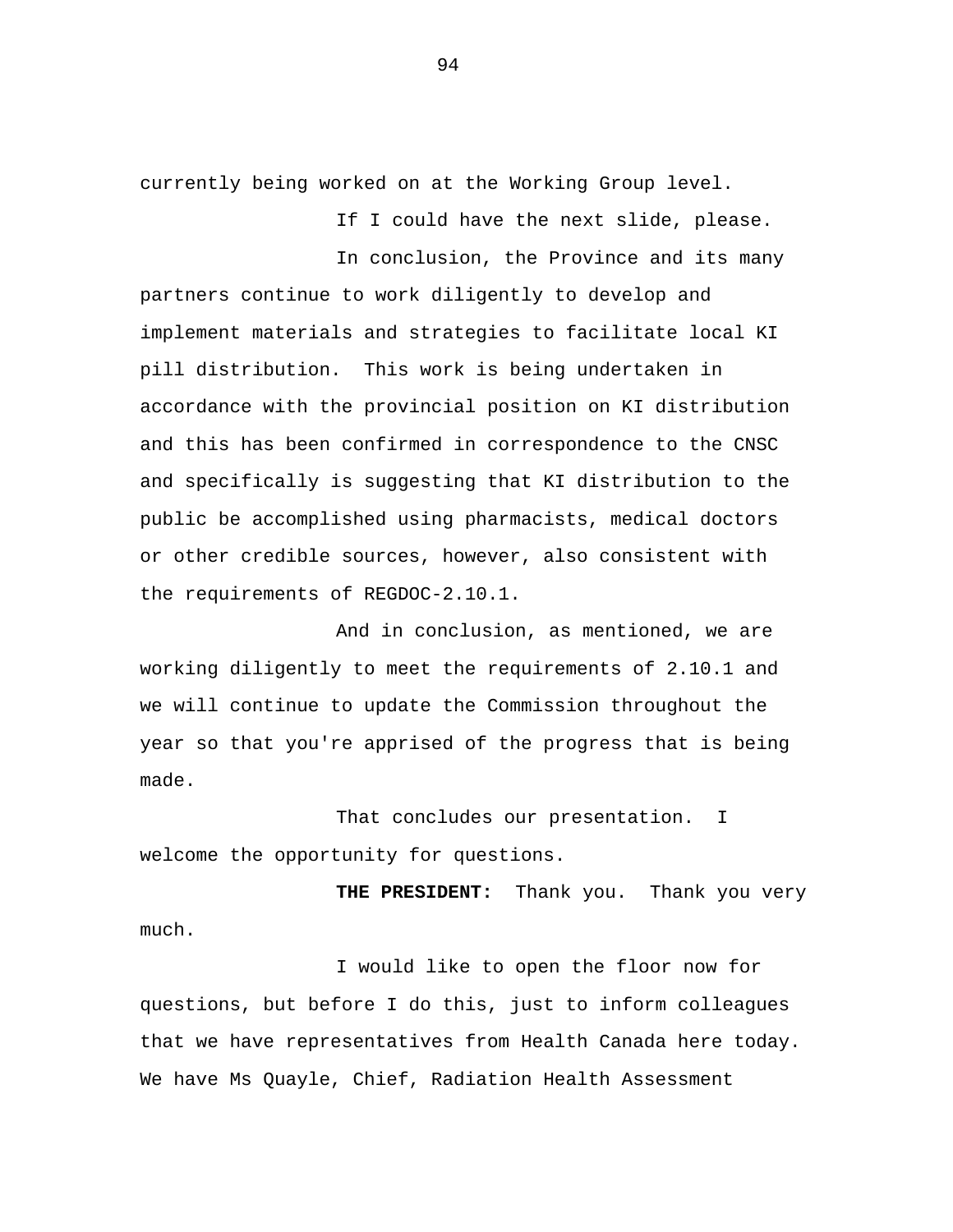currently being worked on at the Working Group level.

If I could have the next slide, please.

In conclusion, the Province and its many partners continue to work diligently to develop and implement materials and strategies to facilitate local KI pill distribution. This work is being undertaken in accordance with the provincial position on KI distribution and this has been confirmed in correspondence to the CNSC and specifically is suggesting that KI distribution to the public be accomplished using pharmacists, medical doctors or other credible sources, however, also consistent with the requirements of REGDOC-2.10.1.

And in conclusion, as mentioned, we are working diligently to meet the requirements of 2.10.1 and we will continue to update the Commission throughout the year so that you're apprised of the progress that is being made.

That concludes our presentation. I welcome the opportunity for questions.

**THE PRESIDENT:** Thank you. Thank you very much.

I would like to open the floor now for questions, but before I do this, just to inform colleagues that we have representatives from Health Canada here today. We have Ms Quayle, Chief, Radiation Health Assessment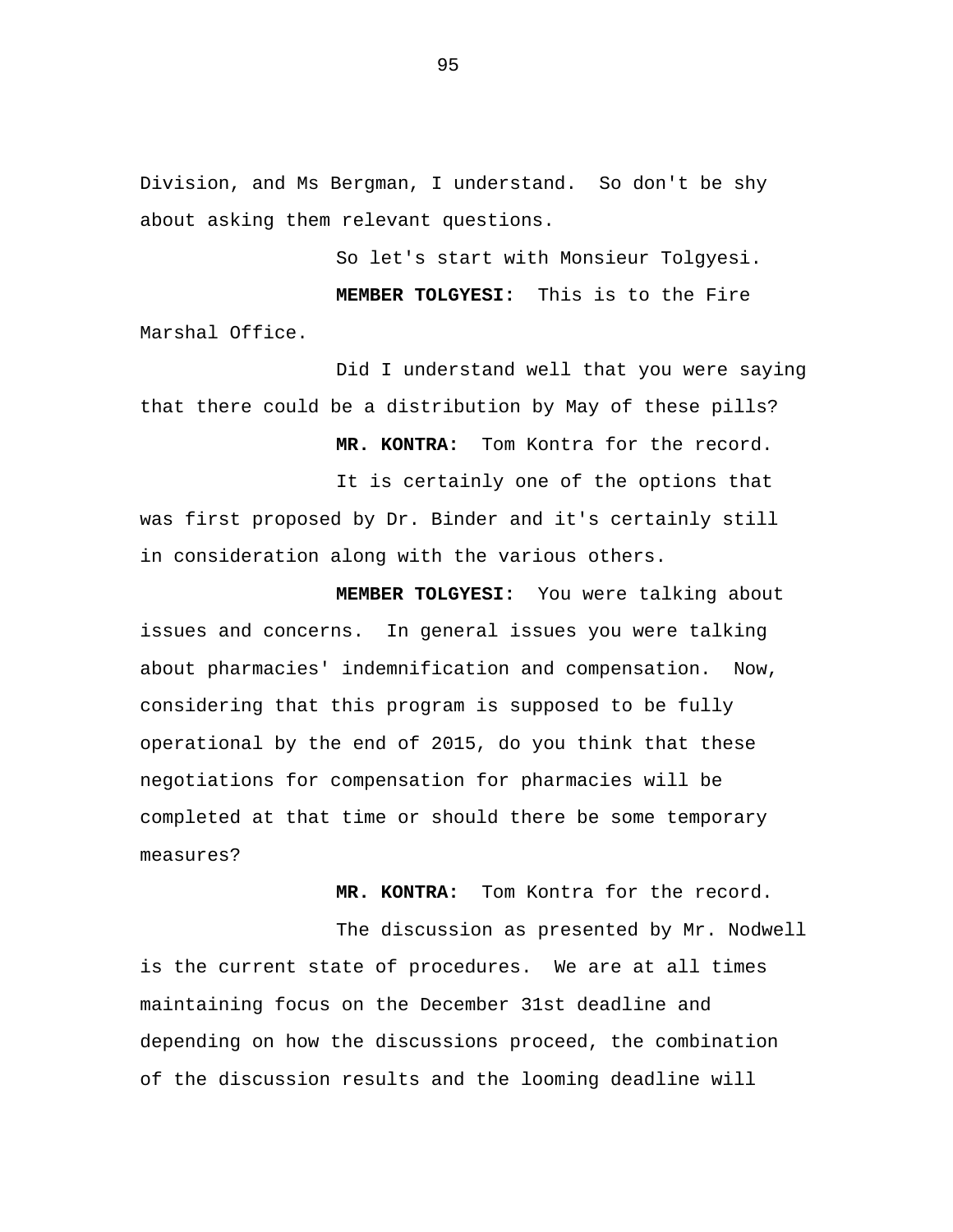Division, and Ms Bergman, I understand. So don't be shy about asking them relevant questions.

So let's start with Monsieur Tolgyesi.

**MEMBER TOLGYESI:** This is to the Fire Marshal Office.

Did I understand well that you were saying that there could be a distribution by May of these pills?

**MR. KONTRA:** Tom Kontra for the record.

It is certainly one of the options that was first proposed by Dr. Binder and it's certainly still in consideration along with the various others.

**MEMBER TOLGYESI:** You were talking about issues and concerns. In general issues you were talking about pharmacies' indemnification and compensation. Now, considering that this program is supposed to be fully operational by the end of 2015, do you think that these negotiations for compensation for pharmacies will be completed at that time or should there be some temporary measures?

**MR. KONTRA:** Tom Kontra for the record.

The discussion as presented by Mr. Nodwell is the current state of procedures. We are at all times maintaining focus on the December 31st deadline and depending on how the discussions proceed, the combination of the discussion results and the looming deadline will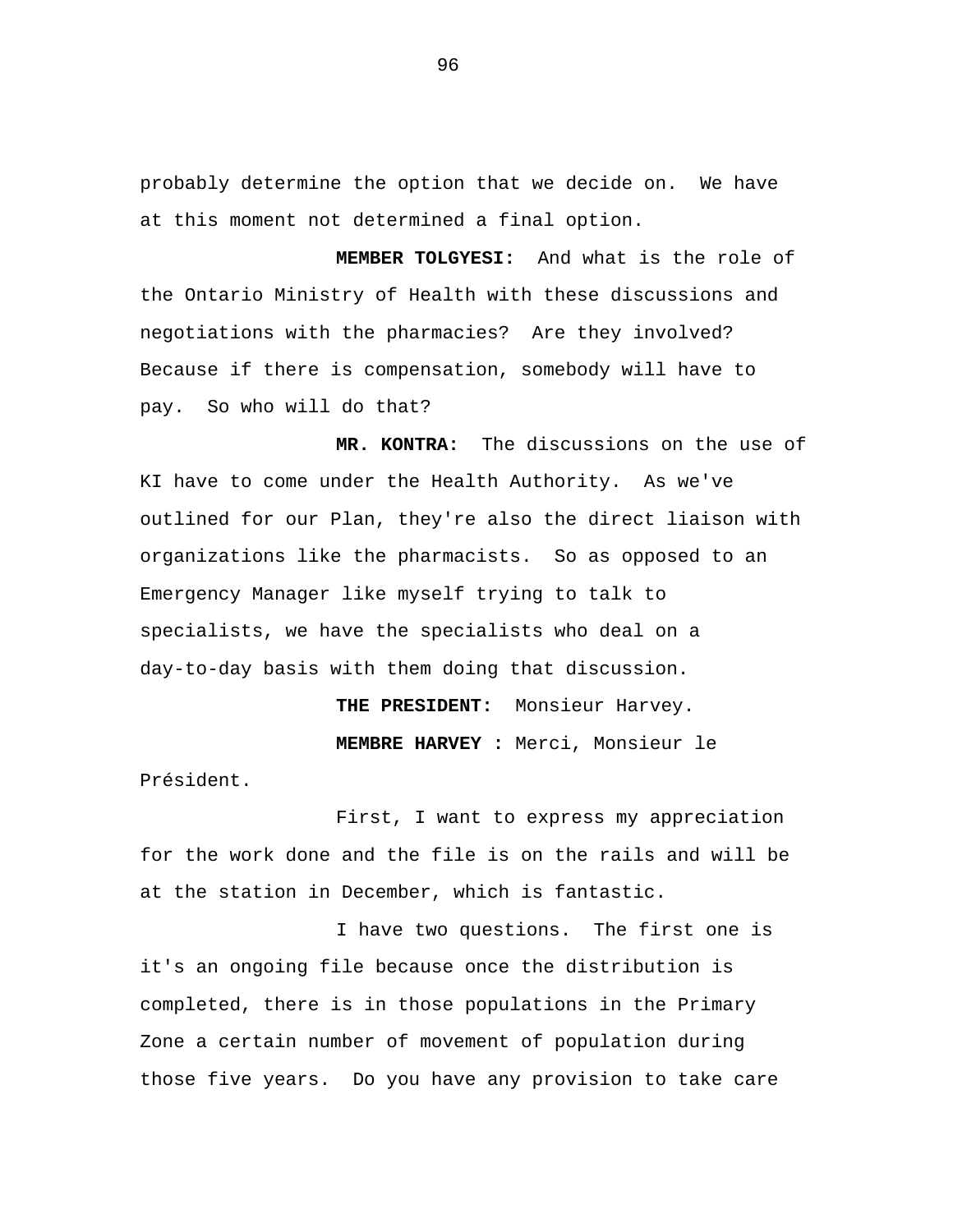probably determine the option that we decide on. We have at this moment not determined a final option.

**MEMBER TOLGYESI:** And what is the role of the Ontario Ministry of Health with these discussions and negotiations with the pharmacies? Are they involved? Because if there is compensation, somebody will have to pay. So who will do that?

**MR. KONTRA:** The discussions on the use of KI have to come under the Health Authority. As we've outlined for our Plan, they're also the direct liaison with organizations like the pharmacists. So as opposed to an Emergency Manager like myself trying to talk to specialists, we have the specialists who deal on a day-to-day basis with them doing that discussion.

> **THE PRESIDENT:** Monsieur Harvey. **MEMBRE HARVEY :** Merci, Monsieur le

Président.

First, I want to express my appreciation for the work done and the file is on the rails and will be at the station in December, which is fantastic.

I have two questions. The first one is it's an ongoing file because once the distribution is completed, there is in those populations in the Primary Zone a certain number of movement of population during those five years. Do you have any provision to take care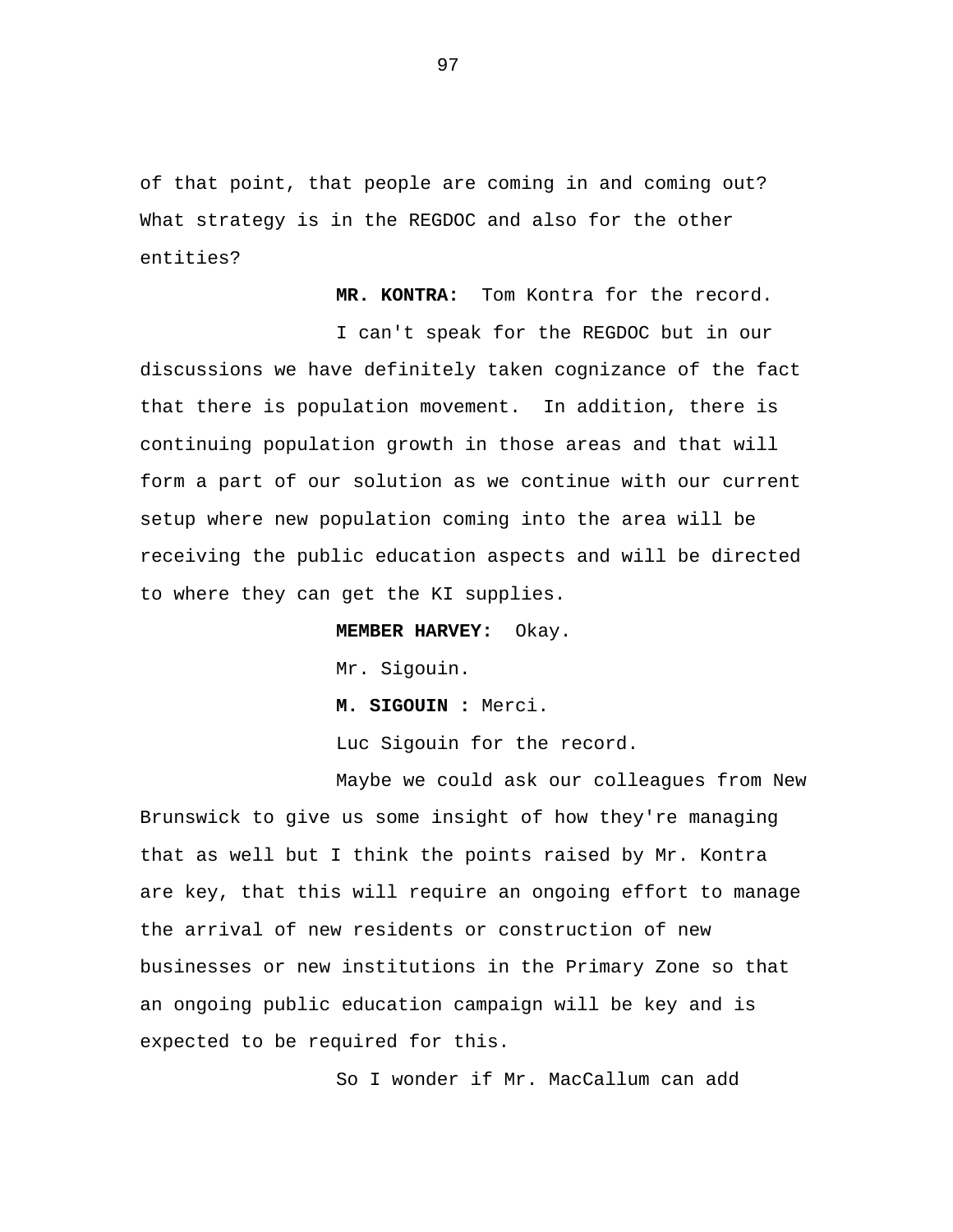of that point, that people are coming in and coming out? What strategy is in the REGDOC and also for the other entities?

**MR. KONTRA:** Tom Kontra for the record.

I can't speak for the REGDOC but in our discussions we have definitely taken cognizance of the fact that there is population movement. In addition, there is continuing population growth in those areas and that will form a part of our solution as we continue with our current setup where new population coming into the area will be receiving the public education aspects and will be directed to where they can get the KI supplies.

**MEMBER HARVEY:** Okay.

Mr. Sigouin.

**M. SIGOUIN :** Merci.

Luc Sigouin for the record.

Maybe we could ask our colleagues from New Brunswick to give us some insight of how they're managing that as well but I think the points raised by Mr. Kontra are key, that this will require an ongoing effort to manage the arrival of new residents or construction of new businesses or new institutions in the Primary Zone so that an ongoing public education campaign will be key and is expected to be required for this.

So I wonder if Mr. MacCallum can add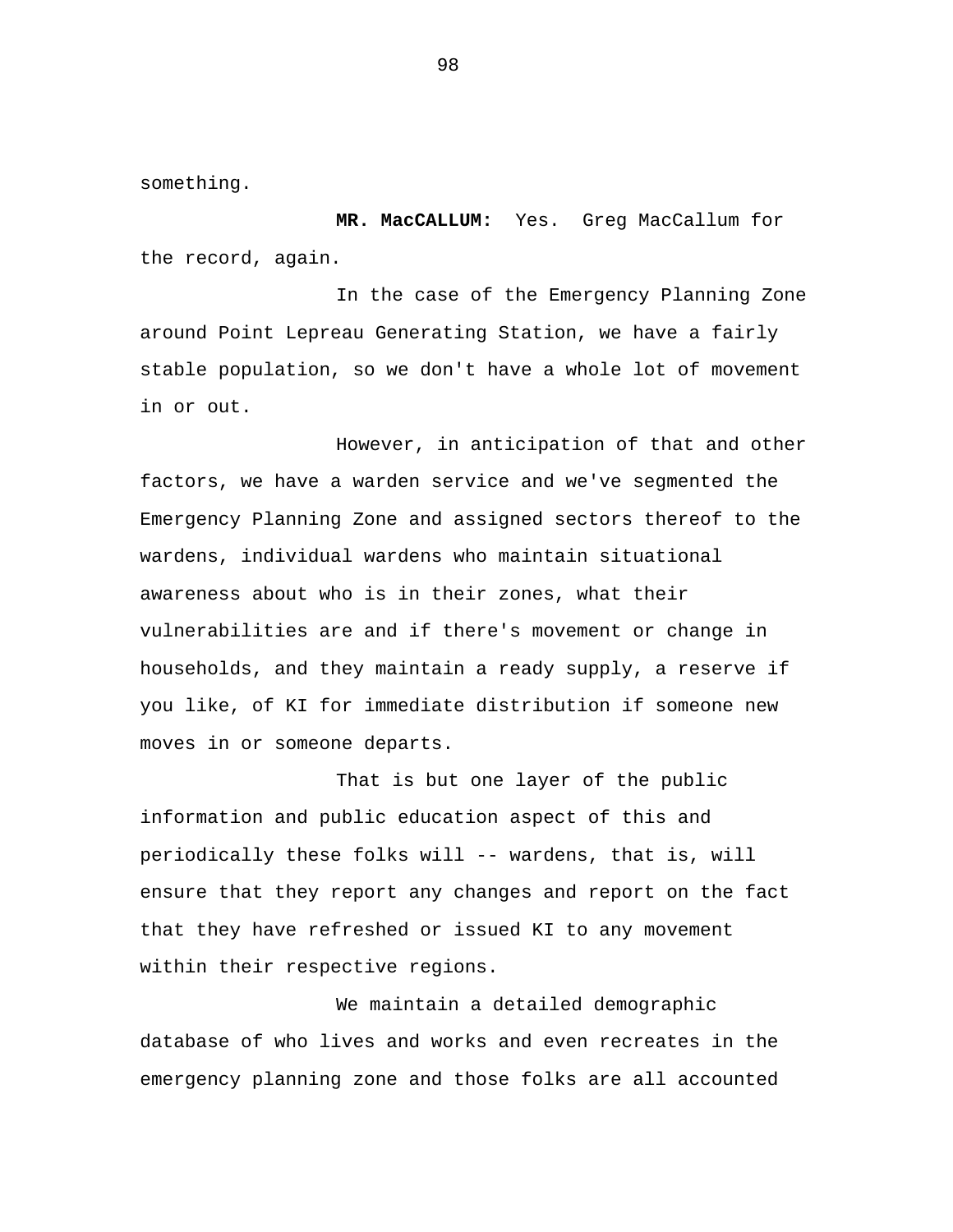something.

**MR. MacCALLUM:** Yes. Greg MacCallum for the record, again.

In the case of the Emergency Planning Zone around Point Lepreau Generating Station, we have a fairly stable population, so we don't have a whole lot of movement in or out.

However, in anticipation of that and other factors, we have a warden service and we've segmented the Emergency Planning Zone and assigned sectors thereof to the wardens, individual wardens who maintain situational awareness about who is in their zones, what their vulnerabilities are and if there's movement or change in households, and they maintain a ready supply, a reserve if you like, of KI for immediate distribution if someone new moves in or someone departs.

That is but one layer of the public information and public education aspect of this and periodically these folks will -- wardens, that is, will ensure that they report any changes and report on the fact that they have refreshed or issued KI to any movement within their respective regions.

We maintain a detailed demographic database of who lives and works and even recreates in the emergency planning zone and those folks are all accounted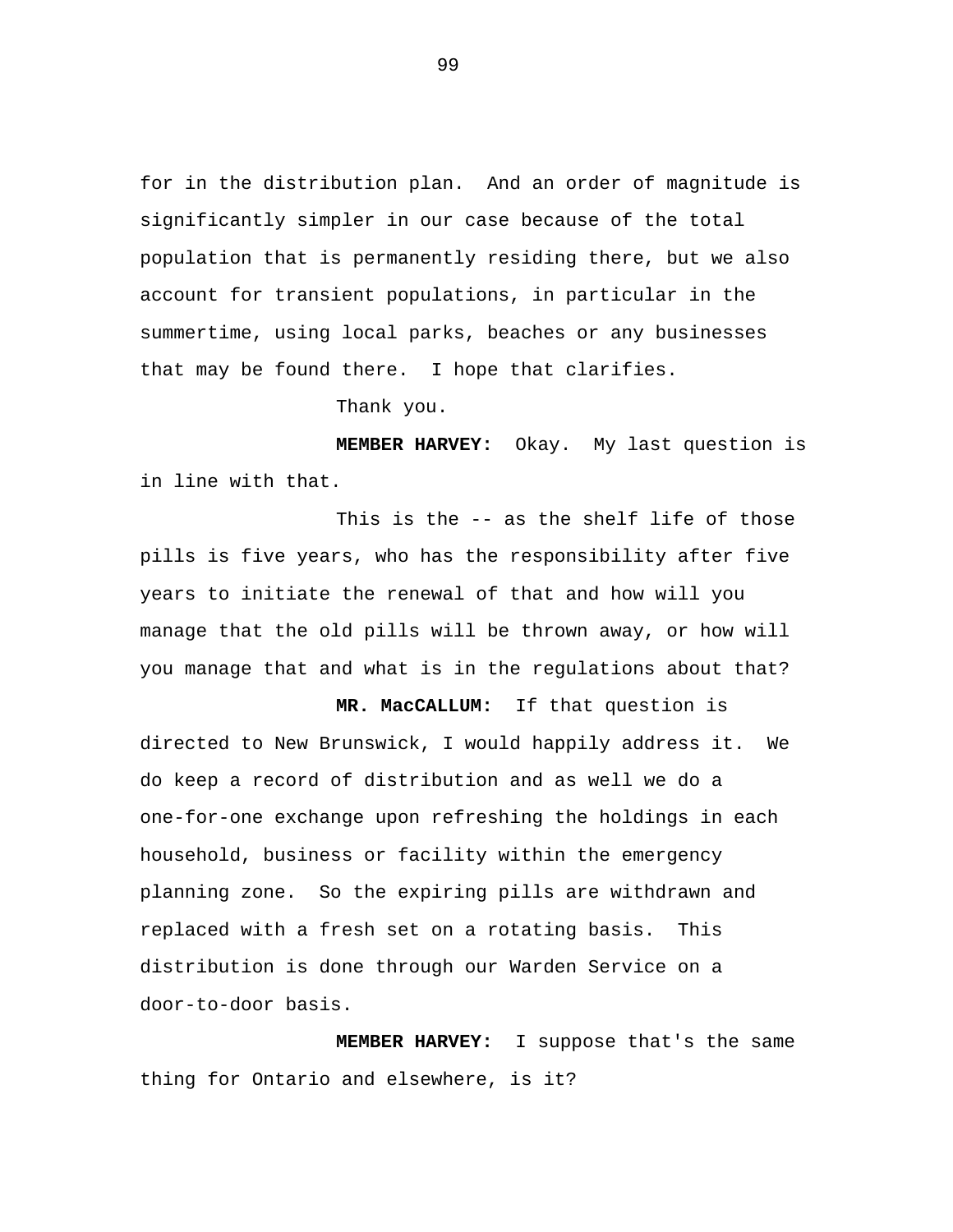for in the distribution plan. And an order of magnitude is significantly simpler in our case because of the total population that is permanently residing there, but we also account for transient populations, in particular in the summertime, using local parks, beaches or any businesses that may be found there. I hope that clarifies.

Thank you.

**MEMBER HARVEY:** Okay. My last question is in line with that.

This is the -- as the shelf life of those pills is five years, who has the responsibility after five years to initiate the renewal of that and how will you manage that the old pills will be thrown away, or how will you manage that and what is in the regulations about that?

**MR. MacCALLUM:** If that question is directed to New Brunswick, I would happily address it. We do keep a record of distribution and as well we do a one-for-one exchange upon refreshing the holdings in each household, business or facility within the emergency planning zone. So the expiring pills are withdrawn and replaced with a fresh set on a rotating basis. This distribution is done through our Warden Service on a door-to-door basis.

**MEMBER HARVEY:** I suppose that's the same thing for Ontario and elsewhere, is it?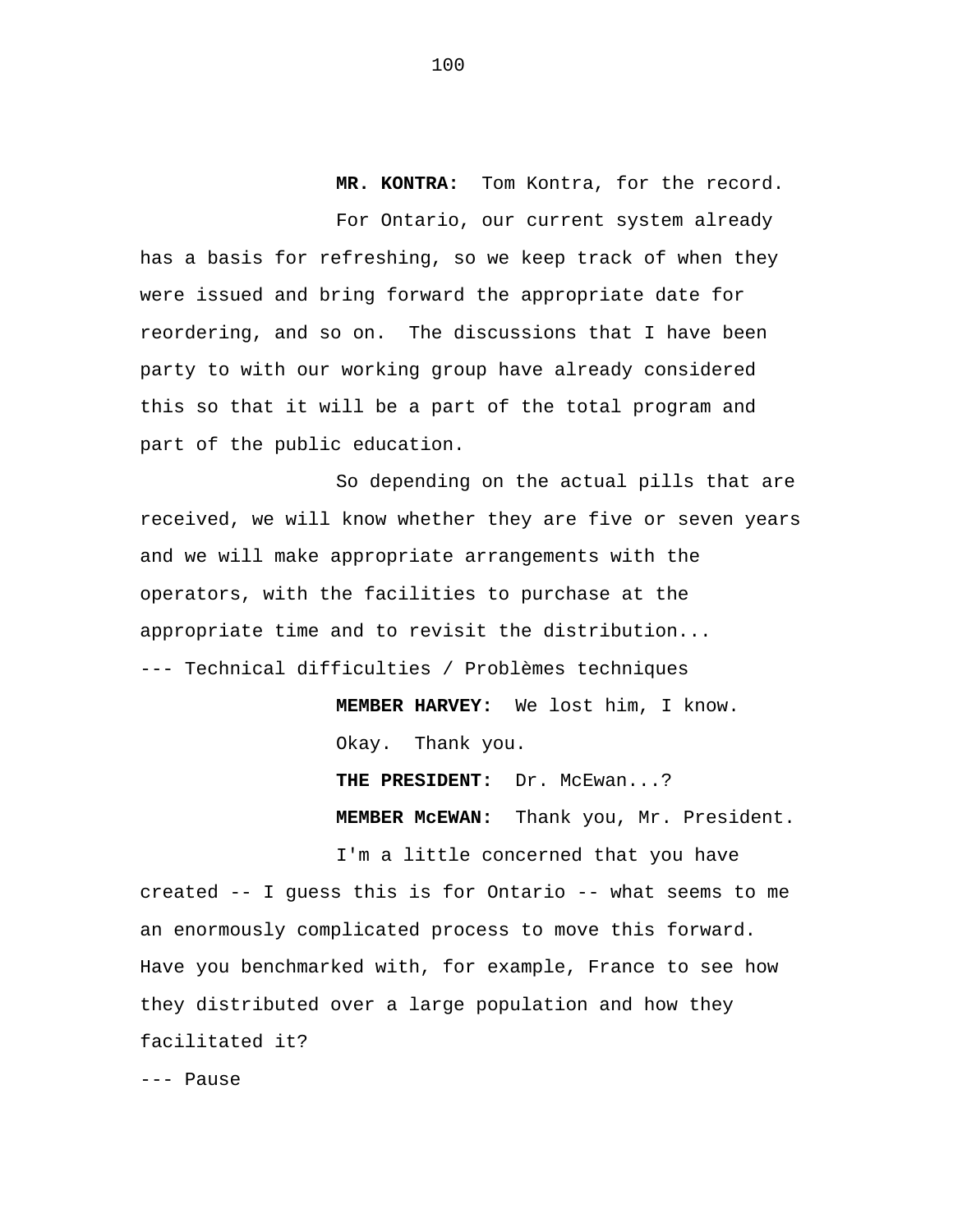**MR. KONTRA:** Tom Kontra, for the record.

For Ontario, our current system already has a basis for refreshing, so we keep track of when they were issued and bring forward the appropriate date for reordering, and so on. The discussions that I have been party to with our working group have already considered this so that it will be a part of the total program and part of the public education.

So depending on the actual pills that are received, we will know whether they are five or seven years and we will make appropriate arrangements with the operators, with the facilities to purchase at the appropriate time and to revisit the distribution... --- Technical difficulties / Problèmes techniques

> **MEMBER HARVEY:** We lost him, I know. Okay. Thank you.

**THE PRESIDENT:** Dr. McEwan...?

**MEMBER McEWAN:** Thank you, Mr. President.

I'm a little concerned that you have created -- I guess this is for Ontario -- what seems to me an enormously complicated process to move this forward. Have you benchmarked with, for example, France to see how they distributed over a large population and how they facilitated it?

--- Pause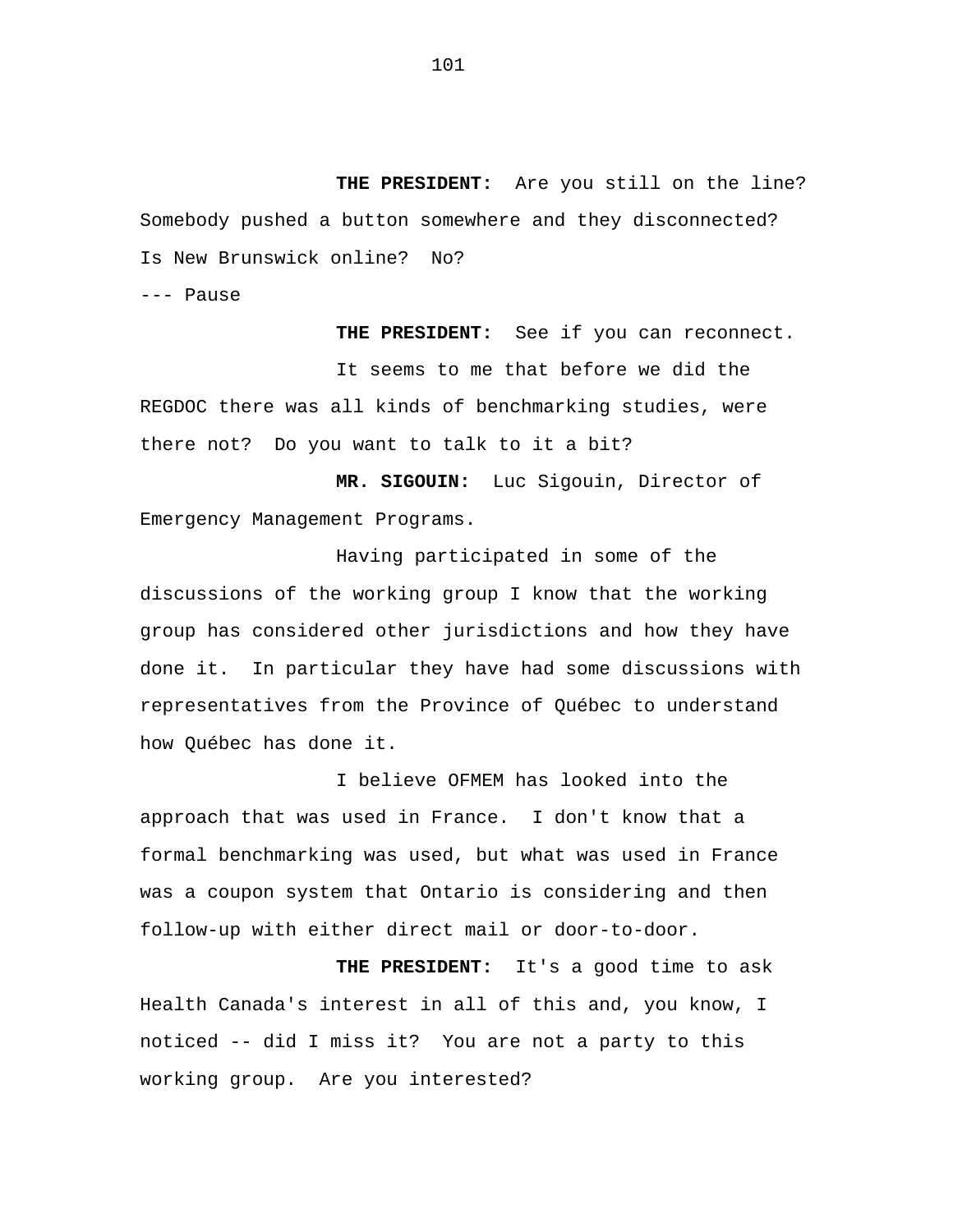**THE PRESIDENT:** Are you still on the line? Somebody pushed a button somewhere and they disconnected? Is New Brunswick online? No?

--- Pause

**THE PRESIDENT:** See if you can reconnect. It seems to me that before we did the REGDOC there was all kinds of benchmarking studies, were there not? Do you want to talk to it a bit?

**MR. SIGOUIN:** Luc Sigouin, Director of Emergency Management Programs.

Having participated in some of the discussions of the working group I know that the working group has considered other jurisdictions and how they have done it. In particular they have had some discussions with representatives from the Province of Québec to understand how Québec has done it.

I believe OFMEM has looked into the approach that was used in France. I don't know that a formal benchmarking was used, but what was used in France was a coupon system that Ontario is considering and then follow-up with either direct mail or door-to-door.

**THE PRESIDENT:** It's a good time to ask Health Canada's interest in all of this and, you know, I noticed -- did I miss it? You are not a party to this working group. Are you interested?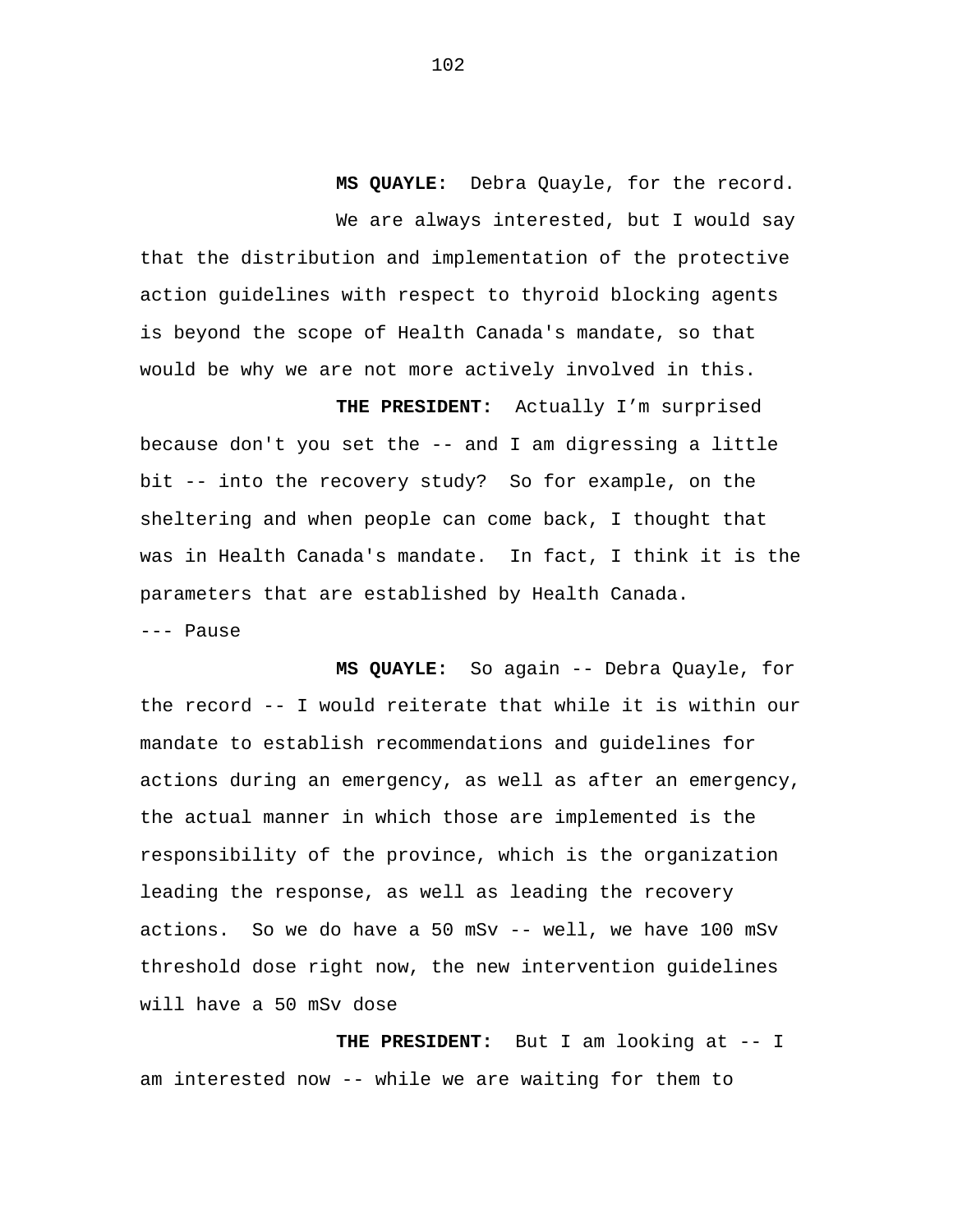**MS QUAYLE:** Debra Quayle, for the record. We are always interested, but I would say that the distribution and implementation of the protective action guidelines with respect to thyroid blocking agents is beyond the scope of Health Canada's mandate, so that would be why we are not more actively involved in this.

**THE PRESIDENT:** Actually I'm surprised because don't you set the -- and I am digressing a little bit -- into the recovery study? So for example, on the sheltering and when people can come back, I thought that was in Health Canada's mandate. In fact, I think it is the parameters that are established by Health Canada. --- Pause

**MS QUAYLE:** So again -- Debra Quayle, for the record -- I would reiterate that while it is within our mandate to establish recommendations and guidelines for actions during an emergency, as well as after an emergency, the actual manner in which those are implemented is the responsibility of the province, which is the organization leading the response, as well as leading the recovery actions. So we do have a 50 mSv -- well, we have 100 mSv threshold dose right now, the new intervention guidelines will have a 50 mSv dose

**THE PRESIDENT:** But I am looking at -- I am interested now -- while we are waiting for them to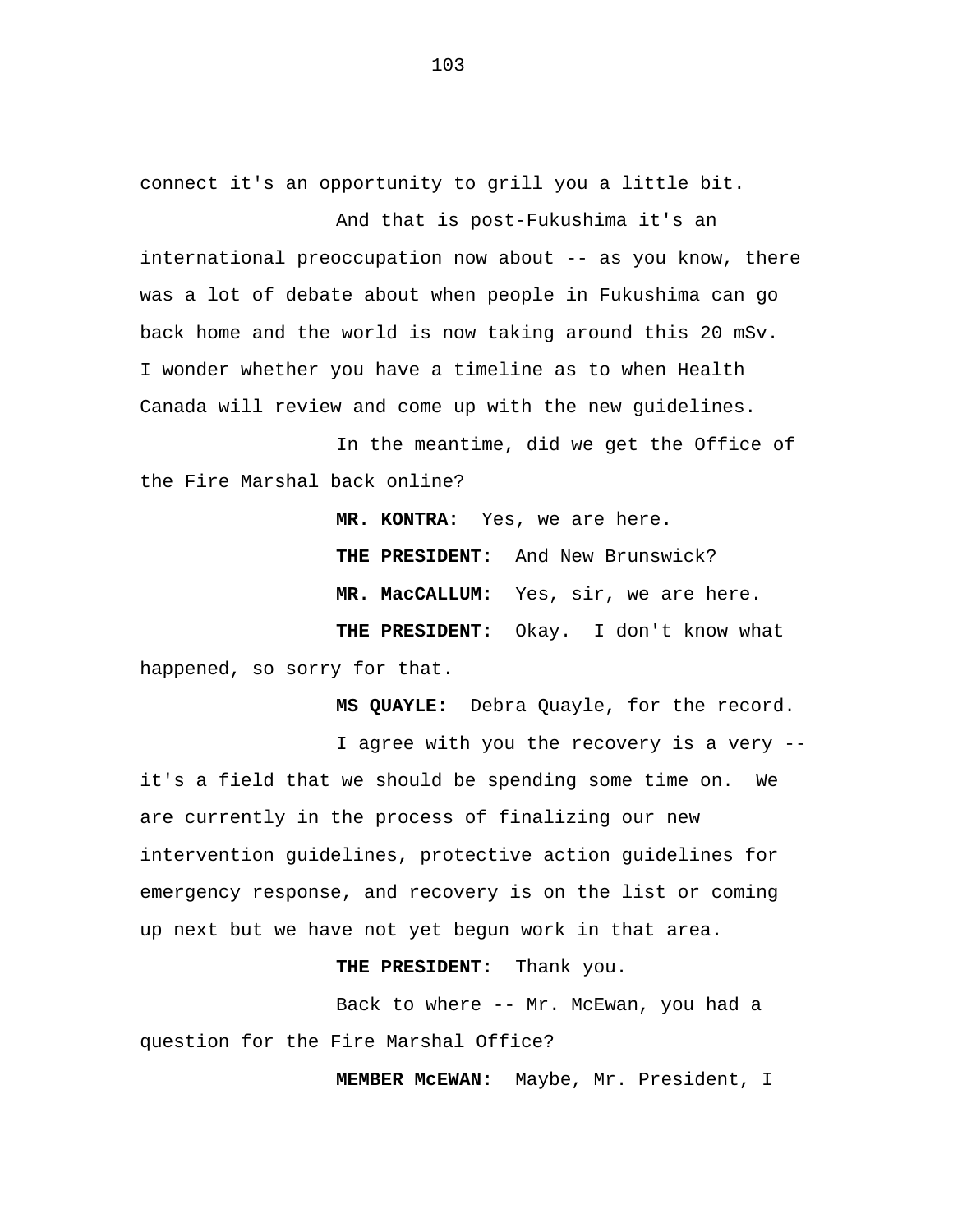connect it's an opportunity to grill you a little bit.

And that is post-Fukushima it's an international preoccupation now about -- as you know, there was a lot of debate about when people in Fukushima can go back home and the world is now taking around this 20 mSv. I wonder whether you have a timeline as to when Health Canada will review and come up with the new guidelines.

In the meantime, did we get the Office of the Fire Marshal back online?

**MR. KONTRA:** Yes, we are here. **THE PRESIDENT:** And New Brunswick? **MR. MacCALLUM:** Yes, sir, we are here. **THE PRESIDENT:** Okay. I don't know what happened, so sorry for that.

**MS QUAYLE:** Debra Quayle, for the record. I agree with you the recovery is a very - it's a field that we should be spending some time on. We are currently in the process of finalizing our new intervention guidelines, protective action guidelines for emergency response, and recovery is on the list or coming

up next but we have not yet begun work in that area.

**THE PRESIDENT:** Thank you.

Back to where -- Mr. McEwan, you had a question for the Fire Marshal Office?

**MEMBER McEWAN:** Maybe, Mr. President, I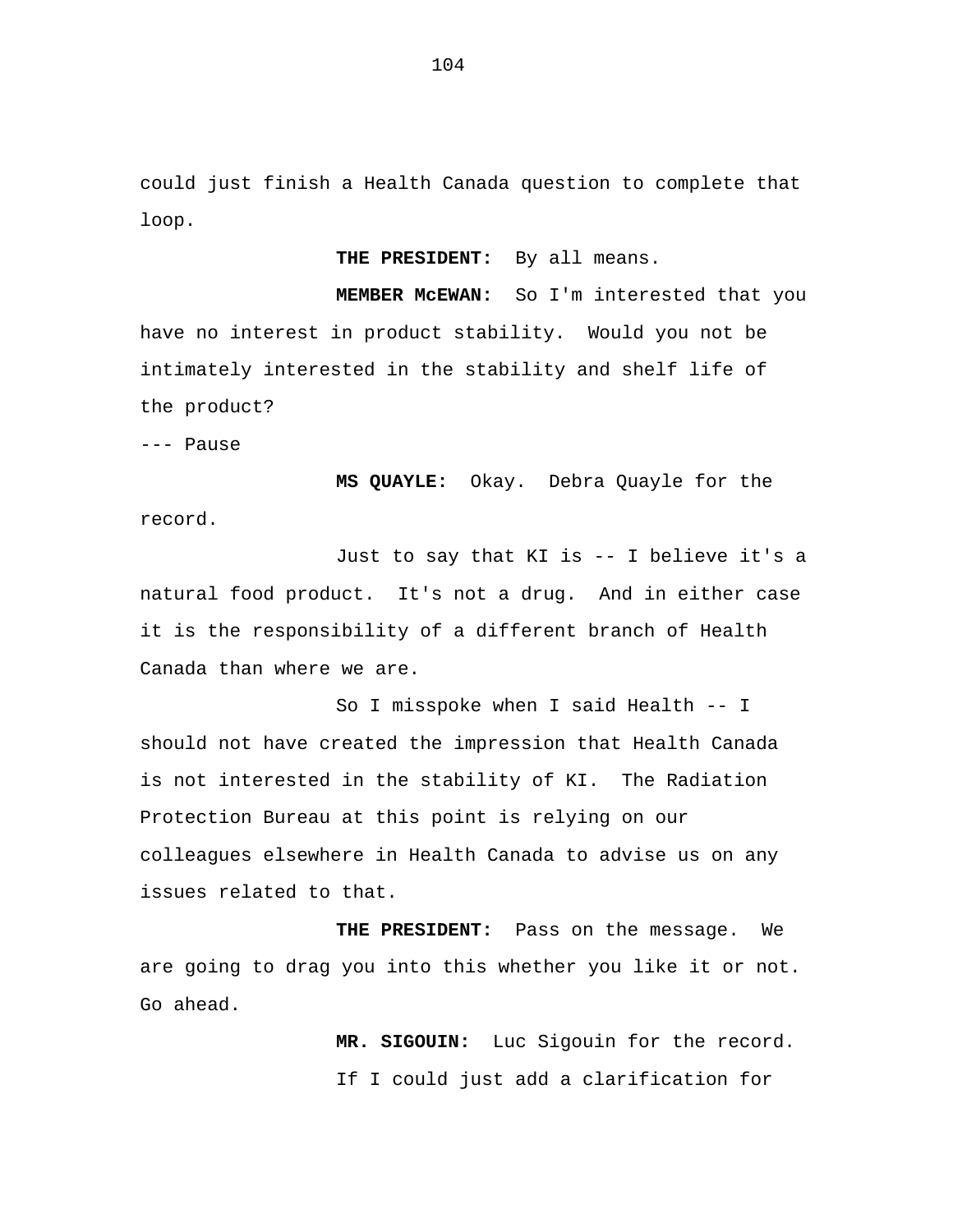could just finish a Health Canada question to complete that loop.

**THE PRESIDENT:** By all means.

**MEMBER McEWAN:** So I'm interested that you have no interest in product stability. Would you not be intimately interested in the stability and shelf life of the product?

--- Pause

**MS QUAYLE:** Okay. Debra Quayle for the record.

Just to say that KI is -- I believe it's a natural food product. It's not a drug. And in either case it is the responsibility of a different branch of Health Canada than where we are.

So I misspoke when I said Health -- I should not have created the impression that Health Canada is not interested in the stability of KI. The Radiation Protection Bureau at this point is relying on our colleagues elsewhere in Health Canada to advise us on any issues related to that.

**THE PRESIDENT:** Pass on the message. We are going to drag you into this whether you like it or not. Go ahead.

> **MR. SIGOUIN:** Luc Sigouin for the record. If I could just add a clarification for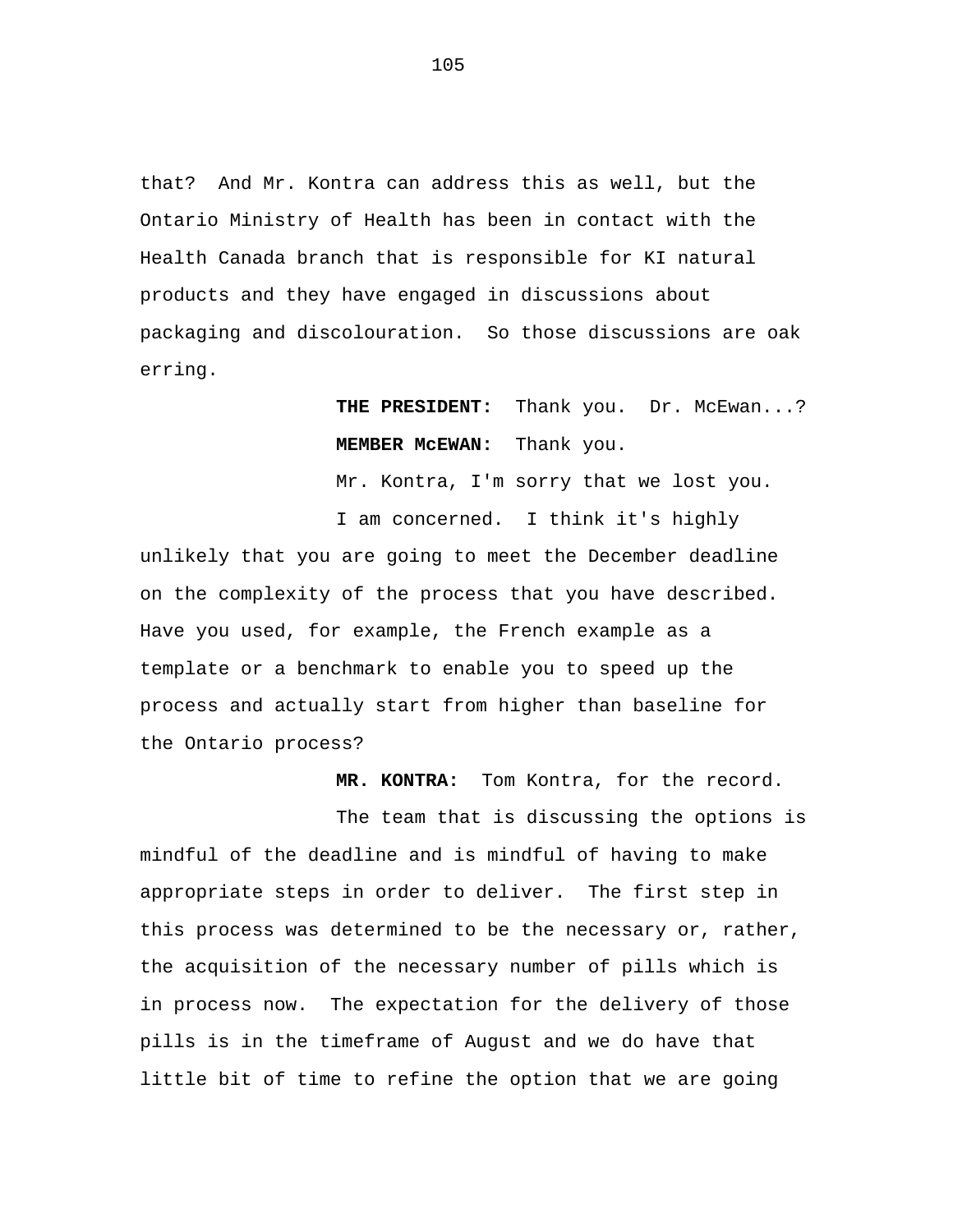that? And Mr. Kontra can address this as well, but the Ontario Ministry of Health has been in contact with the Health Canada branch that is responsible for KI natural products and they have engaged in discussions about packaging and discolouration. So those discussions are oak erring.

## **THE PRESIDENT:** Thank you. Dr. McEwan...? **MEMBER McEWAN:** Thank you.

Mr. Kontra, I'm sorry that we lost you.

I am concerned. I think it's highly unlikely that you are going to meet the December deadline on the complexity of the process that you have described. Have you used, for example, the French example as a template or a benchmark to enable you to speed up the process and actually start from higher than baseline for the Ontario process?

**MR. KONTRA:** Tom Kontra, for the record.

The team that is discussing the options is mindful of the deadline and is mindful of having to make appropriate steps in order to deliver. The first step in this process was determined to be the necessary or, rather, the acquisition of the necessary number of pills which is in process now. The expectation for the delivery of those pills is in the timeframe of August and we do have that little bit of time to refine the option that we are going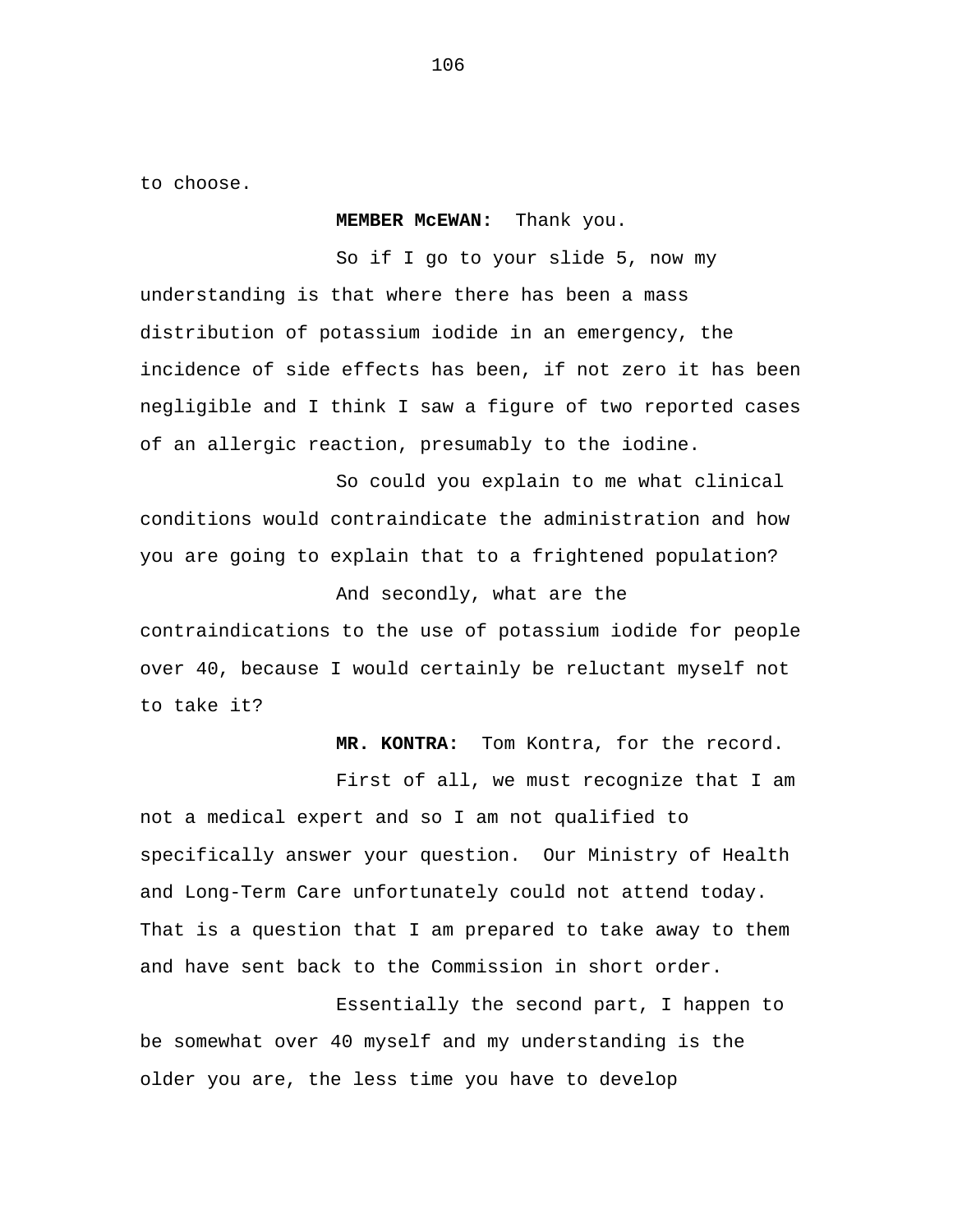to choose.

**MEMBER McEWAN:** Thank you.

So if I go to your slide 5, now my understanding is that where there has been a mass distribution of potassium iodide in an emergency, the incidence of side effects has been, if not zero it has been negligible and I think I saw a figure of two reported cases of an allergic reaction, presumably to the iodine.

So could you explain to me what clinical conditions would contraindicate the administration and how you are going to explain that to a frightened population?

And secondly, what are the

contraindications to the use of potassium iodide for people over 40, because I would certainly be reluctant myself not to take it?

**MR. KONTRA:** Tom Kontra, for the record.

First of all, we must recognize that I am not a medical expert and so I am not qualified to specifically answer your question. Our Ministry of Health and Long-Term Care unfortunately could not attend today. That is a question that I am prepared to take away to them and have sent back to the Commission in short order.

Essentially the second part, I happen to be somewhat over 40 myself and my understanding is the older you are, the less time you have to develop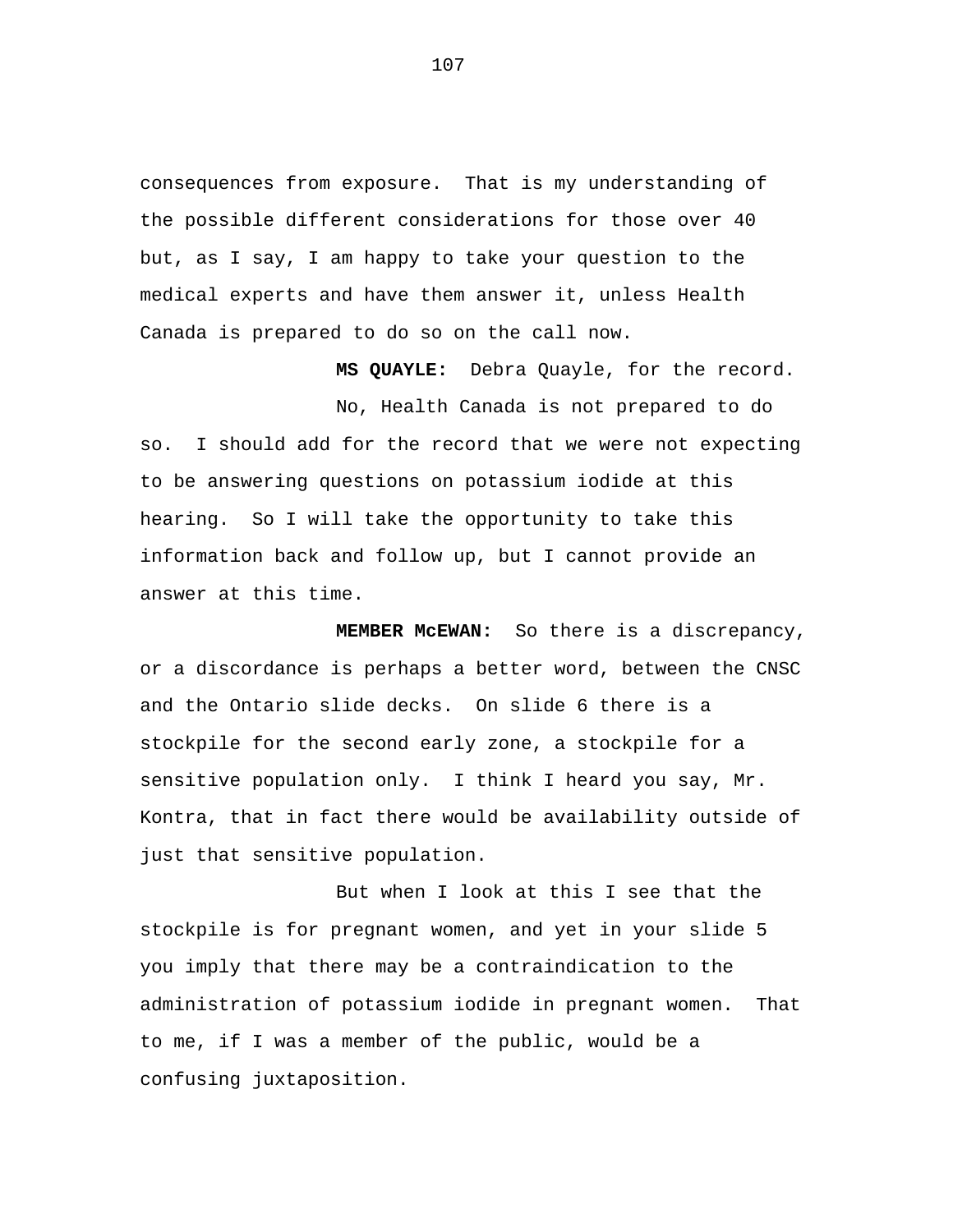consequences from exposure. That is my understanding of the possible different considerations for those over 40 but, as I say, I am happy to take your question to the medical experts and have them answer it, unless Health Canada is prepared to do so on the call now.

**MS QUAYLE:** Debra Quayle, for the record.

No, Health Canada is not prepared to do so. I should add for the record that we were not expecting to be answering questions on potassium iodide at this hearing. So I will take the opportunity to take this information back and follow up, but I cannot provide an answer at this time.

**MEMBER McEWAN:** So there is a discrepancy, or a discordance is perhaps a better word, between the CNSC and the Ontario slide decks. On slide 6 there is a stockpile for the second early zone, a stockpile for a sensitive population only. I think I heard you say, Mr. Kontra, that in fact there would be availability outside of just that sensitive population.

But when I look at this I see that the stockpile is for pregnant women, and yet in your slide 5 you imply that there may be a contraindication to the administration of potassium iodide in pregnant women. That to me, if I was a member of the public, would be a confusing juxtaposition.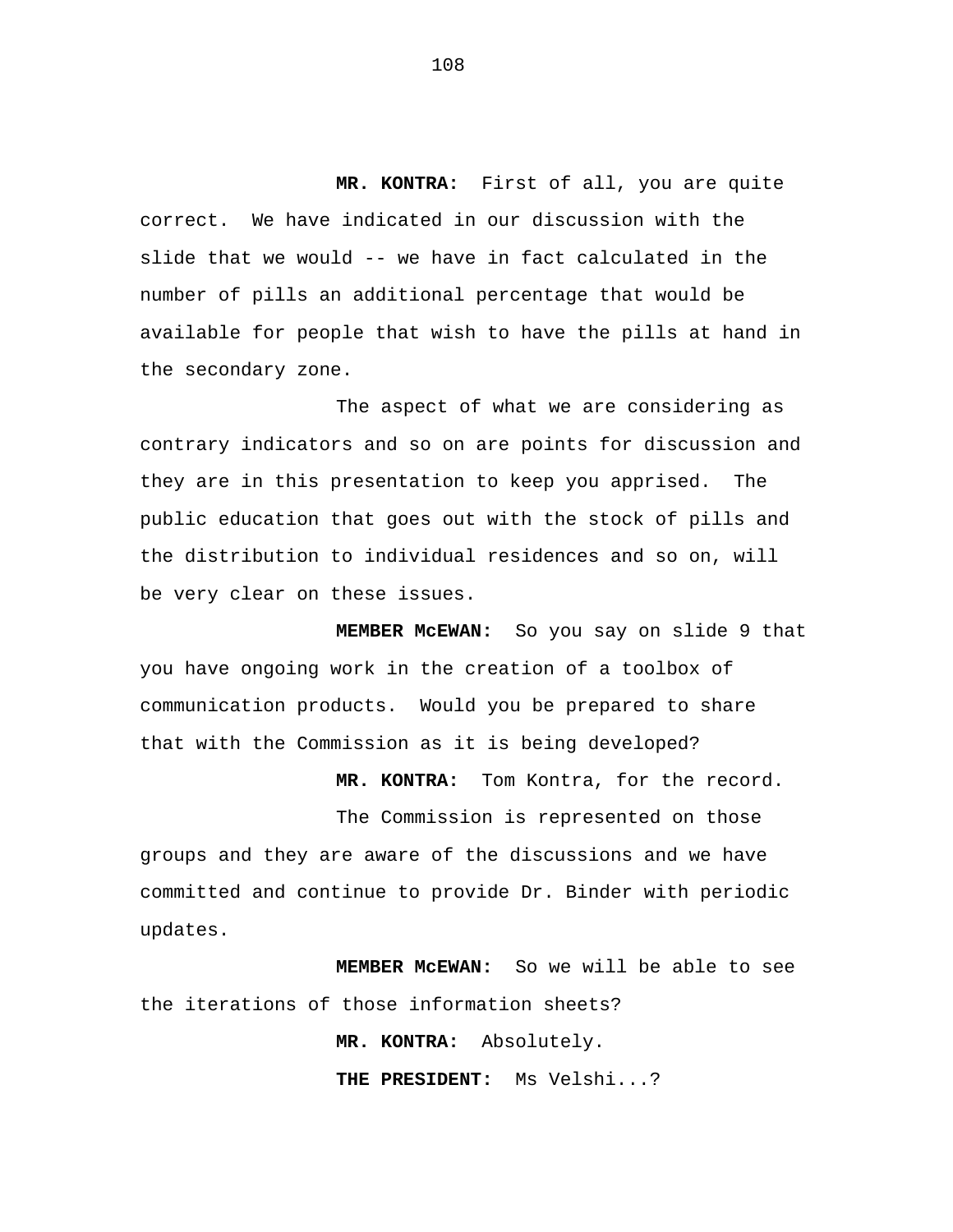**MR. KONTRA:** First of all, you are quite correct. We have indicated in our discussion with the slide that we would -- we have in fact calculated in the number of pills an additional percentage that would be available for people that wish to have the pills at hand in the secondary zone.

The aspect of what we are considering as contrary indicators and so on are points for discussion and they are in this presentation to keep you apprised. The public education that goes out with the stock of pills and the distribution to individual residences and so on, will be very clear on these issues.

**MEMBER McEWAN:** So you say on slide 9 that you have ongoing work in the creation of a toolbox of communication products. Would you be prepared to share that with the Commission as it is being developed?

**MR. KONTRA:** Tom Kontra, for the record.

The Commission is represented on those groups and they are aware of the discussions and we have committed and continue to provide Dr. Binder with periodic updates.

**MEMBER McEWAN:** So we will be able to see the iterations of those information sheets?

> **MR. KONTRA:** Absolutely. **THE PRESIDENT:** Ms Velshi...?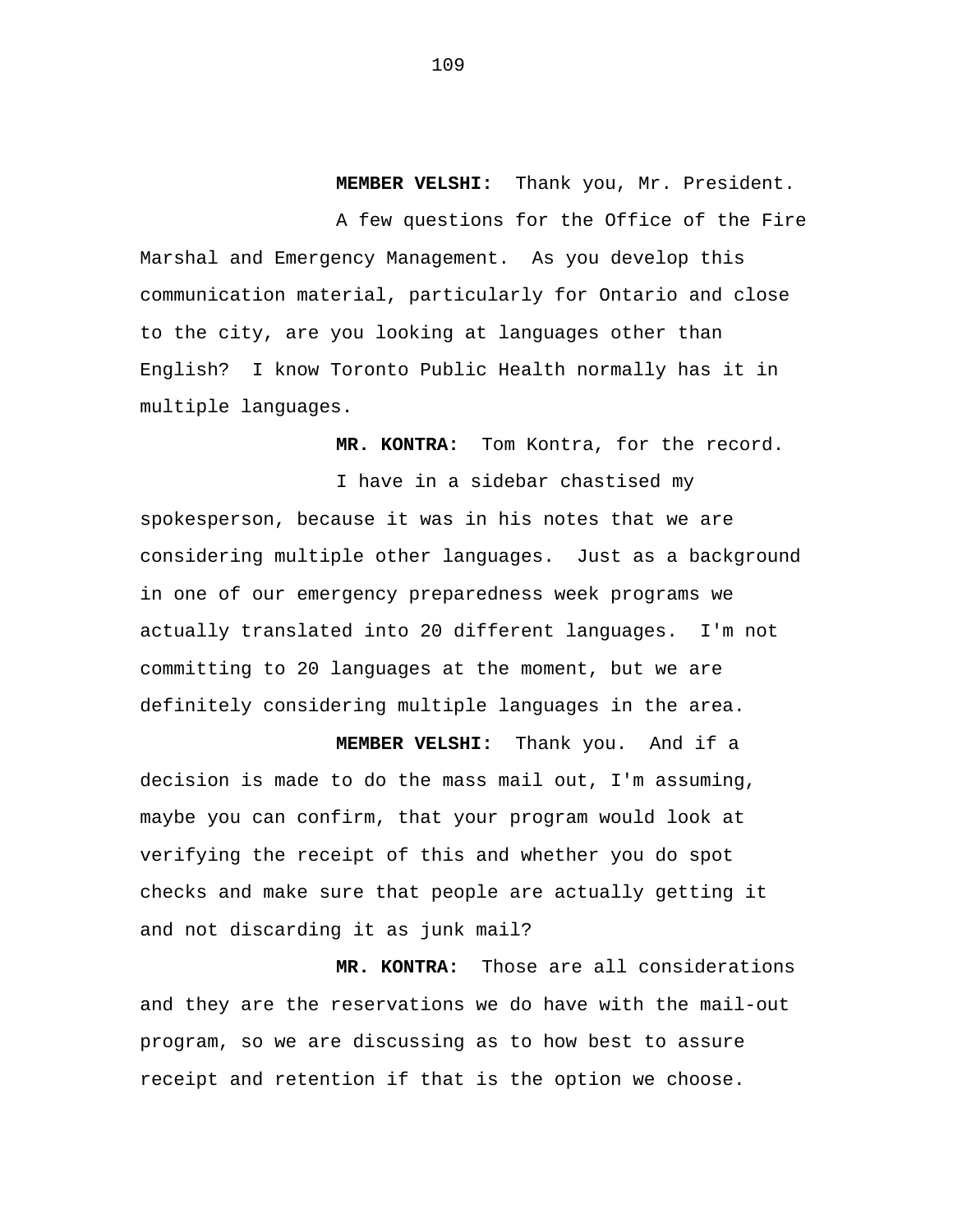**MEMBER VELSHI:** Thank you, Mr. President.

A few questions for the Office of the Fire Marshal and Emergency Management. As you develop this communication material, particularly for Ontario and close to the city, are you looking at languages other than English? I know Toronto Public Health normally has it in multiple languages.

**MR. KONTRA:** Tom Kontra, for the record.

I have in a sidebar chastised my spokesperson, because it was in his notes that we are considering multiple other languages. Just as a background in one of our emergency preparedness week programs we actually translated into 20 different languages. I'm not committing to 20 languages at the moment, but we are definitely considering multiple languages in the area.

**MEMBER VELSHI:** Thank you. And if a decision is made to do the mass mail out, I'm assuming, maybe you can confirm, that your program would look at verifying the receipt of this and whether you do spot checks and make sure that people are actually getting it and not discarding it as junk mail?

**MR. KONTRA:** Those are all considerations and they are the reservations we do have with the mail-out program, so we are discussing as to how best to assure receipt and retention if that is the option we choose.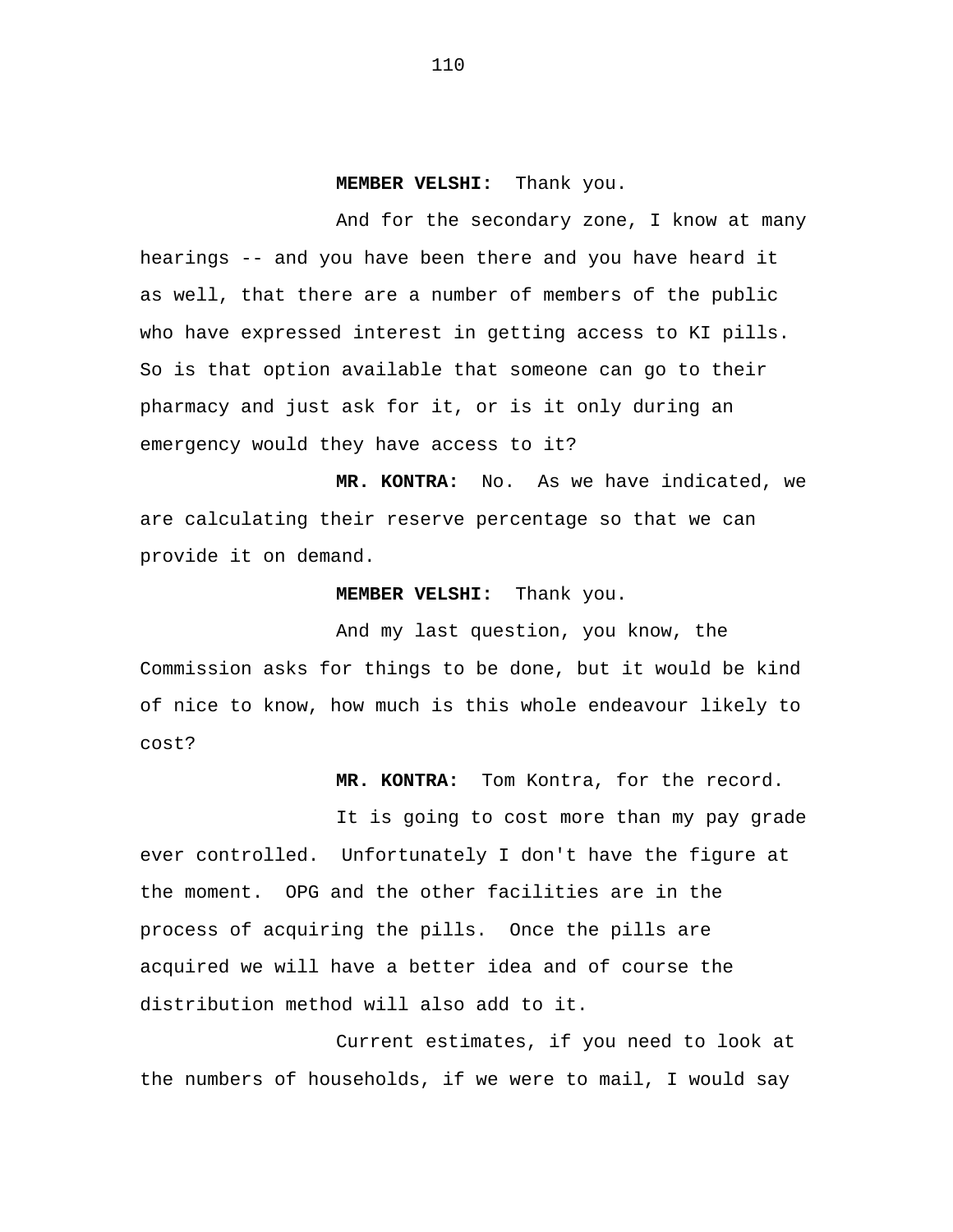## **MEMBER VELSHI:** Thank you.

And for the secondary zone, I know at many hearings -- and you have been there and you have heard it as well, that there are a number of members of the public who have expressed interest in getting access to KI pills. So is that option available that someone can go to their pharmacy and just ask for it, or is it only during an emergency would they have access to it?

**MR. KONTRA:** No. As we have indicated, we are calculating their reserve percentage so that we can provide it on demand.

## **MEMBER VELSHI:** Thank you.

And my last question, you know, the Commission asks for things to be done, but it would be kind of nice to know, how much is this whole endeavour likely to cost?

**MR. KONTRA:** Tom Kontra, for the record.

It is going to cost more than my pay grade ever controlled. Unfortunately I don't have the figure at the moment. OPG and the other facilities are in the process of acquiring the pills. Once the pills are acquired we will have a better idea and of course the distribution method will also add to it.

Current estimates, if you need to look at the numbers of households, if we were to mail, I would say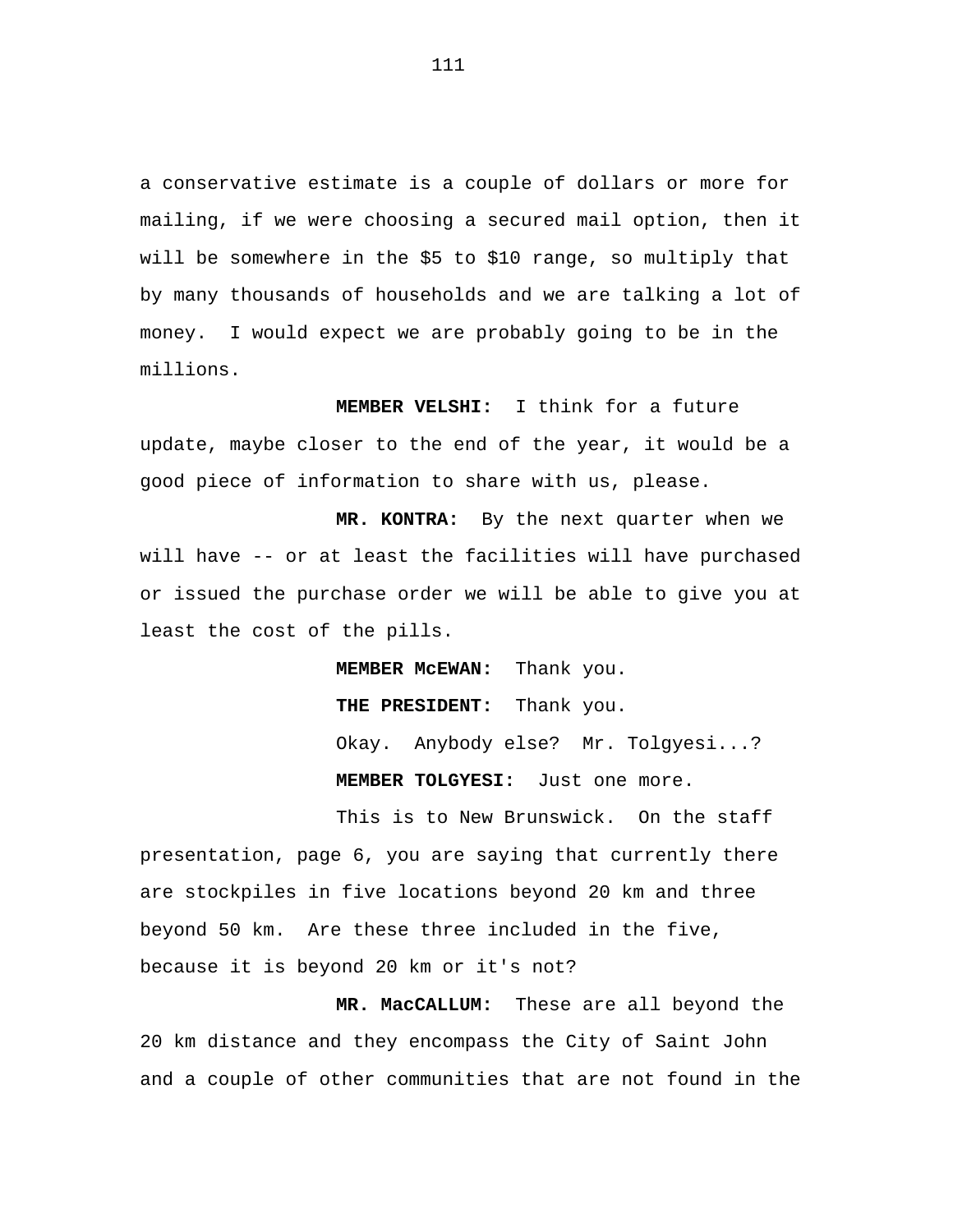a conservative estimate is a couple of dollars or more for mailing, if we were choosing a secured mail option, then it will be somewhere in the \$5 to \$10 range, so multiply that by many thousands of households and we are talking a lot of money. I would expect we are probably going to be in the millions.

**MEMBER VELSHI:** I think for a future update, maybe closer to the end of the year, it would be a good piece of information to share with us, please.

**MR. KONTRA:** By the next quarter when we will have -- or at least the facilities will have purchased or issued the purchase order we will be able to give you at least the cost of the pills.

> **MEMBER McEWAN:** Thank you. **THE PRESIDENT:** Thank you. Okay. Anybody else? Mr. Tolgyesi...? **MEMBER TOLGYESI:** Just one more.

This is to New Brunswick. On the staff presentation, page 6, you are saying that currently there are stockpiles in five locations beyond 20 km and three beyond 50 km. Are these three included in the five, because it is beyond 20 km or it's not?

**MR. MacCALLUM:** These are all beyond the 20 km distance and they encompass the City of Saint John and a couple of other communities that are not found in the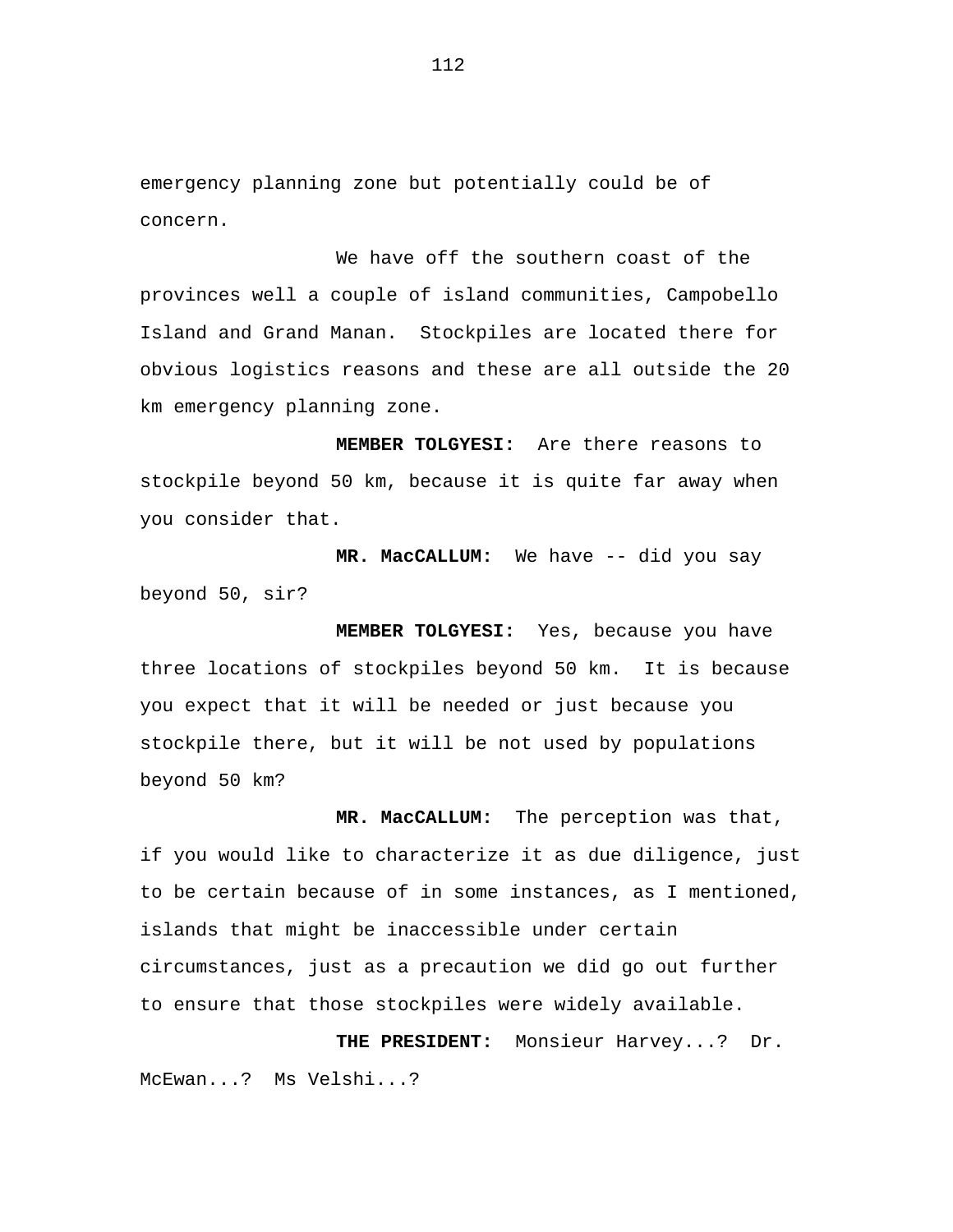emergency planning zone but potentially could be of concern.

We have off the southern coast of the provinces well a couple of island communities, Campobello Island and Grand Manan. Stockpiles are located there for obvious logistics reasons and these are all outside the 20 km emergency planning zone.

**MEMBER TOLGYESI:** Are there reasons to stockpile beyond 50 km, because it is quite far away when you consider that.

**MR. MacCALLUM:** We have -- did you say beyond 50, sir?

**MEMBER TOLGYESI:** Yes, because you have three locations of stockpiles beyond 50 km. It is because you expect that it will be needed or just because you stockpile there, but it will be not used by populations beyond 50 km?

**MR. MacCALLUM:** The perception was that, if you would like to characterize it as due diligence, just to be certain because of in some instances, as I mentioned, islands that might be inaccessible under certain circumstances, just as a precaution we did go out further to ensure that those stockpiles were widely available.

**THE PRESIDENT:** Monsieur Harvey...? Dr. McEwan...? Ms Velshi...?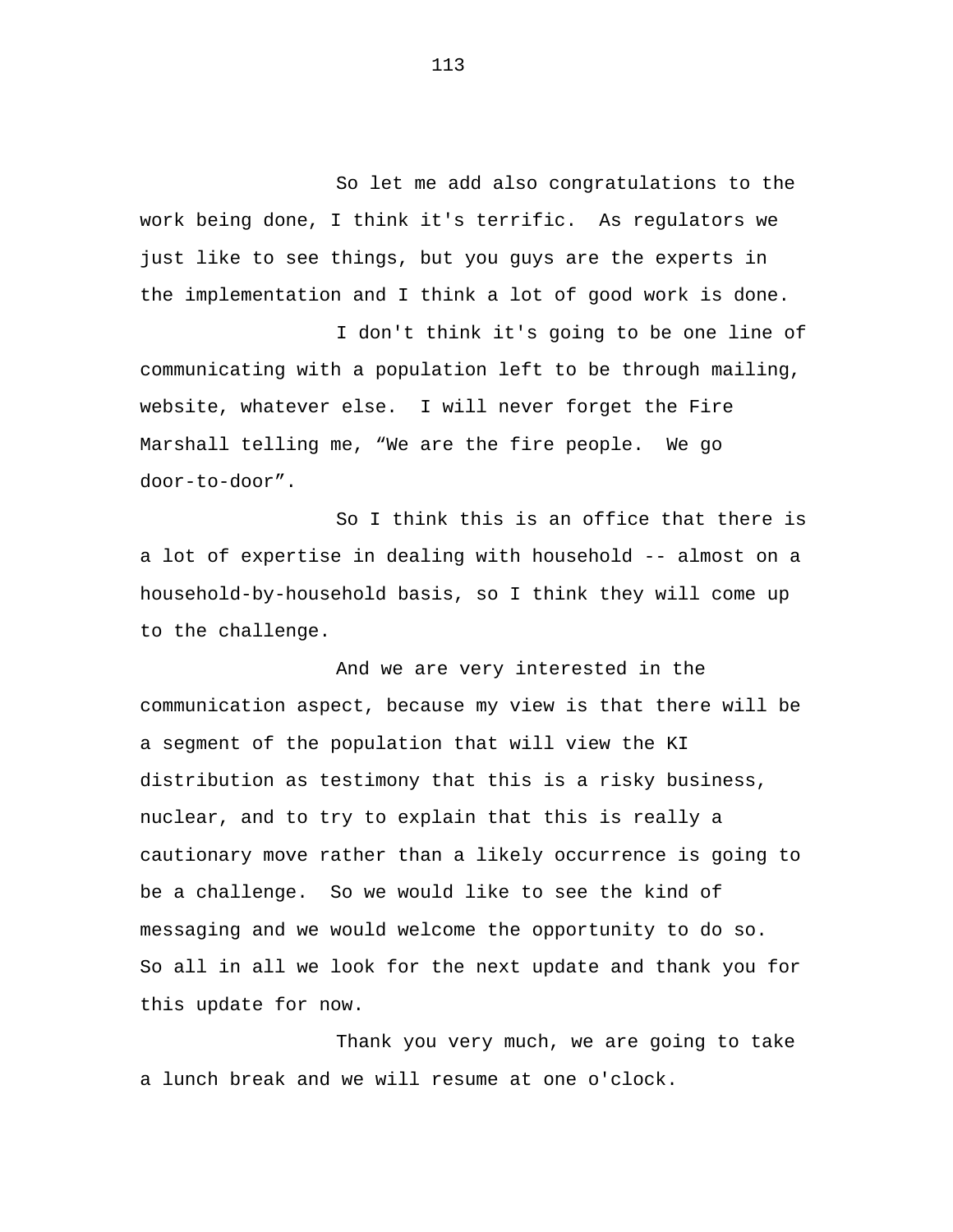So let me add also congratulations to the work being done, I think it's terrific. As regulators we just like to see things, but you guys are the experts in the implementation and I think a lot of good work is done.

I don't think it's going to be one line of communicating with a population left to be through mailing, website, whatever else. I will never forget the Fire Marshall telling me, "We are the fire people. We go door-to-door".

So I think this is an office that there is a lot of expertise in dealing with household -- almost on a household-by-household basis, so I think they will come up to the challenge.

And we are very interested in the communication aspect, because my view is that there will be a segment of the population that will view the KI distribution as testimony that this is a risky business, nuclear, and to try to explain that this is really a cautionary move rather than a likely occurrence is going to be a challenge. So we would like to see the kind of messaging and we would welcome the opportunity to do so. So all in all we look for the next update and thank you for this update for now.

Thank you very much, we are going to take a lunch break and we will resume at one o'clock.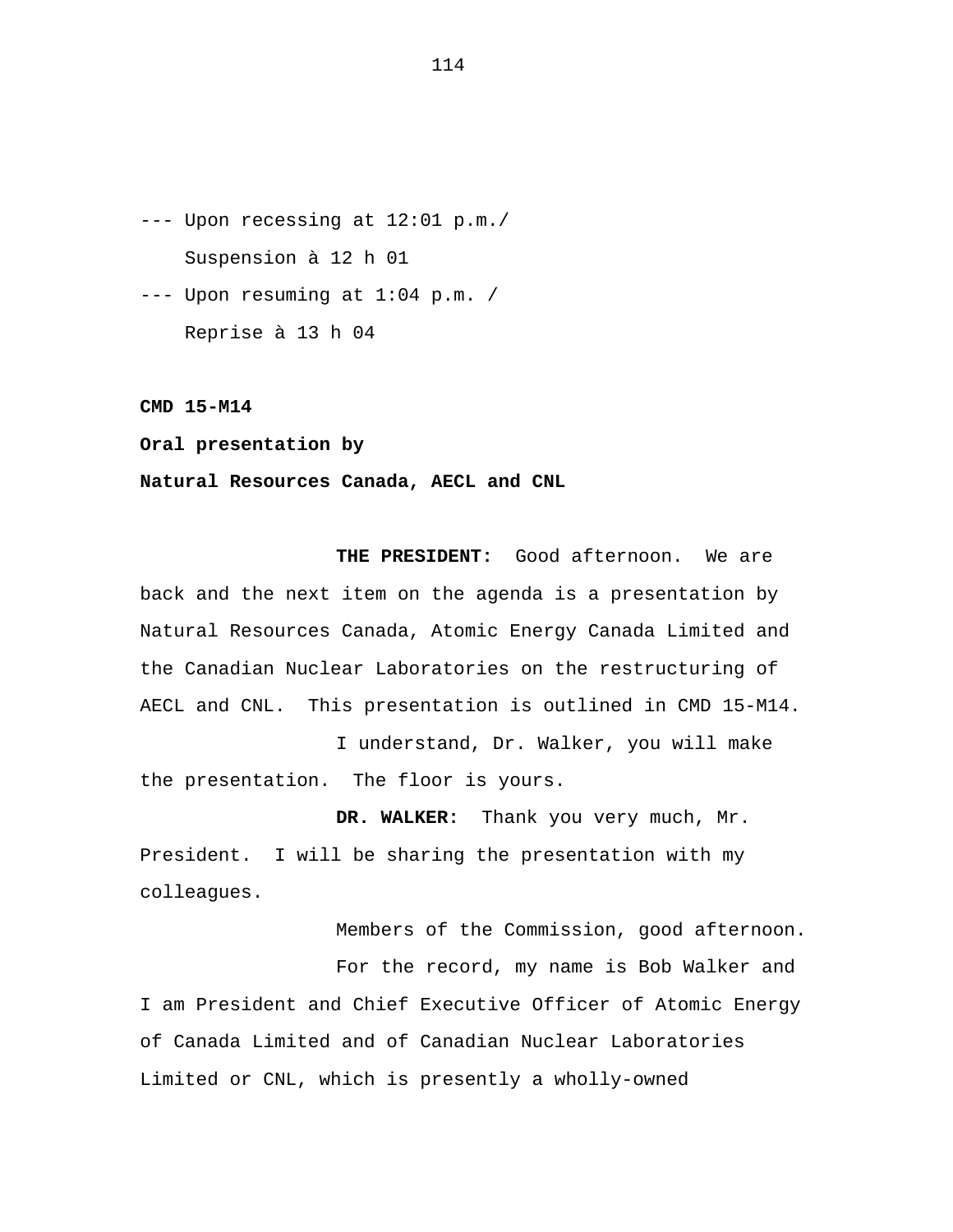--- Upon recessing at 12:01 p.m./ Suspension à 12 h 01

--- Upon resuming at 1:04 p.m. / Reprise à 13 h 04

**CMD 15-M14** 

**Oral presentation by** 

## **Natural Resources Canada, AECL and CNL**

**THE PRESIDENT:** Good afternoon. We are back and the next item on the agenda is a presentation by Natural Resources Canada, Atomic Energy Canada Limited and the Canadian Nuclear Laboratories on the restructuring of AECL and CNL. This presentation is outlined in CMD 15-M14.

I understand, Dr. Walker, you will make the presentation. The floor is yours.

**DR. WALKER:** Thank you very much, Mr. President. I will be sharing the presentation with my colleagues.

Members of the Commission, good afternoon. For the record, my name is Bob Walker and I am President and Chief Executive Officer of Atomic Energy of Canada Limited and of Canadian Nuclear Laboratories Limited or CNL, which is presently a wholly-owned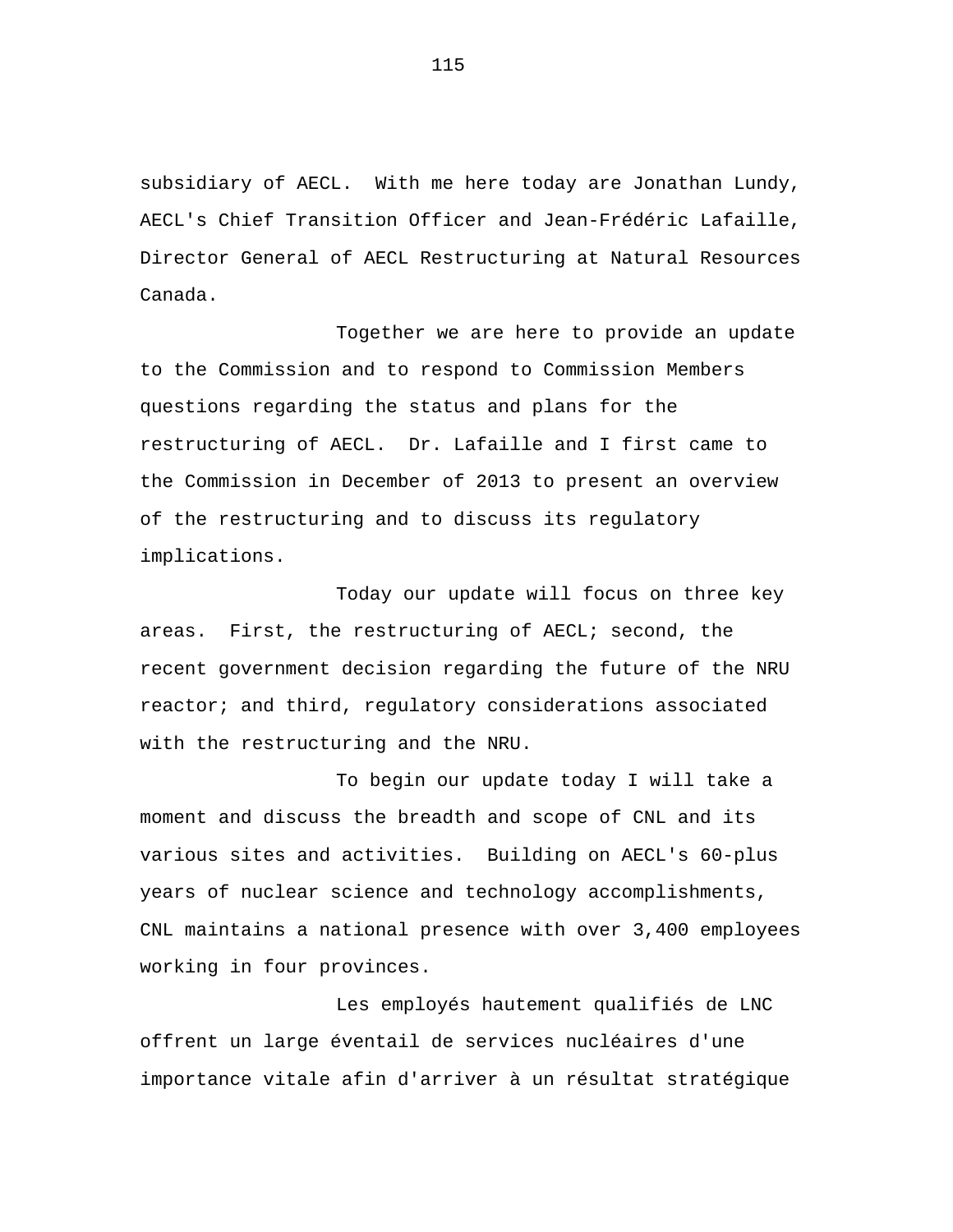subsidiary of AECL. With me here today are Jonathan Lundy, AECL's Chief Transition Officer and Jean-Frédéric Lafaille, Director General of AECL Restructuring at Natural Resources Canada.

Together we are here to provide an update to the Commission and to respond to Commission Members questions regarding the status and plans for the restructuring of AECL. Dr. Lafaille and I first came to the Commission in December of 2013 to present an overview of the restructuring and to discuss its regulatory implications.

Today our update will focus on three key areas. First, the restructuring of AECL; second, the recent government decision regarding the future of the NRU reactor; and third, regulatory considerations associated with the restructuring and the NRU.

To begin our update today I will take a moment and discuss the breadth and scope of CNL and its various sites and activities. Building on AECL's 60-plus years of nuclear science and technology accomplishments, CNL maintains a national presence with over 3,400 employees working in four provinces.

Les employés hautement qualifiés de LNC offrent un large éventail de services nucléaires d'une importance vitale afin d'arriver à un résultat stratégique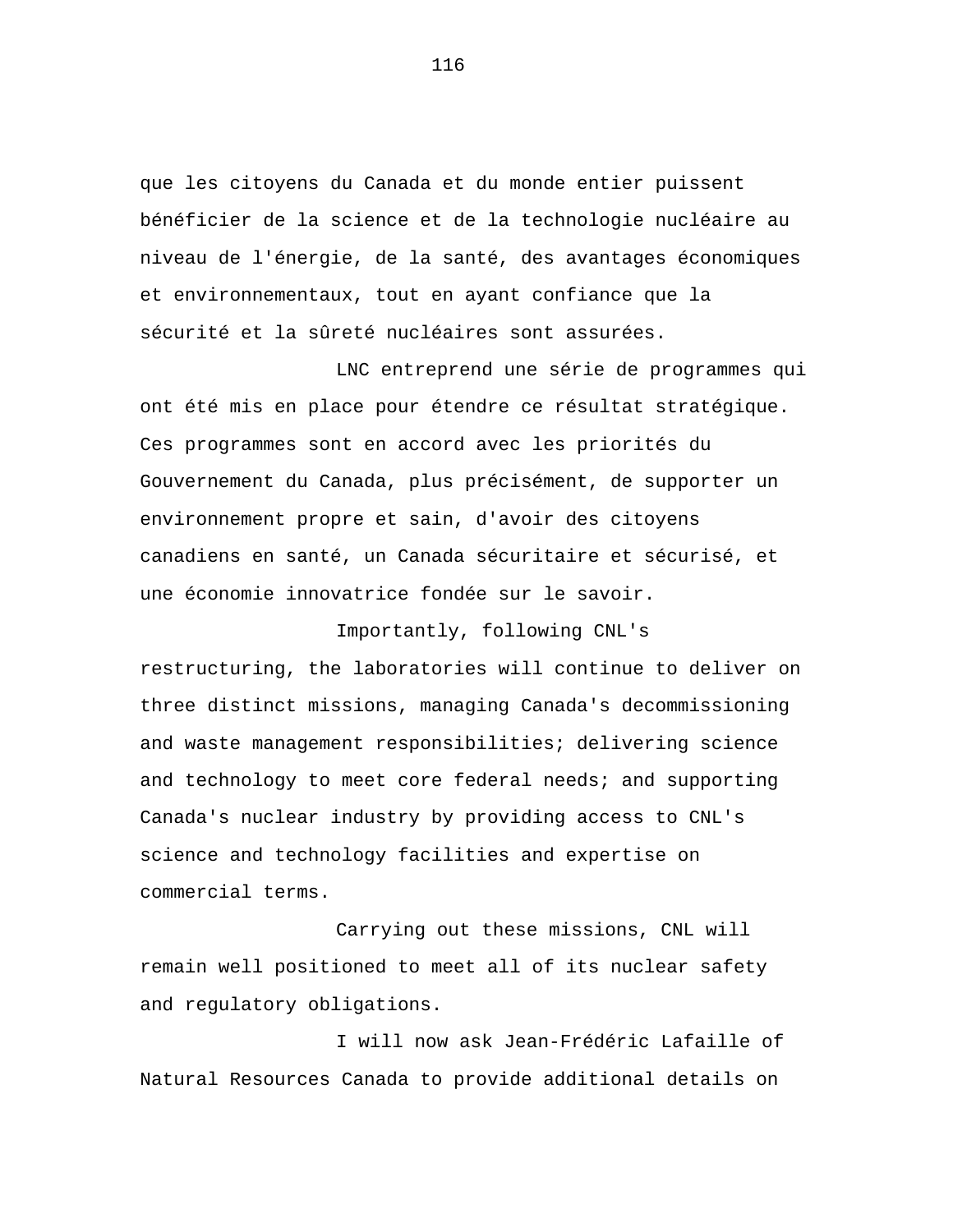que les citoyens du Canada et du monde entier puissent bénéficier de la science et de la technologie nucléaire au niveau de l'énergie, de la santé, des avantages économiques et environnementaux, tout en ayant confiance que la sécurité et la sûreté nucléaires sont assurées.

LNC entreprend une série de programmes qui ont été mis en place pour étendre ce résultat stratégique. Ces programmes sont en accord avec les priorités du Gouvernement du Canada, plus précisément, de supporter un environnement propre et sain, d'avoir des citoyens canadiens en santé, un Canada sécuritaire et sécurisé, et une économie innovatrice fondée sur le savoir.

Importantly, following CNL's restructuring, the laboratories will continue to deliver on three distinct missions, managing Canada's decommissioning and waste management responsibilities; delivering science and technology to meet core federal needs; and supporting Canada's nuclear industry by providing access to CNL's science and technology facilities and expertise on commercial terms.

Carrying out these missions, CNL will remain well positioned to meet all of its nuclear safety and regulatory obligations.

I will now ask Jean-Frédéric Lafaille of Natural Resources Canada to provide additional details on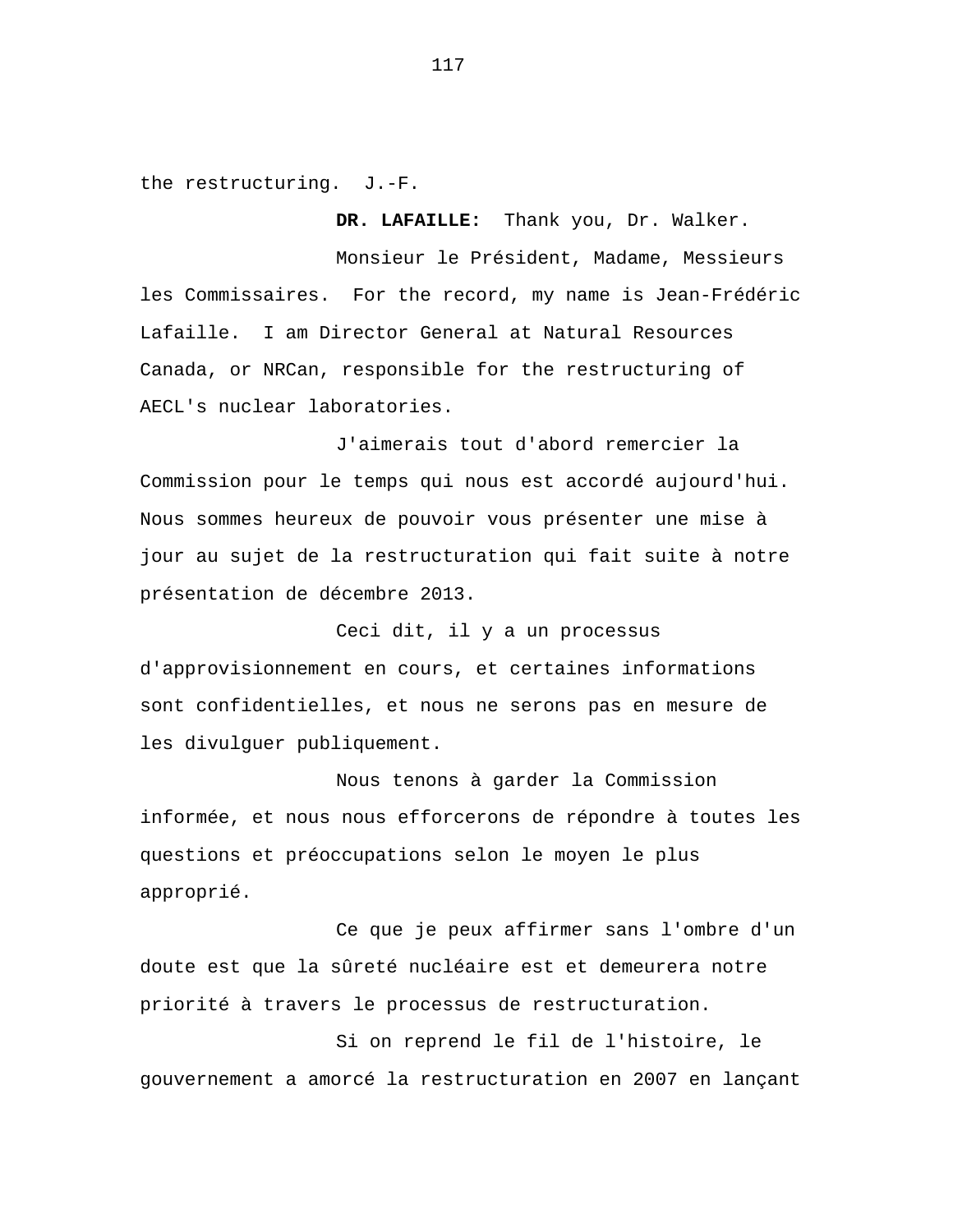the restructuring. J.-F.

**DR. LAFAILLE:** Thank you, Dr. Walker.

Monsieur le Président, Madame, Messieurs les Commissaires. For the record, my name is Jean-Frédéric Lafaille. I am Director General at Natural Resources Canada, or NRCan, responsible for the restructuring of AECL's nuclear laboratories.

J'aimerais tout d'abord remercier la Commission pour le temps qui nous est accordé aujourd'hui. Nous sommes heureux de pouvoir vous présenter une mise à jour au sujet de la restructuration qui fait suite à notre présentation de décembre 2013.

Ceci dit, il y a un processus d'approvisionnement en cours, et certaines informations sont confidentielles, et nous ne serons pas en mesure de les divulguer publiquement.

Nous tenons à garder la Commission informée, et nous nous efforcerons de répondre à toutes les questions et préoccupations selon le moyen le plus approprié.

Ce que je peux affirmer sans l'ombre d'un doute est que la sûreté nucléaire est et demeurera notre priorité à travers le processus de restructuration.

Si on reprend le fil de l'histoire, le gouvernement a amorcé la restructuration en 2007 en lançant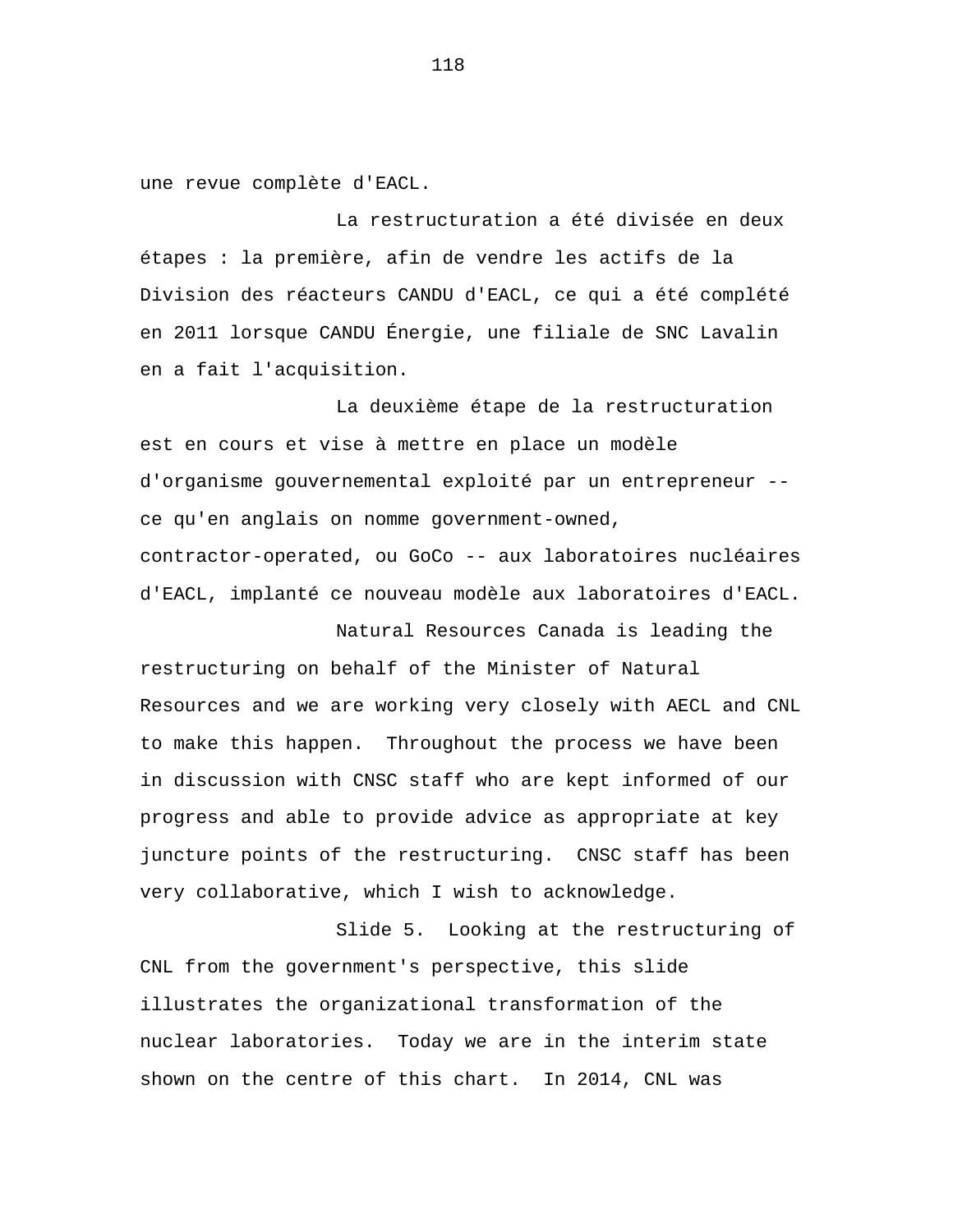une revue complète d'EACL.

La restructuration a été divisée en deux étapes : la première, afin de vendre les actifs de la Division des réacteurs CANDU d'EACL, ce qui a été complété en 2011 lorsque CANDU Énergie, une filiale de SNC Lavalin en a fait l'acquisition.

La deuxième étape de la restructuration est en cours et vise à mettre en place un modèle d'organisme gouvernemental exploité par un entrepreneur - ce qu'en anglais on nomme government-owned, contractor-operated, ou GoCo -- aux laboratoires nucléaires d'EACL, implanté ce nouveau modèle aux laboratoires d'EACL.

Natural Resources Canada is leading the restructuring on behalf of the Minister of Natural Resources and we are working very closely with AECL and CNL to make this happen. Throughout the process we have been in discussion with CNSC staff who are kept informed of our progress and able to provide advice as appropriate at key juncture points of the restructuring. CNSC staff has been very collaborative, which I wish to acknowledge.

Slide 5. Looking at the restructuring of CNL from the government's perspective, this slide illustrates the organizational transformation of the nuclear laboratories. Today we are in the interim state shown on the centre of this chart. In 2014, CNL was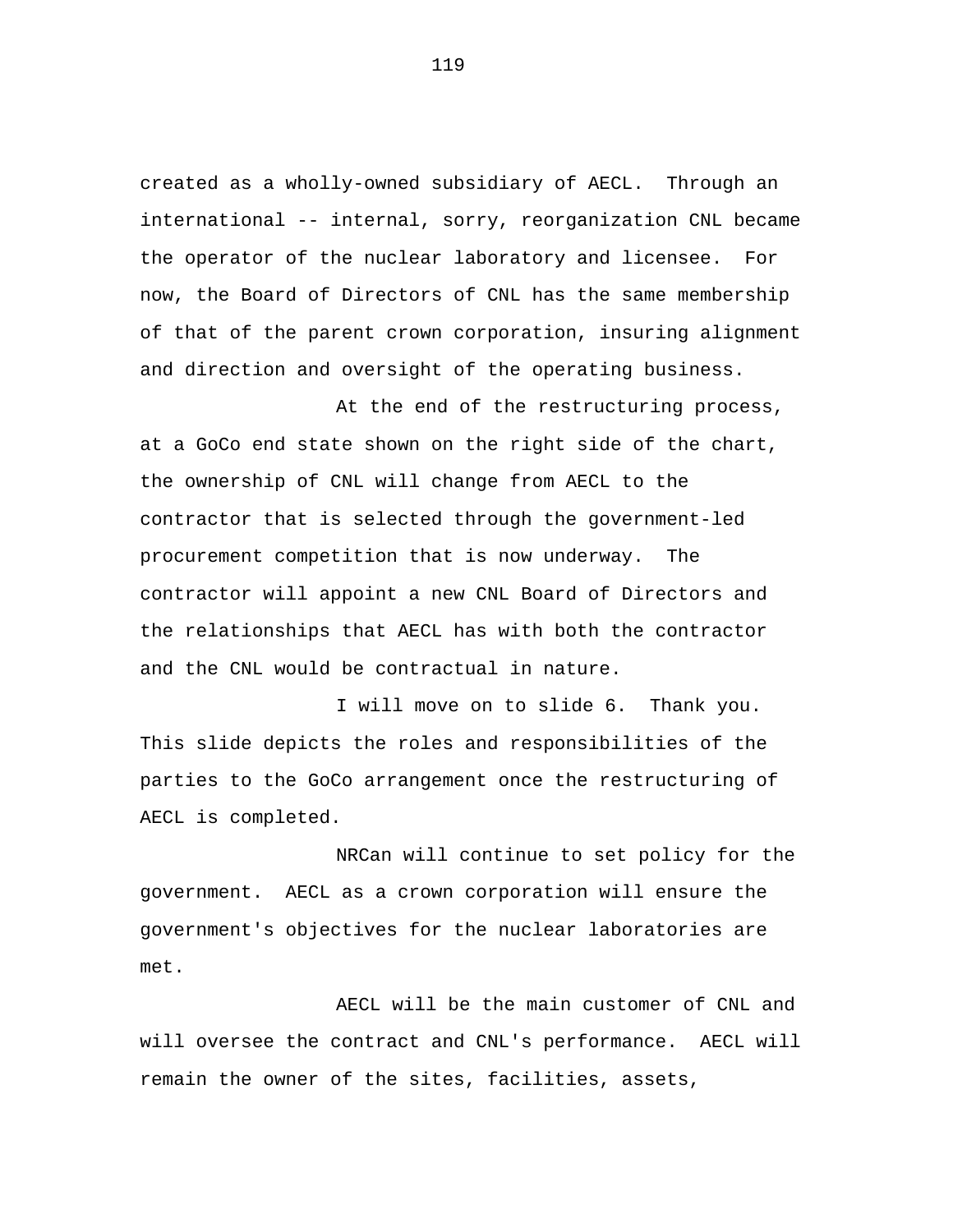created as a wholly-owned subsidiary of AECL. Through an international -- internal, sorry, reorganization CNL became the operator of the nuclear laboratory and licensee. For now, the Board of Directors of CNL has the same membership of that of the parent crown corporation, insuring alignment and direction and oversight of the operating business.

At the end of the restructuring process, at a GoCo end state shown on the right side of the chart, the ownership of CNL will change from AECL to the contractor that is selected through the government-led procurement competition that is now underway. The contractor will appoint a new CNL Board of Directors and the relationships that AECL has with both the contractor and the CNL would be contractual in nature.

I will move on to slide 6. Thank you. This slide depicts the roles and responsibilities of the parties to the GoCo arrangement once the restructuring of AECL is completed.

NRCan will continue to set policy for the government. AECL as a crown corporation will ensure the government's objectives for the nuclear laboratories are met.

AECL will be the main customer of CNL and will oversee the contract and CNL's performance. AECL will remain the owner of the sites, facilities, assets,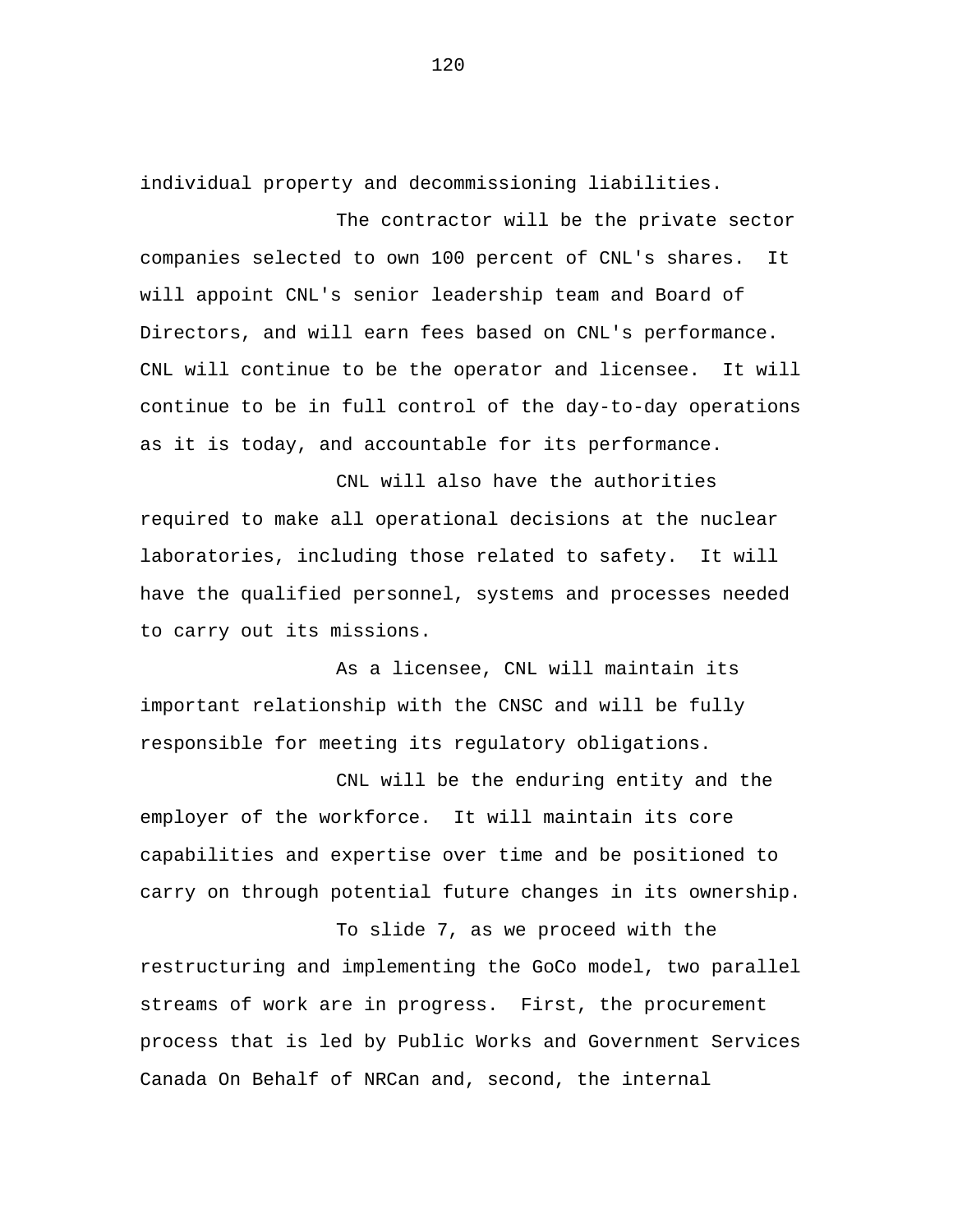individual property and decommissioning liabilities.

The contractor will be the private sector companies selected to own 100 percent of CNL's shares. It will appoint CNL's senior leadership team and Board of Directors, and will earn fees based on CNL's performance. CNL will continue to be the operator and licensee. It will continue to be in full control of the day-to-day operations as it is today, and accountable for its performance.

CNL will also have the authorities required to make all operational decisions at the nuclear laboratories, including those related to safety. It will have the qualified personnel, systems and processes needed to carry out its missions.

As a licensee, CNL will maintain its important relationship with the CNSC and will be fully responsible for meeting its regulatory obligations.

CNL will be the enduring entity and the employer of the workforce. It will maintain its core capabilities and expertise over time and be positioned to carry on through potential future changes in its ownership.

To slide 7, as we proceed with the restructuring and implementing the GoCo model, two parallel streams of work are in progress. First, the procurement process that is led by Public Works and Government Services Canada On Behalf of NRCan and, second, the internal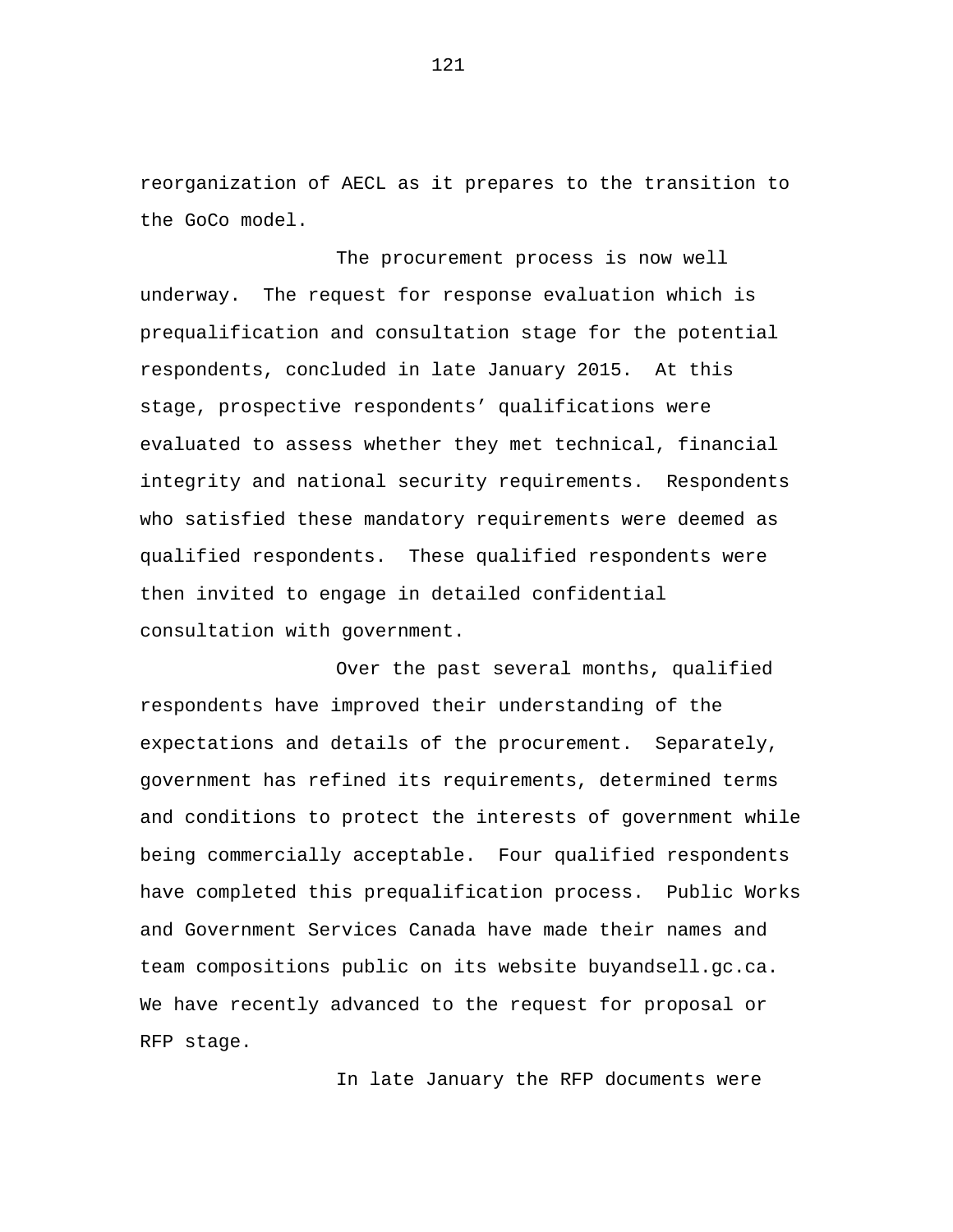reorganization of AECL as it prepares to the transition to the GoCo model.

The procurement process is now well underway. The request for response evaluation which is prequalification and consultation stage for the potential respondents, concluded in late January 2015. At this stage, prospective respondents' qualifications were evaluated to assess whether they met technical, financial integrity and national security requirements. Respondents who satisfied these mandatory requirements were deemed as qualified respondents. These qualified respondents were then invited to engage in detailed confidential consultation with government.

Over the past several months, qualified respondents have improved their understanding of the expectations and details of the procurement. Separately, government has refined its requirements, determined terms and conditions to protect the interests of government while being commercially acceptable. Four qualified respondents have completed this prequalification process. Public Works and Government Services Canada have made their names and team compositions public on its website buyandsell.gc.ca. We have recently advanced to the request for proposal or RFP stage.

In late January the RFP documents were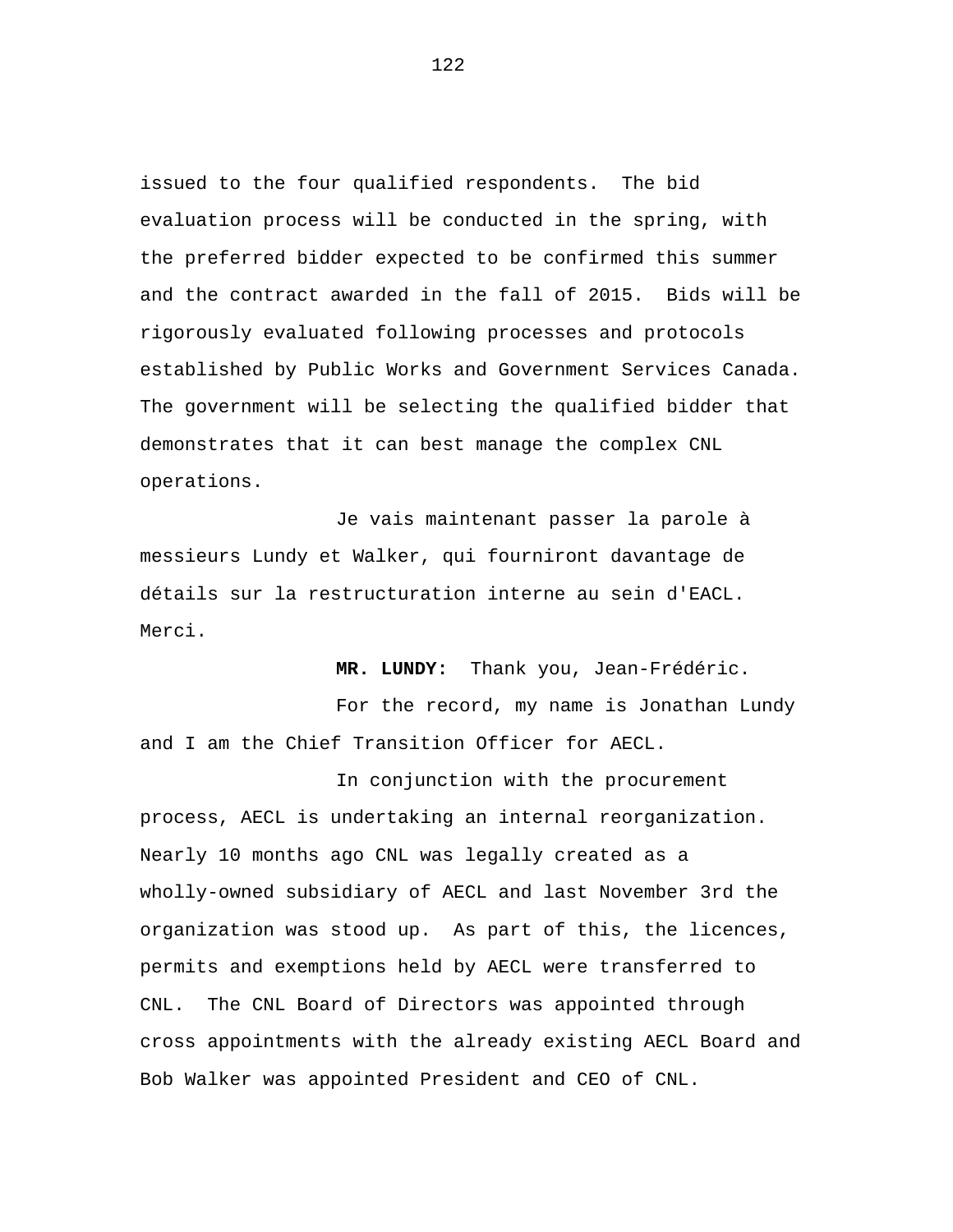issued to the four qualified respondents. The bid evaluation process will be conducted in the spring, with the preferred bidder expected to be confirmed this summer and the contract awarded in the fall of 2015. Bids will be rigorously evaluated following processes and protocols established by Public Works and Government Services Canada. The government will be selecting the qualified bidder that demonstrates that it can best manage the complex CNL operations.

Je vais maintenant passer la parole à messieurs Lundy et Walker, qui fourniront davantage de détails sur la restructuration interne au sein d'EACL. Merci.

**MR. LUNDY:** Thank you, Jean-Frédéric.

For the record, my name is Jonathan Lundy and I am the Chief Transition Officer for AECL.

In conjunction with the procurement process, AECL is undertaking an internal reorganization. Nearly 10 months ago CNL was legally created as a wholly-owned subsidiary of AECL and last November 3rd the organization was stood up. As part of this, the licences, permits and exemptions held by AECL were transferred to CNL. The CNL Board of Directors was appointed through cross appointments with the already existing AECL Board and Bob Walker was appointed President and CEO of CNL.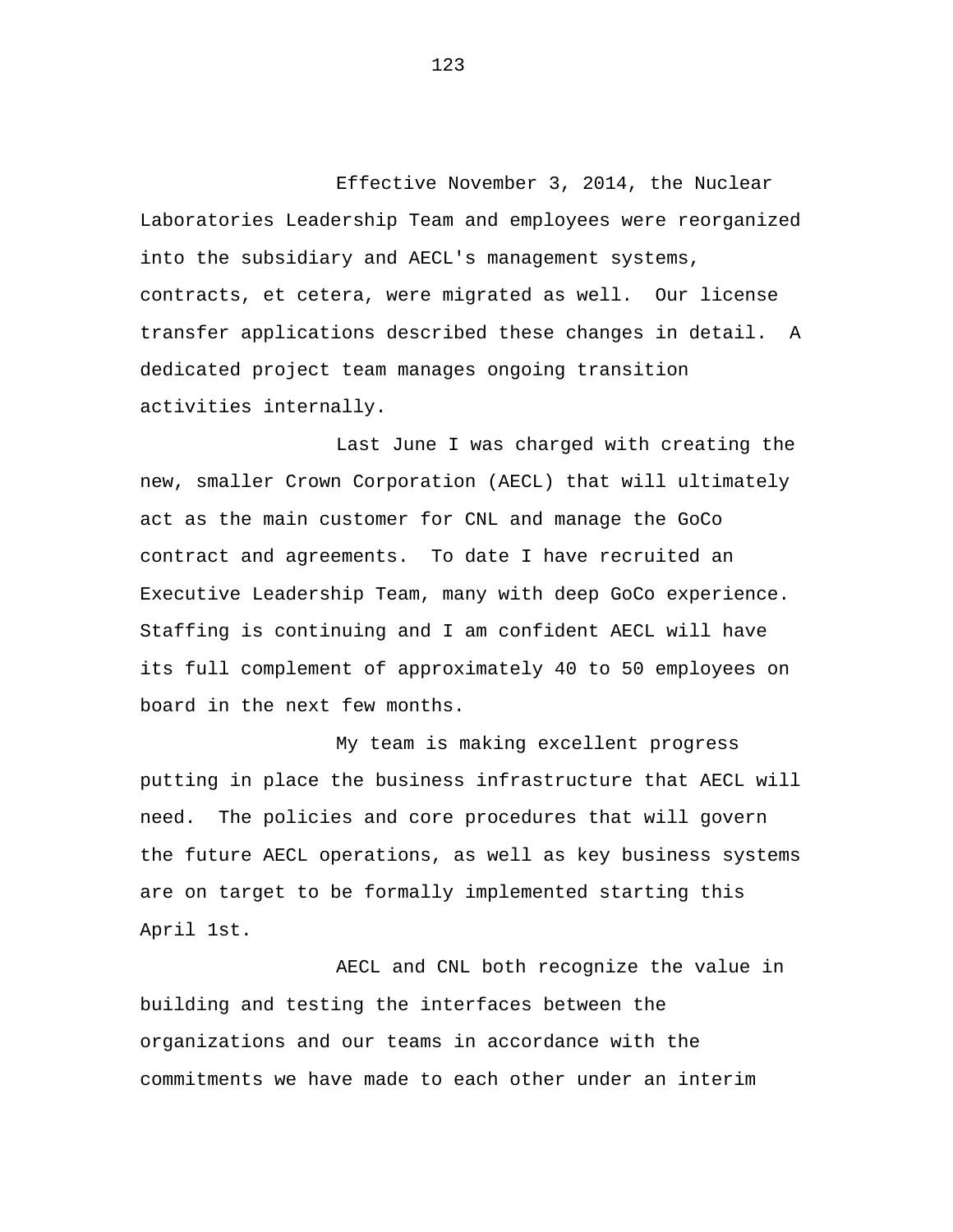Effective November 3, 2014, the Nuclear Laboratories Leadership Team and employees were reorganized into the subsidiary and AECL's management systems, contracts, et cetera, were migrated as well. Our license transfer applications described these changes in detail. A dedicated project team manages ongoing transition activities internally.

Last June I was charged with creating the new, smaller Crown Corporation (AECL) that will ultimately act as the main customer for CNL and manage the GoCo contract and agreements. To date I have recruited an Executive Leadership Team, many with deep GoCo experience. Staffing is continuing and I am confident AECL will have its full complement of approximately 40 to 50 employees on board in the next few months.

My team is making excellent progress putting in place the business infrastructure that AECL will need. The policies and core procedures that will govern the future AECL operations, as well as key business systems are on target to be formally implemented starting this April 1st.

AECL and CNL both recognize the value in building and testing the interfaces between the organizations and our teams in accordance with the commitments we have made to each other under an interim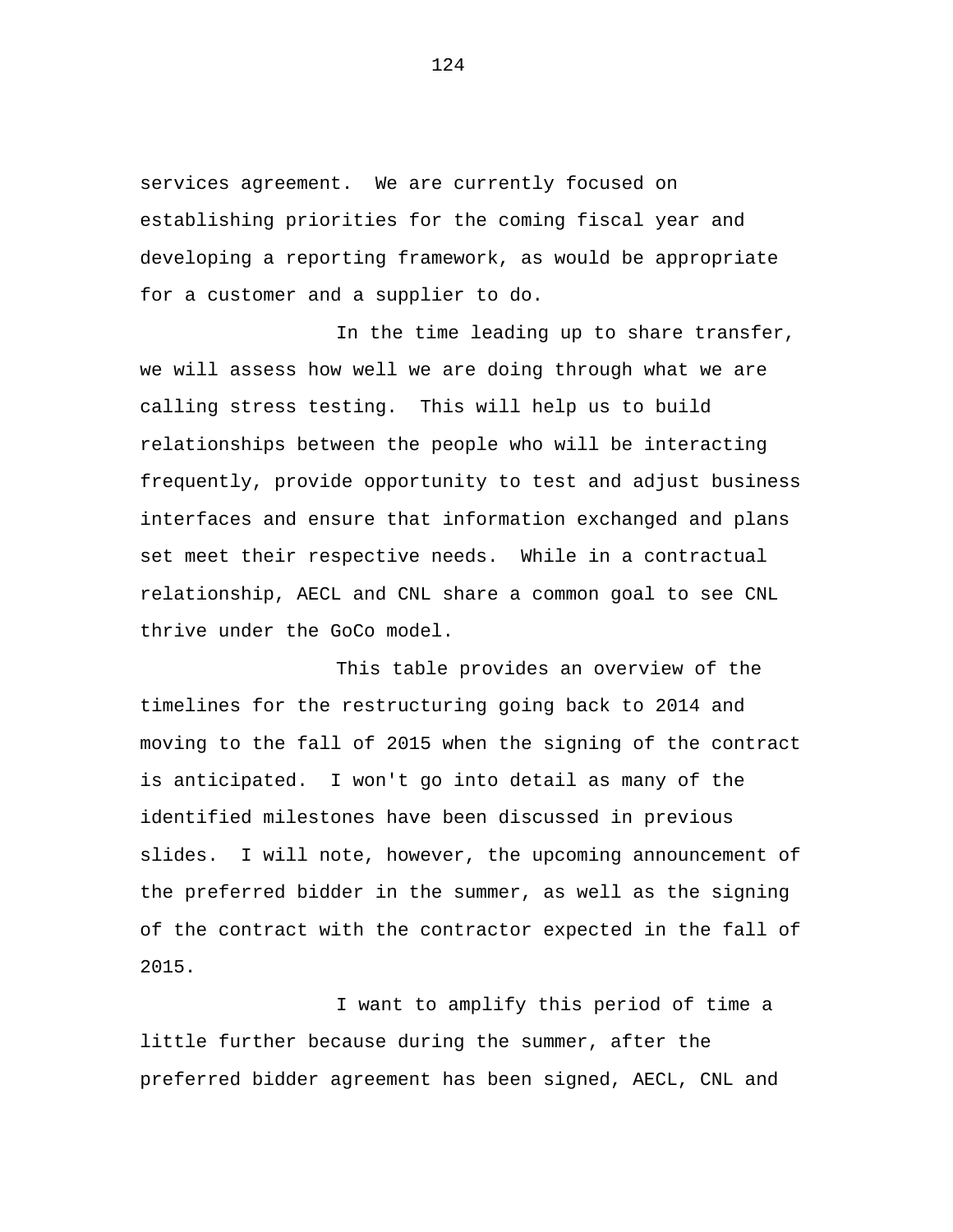services agreement. We are currently focused on establishing priorities for the coming fiscal year and developing a reporting framework, as would be appropriate for a customer and a supplier to do.

In the time leading up to share transfer, we will assess how well we are doing through what we are calling stress testing. This will help us to build relationships between the people who will be interacting frequently, provide opportunity to test and adjust business interfaces and ensure that information exchanged and plans set meet their respective needs. While in a contractual relationship, AECL and CNL share a common goal to see CNL thrive under the GoCo model.

This table provides an overview of the timelines for the restructuring going back to 2014 and moving to the fall of 2015 when the signing of the contract is anticipated. I won't go into detail as many of the identified milestones have been discussed in previous slides. I will note, however, the upcoming announcement of the preferred bidder in the summer, as well as the signing of the contract with the contractor expected in the fall of 2015.

I want to amplify this period of time a little further because during the summer, after the preferred bidder agreement has been signed, AECL, CNL and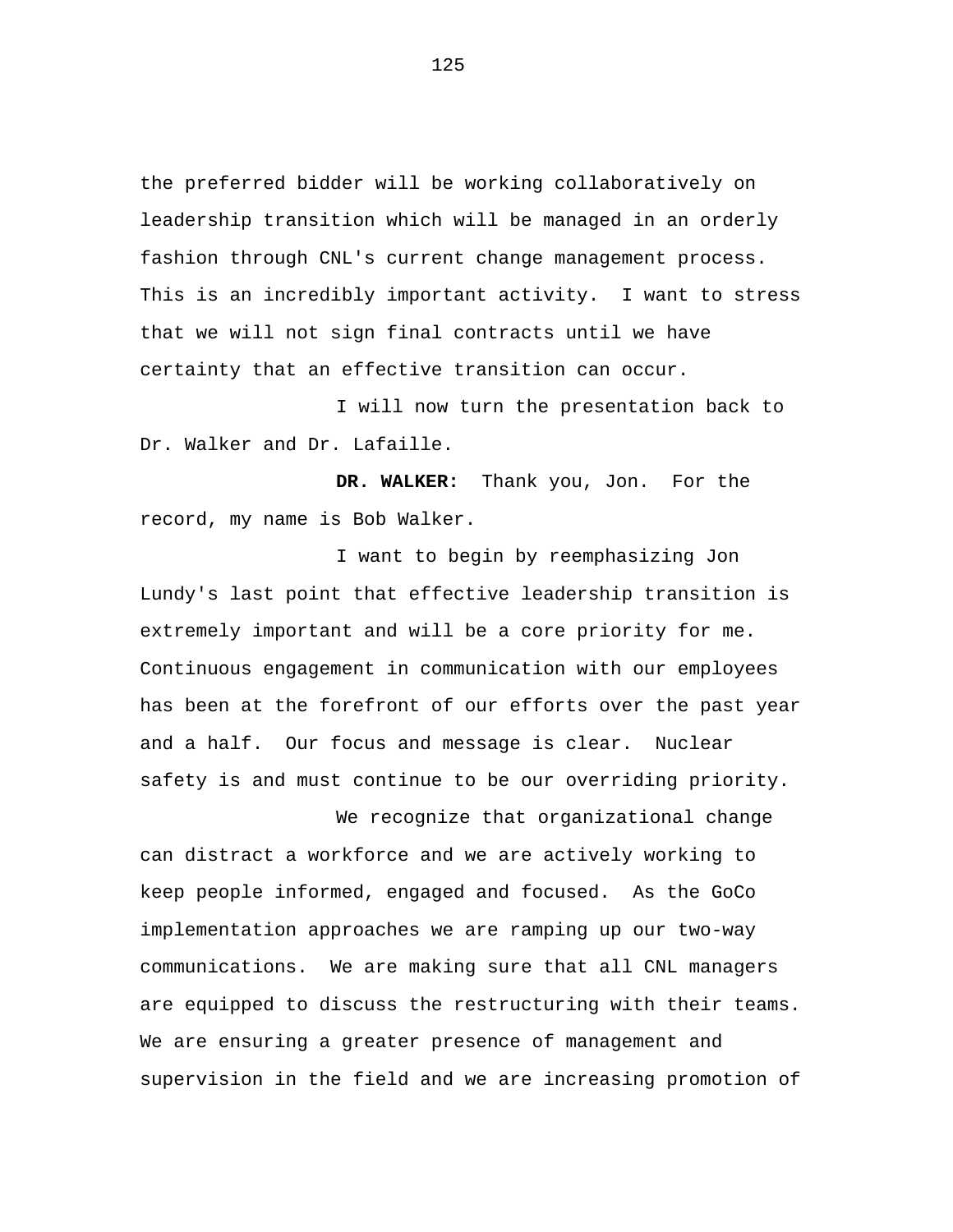the preferred bidder will be working collaboratively on leadership transition which will be managed in an orderly fashion through CNL's current change management process. This is an incredibly important activity. I want to stress that we will not sign final contracts until we have certainty that an effective transition can occur.

I will now turn the presentation back to Dr. Walker and Dr. Lafaille.

**DR. WALKER:** Thank you, Jon. For the record, my name is Bob Walker.

I want to begin by reemphasizing Jon Lundy's last point that effective leadership transition is extremely important and will be a core priority for me. Continuous engagement in communication with our employees has been at the forefront of our efforts over the past year and a half. Our focus and message is clear. Nuclear safety is and must continue to be our overriding priority.

We recognize that organizational change can distract a workforce and we are actively working to keep people informed, engaged and focused. As the GoCo implementation approaches we are ramping up our two-way communications. We are making sure that all CNL managers are equipped to discuss the restructuring with their teams. We are ensuring a greater presence of management and supervision in the field and we are increasing promotion of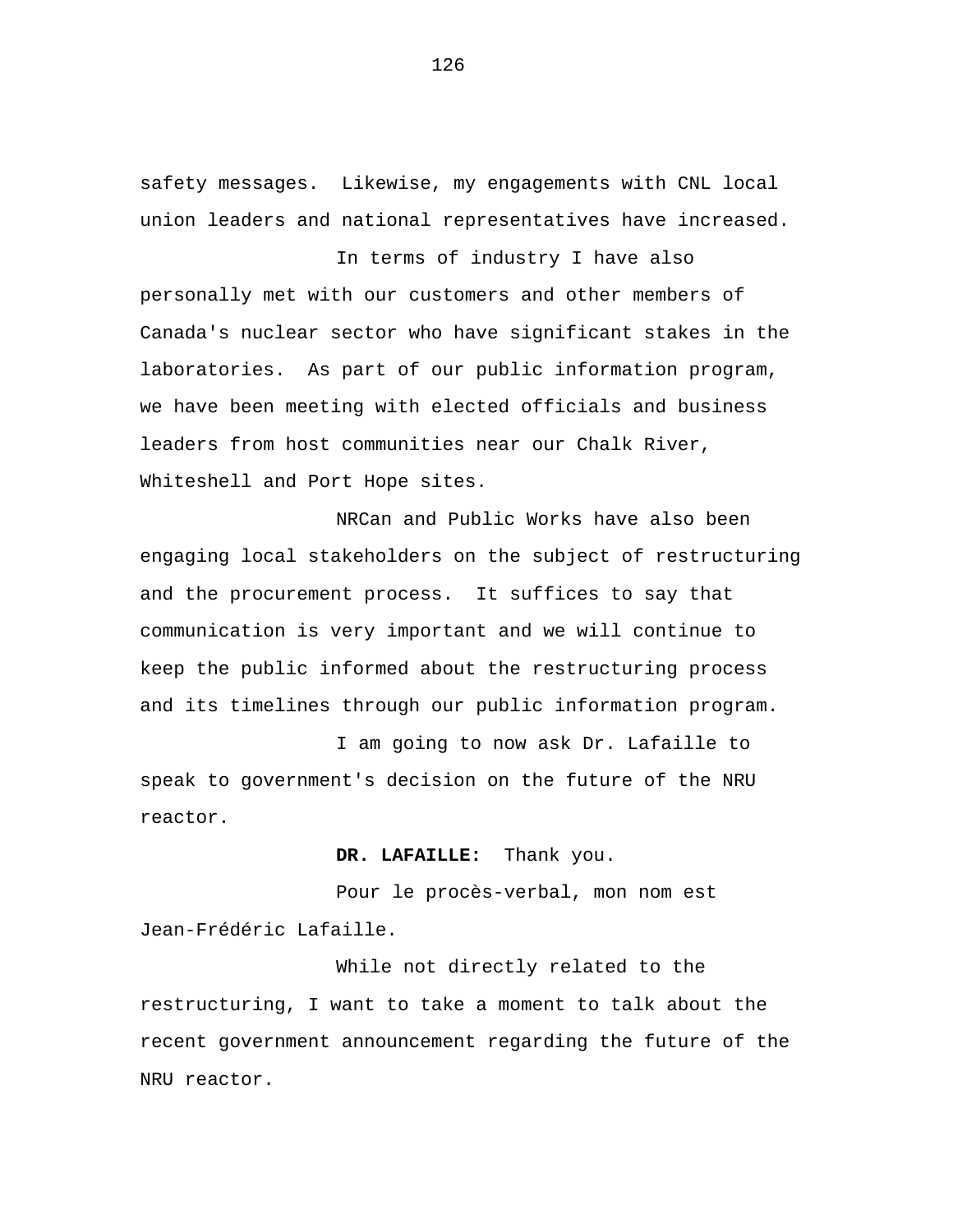safety messages. Likewise, my engagements with CNL local union leaders and national representatives have increased.

In terms of industry I have also personally met with our customers and other members of Canada's nuclear sector who have significant stakes in the laboratories. As part of our public information program, we have been meeting with elected officials and business leaders from host communities near our Chalk River, Whiteshell and Port Hope sites.

NRCan and Public Works have also been engaging local stakeholders on the subject of restructuring and the procurement process. It suffices to say that communication is very important and we will continue to keep the public informed about the restructuring process and its timelines through our public information program.

I am going to now ask Dr. Lafaille to speak to government's decision on the future of the NRU reactor.

**DR. LAFAILLE:** Thank you.

Pour le procès-verbal, mon nom est Jean-Frédéric Lafaille.

While not directly related to the restructuring, I want to take a moment to talk about the recent government announcement regarding the future of the NRU reactor.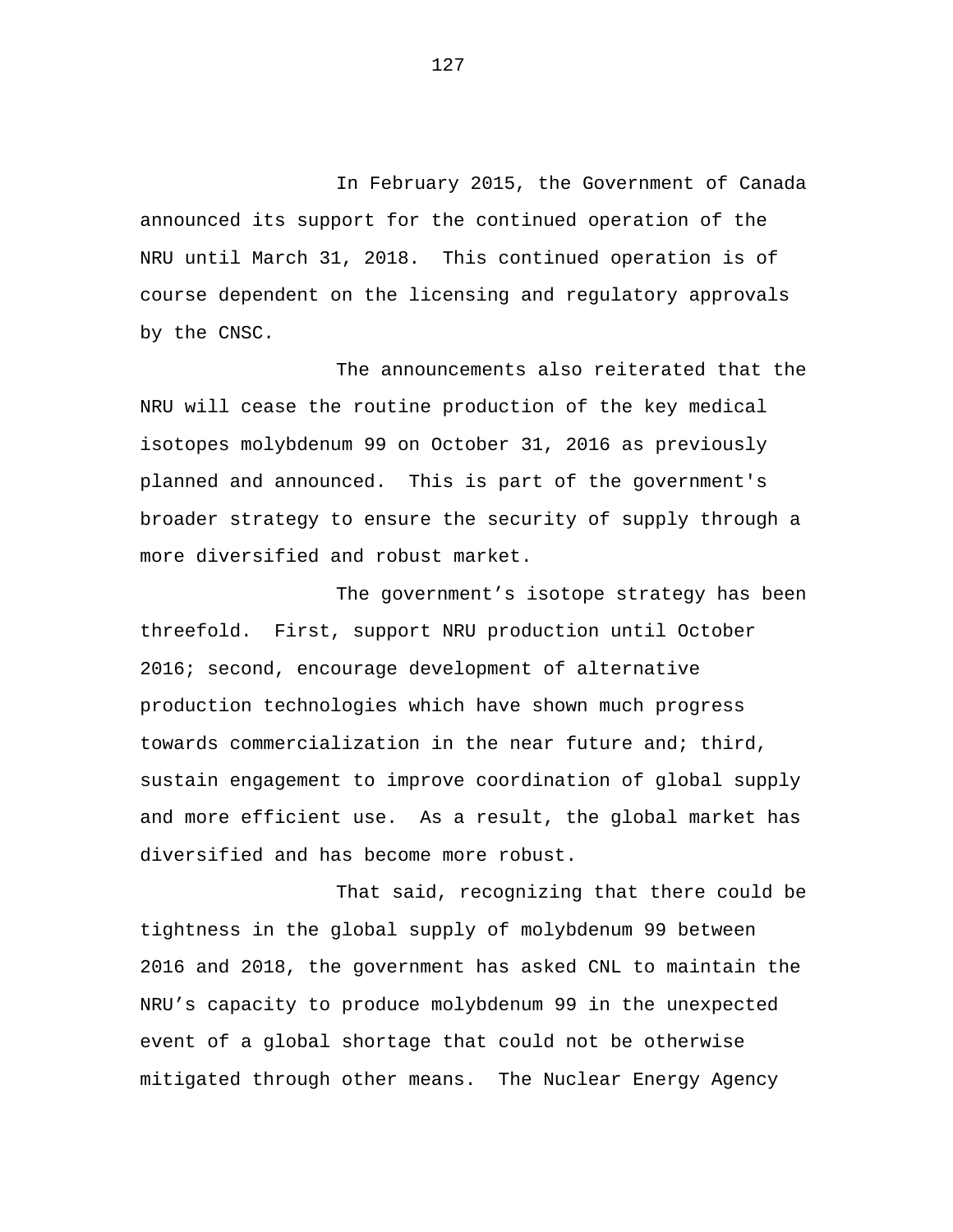In February 2015, the Government of Canada announced its support for the continued operation of the NRU until March 31, 2018. This continued operation is of course dependent on the licensing and regulatory approvals by the CNSC.

The announcements also reiterated that the NRU will cease the routine production of the key medical isotopes molybdenum 99 on October 31, 2016 as previously planned and announced. This is part of the government's broader strategy to ensure the security of supply through a more diversified and robust market.

The government's isotope strategy has been threefold. First, support NRU production until October 2016; second, encourage development of alternative production technologies which have shown much progress towards commercialization in the near future and; third, sustain engagement to improve coordination of global supply and more efficient use. As a result, the global market has diversified and has become more robust.

That said, recognizing that there could be tightness in the global supply of molybdenum 99 between 2016 and 2018, the government has asked CNL to maintain the NRU's capacity to produce molybdenum 99 in the unexpected event of a global shortage that could not be otherwise mitigated through other means. The Nuclear Energy Agency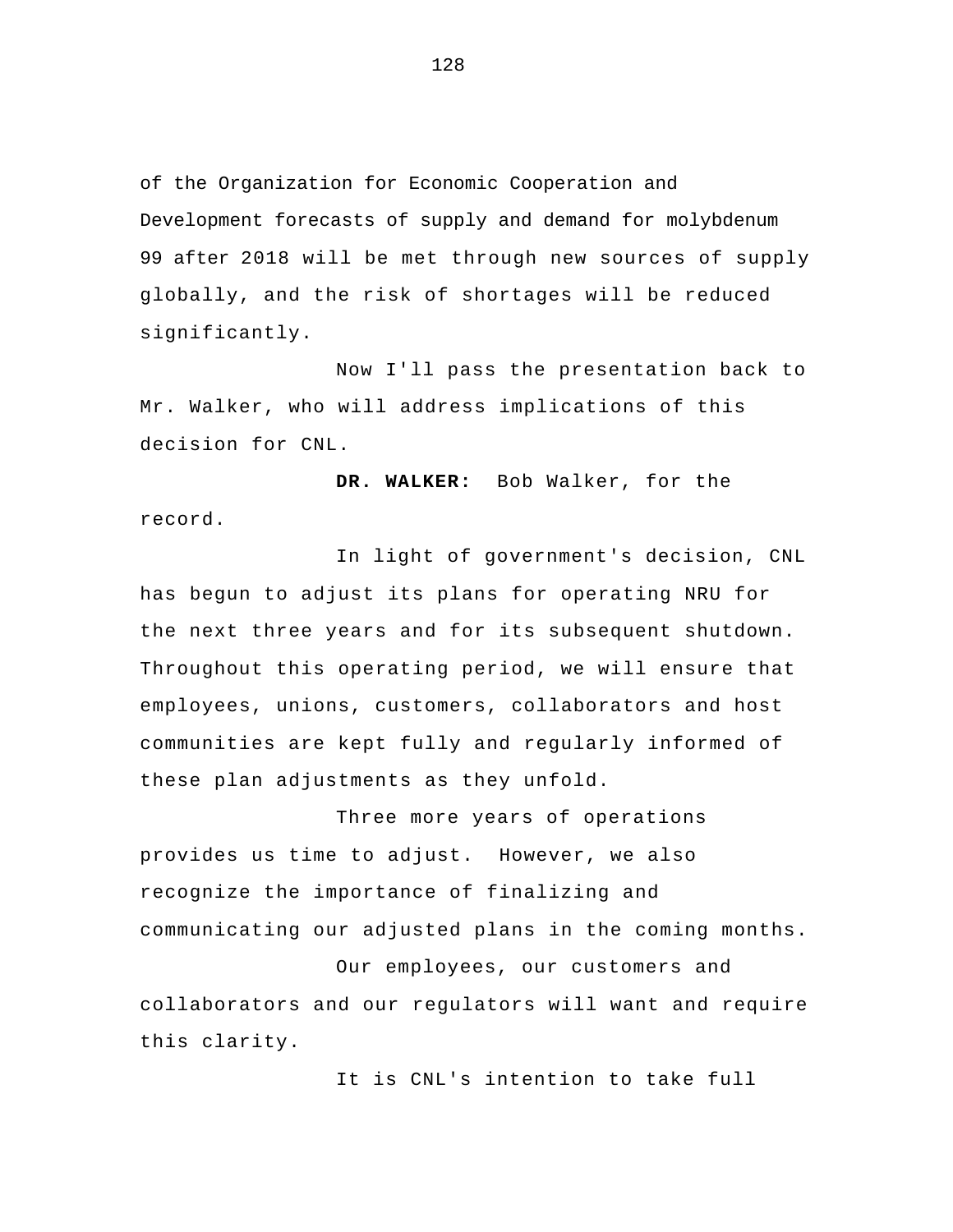of the Organization for Economic Cooperation and Development forecasts of supply and demand for molybdenum 99 after 2018 will be met through new sources of supply globally, and the risk of shortages will be reduced significantly.

Now I'll pass the presentation back to Mr. Walker, who will address implications of this decision for CNL.

**DR. WALKER:** Bob Walker, for the record.

In light of government's decision, CNL has begun to adjust its plans for operating NRU for the next three years and for its subsequent shutdown. Throughout this operating period, we will ensure that employees, unions, customers, collaborators and host communities are kept fully and regularly informed of these plan adjustments as they unfold.

Three more years of operations provides us time to adjust. However, we also recognize the importance of finalizing and communicating our adjusted plans in the coming months.

 Our employees, our customers and collaborators and our regulators will want and require this clarity.

It is CNL's intention to take full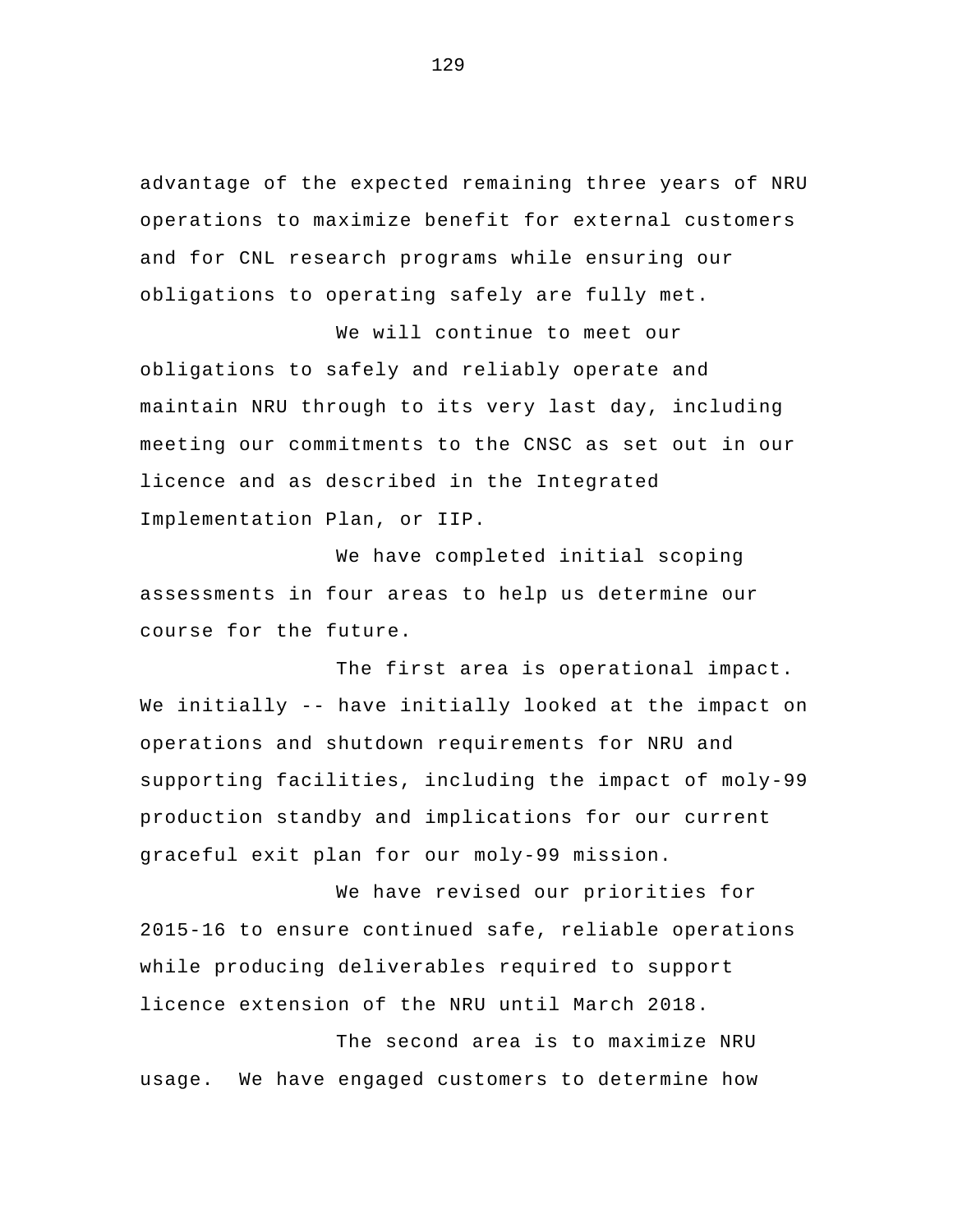advantage of the expected remaining three years of NRU operations to maximize benefit for external customers and for CNL research programs while ensuring our obligations to operating safely are fully met.

 We will continue to meet our obligations to safely and reliably operate and maintain NRU through to its very last day, including meeting our commitments to the CNSC as set out in our licence and as described in the Integrated Implementation Plan, or IIP.

 We have completed initial scoping assessments in four areas to help us determine our course for the future.

The first area is operational impact. We initially -- have initially looked at the impact on operations and shutdown requirements for NRU and supporting facilities, including the impact of moly-99 production standby and implications for our current graceful exit plan for our moly-99 mission.

 We have revised our priorities for 2015-16 to ensure continued safe, reliable operations while producing deliverables required to support licence extension of the NRU until March 2018.

The second area is to maximize NRU usage. We have engaged customers to determine how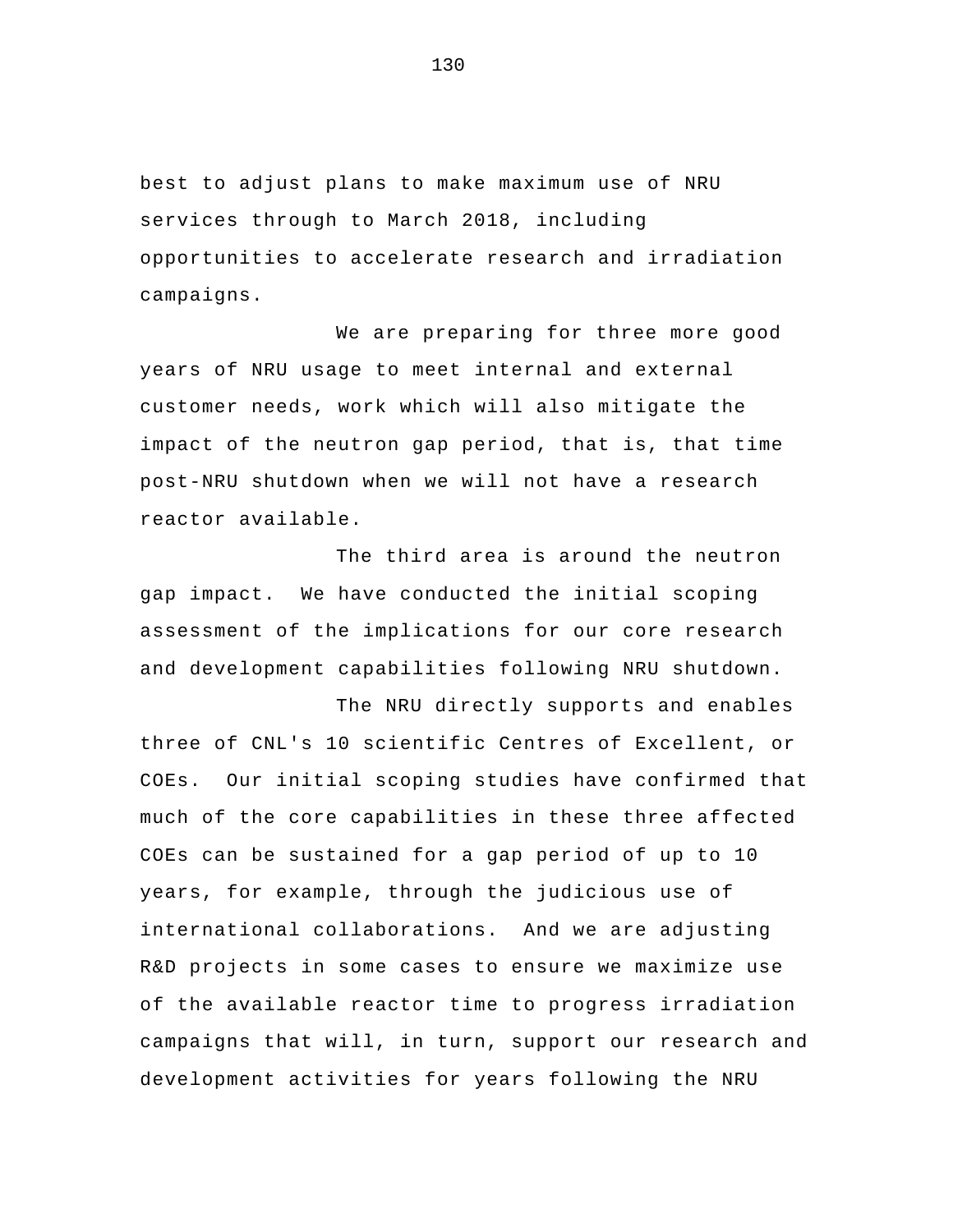best to adjust plans to make maximum use of NRU services through to March 2018, including opportunities to accelerate research and irradiation campaigns.

We are preparing for three more good years of NRU usage to meet internal and external customer needs, work which will also mitigate the impact of the neutron gap period, that is, that time post-NRU shutdown when we will not have a research reactor available.

The third area is around the neutron gap impact. We have conducted the initial scoping assessment of the implications for our core research and development capabilities following NRU shutdown.

The NRU directly supports and enables three of CNL's 10 scientific Centres of Excellent, or COEs. Our initial scoping studies have confirmed that much of the core capabilities in these three affected COEs can be sustained for a gap period of up to 10 years, for example, through the judicious use of international collaborations. And we are adjusting R&D projects in some cases to ensure we maximize use of the available reactor time to progress irradiation campaigns that will, in turn, support our research and development activities for years following the NRU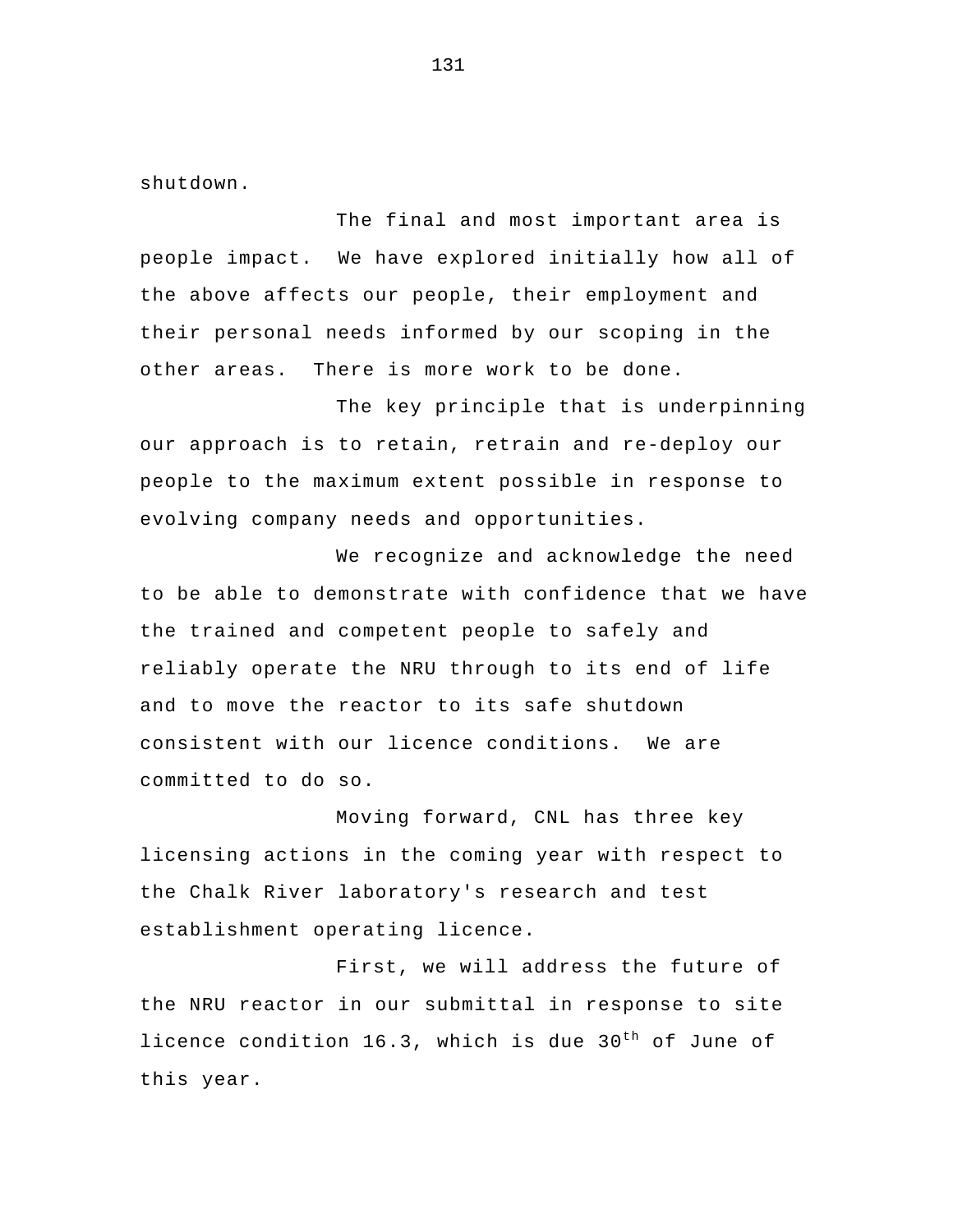shutdown.

The final and most important area is people impact. We have explored initially how all of the above affects our people, their employment and their personal needs informed by our scoping in the other areas. There is more work to be done.

The key principle that is underpinning our approach is to retain, retrain and re-deploy our people to the maximum extent possible in response to evolving company needs and opportunities.

 We recognize and acknowledge the need to be able to demonstrate with confidence that we have the trained and competent people to safely and reliably operate the NRU through to its end of life and to move the reactor to its safe shutdown consistent with our licence conditions. We are committed to do so.

 Moving forward, CNL has three key licensing actions in the coming year with respect to the Chalk River laboratory's research and test establishment operating licence.

First, we will address the future of the NRU reactor in our submittal in response to site licence condition 16.3, which is due 30<sup>th</sup> of June of this year.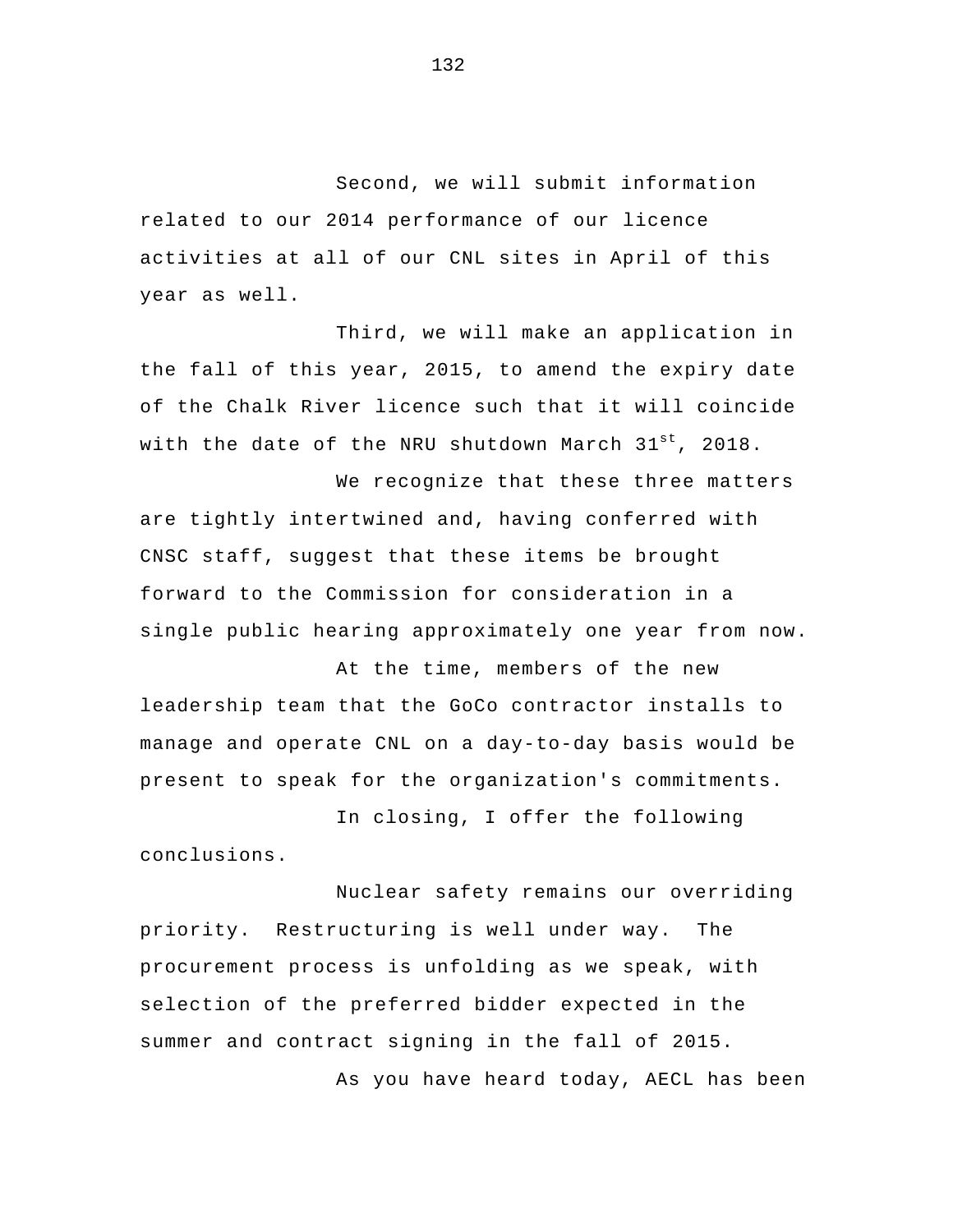Second, we will submit information related to our 2014 performance of our licence activities at all of our CNL sites in April of this year as well.

Third, we will make an application in the fall of this year, 2015, to amend the expiry date of the Chalk River licence such that it will coincide with the date of the NRU shutdown March 31st, 2018.

 We recognize that these three matters are tightly intertwined and, having conferred with CNSC staff, suggest that these items be brought forward to the Commission for consideration in a single public hearing approximately one year from now.

At the time, members of the new leadership team that the GoCo contractor installs to manage and operate CNL on a day-to-day basis would be present to speak for the organization's commitments.

In closing, I offer the following conclusions.

Nuclear safety remains our overriding priority. Restructuring is well under way. The procurement process is unfolding as we speak, with selection of the preferred bidder expected in the summer and contract signing in the fall of 2015. As you have heard today, AECL has been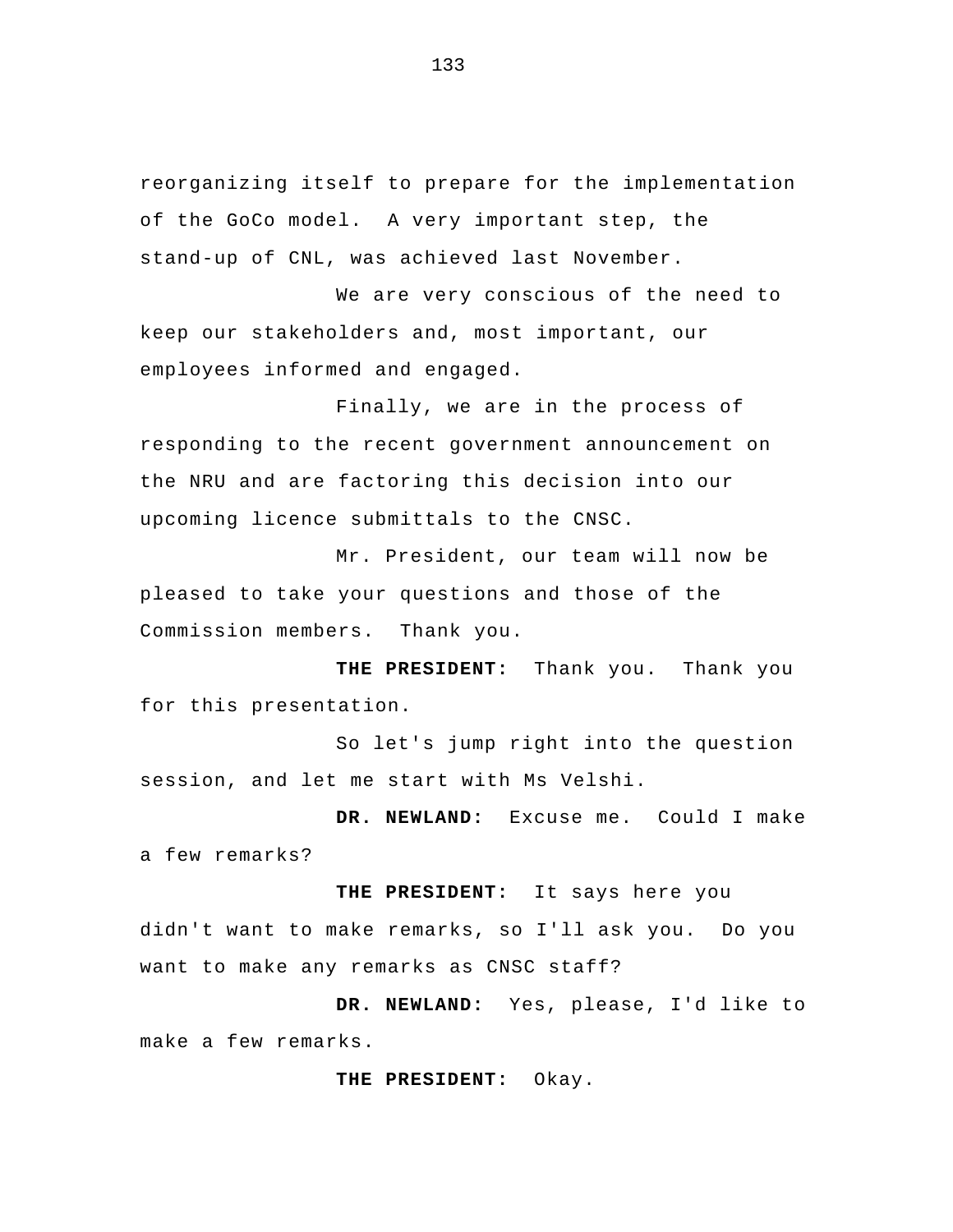reorganizing itself to prepare for the implementation of the GoCo model. A very important step, the stand-up of CNL, was achieved last November.

We are very conscious of the need to keep our stakeholders and, most important, our employees informed and engaged.

Finally, we are in the process of responding to the recent government announcement on the NRU and are factoring this decision into our upcoming licence submittals to the CNSC.

Mr. President, our team will now be pleased to take your questions and those of the Commission members. Thank you.

**THE PRESIDENT:** Thank you. Thank you for this presentation.

So let's jump right into the question session, and let me start with Ms Velshi.

**DR. NEWLAND:** Excuse me. Could I make a few remarks?

**THE PRESIDENT:** It says here you didn't want to make remarks, so I'll ask you. Do you want to make any remarks as CNSC staff?

**DR. NEWLAND:** Yes, please, I'd like to make a few remarks.

**THE PRESIDENT:** Okay.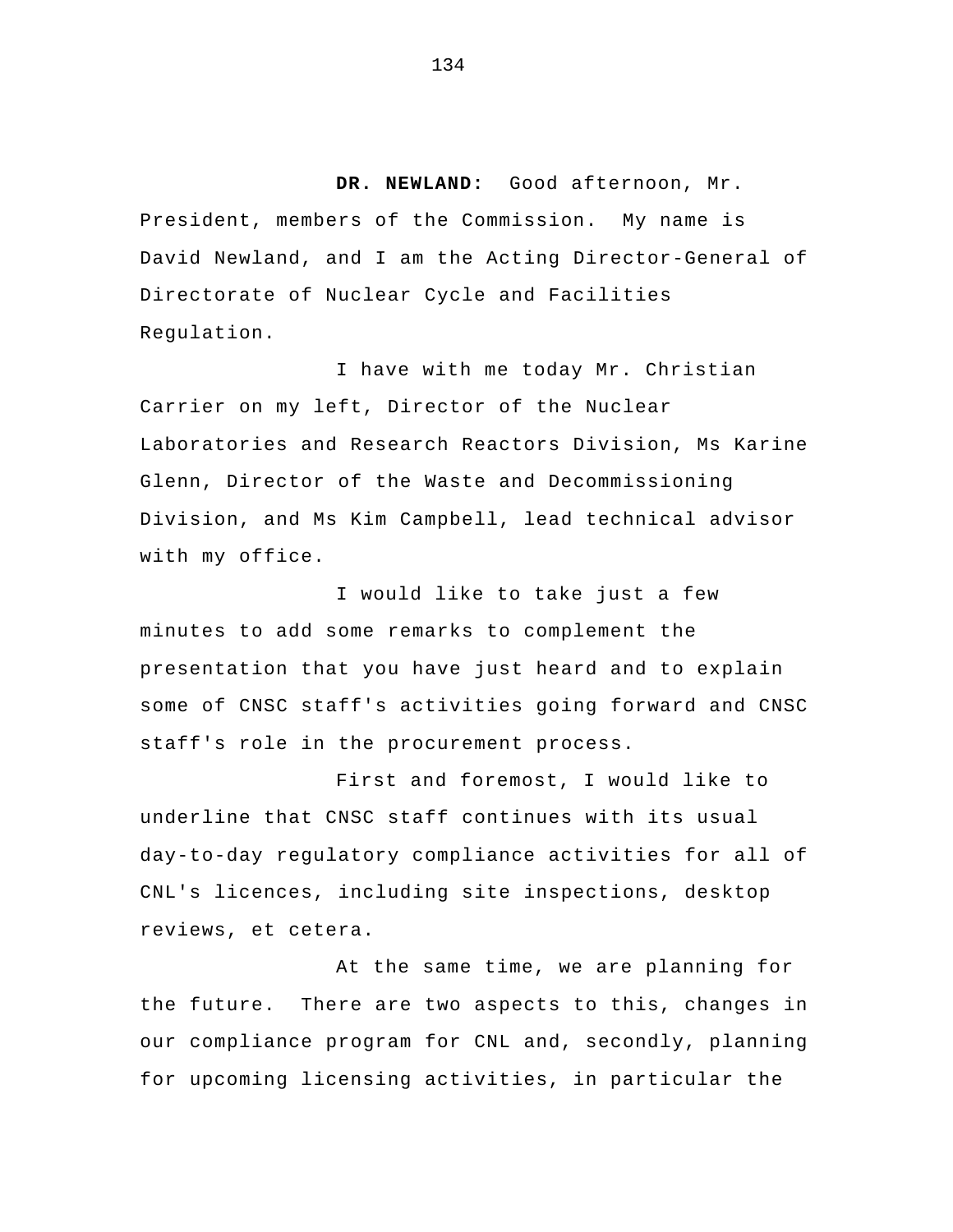**DR. NEWLAND:** Good afternoon, Mr. President, members of the Commission. My name is David Newland, and I am the Acting Director-General of Directorate of Nuclear Cycle and Facilities Regulation.

I have with me today Mr. Christian Carrier on my left, Director of the Nuclear Laboratories and Research Reactors Division, Ms Karine Glenn, Director of the Waste and Decommissioning Division, and Ms Kim Campbell, lead technical advisor with my office.

I would like to take just a few minutes to add some remarks to complement the presentation that you have just heard and to explain some of CNSC staff's activities going forward and CNSC staff's role in the procurement process.

 First and foremost, I would like to underline that CNSC staff continues with its usual day-to-day regulatory compliance activities for all of CNL's licences, including site inspections, desktop reviews, et cetera.

At the same time, we are planning for the future. There are two aspects to this, changes in our compliance program for CNL and, secondly, planning for upcoming licensing activities, in particular the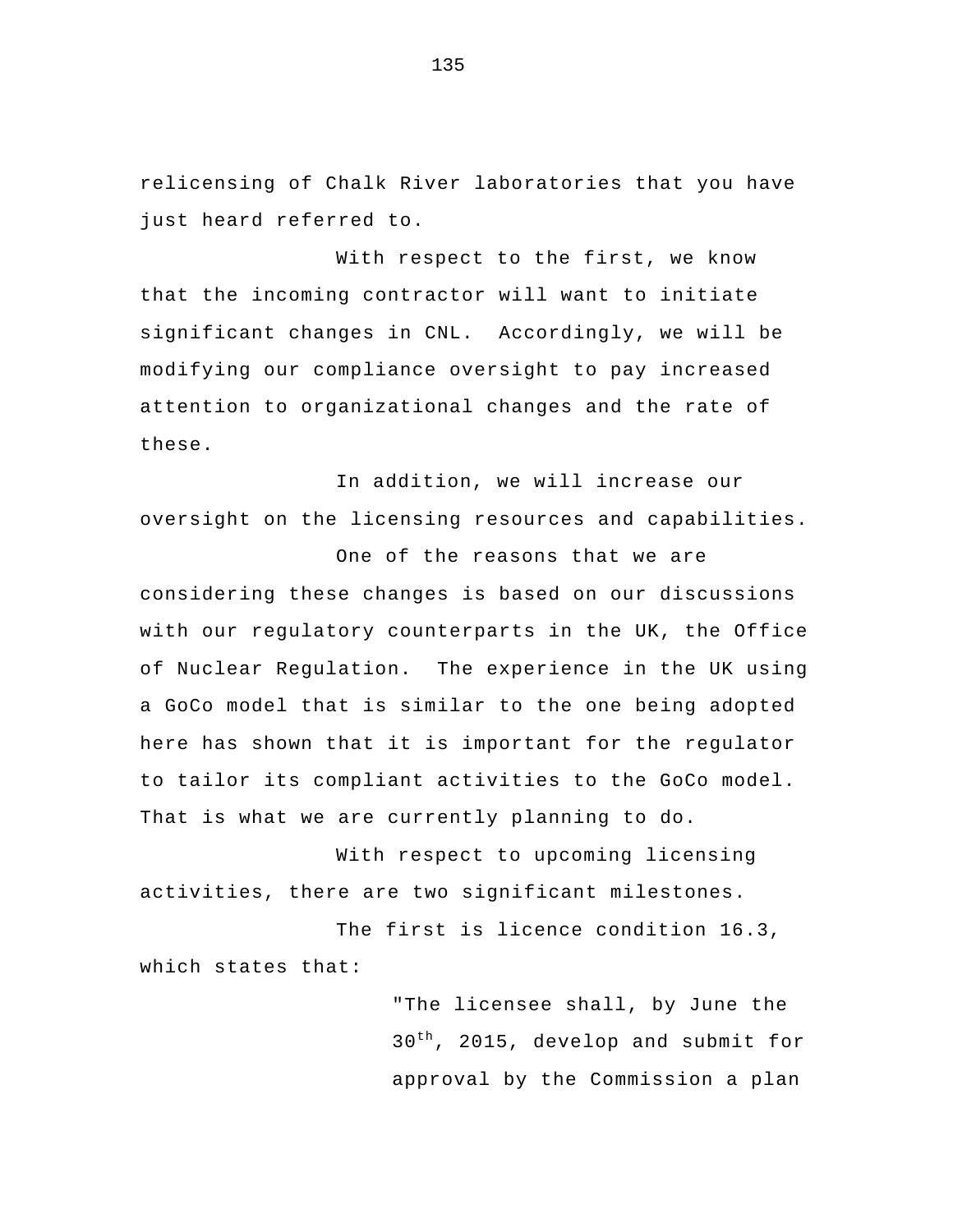relicensing of Chalk River laboratories that you have just heard referred to.

With respect to the first, we know that the incoming contractor will want to initiate significant changes in CNL. Accordingly, we will be modifying our compliance oversight to pay increased attention to organizational changes and the rate of these.

 In addition, we will increase our oversight on the licensing resources and capabilities.

One of the reasons that we are considering these changes is based on our discussions with our regulatory counterparts in the UK, the Office of Nuclear Regulation. The experience in the UK using a GoCo model that is similar to the one being adopted here has shown that it is important for the regulator to tailor its compliant activities to the GoCo model. That is what we are currently planning to do.

With respect to upcoming licensing activities, there are two significant milestones.

The first is licence condition 16.3, which states that:

> "The licensee shall, by June the 30<sup>th</sup>, 2015, develop and submit for approval by the Commission a plan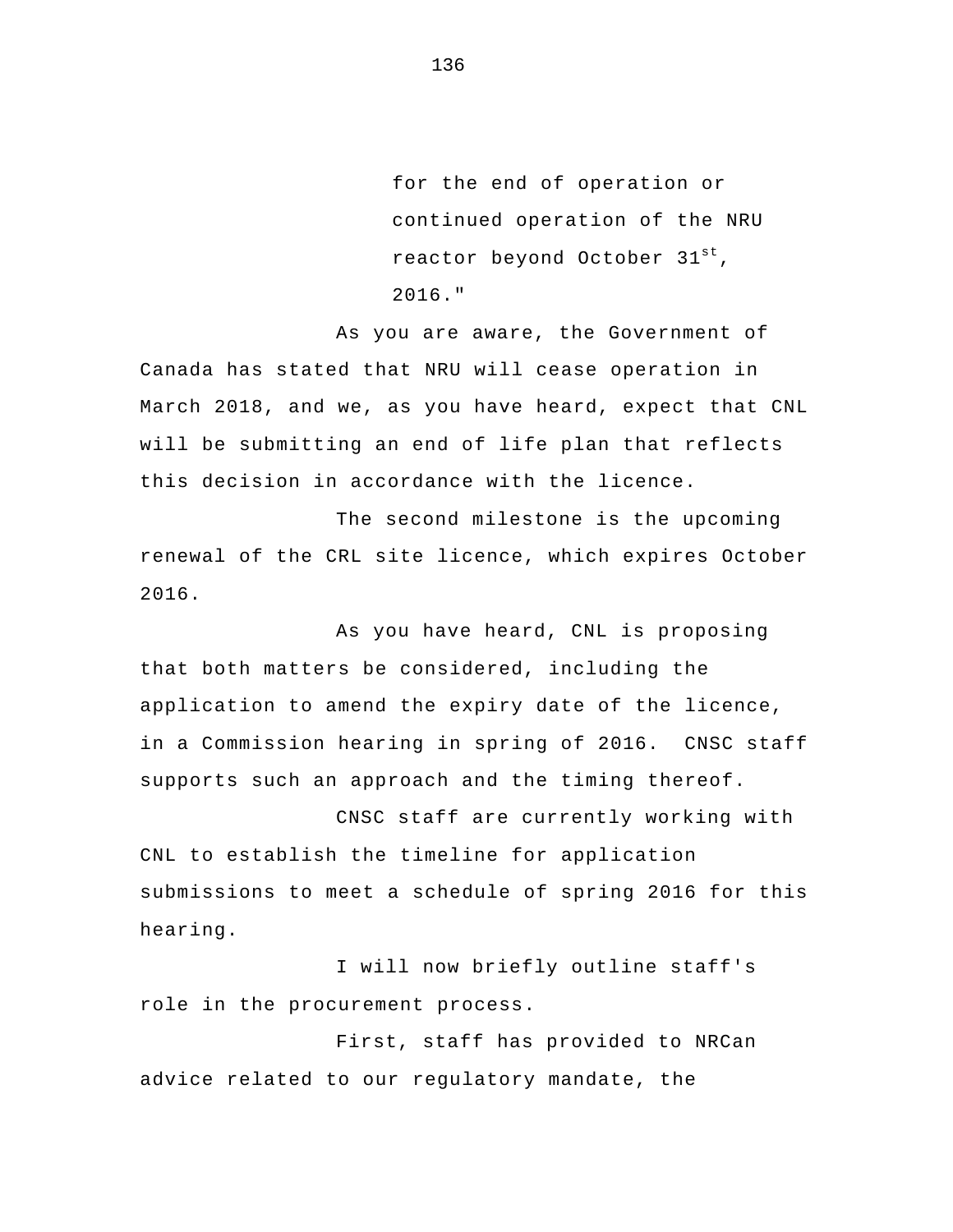for the end of operation or continued operation of the NRU reactor beyond October 31st, 2016."

As you are aware, the Government of Canada has stated that NRU will cease operation in March 2018, and we, as you have heard, expect that CNL will be submitting an end of life plan that reflects this decision in accordance with the licence.

The second milestone is the upcoming renewal of the CRL site licence, which expires October 2016.

As you have heard, CNL is proposing that both matters be considered, including the application to amend the expiry date of the licence, in a Commission hearing in spring of 2016. CNSC staff supports such an approach and the timing thereof.

CNSC staff are currently working with CNL to establish the timeline for application submissions to meet a schedule of spring 2016 for this hearing.

I will now briefly outline staff's role in the procurement process.

 First, staff has provided to NRCan advice related to our regulatory mandate, the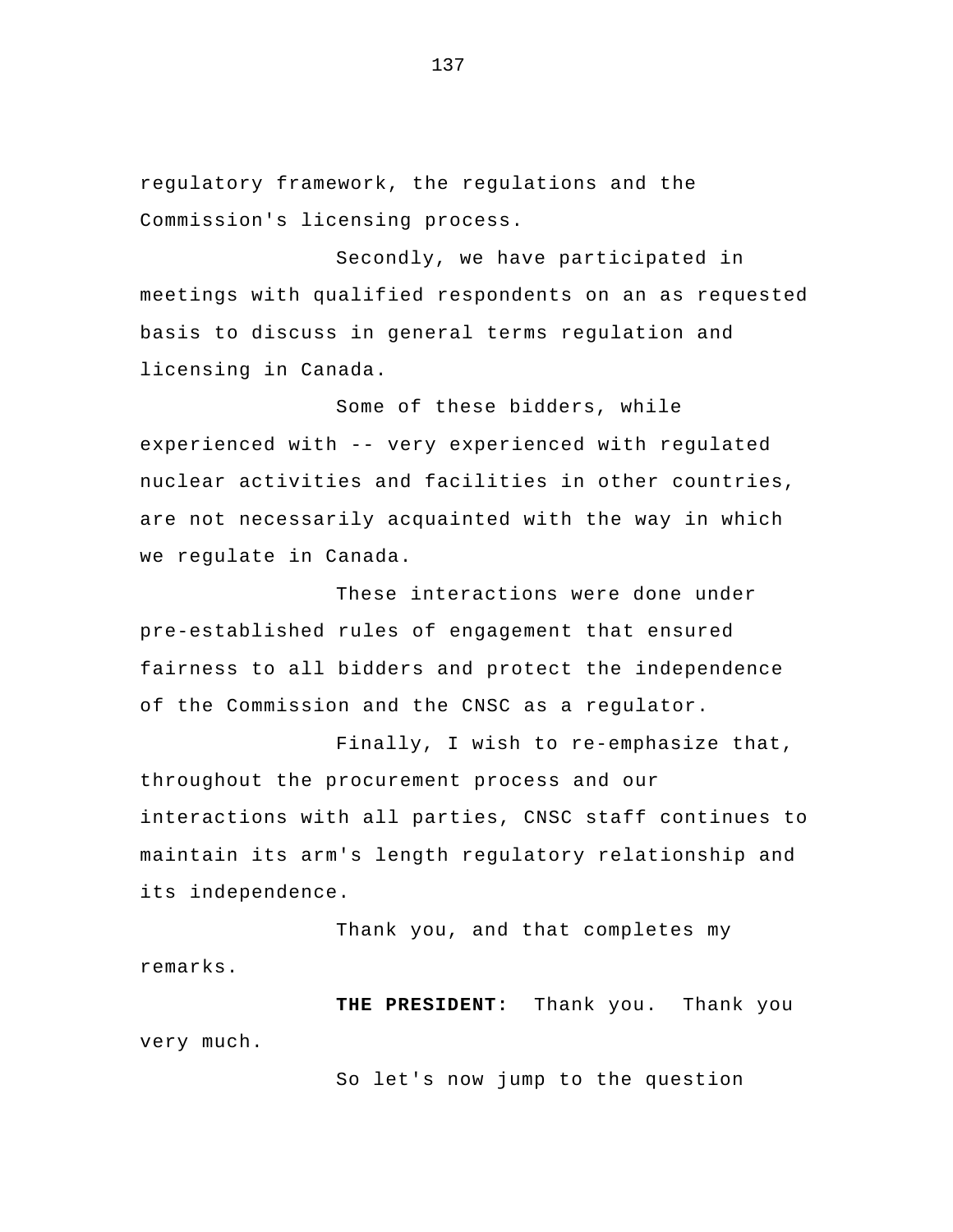regulatory framework, the regulations and the Commission's licensing process.

 Secondly, we have participated in meetings with qualified respondents on an as requested basis to discuss in general terms regulation and licensing in Canada.

 Some of these bidders, while experienced with -- very experienced with regulated nuclear activities and facilities in other countries, are not necessarily acquainted with the way in which we regulate in Canada.

 These interactions were done under pre-established rules of engagement that ensured fairness to all bidders and protect the independence of the Commission and the CNSC as a regulator.

Finally, I wish to re-emphasize that, throughout the procurement process and our interactions with all parties, CNSC staff continues to maintain its arm's length regulatory relationship and its independence.

Thank you, and that completes my remarks.

**THE PRESIDENT:** Thank you. Thank you very much.

So let's now jump to the question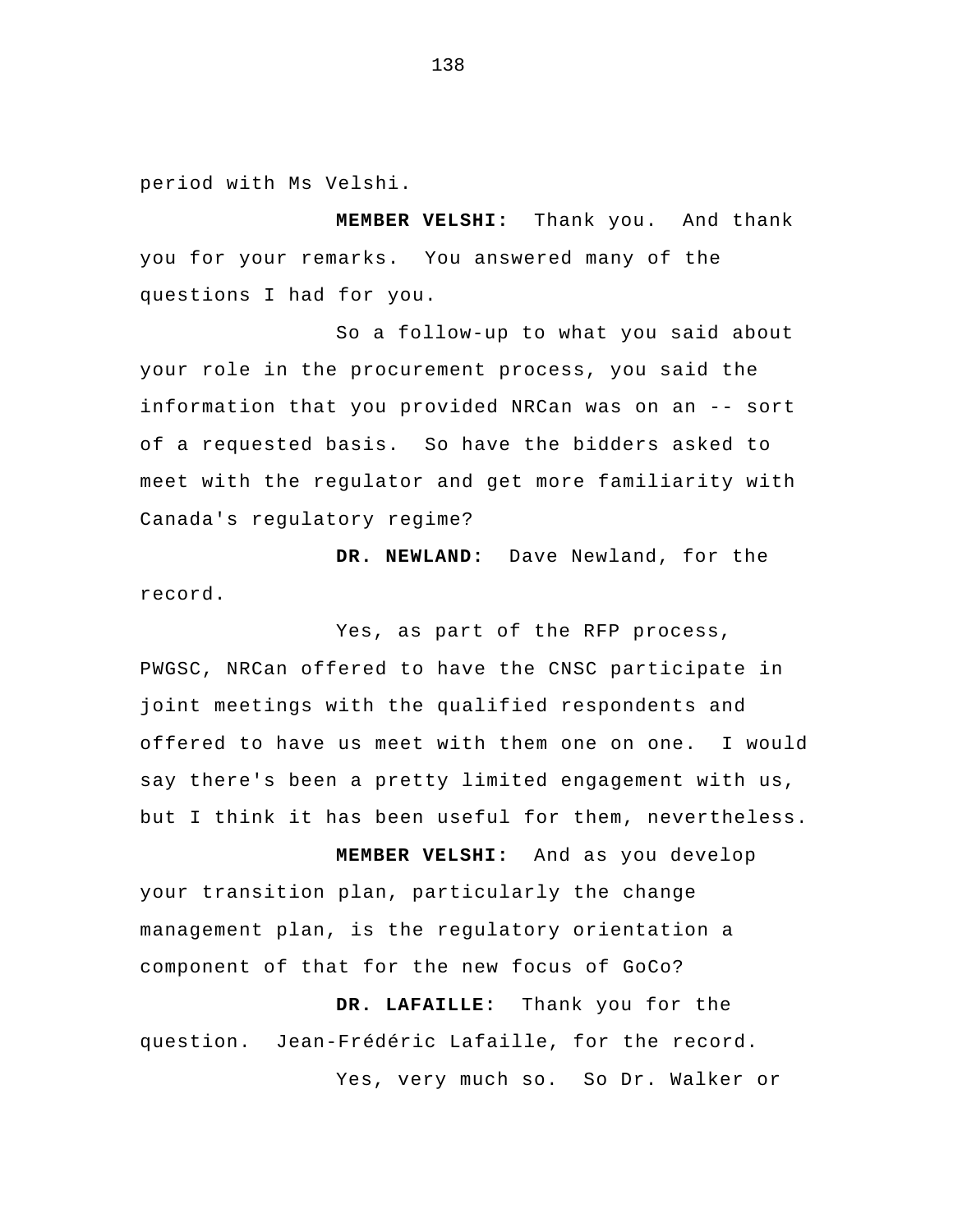period with Ms Velshi.

**MEMBER VELSHI:** Thank you. And thank you for your remarks. You answered many of the questions I had for you.

So a follow-up to what you said about your role in the procurement process, you said the information that you provided NRCan was on an -- sort of a requested basis. So have the bidders asked to meet with the regulator and get more familiarity with Canada's regulatory regime?

**DR. NEWLAND:** Dave Newland, for the record.

Yes, as part of the RFP process, PWGSC, NRCan offered to have the CNSC participate in joint meetings with the qualified respondents and offered to have us meet with them one on one. I would say there's been a pretty limited engagement with us, but I think it has been useful for them, nevertheless.

**MEMBER VELSHI:** And as you develop your transition plan, particularly the change management plan, is the regulatory orientation a component of that for the new focus of GoCo?

**DR. LAFAILLE:** Thank you for the question. Jean-Frédéric Lafaille, for the record. Yes, very much so. So Dr. Walker or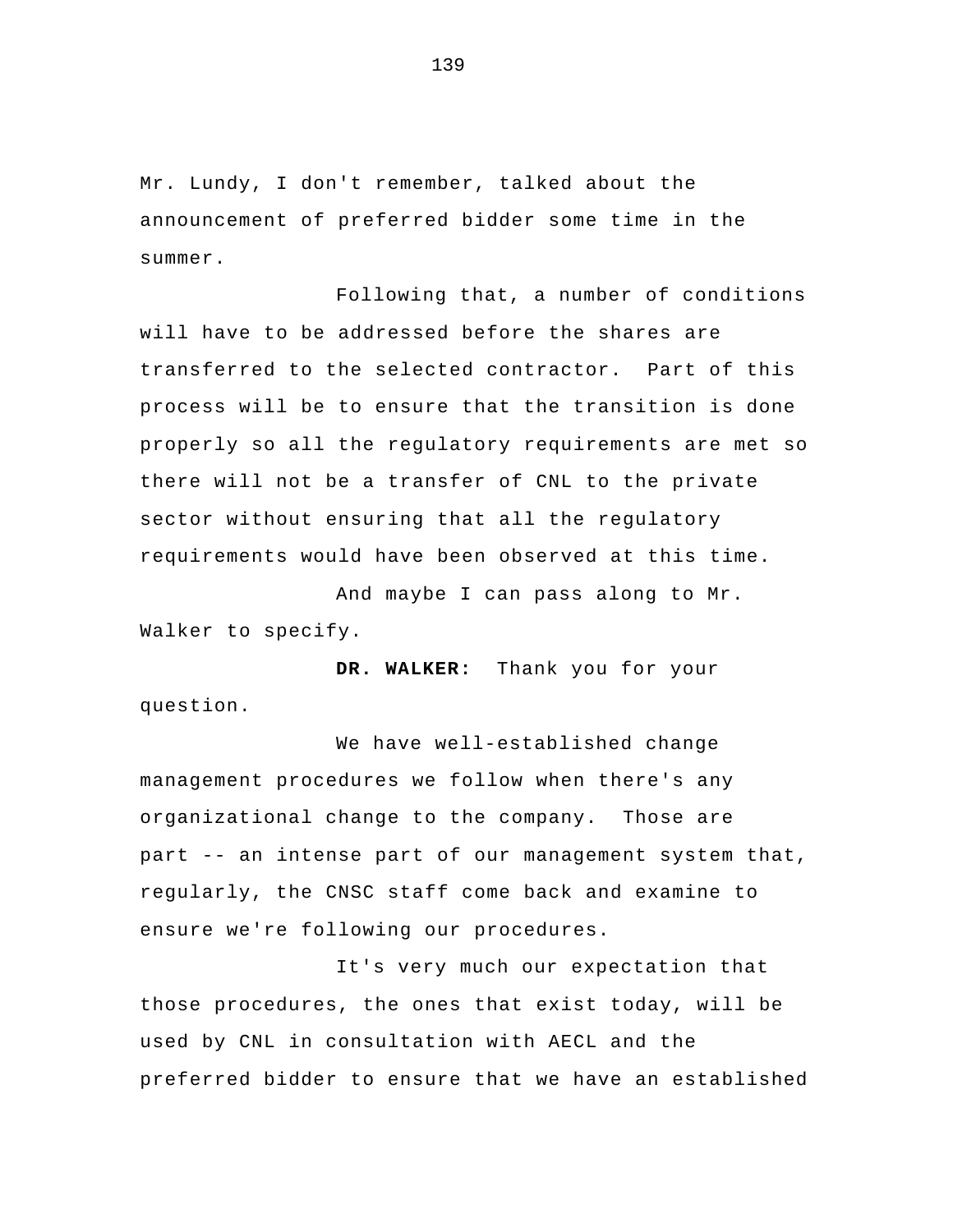Mr. Lundy, I don't remember, talked about the announcement of preferred bidder some time in the summer.

Following that, a number of conditions will have to be addressed before the shares are transferred to the selected contractor. Part of this process will be to ensure that the transition is done properly so all the regulatory requirements are met so there will not be a transfer of CNL to the private sector without ensuring that all the regulatory requirements would have been observed at this time.

And maybe I can pass along to Mr. Walker to specify.

**DR. WALKER:** Thank you for your question.

 We have well-established change management procedures we follow when there's any organizational change to the company. Those are part -- an intense part of our management system that, regularly, the CNSC staff come back and examine to ensure we're following our procedures.

It's very much our expectation that those procedures, the ones that exist today, will be used by CNL in consultation with AECL and the preferred bidder to ensure that we have an established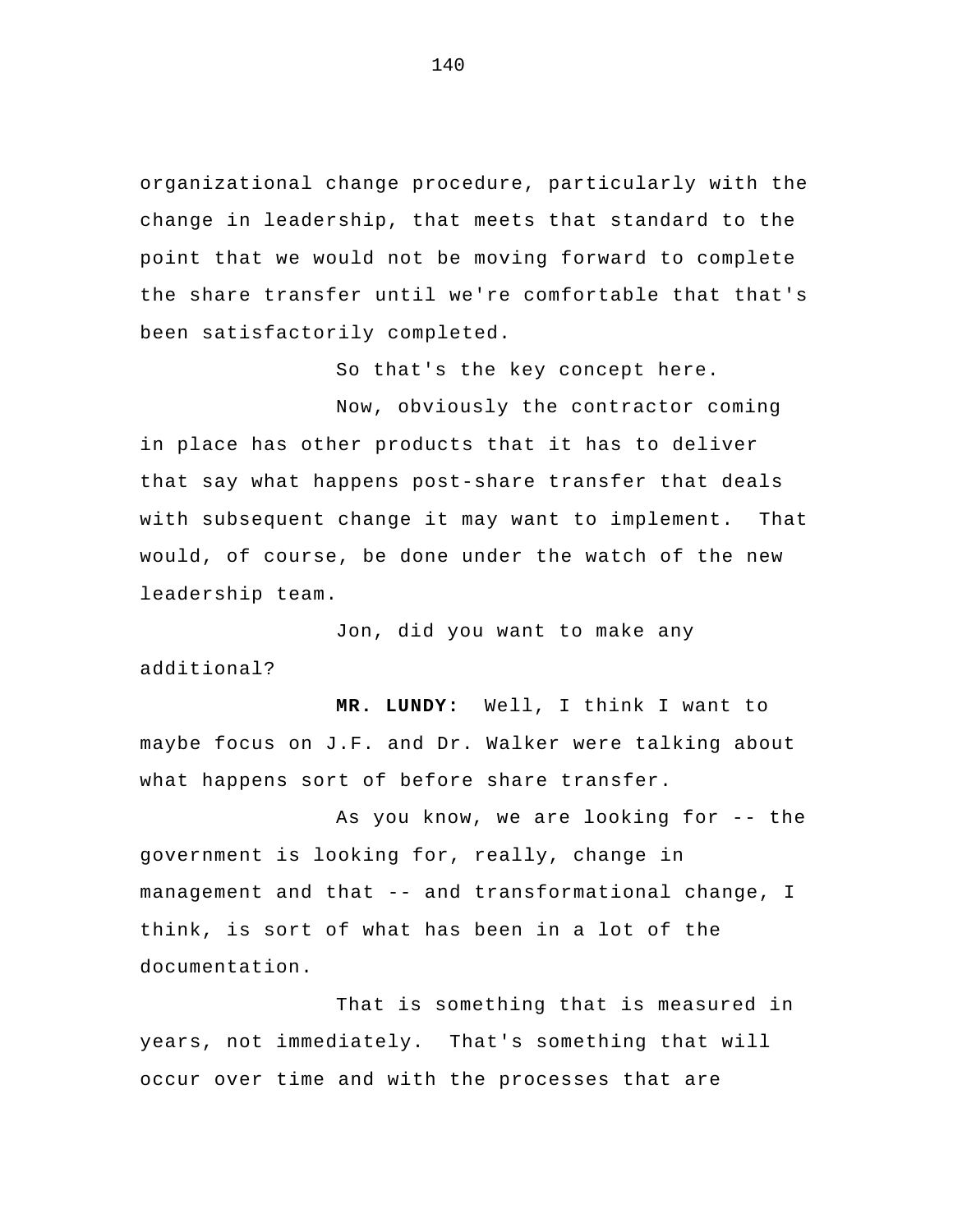organizational change procedure, particularly with the change in leadership, that meets that standard to the point that we would not be moving forward to complete the share transfer until we're comfortable that that's been satisfactorily completed.

So that's the key concept here.

 Now, obviously the contractor coming in place has other products that it has to deliver that say what happens post-share transfer that deals with subsequent change it may want to implement. That would, of course, be done under the watch of the new leadership team.

Jon, did you want to make any additional?

**MR. LUNDY:** Well, I think I want to maybe focus on J.F. and Dr. Walker were talking about what happens sort of before share transfer.

As you know, we are looking for -- the government is looking for, really, change in management and that -- and transformational change, I think, is sort of what has been in a lot of the documentation.

 That is something that is measured in years, not immediately. That's something that will occur over time and with the processes that are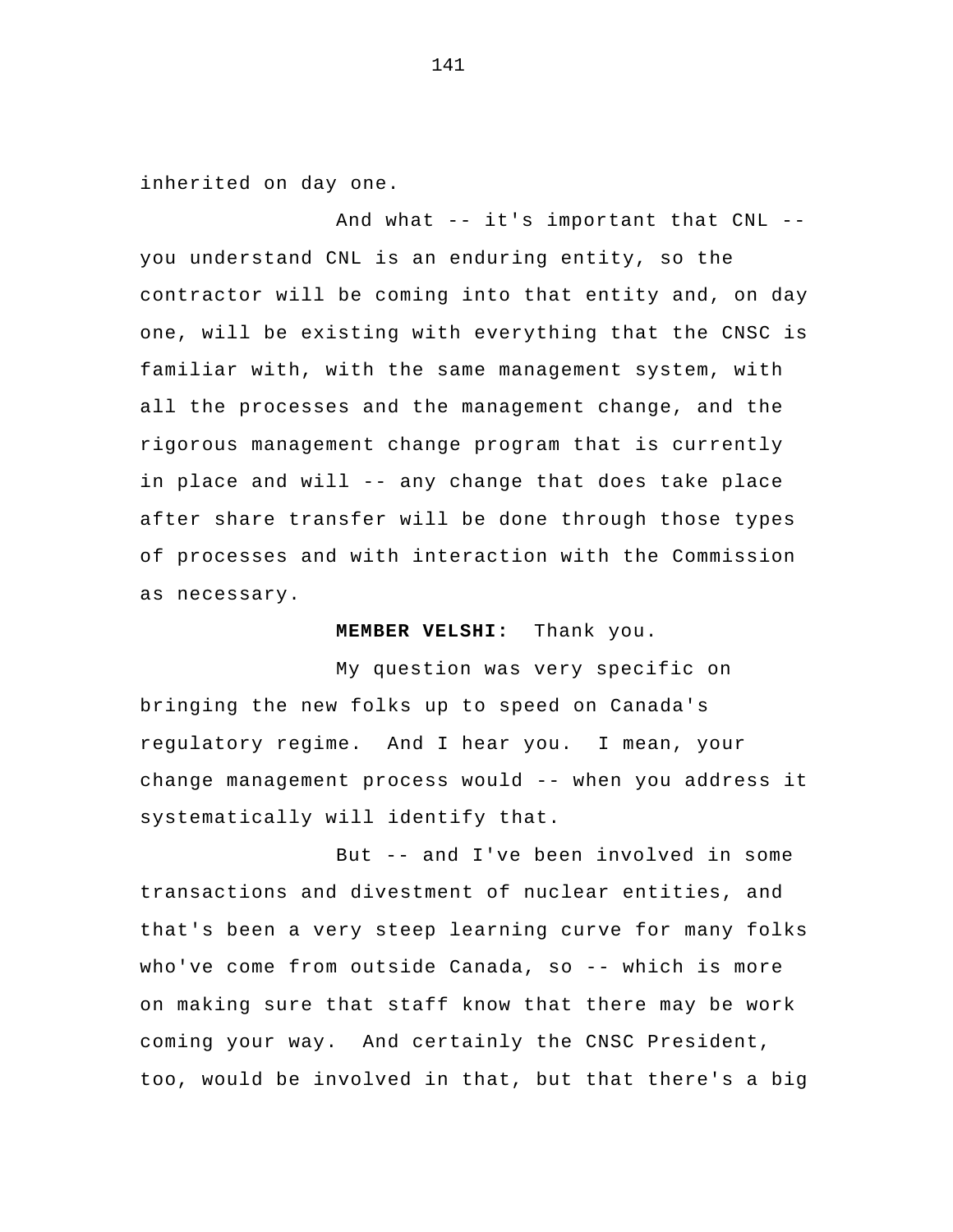inherited on day one.

And what -- it's important that CNL - you understand CNL is an enduring entity, so the contractor will be coming into that entity and, on day one, will be existing with everything that the CNSC is familiar with, with the same management system, with all the processes and the management change, and the rigorous management change program that is currently in place and will -- any change that does take place after share transfer will be done through those types of processes and with interaction with the Commission as necessary.

**MEMBER VELSHI:** Thank you.

My question was very specific on bringing the new folks up to speed on Canada's regulatory regime. And I hear you. I mean, your change management process would -- when you address it systematically will identify that.

But -- and I've been involved in some transactions and divestment of nuclear entities, and that's been a very steep learning curve for many folks who've come from outside Canada, so -- which is more on making sure that staff know that there may be work coming your way. And certainly the CNSC President, too, would be involved in that, but that there's a big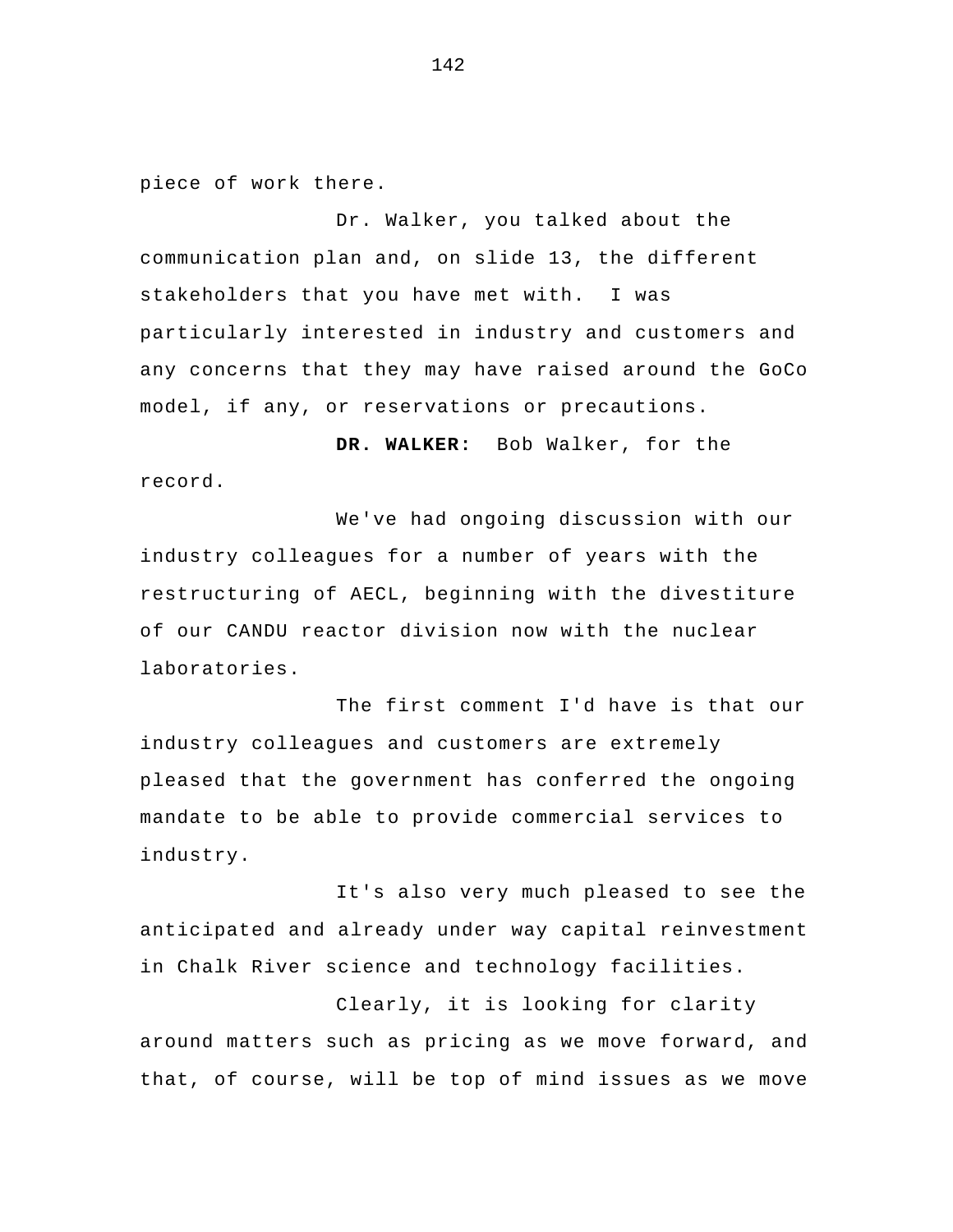piece of work there.

Dr. Walker, you talked about the communication plan and, on slide 13, the different stakeholders that you have met with. I was particularly interested in industry and customers and any concerns that they may have raised around the GoCo model, if any, or reservations or precautions.

**DR. WALKER:** Bob Walker, for the record.

 We've had ongoing discussion with our industry colleagues for a number of years with the restructuring of AECL, beginning with the divestiture of our CANDU reactor division now with the nuclear laboratories.

The first comment I'd have is that our industry colleagues and customers are extremely pleased that the government has conferred the ongoing mandate to be able to provide commercial services to industry.

It's also very much pleased to see the anticipated and already under way capital reinvestment in Chalk River science and technology facilities.

Clearly, it is looking for clarity around matters such as pricing as we move forward, and that, of course, will be top of mind issues as we move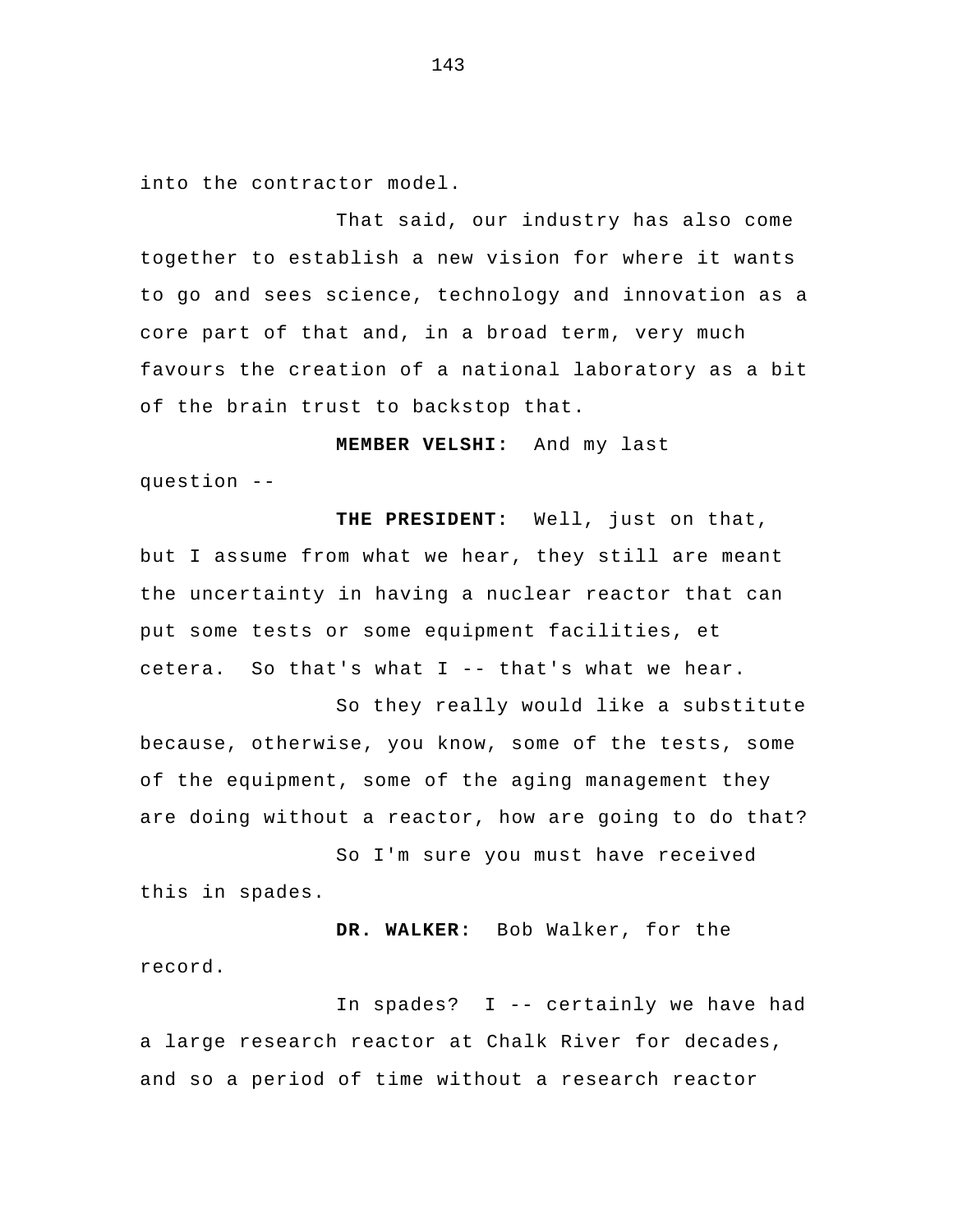into the contractor model.

That said, our industry has also come together to establish a new vision for where it wants to go and sees science, technology and innovation as a core part of that and, in a broad term, very much favours the creation of a national laboratory as a bit of the brain trust to backstop that.

**MEMBER VELSHI:** And my last

question --

**THE PRESIDENT:** Well, just on that, but I assume from what we hear, they still are meant the uncertainty in having a nuclear reactor that can put some tests or some equipment facilities, et cetera. So that's what I -- that's what we hear.

 So they really would like a substitute because, otherwise, you know, some of the tests, some of the equipment, some of the aging management they are doing without a reactor, how are going to do that?

So I'm sure you must have received this in spades.

**DR. WALKER:** Bob Walker, for the record.

In spades? I -- certainly we have had a large research reactor at Chalk River for decades, and so a period of time without a research reactor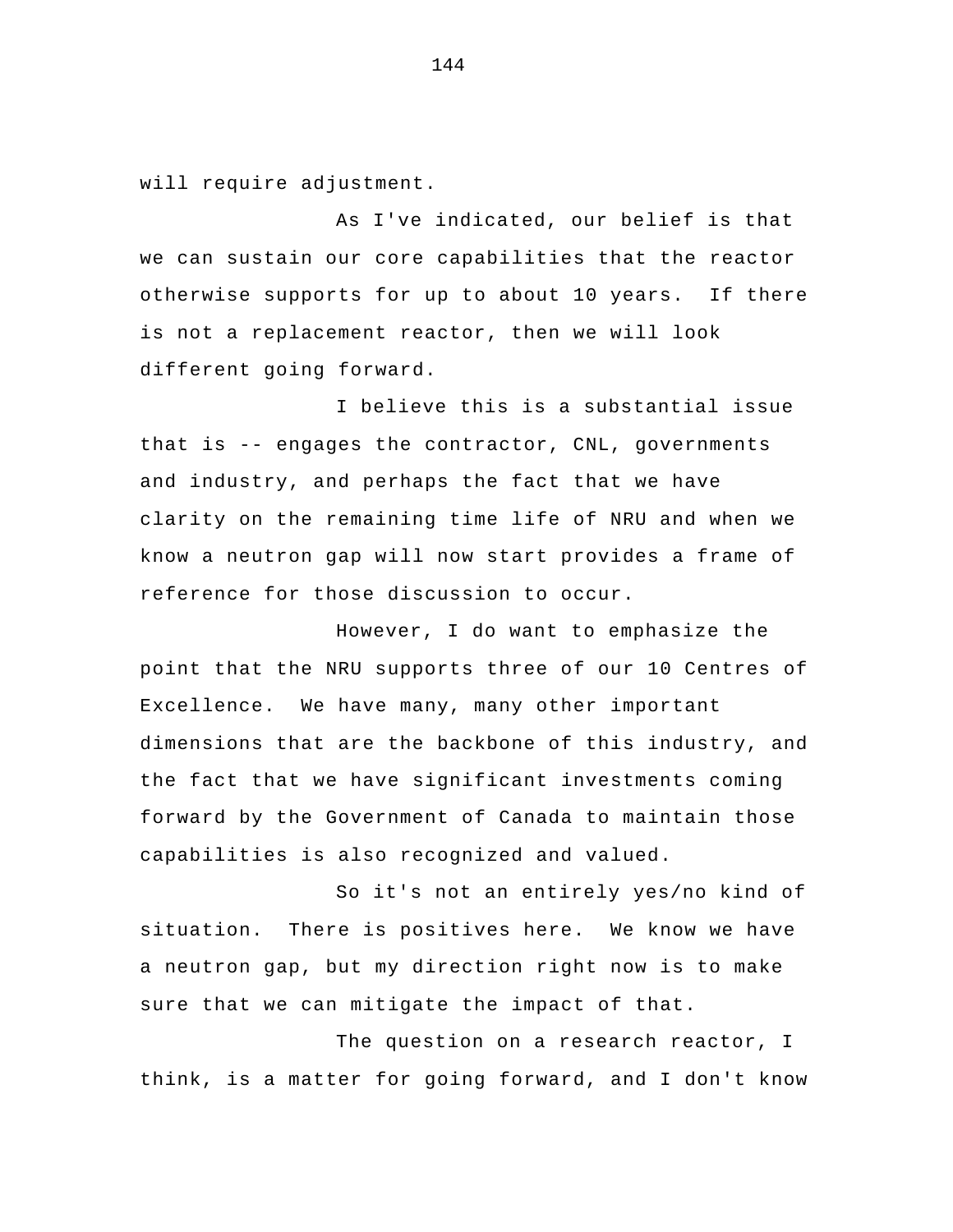will require adjustment.

 As I've indicated, our belief is that we can sustain our core capabilities that the reactor otherwise supports for up to about 10 years. If there is not a replacement reactor, then we will look different going forward.

I believe this is a substantial issue that is -- engages the contractor, CNL, governments and industry, and perhaps the fact that we have clarity on the remaining time life of NRU and when we know a neutron gap will now start provides a frame of reference for those discussion to occur.

However, I do want to emphasize the point that the NRU supports three of our 10 Centres of Excellence. We have many, many other important dimensions that are the backbone of this industry, and the fact that we have significant investments coming forward by the Government of Canada to maintain those capabilities is also recognized and valued.

 So it's not an entirely yes/no kind of situation. There is positives here. We know we have a neutron gap, but my direction right now is to make sure that we can mitigate the impact of that.

The question on a research reactor, I think, is a matter for going forward, and I don't know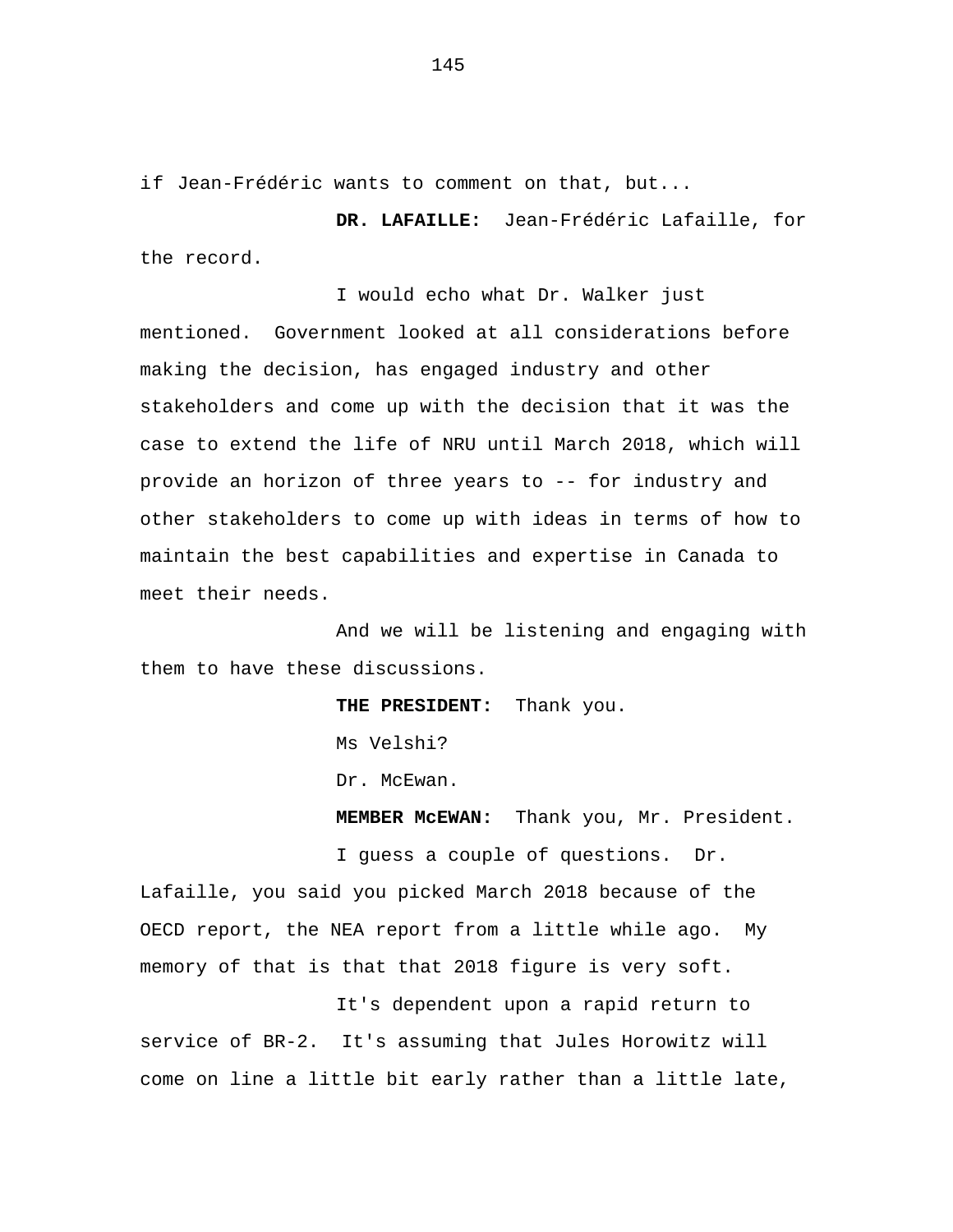if Jean-Frédéric wants to comment on that, but...

**DR. LAFAILLE:** Jean-Frédéric Lafaille, for the record.

I would echo what Dr. Walker just mentioned. Government looked at all considerations before making the decision, has engaged industry and other stakeholders and come up with the decision that it was the case to extend the life of NRU until March 2018, which will provide an horizon of three years to -- for industry and other stakeholders to come up with ideas in terms of how to maintain the best capabilities and expertise in Canada to meet their needs.

And we will be listening and engaging with them to have these discussions.

> **THE PRESIDENT:** Thank you. Ms Velshi? Dr. McEwan.

**MEMBER McEWAN:** Thank you, Mr. President.

I guess a couple of questions. Dr.

Lafaille, you said you picked March 2018 because of the OECD report, the NEA report from a little while ago. My memory of that is that that 2018 figure is very soft.

It's dependent upon a rapid return to service of BR-2. It's assuming that Jules Horowitz will come on line a little bit early rather than a little late,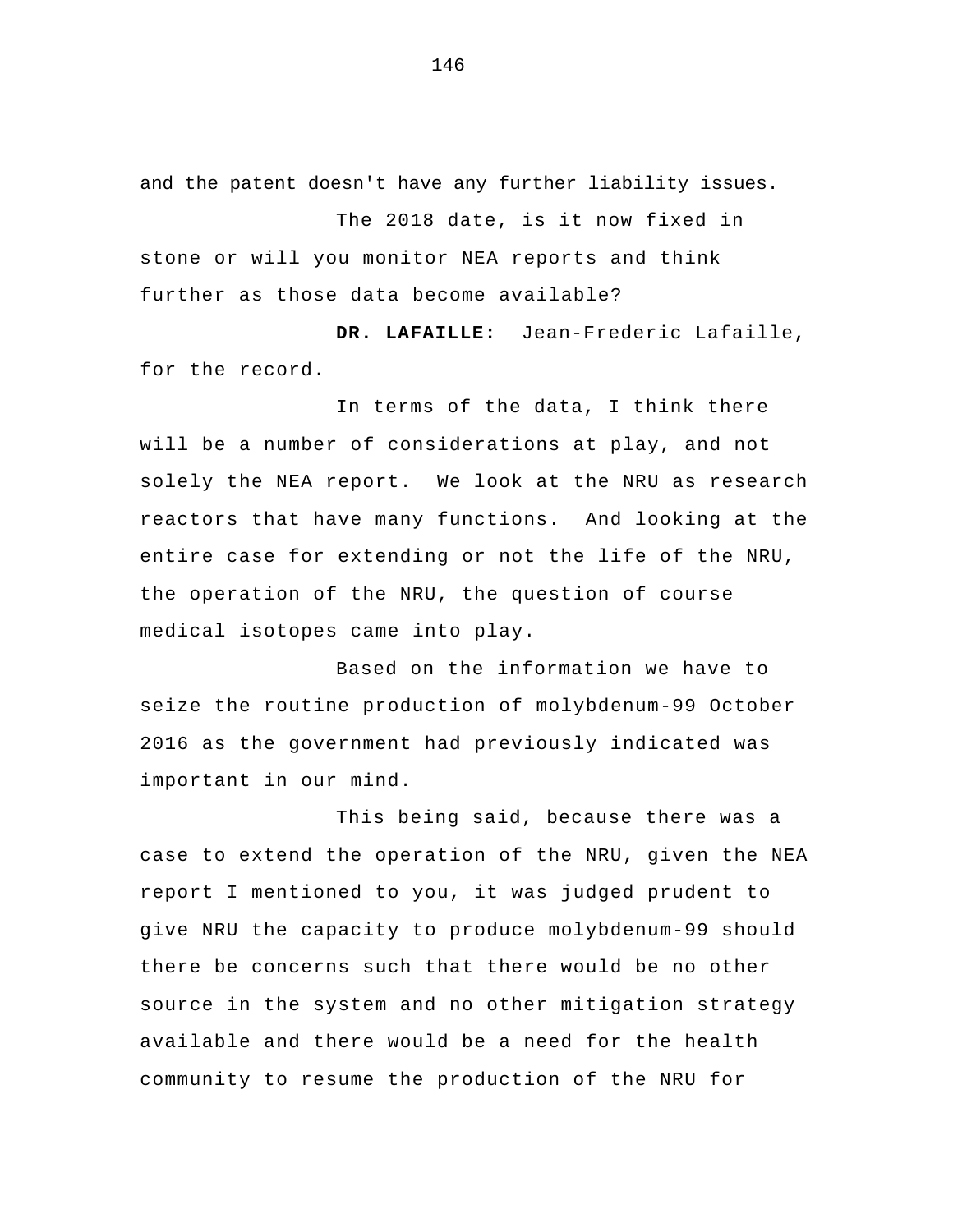and the patent doesn't have any further liability issues.

The 2018 date, is it now fixed in stone or will you monitor NEA reports and think further as those data become available?

**DR. LAFAILLE:** Jean-Frederic Lafaille, for the record.

In terms of the data, I think there will be a number of considerations at play, and not solely the NEA report. We look at the NRU as research reactors that have many functions. And looking at the entire case for extending or not the life of the NRU, the operation of the NRU, the question of course medical isotopes came into play.

Based on the information we have to seize the routine production of molybdenum-99 October 2016 as the government had previously indicated was important in our mind.

This being said, because there was a case to extend the operation of the NRU, given the NEA report I mentioned to you, it was judged prudent to give NRU the capacity to produce molybdenum-99 should there be concerns such that there would be no other source in the system and no other mitigation strategy available and there would be a need for the health community to resume the production of the NRU for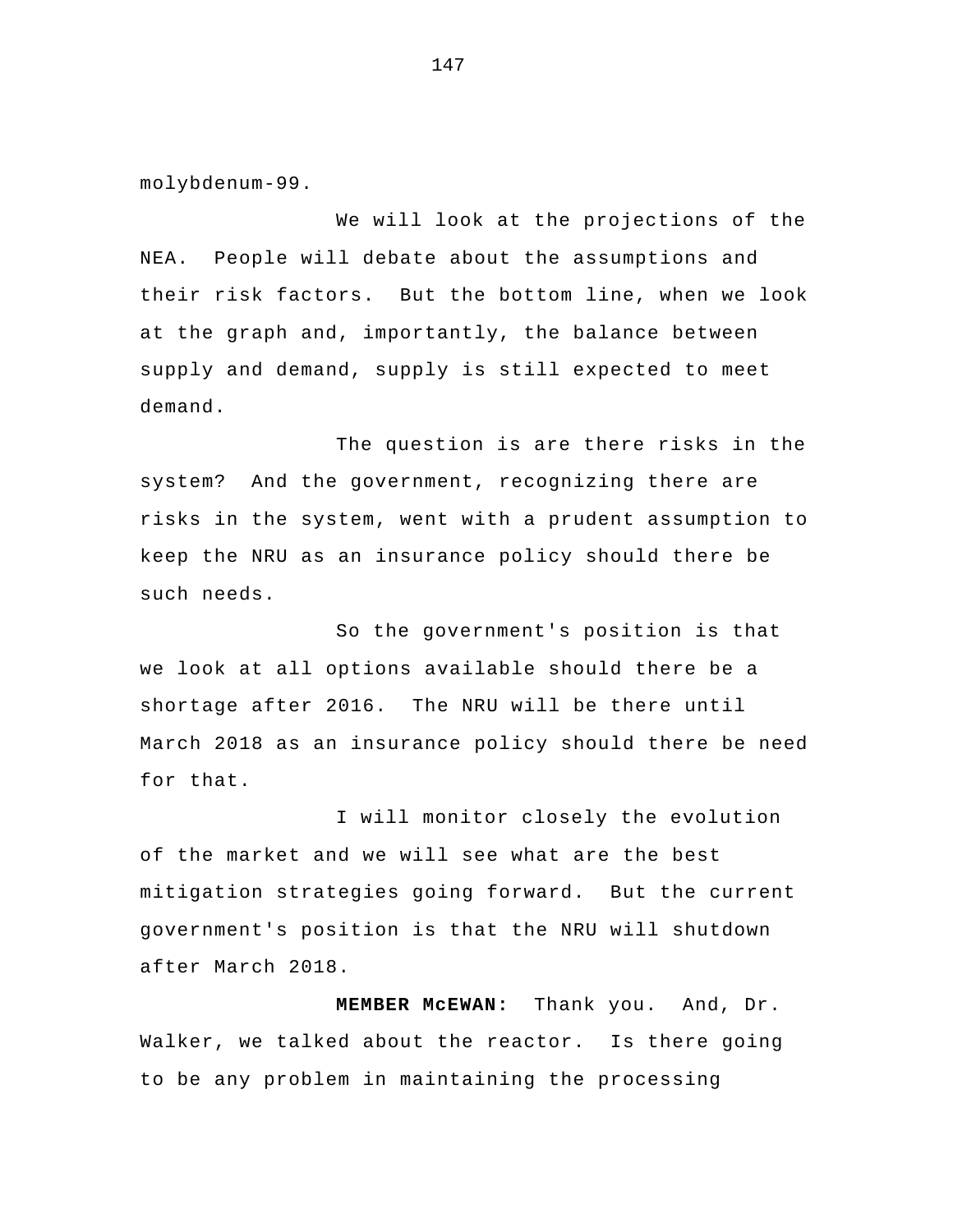molybdenum-99.

We will look at the projections of the NEA. People will debate about the assumptions and their risk factors. But the bottom line, when we look at the graph and, importantly, the balance between supply and demand, supply is still expected to meet demand.

The question is are there risks in the system? And the government, recognizing there are risks in the system, went with a prudent assumption to keep the NRU as an insurance policy should there be such needs.

So the government's position is that we look at all options available should there be a shortage after 2016. The NRU will be there until March 2018 as an insurance policy should there be need for that.

I will monitor closely the evolution of the market and we will see what are the best mitigation strategies going forward. But the current government's position is that the NRU will shutdown after March 2018.

**MEMBER McEWAN:** Thank you. And, Dr. Walker, we talked about the reactor. Is there going to be any problem in maintaining the processing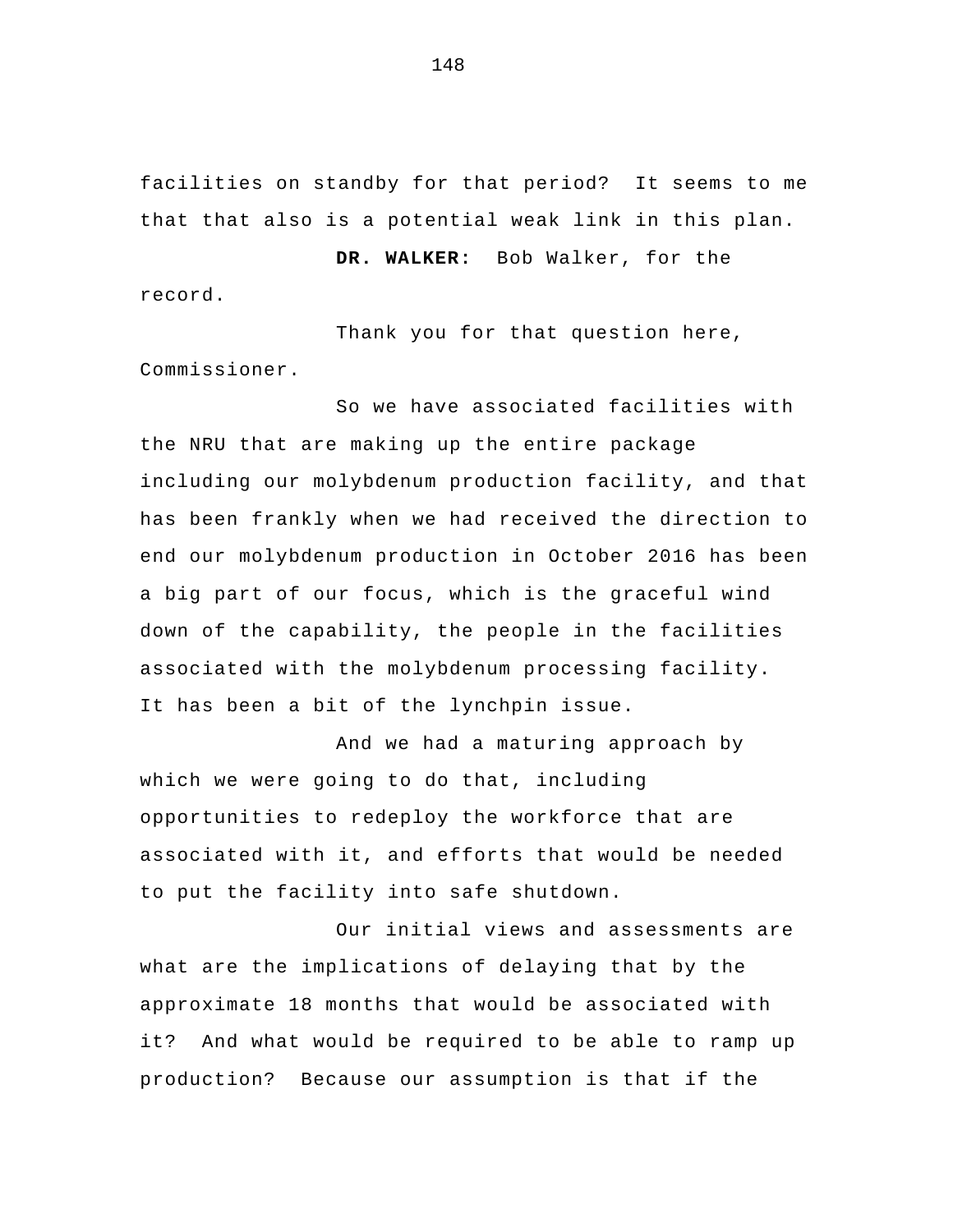facilities on standby for that period? It seems to me that that also is a potential weak link in this plan.

**DR. WALKER:** Bob Walker, for the record.

Thank you for that question here, Commissioner.

So we have associated facilities with the NRU that are making up the entire package including our molybdenum production facility, and that has been frankly when we had received the direction to end our molybdenum production in October 2016 has been a big part of our focus, which is the graceful wind down of the capability, the people in the facilities associated with the molybdenum processing facility. It has been a bit of the lynchpin issue.

And we had a maturing approach by which we were going to do that, including opportunities to redeploy the workforce that are associated with it, and efforts that would be needed to put the facility into safe shutdown.

 Our initial views and assessments are what are the implications of delaying that by the approximate 18 months that would be associated with it? And what would be required to be able to ramp up production? Because our assumption is that if the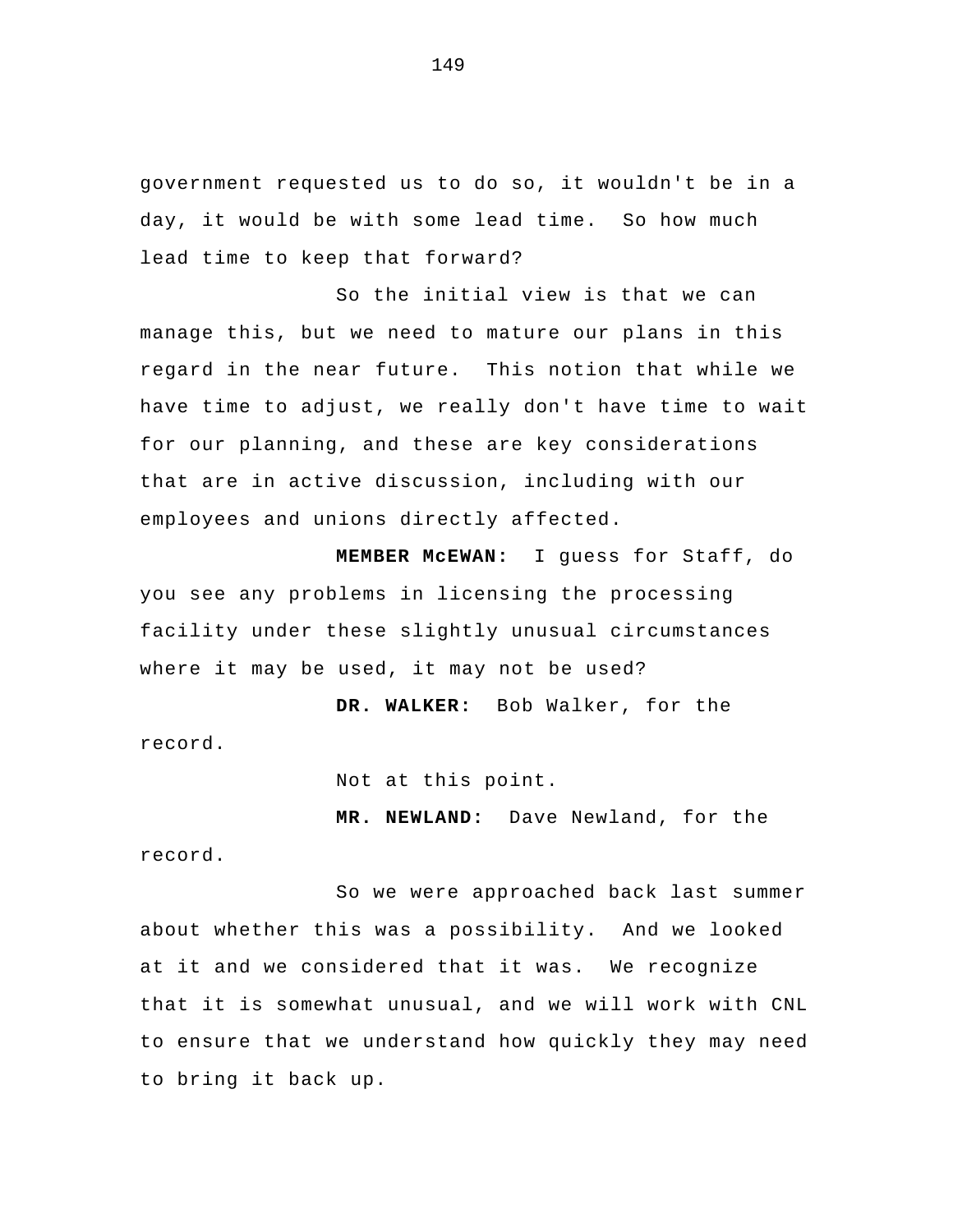government requested us to do so, it wouldn't be in a day, it would be with some lead time. So how much lead time to keep that forward?

So the initial view is that we can manage this, but we need to mature our plans in this regard in the near future. This notion that while we have time to adjust, we really don't have time to wait for our planning, and these are key considerations that are in active discussion, including with our employees and unions directly affected.

**MEMBER McEWAN:** I guess for Staff, do you see any problems in licensing the processing facility under these slightly unusual circumstances where it may be used, it may not be used?

 **DR. WALKER:** Bob Walker, for the record.

Not at this point.

 **MR. NEWLAND:** Dave Newland, for the record.

So we were approached back last summer about whether this was a possibility. And we looked at it and we considered that it was. We recognize that it is somewhat unusual, and we will work with CNL to ensure that we understand how quickly they may need to bring it back up.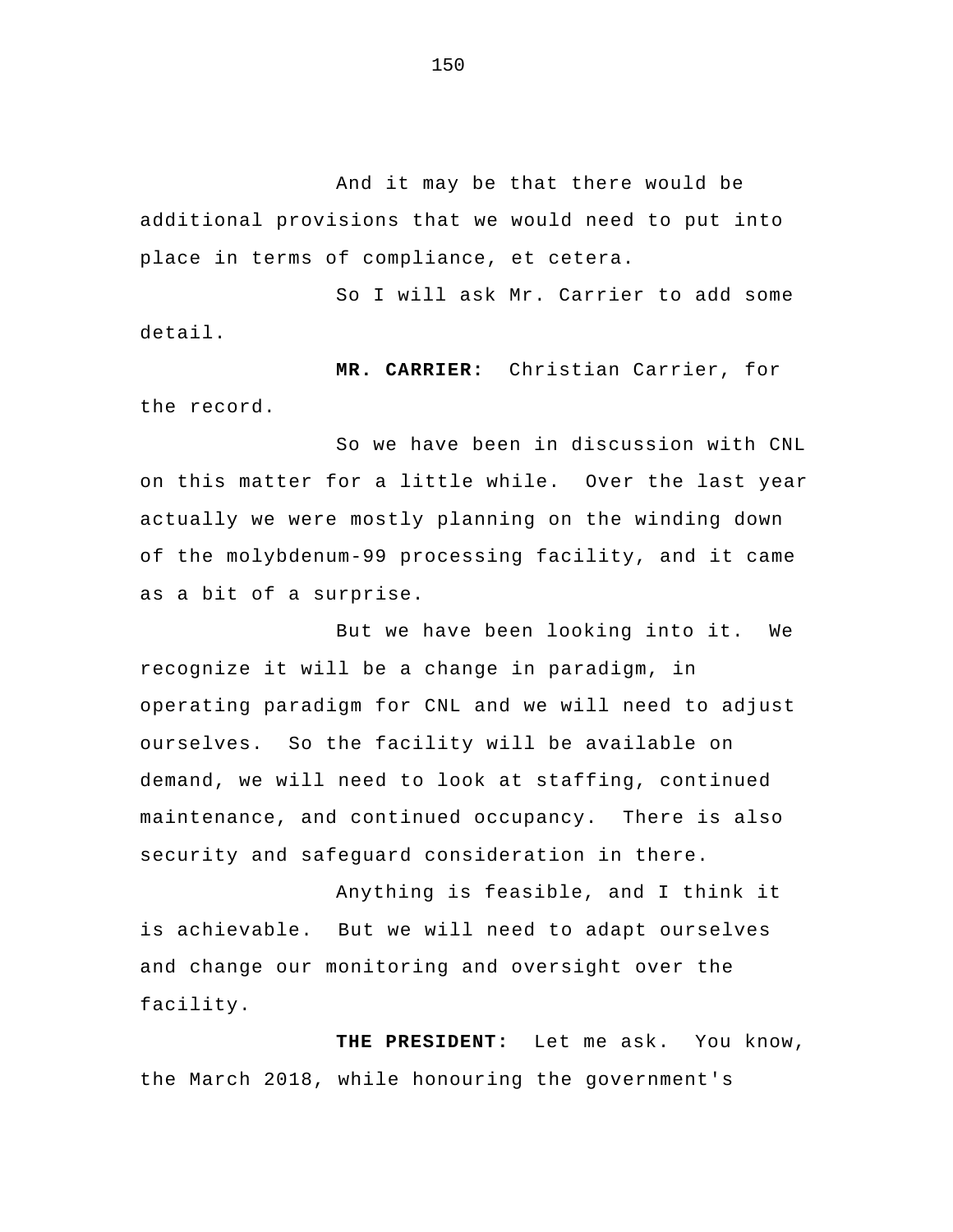And it may be that there would be additional provisions that we would need to put into place in terms of compliance, et cetera.

So I will ask Mr. Carrier to add some detail.

 **MR. CARRIER:** Christian Carrier, for the record.

So we have been in discussion with CNL on this matter for a little while. Over the last year actually we were mostly planning on the winding down of the molybdenum-99 processing facility, and it came as a bit of a surprise.

But we have been looking into it. We recognize it will be a change in paradigm, in operating paradigm for CNL and we will need to adjust ourselves. So the facility will be available on demand, we will need to look at staffing, continued maintenance, and continued occupancy. There is also security and safeguard consideration in there.

 Anything is feasible, and I think it is achievable. But we will need to adapt ourselves and change our monitoring and oversight over the facility.

**THE PRESIDENT:** Let me ask. You know, the March 2018, while honouring the government's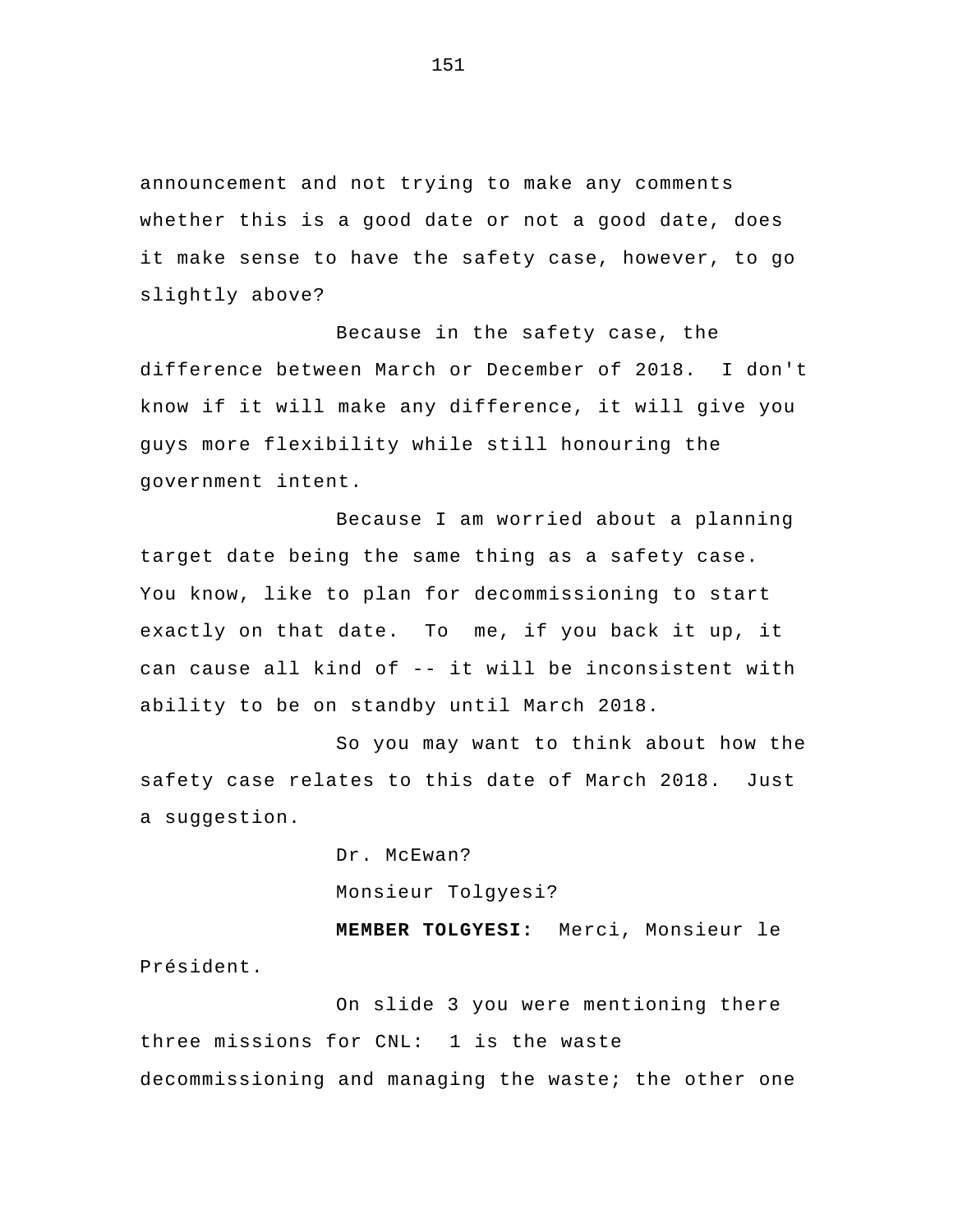announcement and not trying to make any comments whether this is a good date or not a good date, does it make sense to have the safety case, however, to go slightly above?

Because in the safety case, the difference between March or December of 2018. I don't know if it will make any difference, it will give you guys more flexibility while still honouring the government intent.

 Because I am worried about a planning target date being the same thing as a safety case. You know, like to plan for decommissioning to start exactly on that date. To me, if you back it up, it can cause all kind of -- it will be inconsistent with ability to be on standby until March 2018.

So you may want to think about how the safety case relates to this date of March 2018. Just a suggestion.

> Dr. McEwan? Monsieur Tolgyesi?

 **MEMBER TOLGYESI:** Merci, Monsieur le Président.

On slide 3 you were mentioning there three missions for CNL: 1 is the waste decommissioning and managing the waste; the other one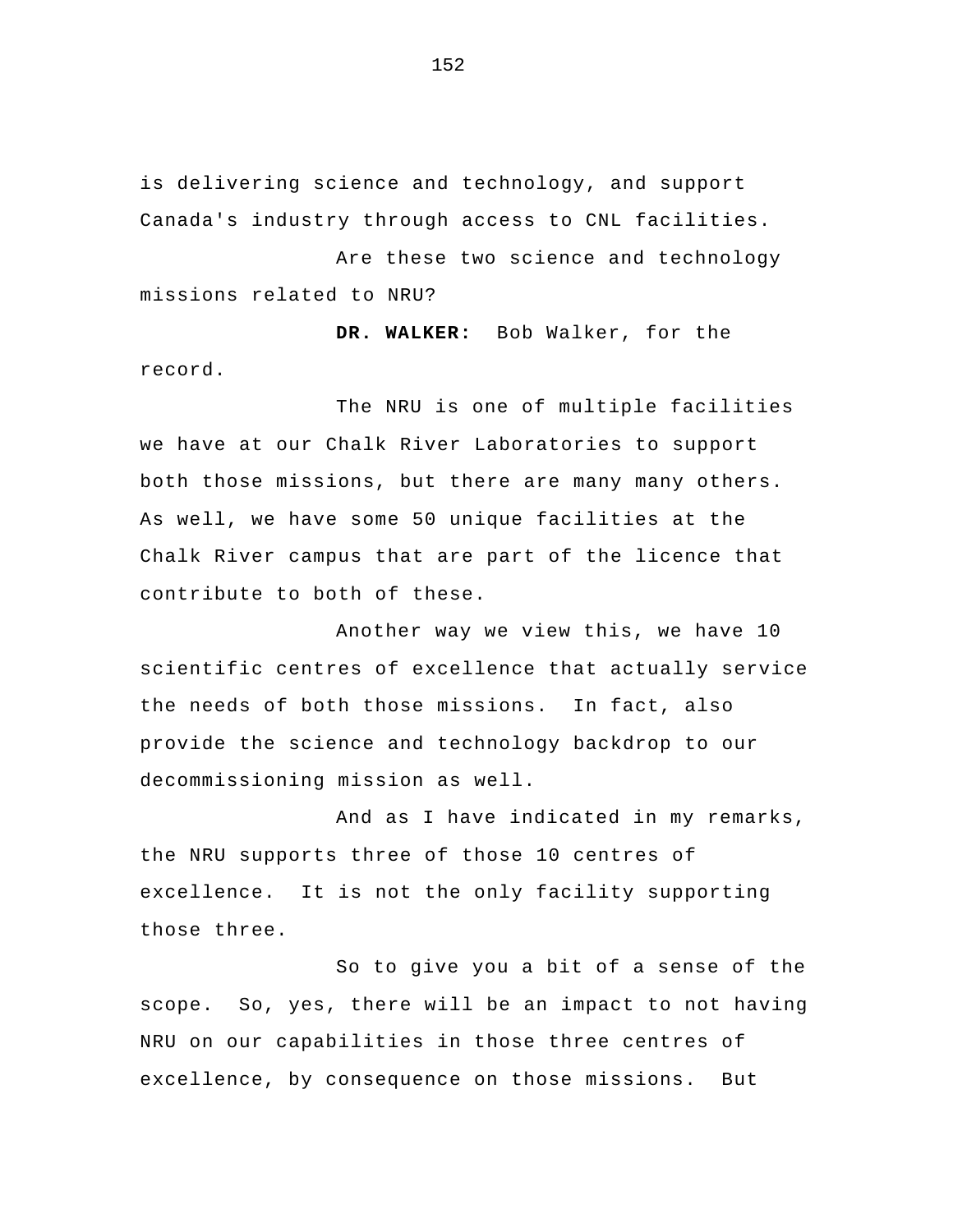is delivering science and technology, and support Canada's industry through access to CNL facilities.

Are these two science and technology missions related to NRU?

 **DR. WALKER:** Bob Walker, for the record.

The NRU is one of multiple facilities we have at our Chalk River Laboratories to support both those missions, but there are many many others. As well, we have some 50 unique facilities at the Chalk River campus that are part of the licence that contribute to both of these.

 Another way we view this, we have 10 scientific centres of excellence that actually service the needs of both those missions. In fact, also provide the science and technology backdrop to our decommissioning mission as well.

And as I have indicated in my remarks, the NRU supports three of those 10 centres of excellence. It is not the only facility supporting those three.

So to give you a bit of a sense of the scope. So, yes, there will be an impact to not having NRU on our capabilities in those three centres of excellence, by consequence on those missions. But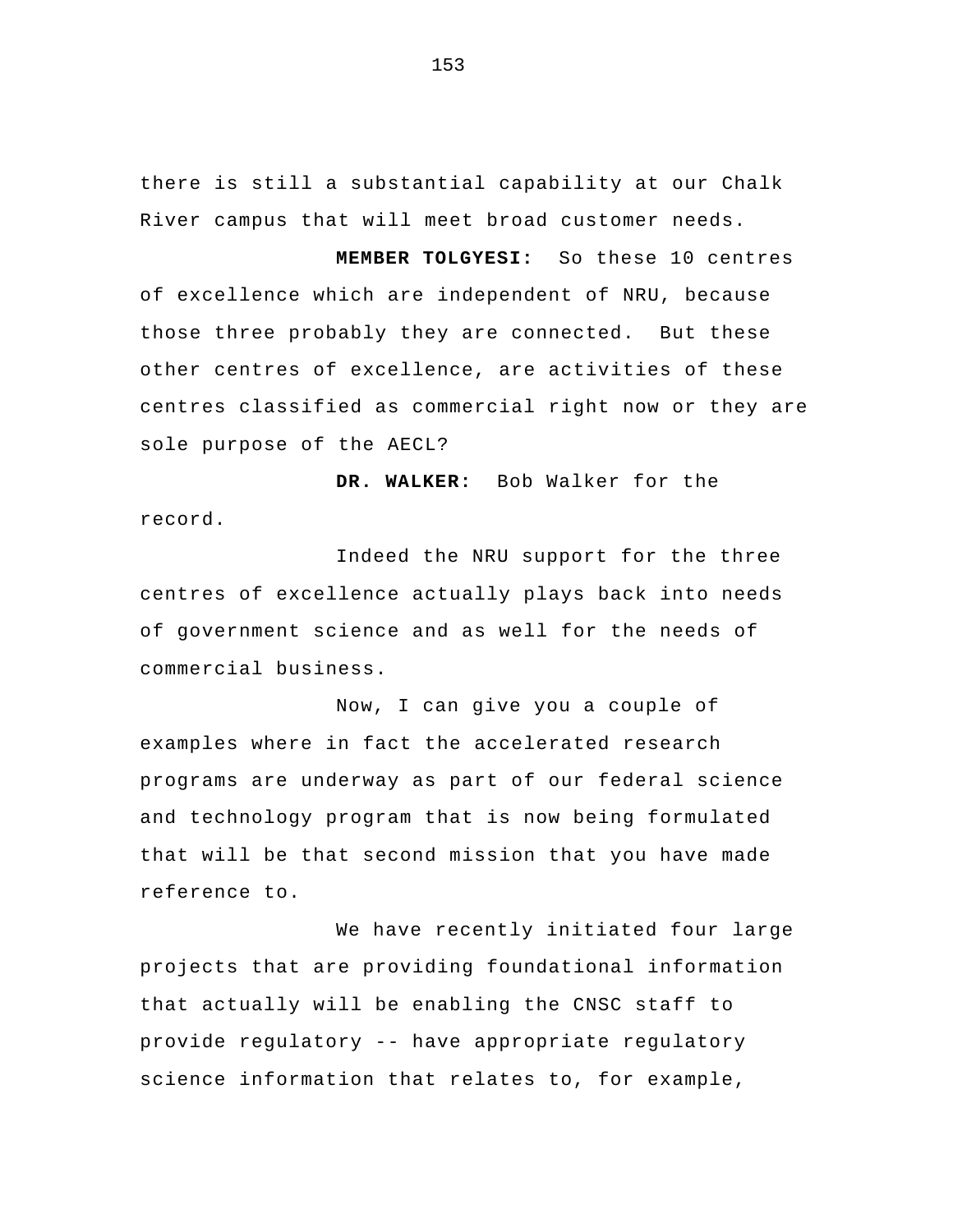there is still a substantial capability at our Chalk River campus that will meet broad customer needs.

 **MEMBER TOLGYESI:** So these 10 centres of excellence which are independent of NRU, because those three probably they are connected. But these other centres of excellence, are activities of these centres classified as commercial right now or they are sole purpose of the AECL?

 **DR. WALKER:** Bob Walker for the record.

Indeed the NRU support for the three centres of excellence actually plays back into needs of government science and as well for the needs of commercial business.

Now, I can give you a couple of examples where in fact the accelerated research programs are underway as part of our federal science and technology program that is now being formulated that will be that second mission that you have made reference to.

 We have recently initiated four large projects that are providing foundational information that actually will be enabling the CNSC staff to provide regulatory -- have appropriate regulatory science information that relates to, for example,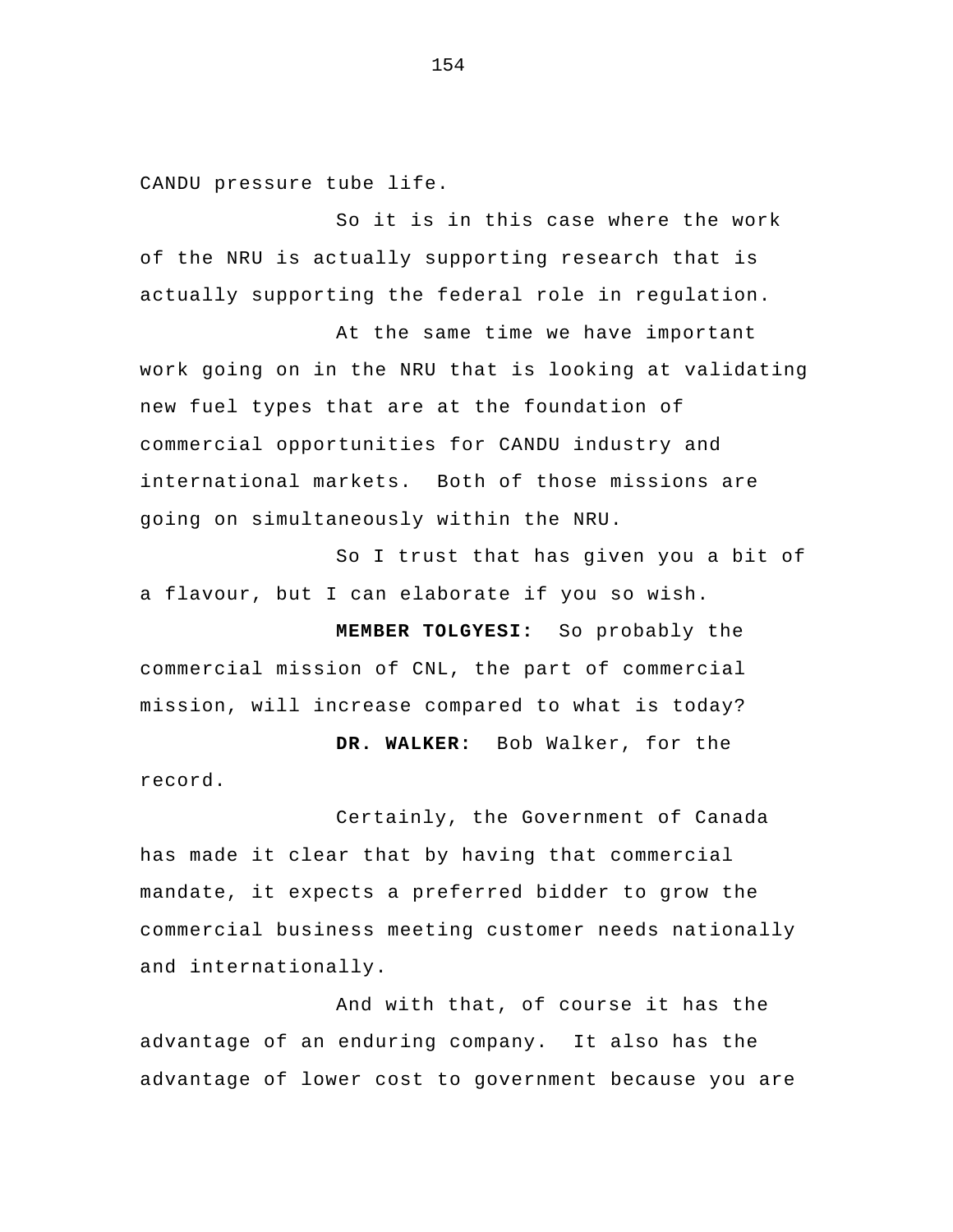CANDU pressure tube life.

So it is in this case where the work of the NRU is actually supporting research that is actually supporting the federal role in regulation.

At the same time we have important work going on in the NRU that is looking at validating new fuel types that are at the foundation of commercial opportunities for CANDU industry and international markets. Both of those missions are going on simultaneously within the NRU.

So I trust that has given you a bit of a flavour, but I can elaborate if you so wish.

 **MEMBER TOLGYESI:** So probably the commercial mission of CNL, the part of commercial mission, will increase compared to what is today?

**DR. WALKER:** Bob Walker, for the record.

Certainly, the Government of Canada has made it clear that by having that commercial mandate, it expects a preferred bidder to grow the commercial business meeting customer needs nationally and internationally.

And with that, of course it has the advantage of an enduring company. It also has the advantage of lower cost to government because you are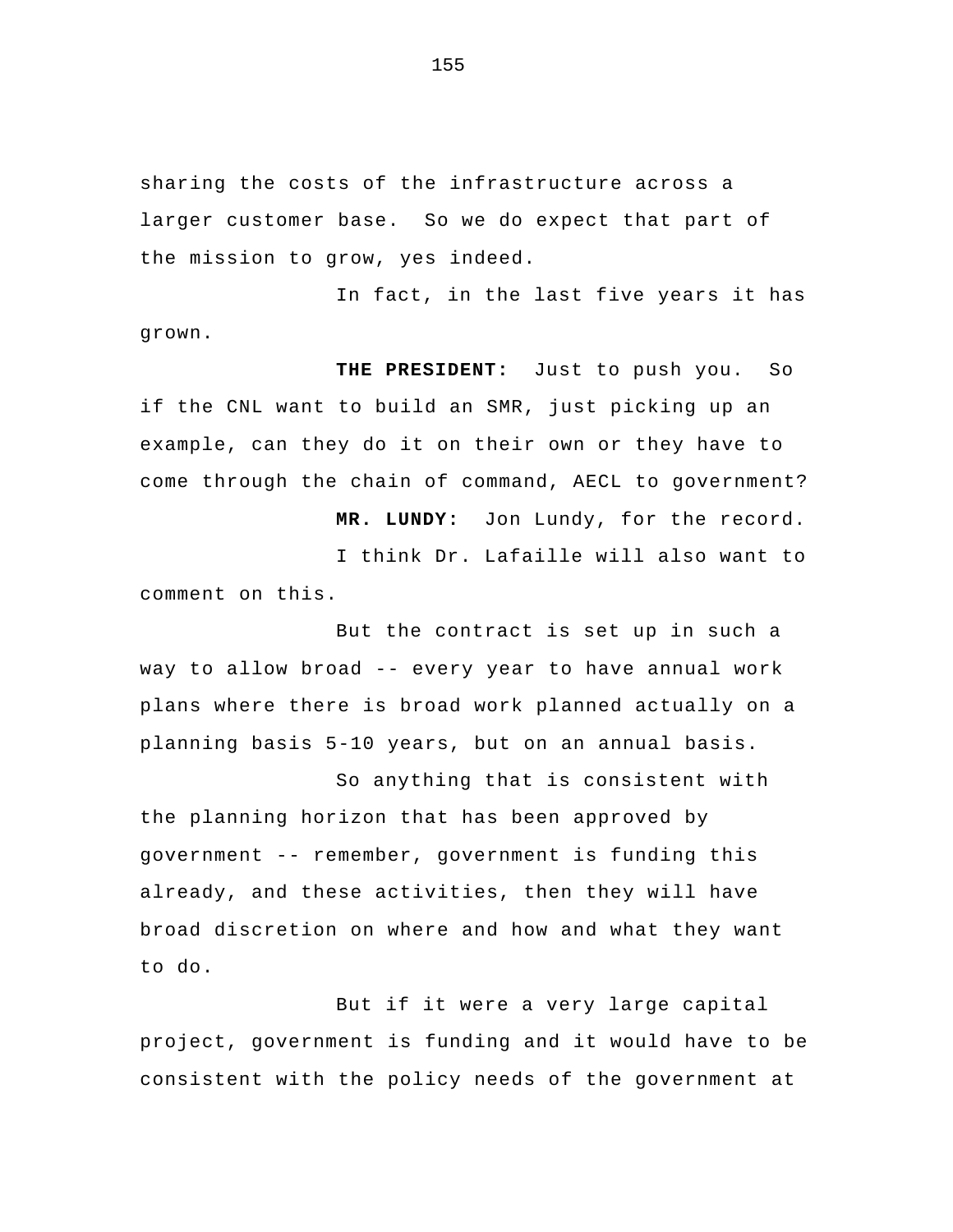sharing the costs of the infrastructure across a larger customer base. So we do expect that part of the mission to grow, yes indeed.

In fact, in the last five years it has grown.

**THE PRESIDENT:** Just to push you. So if the CNL want to build an SMR, just picking up an example, can they do it on their own or they have to come through the chain of command, AECL to government?

 **MR. LUNDY:** Jon Lundy, for the record. I think Dr. Lafaille will also want to comment on this.

But the contract is set up in such a way to allow broad -- every year to have annual work plans where there is broad work planned actually on a planning basis 5-10 years, but on an annual basis.

So anything that is consistent with the planning horizon that has been approved by government -- remember, government is funding this already, and these activities, then they will have broad discretion on where and how and what they want to do.

But if it were a very large capital project, government is funding and it would have to be consistent with the policy needs of the government at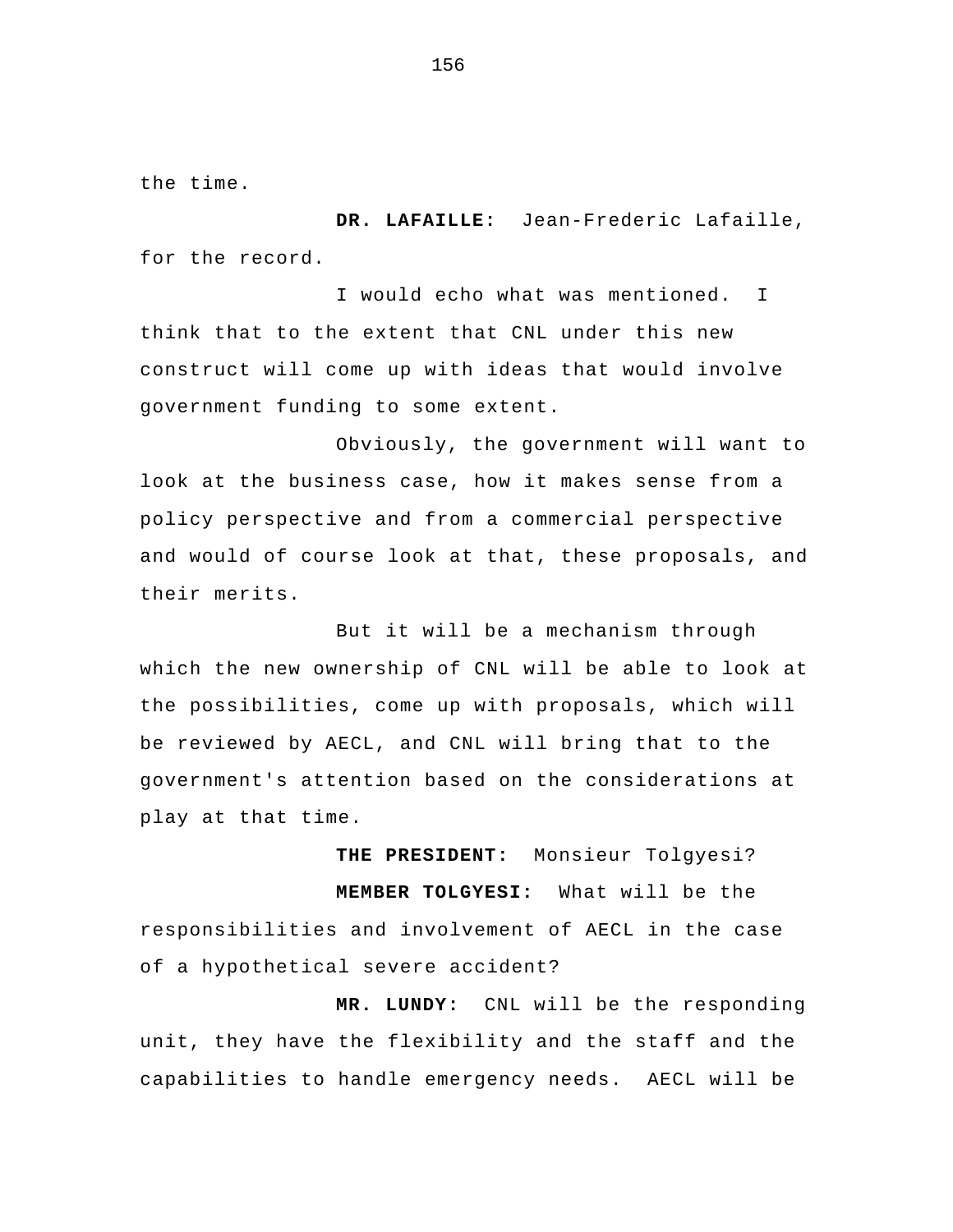the time.

 **DR. LAFAILLE:** Jean-Frederic Lafaille, for the record.

I would echo what was mentioned. I think that to the extent that CNL under this new construct will come up with ideas that would involve government funding to some extent.

Obviously, the government will want to look at the business case, how it makes sense from a policy perspective and from a commercial perspective and would of course look at that, these proposals, and their merits.

But it will be a mechanism through which the new ownership of CNL will be able to look at the possibilities, come up with proposals, which will be reviewed by AECL, and CNL will bring that to the government's attention based on the considerations at play at that time.

**THE PRESIDENT:** Monsieur Tolgyesi?  **MEMBER TOLGYESI:** What will be the responsibilities and involvement of AECL in the case of a hypothetical severe accident?

 **MR. LUNDY:** CNL will be the responding unit, they have the flexibility and the staff and the capabilities to handle emergency needs. AECL will be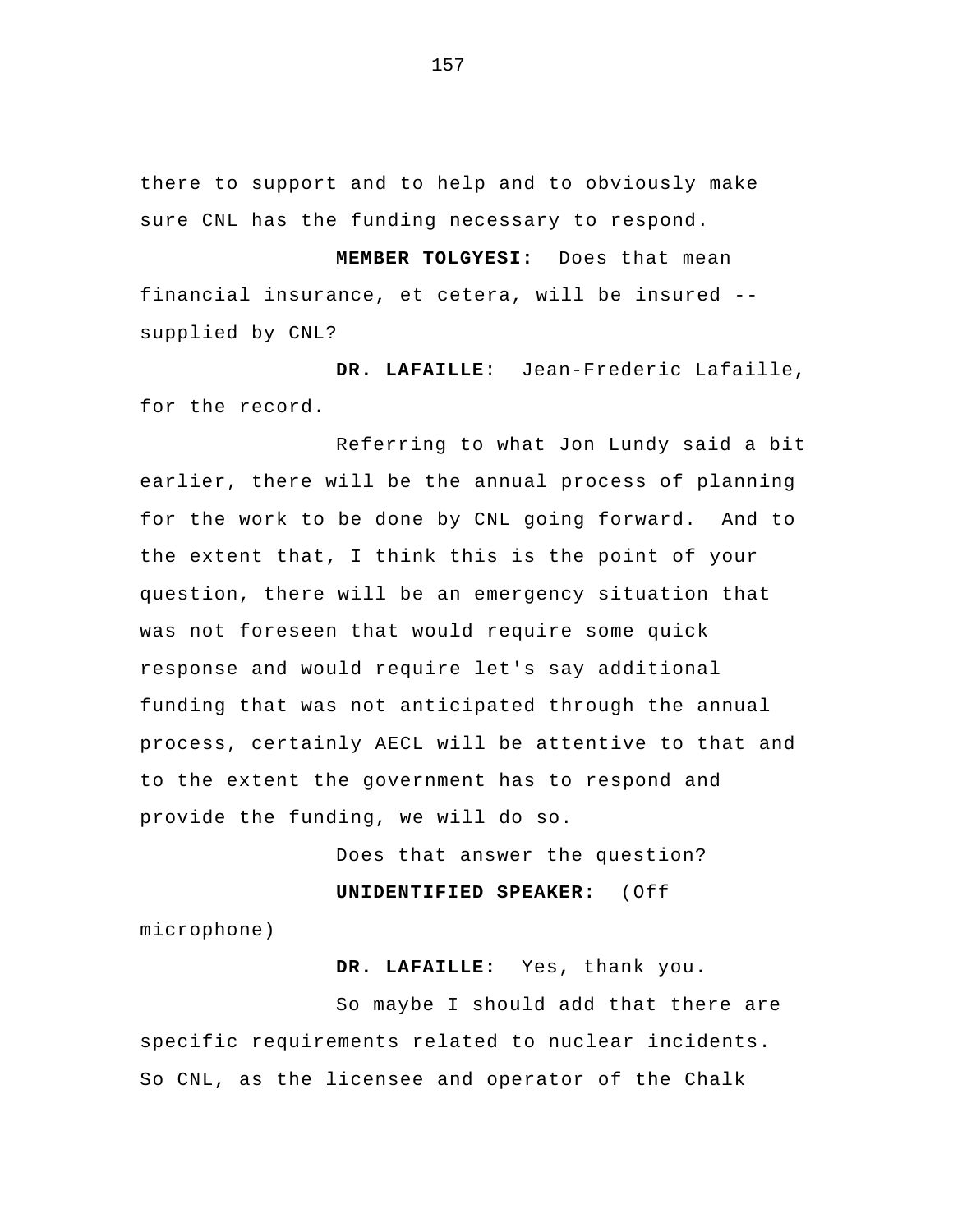there to support and to help and to obviously make sure CNL has the funding necessary to respond.

**MEMBER TOLGYESI:** Does that mean financial insurance, et cetera, will be insured - supplied by CNL?

**DR. LAFAILLE**: Jean-Frederic Lafaille, for the record.

 Referring to what Jon Lundy said a bit earlier, there will be the annual process of planning for the work to be done by CNL going forward. And to the extent that, I think this is the point of your question, there will be an emergency situation that was not foreseen that would require some quick response and would require let's say additional funding that was not anticipated through the annual process, certainly AECL will be attentive to that and to the extent the government has to respond and provide the funding, we will do so.

Does that answer the question?

**UNIDENTIFIED SPEAKER:** (Off

microphone)

**DR. LAFAILLE:** Yes, thank you.

So maybe I should add that there are specific requirements related to nuclear incidents. So CNL, as the licensee and operator of the Chalk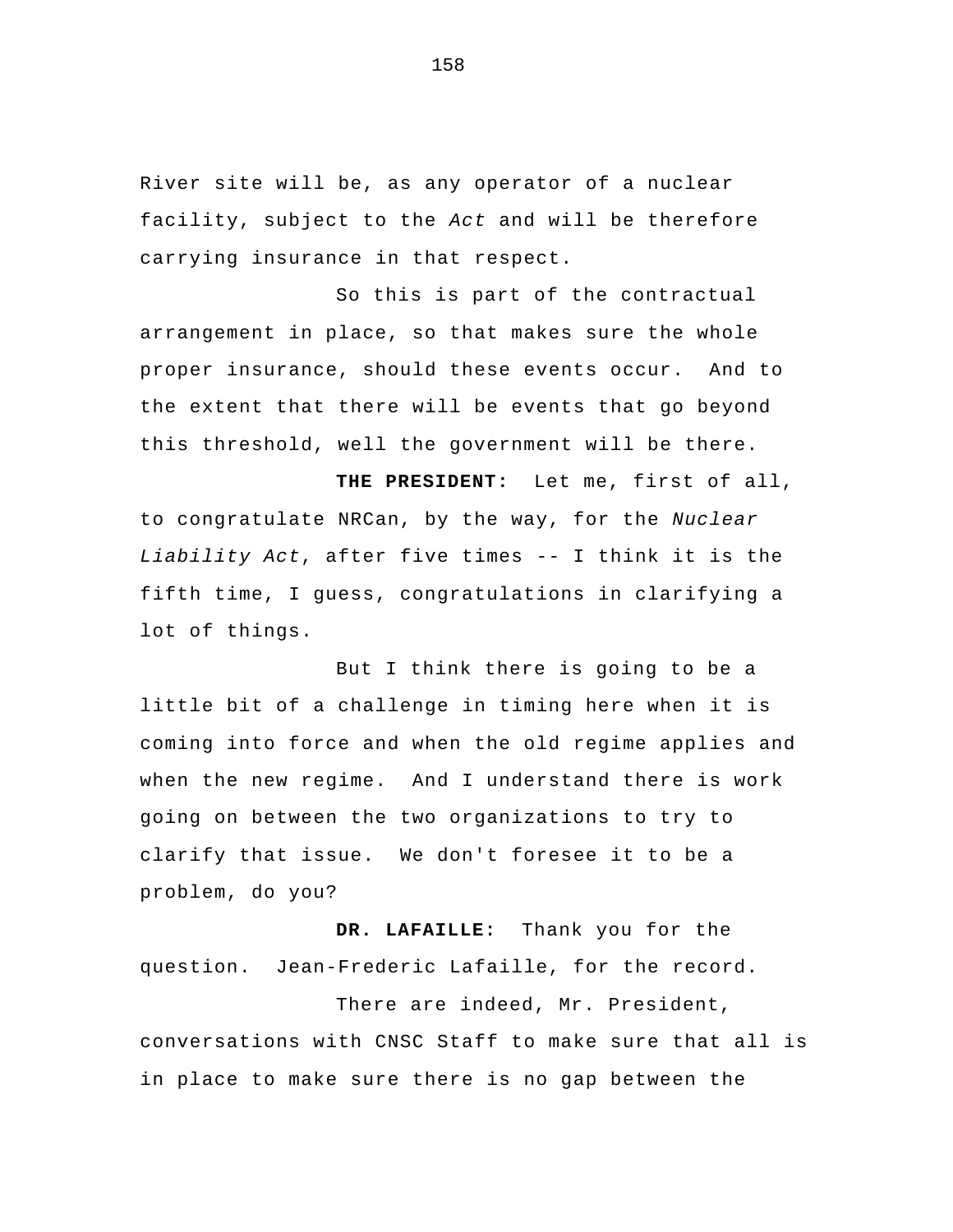River site will be, as any operator of a nuclear facility, subject to the *Act* and will be therefore carrying insurance in that respect.

So this is part of the contractual arrangement in place, so that makes sure the whole proper insurance, should these events occur. And to the extent that there will be events that go beyond this threshold, well the government will be there.

 **THE PRESIDENT:** Let me, first of all, to congratulate NRCan, by the way, for the *Nuclear Liability Act*, after five times -- I think it is the fifth time, I guess, congratulations in clarifying a lot of things.

But I think there is going to be a little bit of a challenge in timing here when it is coming into force and when the old regime applies and when the new regime. And I understand there is work going on between the two organizations to try to clarify that issue. We don't foresee it to be a problem, do you?

 **DR. LAFAILLE:** Thank you for the question. Jean-Frederic Lafaille, for the record.

 There are indeed, Mr. President, conversations with CNSC Staff to make sure that all is in place to make sure there is no gap between the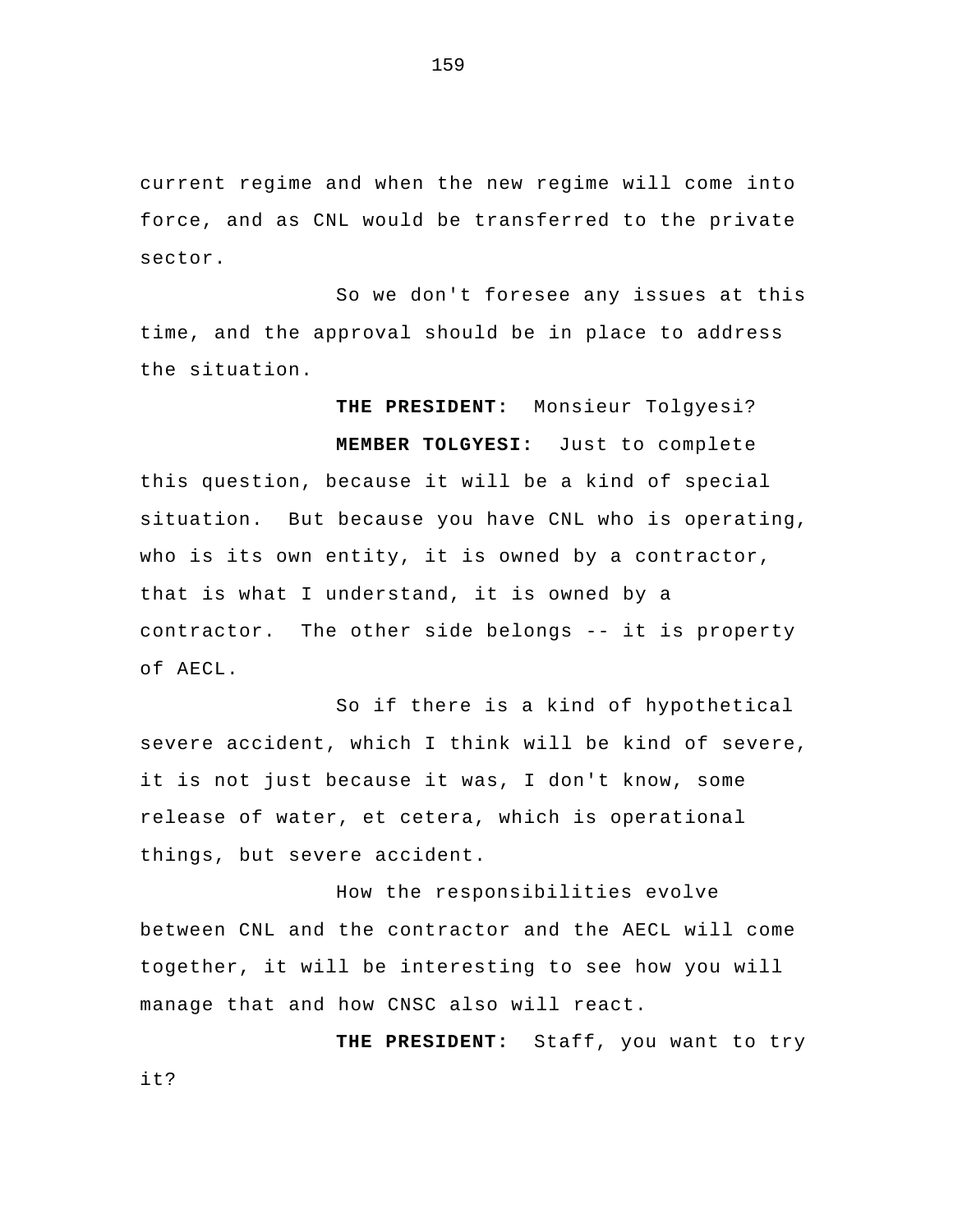current regime and when the new regime will come into force, and as CNL would be transferred to the private sector.

 So we don't foresee any issues at this time, and the approval should be in place to address the situation.

 **THE PRESIDENT:** Monsieur Tolgyesi?  **MEMBER TOLGYESI:** Just to complete this question, because it will be a kind of special situation. But because you have CNL who is operating, who is its own entity, it is owned by a contractor, that is what I understand, it is owned by a contractor. The other side belongs -- it is property of AECL.

 So if there is a kind of hypothetical severe accident, which I think will be kind of severe, it is not just because it was, I don't know, some release of water, et cetera, which is operational things, but severe accident.

How the responsibilities evolve between CNL and the contractor and the AECL will come together, it will be interesting to see how you will manage that and how CNSC also will react.

 **THE PRESIDENT:** Staff, you want to try it?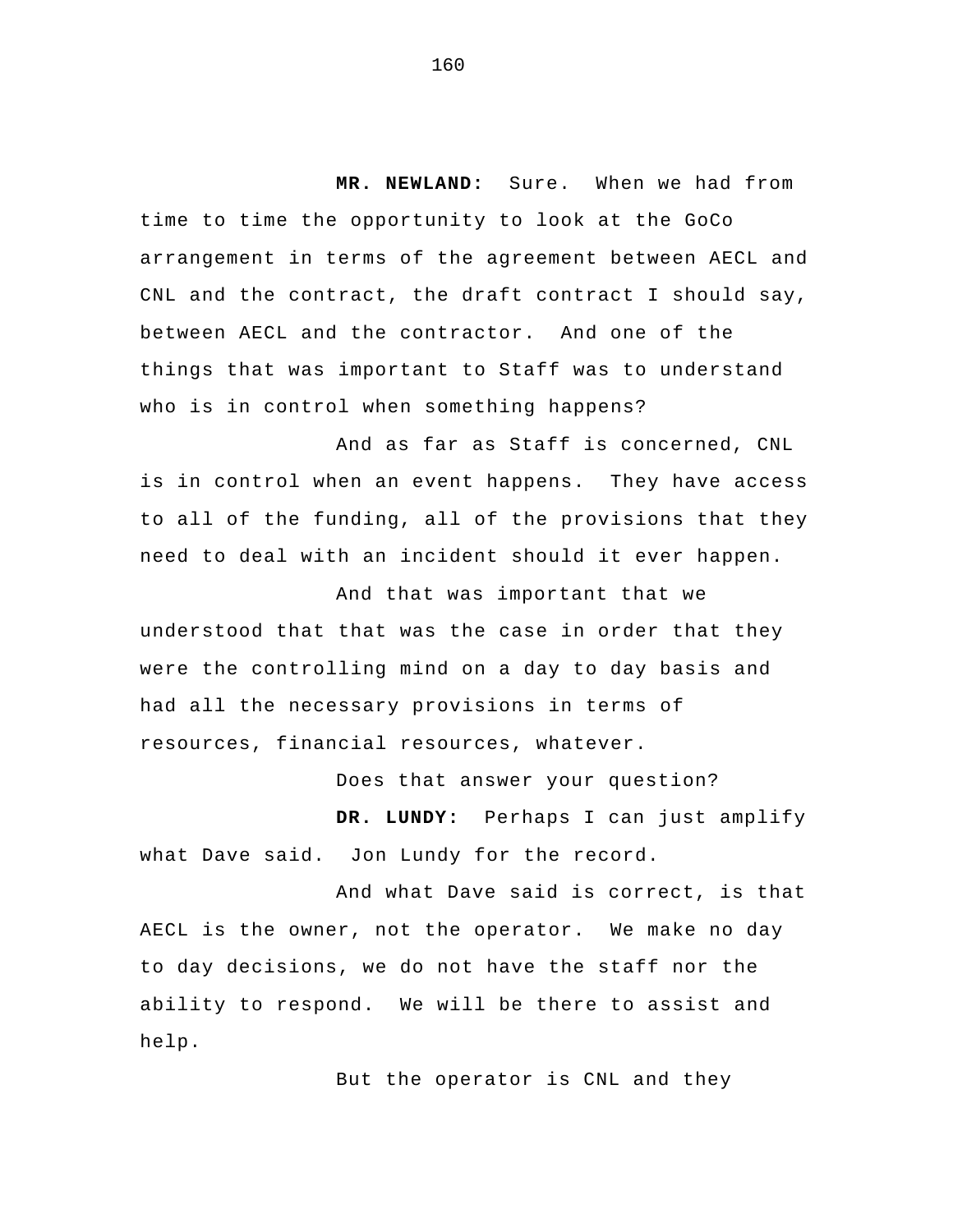**MR. NEWLAND:** Sure. When we had from time to time the opportunity to look at the GoCo arrangement in terms of the agreement between AECL and CNL and the contract, the draft contract I should say, between AECL and the contractor. And one of the things that was important to Staff was to understand who is in control when something happens?

And as far as Staff is concerned, CNL is in control when an event happens. They have access to all of the funding, all of the provisions that they need to deal with an incident should it ever happen.

And that was important that we understood that that was the case in order that they were the controlling mind on a day to day basis and had all the necessary provisions in terms of resources, financial resources, whatever.

Does that answer your question?

**DR. LUNDY:** Perhaps I can just amplify what Dave said. Jon Lundy for the record.

And what Dave said is correct, is that AECL is the owner, not the operator. We make no day to day decisions, we do not have the staff nor the ability to respond. We will be there to assist and help.

But the operator is CNL and they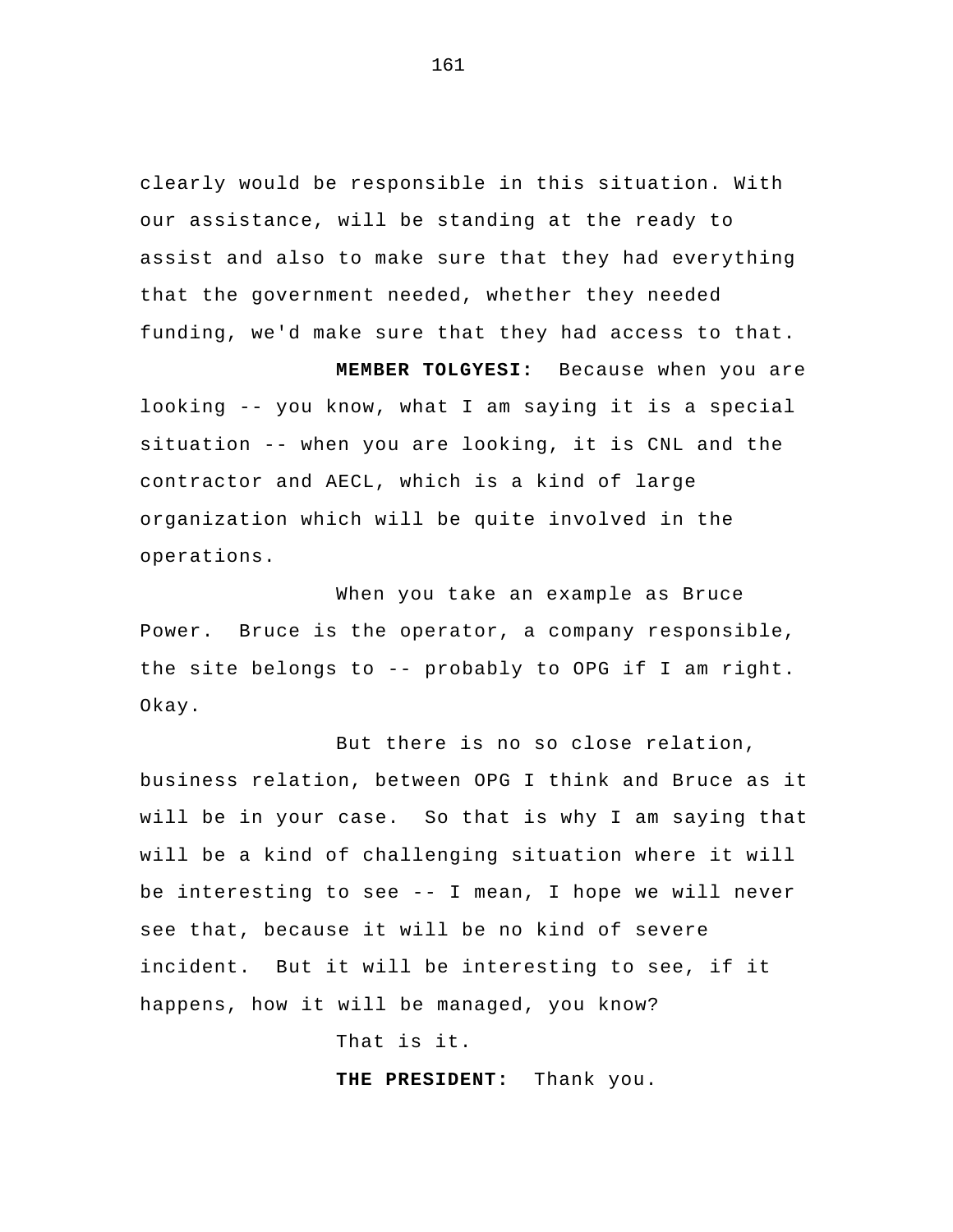clearly would be responsible in this situation. With our assistance, will be standing at the ready to assist and also to make sure that they had everything that the government needed, whether they needed funding, we'd make sure that they had access to that.

**MEMBER TOLGYESI:** Because when you are looking -- you know, what I am saying it is a special situation -- when you are looking, it is CNL and the contractor and AECL, which is a kind of large organization which will be quite involved in the operations.

When you take an example as Bruce Power. Bruce is the operator, a company responsible, the site belongs to -- probably to OPG if I am right. Okay.

But there is no so close relation, business relation, between OPG I think and Bruce as it will be in your case. So that is why I am saying that will be a kind of challenging situation where it will be interesting to see -- I mean, I hope we will never see that, because it will be no kind of severe incident. But it will be interesting to see, if it happens, how it will be managed, you know?

That is it.

**THE PRESIDENT:** Thank you.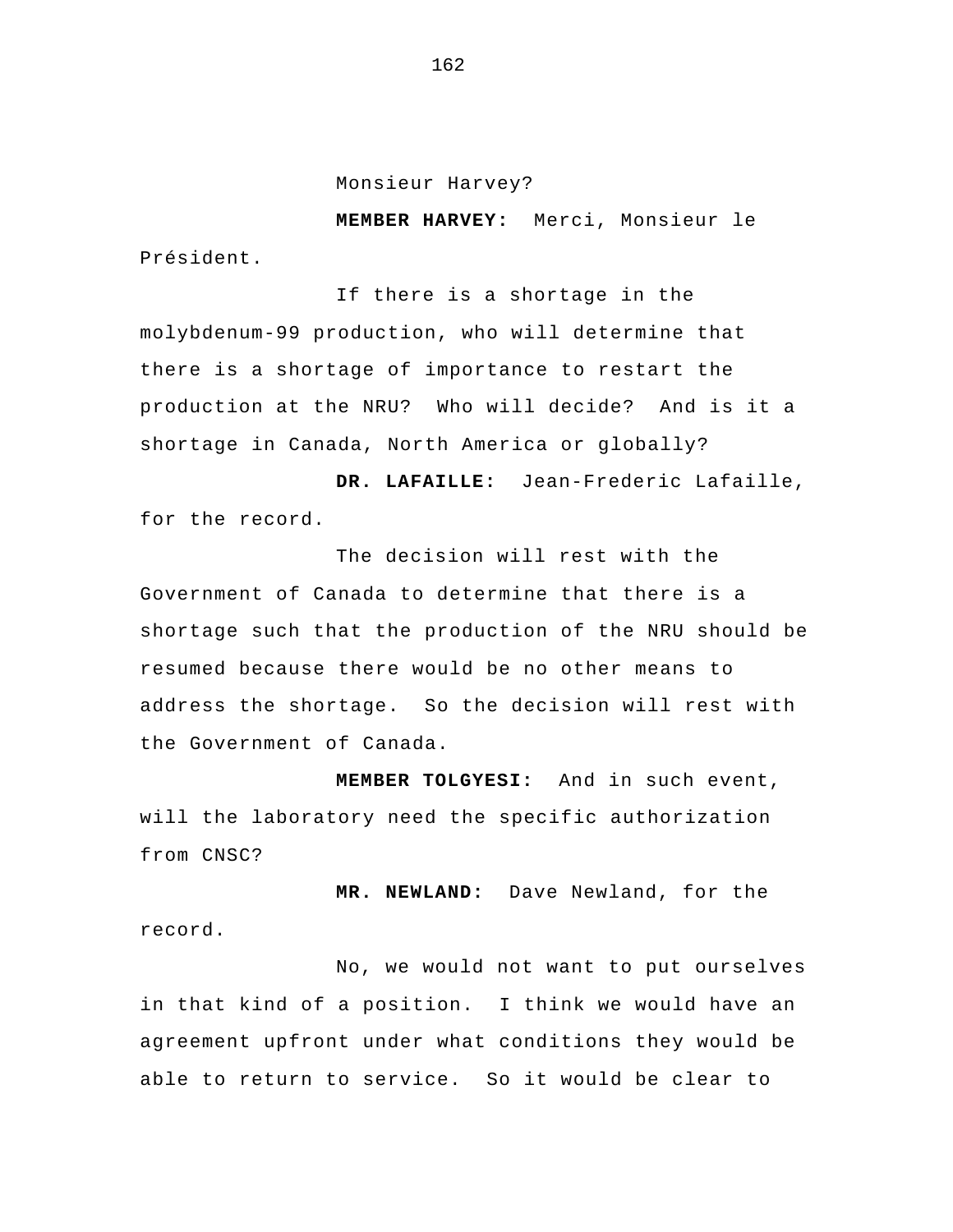Monsieur Harvey?

**MEMBER HARVEY:** Merci, Monsieur le Président.

If there is a shortage in the molybdenum-99 production, who will determine that there is a shortage of importance to restart the production at the NRU? Who will decide? And is it a shortage in Canada, North America or globally?

 **DR. LAFAILLE:** Jean-Frederic Lafaille, for the record.

The decision will rest with the Government of Canada to determine that there is a shortage such that the production of the NRU should be resumed because there would be no other means to address the shortage. So the decision will rest with the Government of Canada.

**MEMBER TOLGYESI:** And in such event, will the laboratory need the specific authorization from CNSC?

**MR. NEWLAND:** Dave Newland, for the record.

No, we would not want to put ourselves in that kind of a position. I think we would have an agreement upfront under what conditions they would be able to return to service. So it would be clear to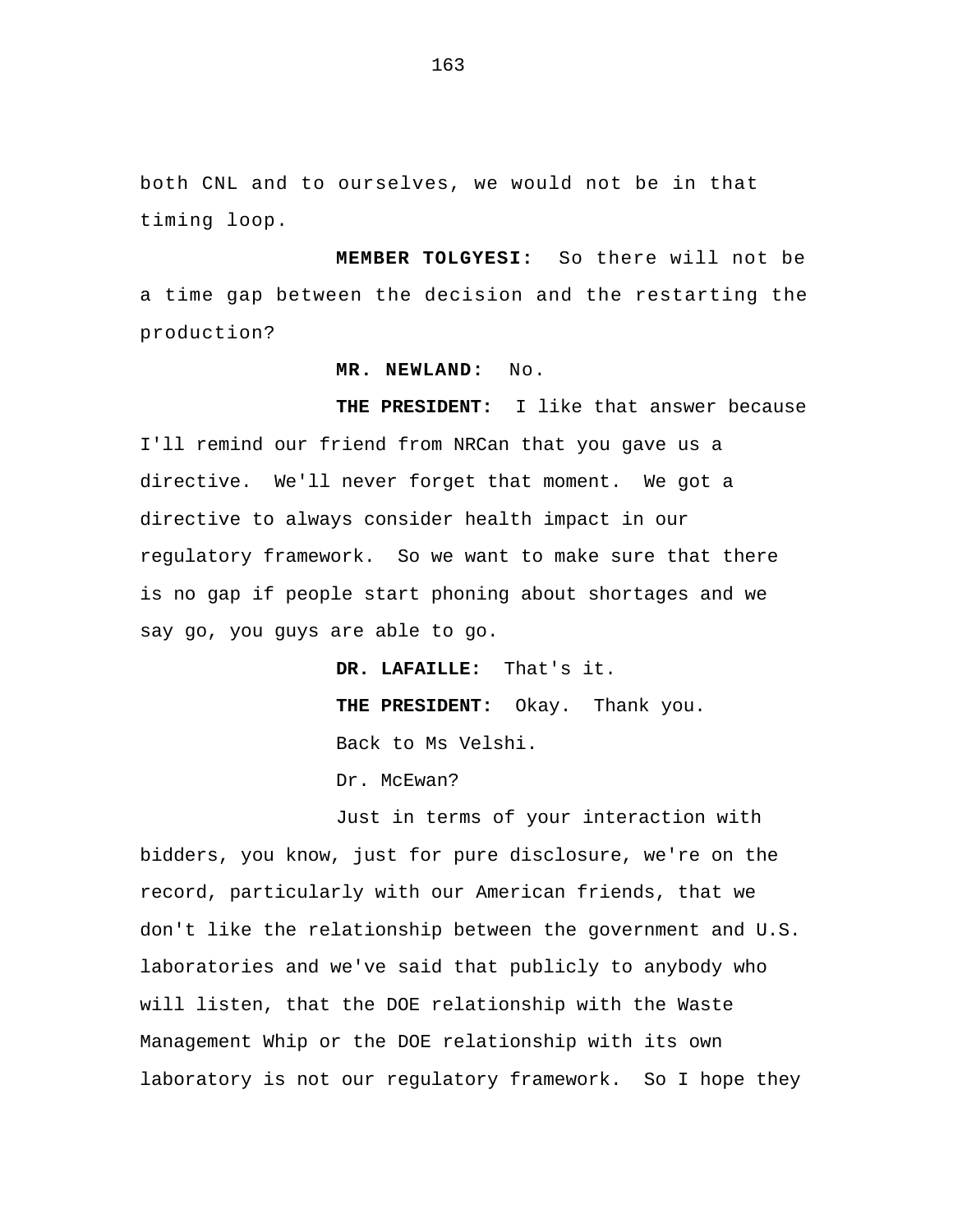both CNL and to ourselves, we would not be in that timing loop.

**MEMBER TOLGYESI:** So there will not be a time gap between the decision and the restarting the production?

## **MR. NEWLAND:** No.

**THE PRESIDENT:** I like that answer because I'll remind our friend from NRCan that you gave us a directive. We'll never forget that moment. We got a directive to always consider health impact in our regulatory framework. So we want to make sure that there is no gap if people start phoning about shortages and we say go, you guys are able to go.

> **DR. LAFAILLE:** That's it. **THE PRESIDENT:** Okay. Thank you. Back to Ms Velshi.

Dr. McEwan?

Just in terms of your interaction with bidders, you know, just for pure disclosure, we're on the record, particularly with our American friends, that we don't like the relationship between the government and U.S. laboratories and we've said that publicly to anybody who will listen, that the DOE relationship with the Waste Management Whip or the DOE relationship with its own laboratory is not our regulatory framework. So I hope they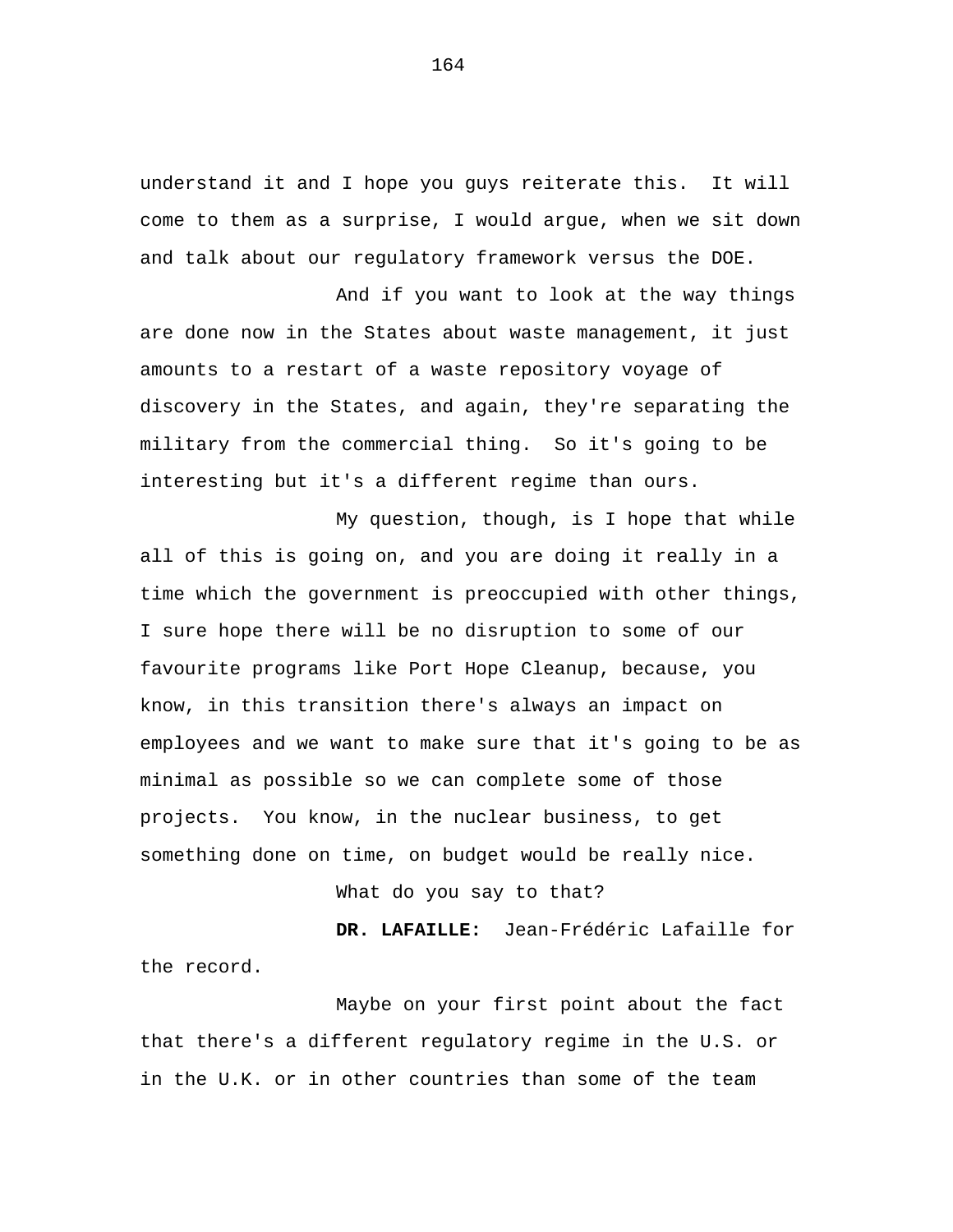understand it and I hope you guys reiterate this. It will come to them as a surprise, I would argue, when we sit down and talk about our regulatory framework versus the DOE.

And if you want to look at the way things are done now in the States about waste management, it just amounts to a restart of a waste repository voyage of discovery in the States, and again, they're separating the military from the commercial thing. So it's going to be interesting but it's a different regime than ours.

My question, though, is I hope that while all of this is going on, and you are doing it really in a time which the government is preoccupied with other things, I sure hope there will be no disruption to some of our favourite programs like Port Hope Cleanup, because, you know, in this transition there's always an impact on employees and we want to make sure that it's going to be as minimal as possible so we can complete some of those projects. You know, in the nuclear business, to get something done on time, on budget would be really nice.

What do you say to that?

 **DR. LAFAILLE:** Jean-Frédéric Lafaille for the record.

Maybe on your first point about the fact that there's a different regulatory regime in the U.S. or in the U.K. or in other countries than some of the team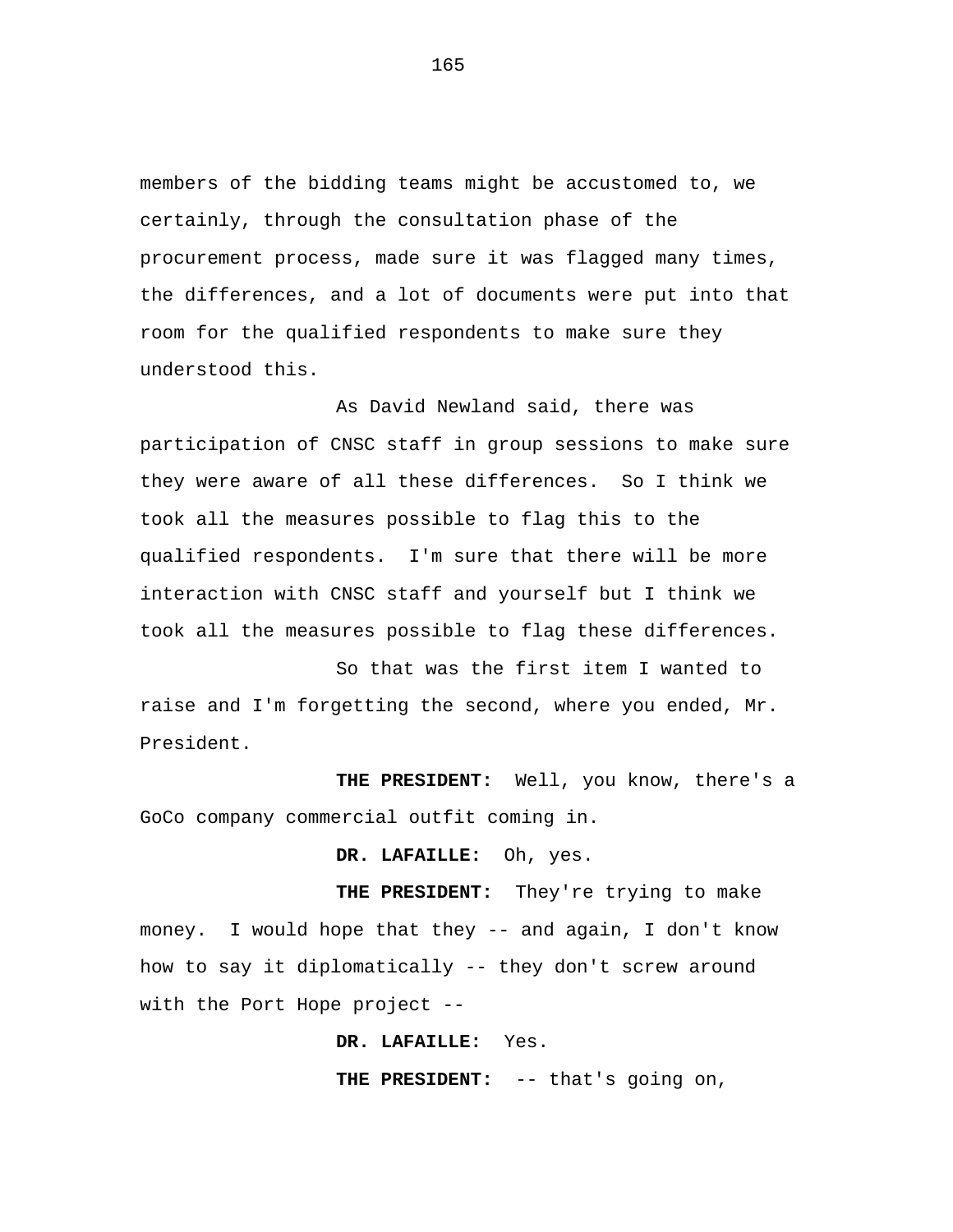members of the bidding teams might be accustomed to, we certainly, through the consultation phase of the procurement process, made sure it was flagged many times, the differences, and a lot of documents were put into that room for the qualified respondents to make sure they understood this.

As David Newland said, there was participation of CNSC staff in group sessions to make sure they were aware of all these differences. So I think we took all the measures possible to flag this to the qualified respondents. I'm sure that there will be more interaction with CNSC staff and yourself but I think we took all the measures possible to flag these differences.

So that was the first item I wanted to raise and I'm forgetting the second, where you ended, Mr. President.

**THE PRESIDENT:** Well, you know, there's a GoCo company commercial outfit coming in.

## **DR. LAFAILLE:** Oh, yes.

**THE PRESIDENT:** They're trying to make money. I would hope that they -- and again, I don't know how to say it diplomatically -- they don't screw around with the Port Hope project --

**DR. LAFAILLE:** Yes.

**THE PRESIDENT:** -- that's going on,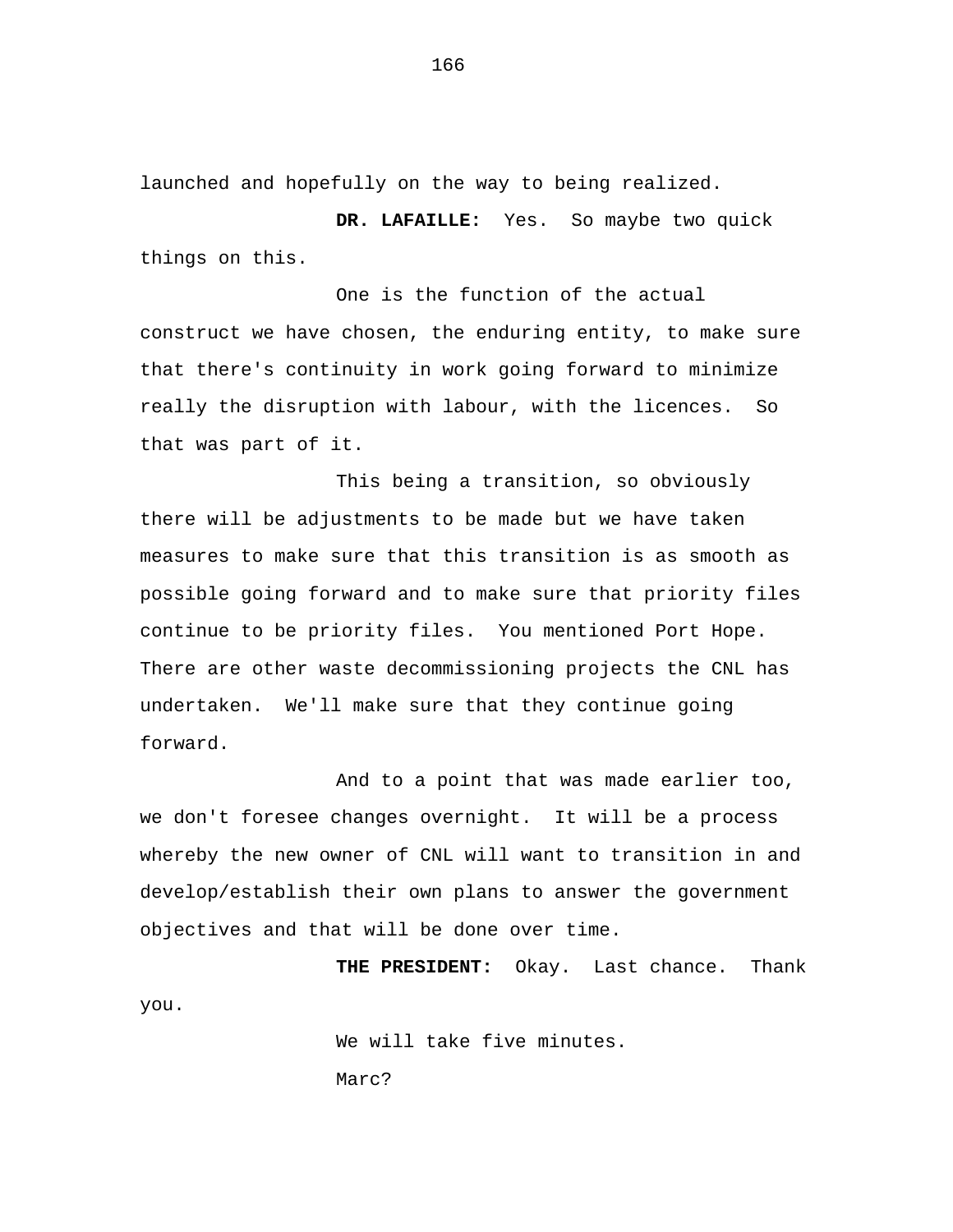launched and hopefully on the way to being realized.

**DR. LAFAILLE:** Yes. So maybe two quick things on this.

One is the function of the actual construct we have chosen, the enduring entity, to make sure that there's continuity in work going forward to minimize really the disruption with labour, with the licences. So that was part of it.

This being a transition, so obviously there will be adjustments to be made but we have taken measures to make sure that this transition is as smooth as possible going forward and to make sure that priority files continue to be priority files. You mentioned Port Hope. There are other waste decommissioning projects the CNL has undertaken. We'll make sure that they continue going forward.

And to a point that was made earlier too, we don't foresee changes overnight. It will be a process whereby the new owner of CNL will want to transition in and develop/establish their own plans to answer the government objectives and that will be done over time.

**THE PRESIDENT:** Okay. Last chance. Thank you.

> We will take five minutes. Marc?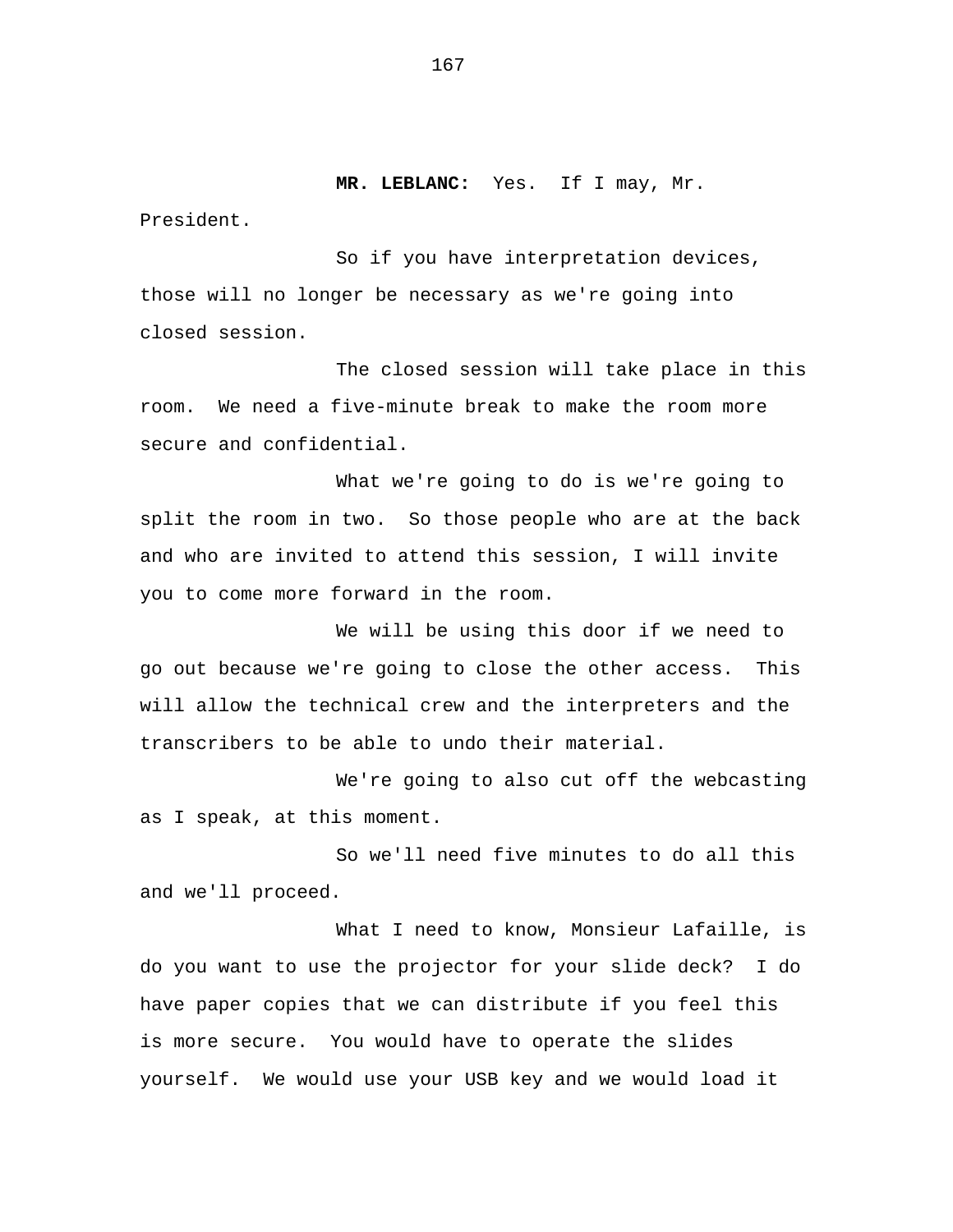**MR. LEBLANC:** Yes. If I may, Mr.

President.

So if you have interpretation devices, those will no longer be necessary as we're going into closed session.

The closed session will take place in this room. We need a five-minute break to make the room more secure and confidential.

What we're going to do is we're going to split the room in two. So those people who are at the back and who are invited to attend this session, I will invite you to come more forward in the room.

We will be using this door if we need to go out because we're going to close the other access. This will allow the technical crew and the interpreters and the transcribers to be able to undo their material.

We're going to also cut off the webcasting as I speak, at this moment.

So we'll need five minutes to do all this and we'll proceed.

What I need to know, Monsieur Lafaille, is do you want to use the projector for your slide deck? I do have paper copies that we can distribute if you feel this is more secure. You would have to operate the slides yourself. We would use your USB key and we would load it